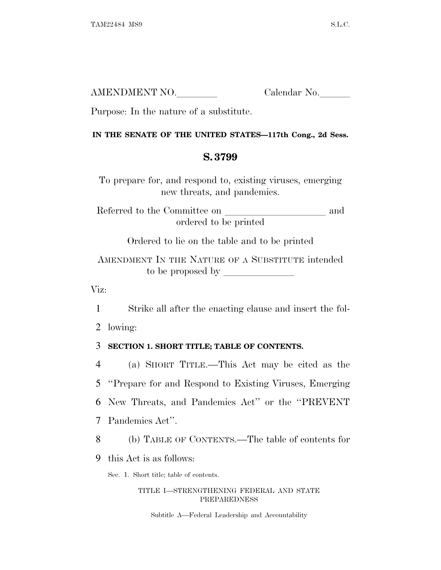| AMENDMENT NO. | Calendar No. |
|---------------|--------------|
|               |              |

Purpose: In the nature of a substitute.

## **IN THE SENATE OF THE UNITED STATES—117th Cong., 2d Sess.**

## **S. 3799**

To prepare for, and respond to, existing viruses, emerging new threats, and pandemics.

Referred to the Committee on and ordered to be printed

Ordered to lie on the table and to be printed

AMENDMENT IN THE NATURE OF A SUBSTITUTE intended to be proposed by  $\overline{\phantom{a}}$ 

Viz:

1 Strike all after the enacting clause and insert the fol-

2 lowing:

## 3 **SECTION 1. SHORT TITLE; TABLE OF CONTENTS.**

 (a) SHORT TITLE.—This Act may be cited as the ''Prepare for and Respond to Existing Viruses, Emerging New Threats, and Pandemics Act'' or the ''PREVENT Pandemics Act''.

8 (b) TABLE OF CONTENTS.—The table of contents for

9 this Act is as follows:

Sec. 1. Short title; table of contents.

## TITLE I—STRENGTHENING FEDERAL AND STATE PREPAREDNESS

Subtitle A—Federal Leadership and Accountability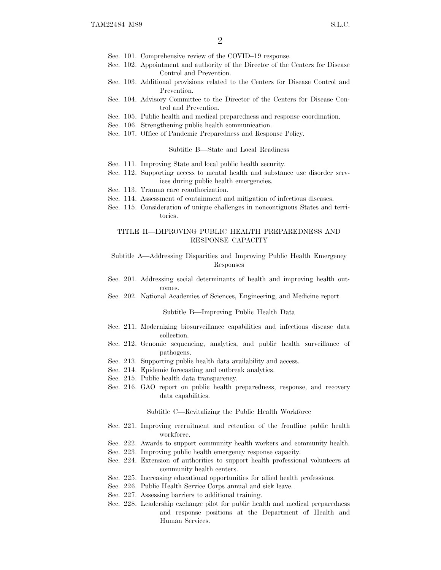- Sec. 101. Comprehensive review of the COVID–19 response.
- Sec. 102. Appointment and authority of the Director of the Centers for Disease Control and Prevention.
- Sec. 103. Additional provisions related to the Centers for Disease Control and Prevention.
- Sec. 104. Advisory Committee to the Director of the Centers for Disease Control and Prevention.
- Sec. 105. Public health and medical preparedness and response coordination.
- Sec. 106. Strengthening public health communication.
- Sec. 107. Office of Pandemic Preparedness and Response Policy.

#### Subtitle B—State and Local Readiness

- Sec. 111. Improving State and local public health security.
- Sec. 112. Supporting access to mental health and substance use disorder services during public health emergencies.
- Sec. 113. Trauma care reauthorization.
- Sec. 114. Assessment of containment and mitigation of infectious diseases.
- Sec. 115. Consideration of unique challenges in noncontiguous States and territories.

## TITLE II—IMPROVING PUBLIC HEALTH PREPAREDNESS AND RESPONSE CAPACITY

### Subtitle A—Addressing Disparities and Improving Public Health Emergency Responses

- Sec. 201. Addressing social determinants of health and improving health outcomes.
- Sec. 202. National Academies of Sciences, Engineering, and Medicine report.

#### Subtitle B—Improving Public Health Data

- Sec. 211. Modernizing biosurveillance capabilities and infectious disease data collection.
- Sec. 212. Genomic sequencing, analytics, and public health surveillance of pathogens.
- Sec. 213. Supporting public health data availability and access.
- Sec. 214. Epidemic forecasting and outbreak analytics.
- Sec. 215. Public health data transparency.
- Sec. 216. GAO report on public health preparedness, response, and recovery data capabilities.

#### Subtitle C—Revitalizing the Public Health Workforce

- Sec. 221. Improving recruitment and retention of the frontline public health workforce.
- Sec. 222. Awards to support community health workers and community health.
- Sec. 223. Improving public health emergency response capacity.
- Sec. 224. Extension of authorities to support health professional volunteers at community health centers.
- Sec. 225. Increasing educational opportunities for allied health professions.
- Sec. 226. Public Health Service Corps annual and sick leave.
- Sec. 227. Assessing barriers to additional training.
- Sec. 228. Leadership exchange pilot for public health and medical preparedness and response positions at the Department of Health and Human Services.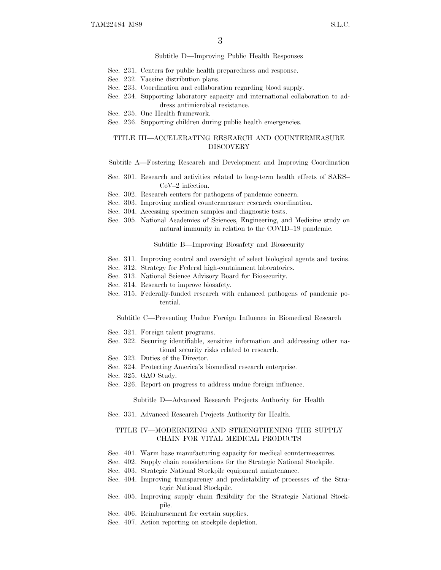#### Subtitle D—Improving Public Health Responses

- Sec. 231. Centers for public health preparedness and response.
- Sec. 232. Vaccine distribution plans.
- Sec. 233. Coordination and collaboration regarding blood supply.
- Sec. 234. Supporting laboratory capacity and international collaboration to address antimicrobial resistance.
- Sec. 235. One Health framework.
- Sec. 236. Supporting children during public health emergencies.

### TITLE III—ACCELERATING RESEARCH AND COUNTERMEASURE DISCOVERY

### Subtitle A—Fostering Research and Development and Improving Coordination

- Sec. 301. Research and activities related to long-term health effects of SARS– CoV–2 infection.
- Sec. 302. Research centers for pathogens of pandemic concern.
- Sec. 303. Improving medical countermeasure research coordination.
- Sec. 304. Accessing specimen samples and diagnostic tests.
- Sec. 305. National Academies of Sciences, Engineering, and Medicine study on natural immunity in relation to the COVID–19 pandemic.

Subtitle B—Improving Biosafety and Biosecurity

- Sec. 311. Improving control and oversight of select biological agents and toxins.
- Sec. 312. Strategy for Federal high-containment laboratories.
- Sec. 313. National Science Advisory Board for Biosecurity.
- Sec. 314. Research to improve biosafety.
- Sec. 315. Federally-funded research with enhanced pathogens of pandemic potential.

Subtitle C—Preventing Undue Foreign Influence in Biomedical Research

- Sec. 321. Foreign talent programs.
- Sec. 322. Securing identifiable, sensitive information and addressing other national security risks related to research.
- Sec. 323. Duties of the Director.
- Sec. 324. Protecting America's biomedical research enterprise.
- Sec. 325. GAO Study.
- Sec. 326. Report on progress to address undue foreign influence.

Subtitle D—Advanced Research Projects Authority for Health

Sec. 331. Advanced Research Projects Authority for Health.

## TITLE IV—MODERNIZING AND STRENGTHENING THE SUPPLY CHAIN FOR VITAL MEDICAL PRODUCTS

- Sec. 401. Warm base manufacturing capacity for medical countermeasures.
- Sec. 402. Supply chain considerations for the Strategic National Stockpile.
- Sec. 403. Strategic National Stockpile equipment maintenance.
- Sec. 404. Improving transparency and predictability of processes of the Strategic National Stockpile.
- Sec. 405. Improving supply chain flexibility for the Strategic National Stockpile.
- Sec. 406. Reimbursement for certain supplies.
- Sec. 407. Action reporting on stockpile depletion.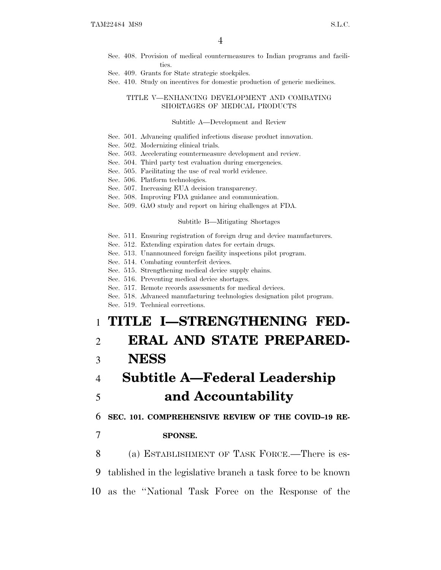- Sec. 408. Provision of medical countermeasures to Indian programs and facilities.
- Sec. 409. Grants for State strategic stockpiles.
- Sec. 410. Study on incentives for domestic production of generic medicines.

### TITLE V—ENHANCING DEVELOPMENT AND COMBATING SHORTAGES OF MEDICAL PRODUCTS

#### Subtitle A—Development and Review

- Sec. 501. Advancing qualified infectious disease product innovation.
- Sec. 502. Modernizing clinical trials.
- Sec. 503. Accelerating countermeasure development and review.
- Sec. 504. Third party test evaluation during emergencies.
- Sec. 505. Facilitating the use of real world evidence.
- Sec. 506. Platform technologies.
- Sec. 507. Increasing EUA decision transparency.
- Sec. 508. Improving FDA guidance and communication.
- Sec. 509. GAO study and report on hiring challenges at FDA.

#### Subtitle B—Mitigating Shortages

- Sec. 511. Ensuring registration of foreign drug and device manufacturers.
- Sec. 512. Extending expiration dates for certain drugs.
- Sec. 513. Unannounced foreign facility inspections pilot program.
- Sec. 514. Combating counterfeit devices.
- Sec. 515. Strengthening medical device supply chains.
- Sec. 516. Preventing medical device shortages.
- Sec. 517. Remote records assessments for medical devices.
- Sec. 518. Advanced manufacturing technologies designation pilot program.

Sec. 519. Technical corrections.

# 1 **TITLE I—STRENGTHENING FED-**

# 2 **ERAL AND STATE PREPARED-**3 **NESS**

# 4 **Subtitle A—Federal Leadership** 5 **and Accountability**

6 **SEC. 101. COMPREHENSIVE REVIEW OF THE COVID–19 RE-**

## 7 **SPONSE.**

8 (a) ESTABLISHMENT OF TASK FORCE.—There is es-9 tablished in the legislative branch a task force to be known 10 as the ''National Task Force on the Response of the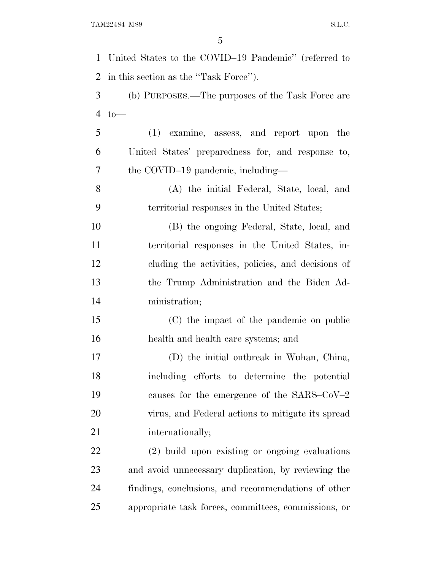| $\mathbf{1}$   | United States to the COVID-19 Pandemic" (referred to |
|----------------|------------------------------------------------------|
| 2              | in this section as the "Task Force").                |
| 3              | (b) PURPOSES.—The purposes of the Task Force are     |
| $\overline{4}$ | $to-$                                                |
| 5              | (1) examine, assess, and report upon the             |
| 6              | United States' preparedness for, and response to,    |
| 7              | the COVID-19 pandemic, including—                    |
| 8              | (A) the initial Federal, State, local, and           |
| 9              | territorial responses in the United States;          |
| 10             | (B) the ongoing Federal, State, local, and           |
| 11             | territorial responses in the United States, in-      |
| 12             | cluding the activities, policies, and decisions of   |
| 13             | the Trump Administration and the Biden Ad-           |
| 14             | ministration;                                        |
| 15             | (C) the impact of the pandemic on public             |
| 16             | health and health care systems; and                  |
| 17             | (D) the initial outbreak in Wuhan, China,            |
| 18             | including efforts to determine the potential         |
| 19             | causes for the emergence of the SARS– $CoV-2$        |
| 20             | virus, and Federal actions to mitigate its spread    |
| 21             | internationally;                                     |
| 22             | (2) build upon existing or ongoing evaluations       |
| 23             | and avoid unnecessary duplication, by reviewing the  |
| 24             | findings, conclusions, and recommendations of other  |
| 25             | appropriate task forces, committees, commissions, or |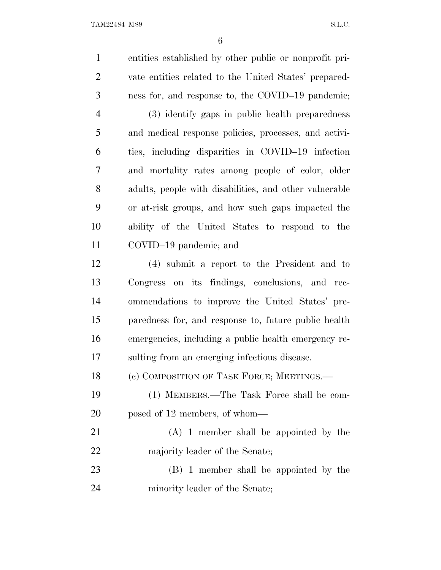entities established by other public or nonprofit pri- vate entities related to the United States' prepared- ness for, and response to, the COVID–19 pandemic; (3) identify gaps in public health preparedness and medical response policies, processes, and activi- ties, including disparities in COVID–19 infection and mortality rates among people of color, older adults, people with disabilities, and other vulnerable or at-risk groups, and how such gaps impacted the ability of the United States to respond to the COVID–19 pandemic; and (4) submit a report to the President and to Congress on its findings, conclusions, and rec- ommendations to improve the United States' pre- paredness for, and response to, future public health emergencies, including a public health emergency re- sulting from an emerging infectious disease. 18 (c) COMPOSITION OF TASK FORCE; MEETINGS.— (1) MEMBERS.—The Task Force shall be com- posed of 12 members, of whom— (A) 1 member shall be appointed by the majority leader of the Senate; (B) 1 member shall be appointed by the minority leader of the Senate;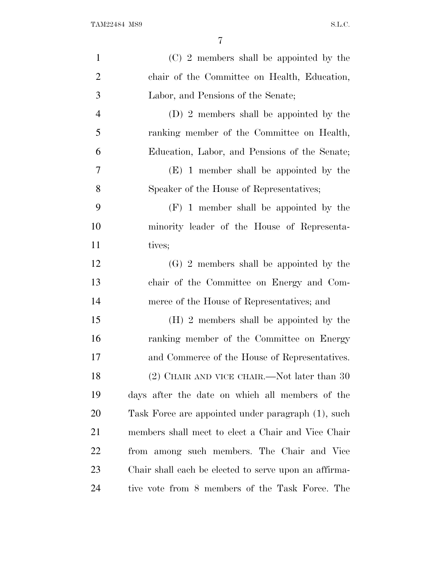| $\mathbf{1}$   | (C) 2 members shall be appointed by the               |
|----------------|-------------------------------------------------------|
| $\overline{2}$ | chair of the Committee on Health, Education,          |
| 3              | Labor, and Pensions of the Senate;                    |
| $\overline{4}$ | (D) 2 members shall be appointed by the               |
| 5              | ranking member of the Committee on Health,            |
| 6              | Education, Labor, and Pensions of the Senate;         |
| 7              | $(E)$ 1 member shall be appointed by the              |
| 8              | Speaker of the House of Representatives;              |
| 9              | $(F)$ 1 member shall be appointed by the              |
| 10             | minority leader of the House of Representa-           |
| 11             | tives;                                                |
| 12             | $(G)$ 2 members shall be appointed by the             |
| 13             | chair of the Committee on Energy and Com-             |
| 14             | merce of the House of Representatives; and            |
| 15             | (H) 2 members shall be appointed by the               |
| 16             | ranking member of the Committee on Energy             |
| 17             | and Commerce of the House of Representatives.         |
| 18             | $(2)$ CHAIR AND VICE CHAIR.—Not later than 30         |
| 19             | days after the date on which all members of the       |
| 20             | Task Force are appointed under paragraph (1), such    |
| 21             | members shall meet to elect a Chair and Vice Chair    |
| 22             | from among such members. The Chair and Vice           |
| 23             | Chair shall each be elected to serve upon an affirma- |
| 24             | tive vote from 8 members of the Task Force. The       |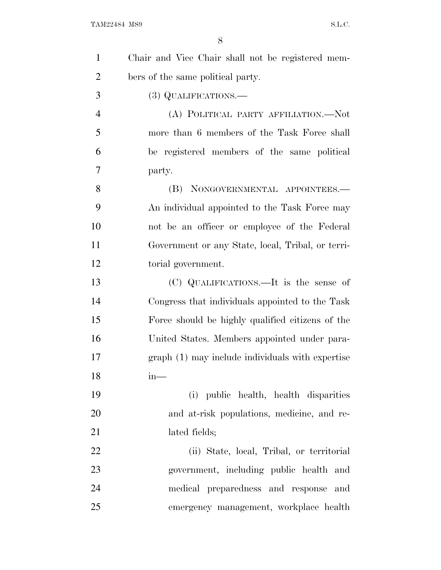| $\mathbf{1}$   | Chair and Vice Chair shall not be registered mem- |
|----------------|---------------------------------------------------|
| $\overline{2}$ | bers of the same political party.                 |
| 3              | $(3)$ QUALIFICATIONS.—                            |
| $\overline{4}$ | (A) POLITICAL PARTY AFFILIATION.—Not              |
| 5              | more than 6 members of the Task Force shall       |
| 6              | be registered members of the same political       |
| 7              | party.                                            |
| 8              | (B) NONGOVERNMENTAL APPOINTEES.—                  |
| 9              | An individual appointed to the Task Force may     |
| 10             | not be an officer or employee of the Federal      |
| 11             | Government or any State, local, Tribal, or terri- |
| 12             | torial government.                                |
| 13             | (C) QUALIFICATIONS.—It is the sense of            |
| 14             | Congress that individuals appointed to the Task   |
| 15             | Force should be highly qualified citizens of the  |
| 16             | United States. Members appointed under para-      |
| 17             | graph (1) may include individuals with expertise  |
| 18             | $in-$                                             |
| 19             | (i) public health, health disparities             |
| 20             | and at-risk populations, medicine, and re-        |
| 21             | lated fields;                                     |
| 22             | (ii) State, local, Tribal, or territorial         |
| 23             | government, including public health and           |
| 24             | medical preparedness and response and             |
| 25             | emergency management, workplace health            |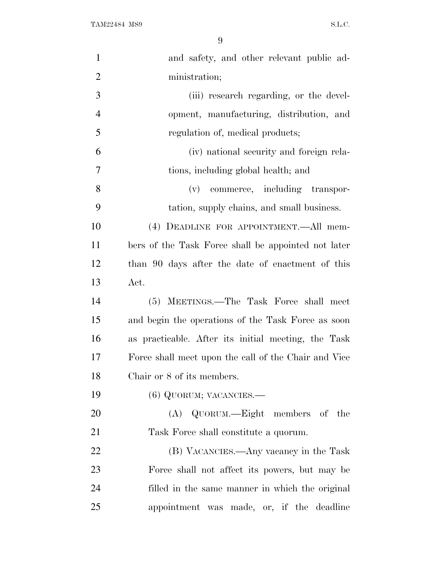| $\mathbf{1}$   | and safety, and other relevant public ad-            |
|----------------|------------------------------------------------------|
| $\overline{2}$ | ministration;                                        |
| 3              | (iii) research regarding, or the devel-              |
| $\overline{4}$ | opment, manufacturing, distribution, and             |
| 5              | regulation of, medical products;                     |
| 6              | (iv) national security and foreign rela-             |
| 7              | tions, including global health; and                  |
| 8              | (v) commerce, including transpor-                    |
| 9              | tation, supply chains, and small business.           |
| 10             | (4) DEADLINE FOR APPOINTMENT.—All mem-               |
| 11             | bers of the Task Force shall be appointed not later  |
| 12             | than 90 days after the date of enactment of this     |
| 13             | Act.                                                 |
| 14             | (5) MEETINGS.—The Task Force shall meet              |
| 15             | and begin the operations of the Task Force as soon   |
| 16             | as practicable. After its initial meeting, the Task  |
| 17             | Force shall meet upon the call of the Chair and Vice |
| 18             | Chair or 8 of its members.                           |
| 19             | $(6)$ QUORUM; VACANCIES.—                            |
| 20             | (A) QUORUM.—Eight members of the                     |
| 21             | Task Force shall constitute a quorum.                |
| 22             | (B) VACANCIES.—Any vacancy in the Task               |
| 23             | Force shall not affect its powers, but may be        |
| 24             | filled in the same manner in which the original      |
| 25             | appointment was made, or, if the deadline            |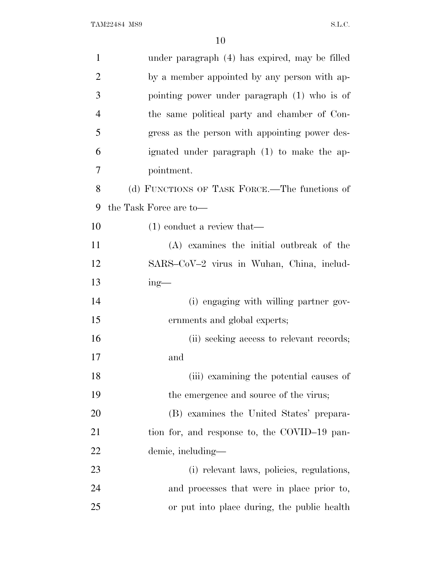| $\mathbf{1}$   | under paragraph (4) has expired, may be filled |
|----------------|------------------------------------------------|
| $\overline{2}$ | by a member appointed by any person with ap-   |
| 3              | pointing power under paragraph (1) who is of   |
| $\overline{4}$ | the same political party and chamber of Con-   |
| 5              | gress as the person with appointing power des- |
| 6              | ignated under paragraph (1) to make the ap-    |
| 7              | pointment.                                     |
| 8              | (d) FUNCTIONS OF TASK FORCE.—The functions of  |
| 9              | the Task Force are to-                         |
| 10             | $(1)$ conduct a review that—                   |
| 11             | (A) examines the initial outbreak of the       |
| 12             | SARS-CoV-2 virus in Wuhan, China, includ-      |
| 13             | $ing$ —                                        |
| 14             | (i) engaging with willing partner gov-         |
| 15             | ernments and global experts;                   |
| 16             | (ii) seeking access to relevant records;       |
| 17             | and                                            |
| 18             | (iii) examining the potential causes of        |
| 19             | the emergence and source of the virus;         |
| 20             | (B) examines the United States' prepara-       |
| 21             | tion for, and response to, the COVID-19 pan-   |
| 22             | demic, including—                              |
| 23             | (i) relevant laws, policies, regulations,      |
| 24             | and processes that were in place prior to,     |
| 25             | or put into place during, the public health    |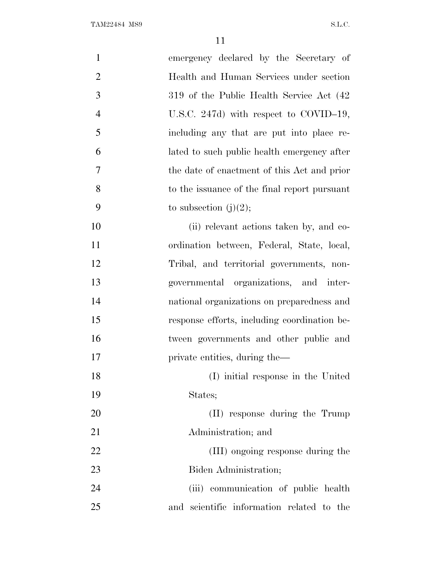| $\mathbf{1}$<br>emergency declared by the Secretary of    |  |
|-----------------------------------------------------------|--|
| $\overline{2}$<br>Health and Human Services under section |  |
| 3<br>319 of the Public Health Service Act (42)            |  |
| $\overline{4}$<br>U.S.C. 247d) with respect to COVID-19,  |  |
| 5<br>including any that are put into place re-            |  |
| 6<br>lated to such public health emergency after          |  |
| 7<br>the date of enactment of this Act and prior          |  |
| 8<br>to the issuance of the final report pursuant         |  |
| 9<br>to subsection $(j)(2)$ ;                             |  |
| 10<br>(ii) relevant actions taken by, and co-             |  |
| 11<br>ordination between, Federal, State, local,          |  |
| 12<br>Tribal, and territorial governments, non-           |  |
| 13<br>governmental organizations, and inter-              |  |
| 14<br>national organizations on preparedness and          |  |
| 15<br>response efforts, including coordination be-        |  |
| 16<br>tween governments and other public and              |  |
| 17<br>private entities, during the—                       |  |
| 18<br>(I) initial response in the United                  |  |
| 19<br>States;                                             |  |
| 20<br>(II) response during the Trump                      |  |
| 21<br>Administration; and                                 |  |
| 22<br>(III) ongoing response during the                   |  |
| 23<br>Biden Administration;                               |  |
| 24<br>(iii) communication of public health                |  |
| 25<br>and scientific information related to the           |  |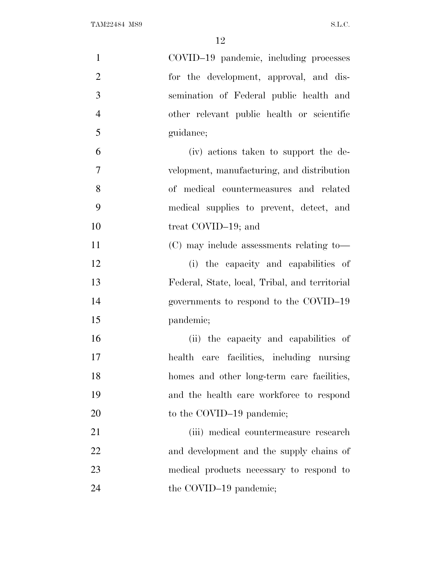| $\mathbf{1}$   | COVID-19 pandemic, including processes         |
|----------------|------------------------------------------------|
| $\overline{2}$ | for the development, approval, and dis-        |
| 3              | semination of Federal public health and        |
| $\overline{4}$ | other relevant public health or scientific     |
| 5              | guidance;                                      |
| 6              | (iv) actions taken to support the de-          |
| $\overline{7}$ | velopment, manufacturing, and distribution     |
| 8              | of medical countermeasures and related         |
| 9              | medical supplies to prevent, detect, and       |
| 10             | treat COVID-19; and                            |
| 11             | (C) may include assessments relating to—       |
| 12             | (i) the capacity and capabilities of           |
| 13             | Federal, State, local, Tribal, and territorial |
| 14             | governments to respond to the COVID-19         |
| 15             | pandemic;                                      |
| 16             | (ii) the capacity and capabilities of          |
| 17             | health care facilities, including nursing      |
| 18             | homes and other long-term care facilities,     |
| 19             | and the health care workforce to respond       |
| 20             | to the COVID-19 pandemic;                      |
| 21             | (iii) medical countermeasure research          |
| 22             | and development and the supply chains of       |
| 23             | medical products necessary to respond to       |
| 24             | the COVID-19 pandemic;                         |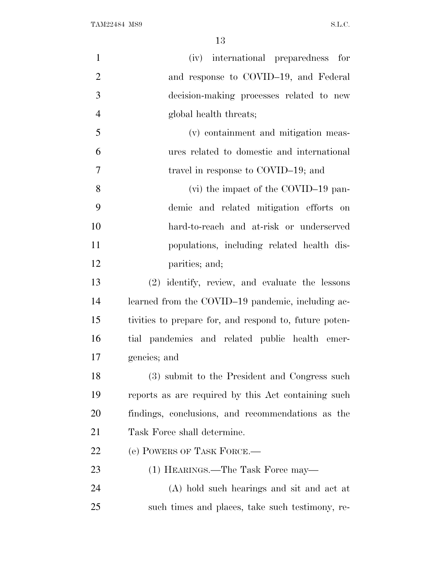| $\mathbf{1}$   | (iv) international preparedness for                    |
|----------------|--------------------------------------------------------|
| $\overline{2}$ | and response to COVID-19, and Federal                  |
| 3              | decision-making processes related to new               |
| $\overline{4}$ | global health threats;                                 |
| 5              | (v) containment and mitigation meas-                   |
| 6              | ures related to domestic and international             |
| 7              | travel in response to COVID-19; and                    |
| 8              | (vi) the impact of the COVID-19 pan-                   |
| 9              | demic and related mitigation efforts on                |
| 10             | hard-to-reach and at-risk or underserved               |
| 11             | populations, including related health dis-             |
| 12             | parities; and;                                         |
| 13             | (2) identify, review, and evaluate the lessons         |
| 14             | learned from the COVID-19 pandemic, including ac-      |
| 15             | tivities to prepare for, and respond to, future poten- |
| 16             | tial pandemics and related public health emer-         |
| 17             | gencies; and                                           |
| 18             | (3) submit to the President and Congress such          |
| 19             | reports as are required by this Act containing such    |
| 20             | findings, conclusions, and recommendations as the      |
| 21             | Task Force shall determine.                            |
| 22             | (e) POWERS OF TASK FORCE.—                             |
| 23             | (1) HEARINGS.—The Task Force may—                      |
| 24             | (A) hold such hearings and sit and act at              |
| 25             | such times and places, take such testimony, re-        |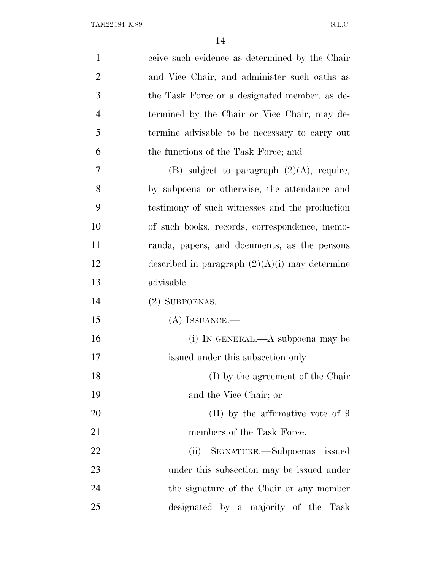| $\mathbf{1}$   | ceive such evidence as determined by the Chair   |
|----------------|--------------------------------------------------|
| $\overline{2}$ | and Vice Chair, and administer such oaths as     |
| 3              | the Task Force or a designated member, as de-    |
| $\overline{4}$ | termined by the Chair or Vice Chair, may de-     |
| 5              | termine advisable to be necessary to carry out   |
| 6              | the functions of the Task Force; and             |
| 7              | (B) subject to paragraph $(2)(A)$ , require,     |
| 8              | by subpoena or otherwise, the attendance and     |
| 9              | testimony of such witnesses and the production   |
| 10             | of such books, records, correspondence, memo-    |
| 11             | randa, papers, and documents, as the persons     |
| 12             | described in paragraph $(2)(A)(i)$ may determine |
| 13             | advisable.                                       |
| 14             | $(2)$ SUBPOENAS.—                                |
| 15             | $(A)$ ISSUANCE.—                                 |
| 16             | (i) IN GENERAL.—A subpoena may be                |
| 17             | issued under this subsection only—               |
| 18             |                                                  |
|                | (I) by the agreement of the Chair                |
| 19             | and the Vice Chair; or                           |
| 20             | $(II)$ by the affirmative vote of 9              |
| 21             | members of the Task Force.                       |
| 22             | (ii) SIGNATURE.—Subpoenas issued                 |
| 23             | under this subsection may be issued under        |
| 24             | the signature of the Chair or any member         |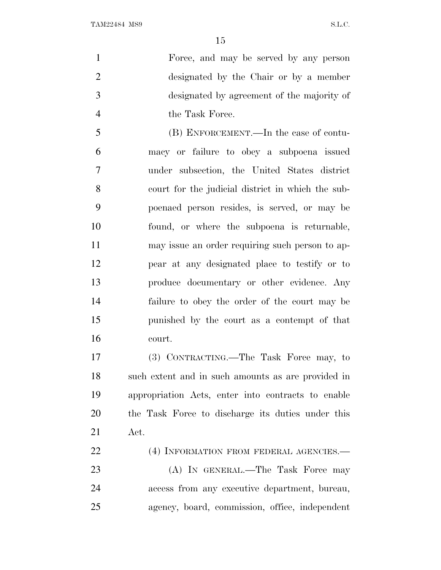Force, and may be served by any person designated by the Chair or by a member designated by agreement of the majority of 4 the Task Force.

 (B) ENFORCEMENT.—In the case of contu- macy or failure to obey a subpoena issued under subsection, the United States district court for the judicial district in which the sub- poenaed person resides, is served, or may be found, or where the subpoena is returnable, may issue an order requiring such person to ap- pear at any designated place to testify or to produce documentary or other evidence. Any failure to obey the order of the court may be punished by the court as a contempt of that court.

 (3) CONTRACTING.—The Task Force may, to such extent and in such amounts as are provided in appropriation Acts, enter into contracts to enable the Task Force to discharge its duties under this Act.

22 (4) INFORMATION FROM FEDERAL AGENCIES. 23 (A) IN GENERAL.—The Task Force may access from any executive department, bureau, agency, board, commission, office, independent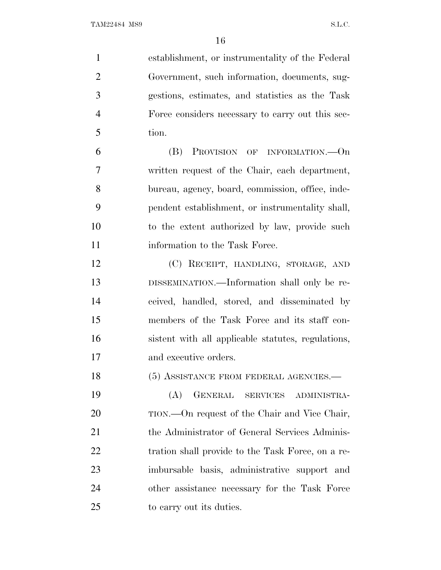| $\mathbf{1}$   | establishment, or instrumentality of the Federal   |
|----------------|----------------------------------------------------|
| $\overline{2}$ | Government, such information, documents, sug-      |
| 3              | gestions, estimates, and statistics as the Task    |
| $\overline{4}$ | Force considers necessary to carry out this sec-   |
| 5              | tion.                                              |
| 6              | <b>PROVISION OF INFORMATION.—On</b><br>(B)         |
| 7              | written request of the Chair, each department,     |
| 8              | bureau, agency, board, commission, office, inde-   |
| 9              | pendent establishment, or instrumentality shall,   |
| 10             | to the extent authorized by law, provide such      |
| 11             | information to the Task Force.                     |
| 12             | (C) RECEIPT, HANDLING, STORAGE, AND                |
| 13             | DISSEMINATION.—Information shall only be re-       |
| 14             | ceived, handled, stored, and disseminated by       |
| 15             | members of the Task Force and its staff con-       |
| 16             | sistent with all applicable statutes, regulations, |
| 17             | and executive orders.                              |
| 18             | (5) ASSISTANCE FROM FEDERAL AGENCIES.-             |
| 19             | GENERAL SERVICES ADMINISTRA-<br>(A)                |
| 20             | TION.—On request of the Chair and Vice Chair,      |
| 21             | the Administrator of General Services Adminis-     |
| 22             | tration shall provide to the Task Force, on a re-  |
| 23             | imbursable basis, administrative support and       |
| 24             | other assistance necessary for the Task Force      |
| 25             | to carry out its duties.                           |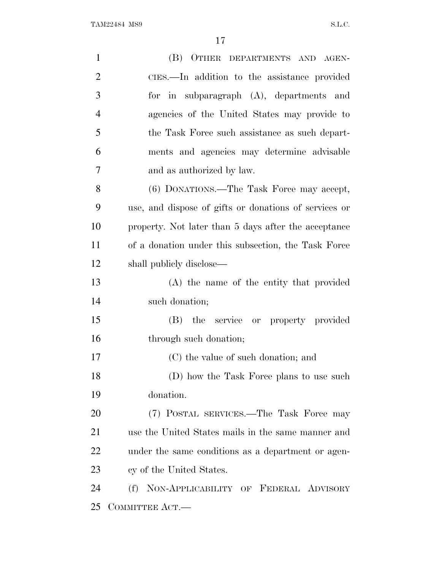| $\mathbf{1}$   | (B) OTHER DEPARTMENTS AND AGEN-                       |
|----------------|-------------------------------------------------------|
| $\overline{2}$ | CIES.—In addition to the assistance provided          |
| 3              | for in subparagraph (A), departments and              |
| $\overline{4}$ | agencies of the United States may provide to          |
| 5              | the Task Force such assistance as such depart-        |
| 6              | ments and agencies may determine advisable            |
| 7              | and as authorized by law.                             |
| 8              | (6) DONATIONS.—The Task Force may accept,             |
| 9              | use, and dispose of gifts or donations of services or |
| 10             | property. Not later than 5 days after the acceptance  |
| 11             | of a donation under this subsection, the Task Force   |
| 12             | shall publicly disclose—                              |
| 13             | (A) the name of the entity that provided              |
| 14             | such donation;                                        |
| 15             | (B) the service or property provided                  |
| 16             | through such donation;                                |
| 17             | (C) the value of such donation; and                   |
| 18             | (D) how the Task Force plans to use such              |
| 19             | donation.                                             |
| 20             | (7) POSTAL SERVICES.—The Task Force may               |
| 21             | use the United States mails in the same manner and    |
| 22             | under the same conditions as a department or agen-    |
| 23             | cy of the United States.                              |
| 24             | NON-APPLICABILITY OF FEDERAL ADVISORY<br>(f)          |
| 25             | COMMITTEE ACT.-                                       |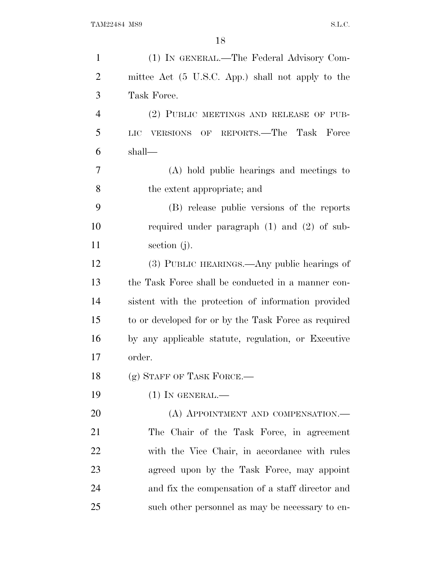| $\mathbf{1}$   | (1) IN GENERAL.—The Federal Advisory Com-            |
|----------------|------------------------------------------------------|
| $\overline{2}$ | mittee Act (5 U.S.C. App.) shall not apply to the    |
| 3              | Task Force.                                          |
| $\overline{4}$ | (2) PUBLIC MEETINGS AND RELEASE OF PUB-              |
| 5              | VERSIONS OF REPORTS.—The Task Force<br>LIC           |
| 6              | shall—                                               |
| 7              | (A) hold public hearings and meetings to             |
| 8              | the extent appropriate; and                          |
| 9              | (B) release public versions of the reports           |
| 10             | required under paragraph $(1)$ and $(2)$ of sub-     |
| 11             | section $(j)$ .                                      |
| 12             | (3) PUBLIC HEARINGS.—Any public hearings of          |
| 13             | the Task Force shall be conducted in a manner con-   |
| 14             | sistent with the protection of information provided  |
| 15             | to or developed for or by the Task Force as required |
| 16             | by any applicable statute, regulation, or Executive  |
| 17             | order.                                               |
| 18             | $(g)$ STAFF OF TASK FORCE.—                          |
| 19             | $(1)$ IN GENERAL.—                                   |
| 20             | (A) APPOINTMENT AND COMPENSATION.—                   |
| 21             | The Chair of the Task Force, in agreement            |
| 22             | with the Vice Chair, in accordance with rules        |
| 23             | agreed upon by the Task Force, may appoint           |
| 24             | and fix the compensation of a staff director and     |
| 25             | such other personnel as may be necessary to en-      |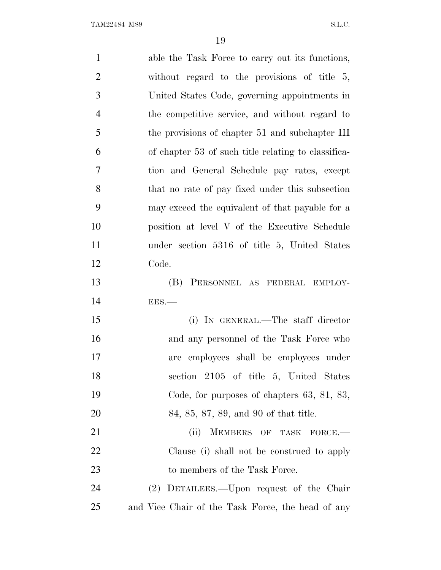| $\mathbf{1}$   | able the Task Force to carry out its functions,     |
|----------------|-----------------------------------------------------|
| $\overline{2}$ | without regard to the provisions of title $5$ ,     |
| 3              | United States Code, governing appointments in       |
| $\overline{4}$ | the competitive service, and without regard to      |
| 5              | the provisions of chapter 51 and subchapter III     |
| 6              | of chapter 53 of such title relating to classifica- |
| 7              | tion and General Schedule pay rates, except         |
| 8              | that no rate of pay fixed under this subsection     |
| 9              | may exceed the equivalent of that payable for a     |
| 10             | position at level V of the Executive Schedule       |
| 11             | under section 5316 of title 5, United States        |
| 12             | Code.                                               |
| 13             | (B)<br>PERSONNEL AS FEDERAL EMPLOY-                 |
| 14             | $EES$ .                                             |
| 15             | (i) IN GENERAL.—The staff director                  |
| 16             | and any personnel of the Task Force who             |
| 17             | employees shall be employees under<br>are           |
| 18             | section 2105 of title 5, United States              |
| 19             | Code, for purposes of chapters $63, 81, 83,$        |
| <b>20</b>      | 84, 85, 87, 89, and 90 of that title.               |
| 21             | (ii)<br>MEMBERS OF TASK FORCE.                      |
| <u>22</u>      | Clause (i) shall not be construed to apply          |
| 23             | to members of the Task Force.                       |
| 24             | (2) DETAILEES.—Upon request of the Chair            |
| 25             | and Vice Chair of the Task Force, the head of any   |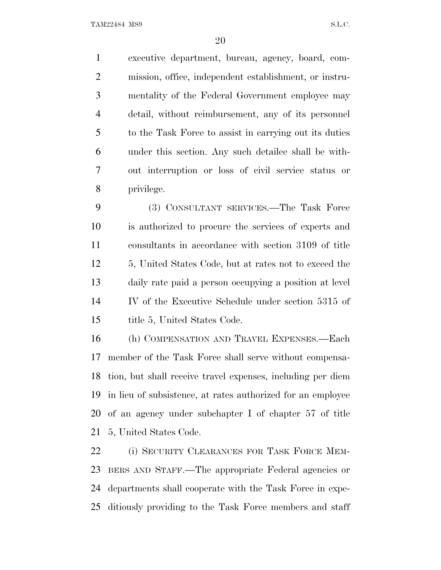executive department, bureau, agency, board, com- mission, office, independent establishment, or instru- mentality of the Federal Government employee may detail, without reimbursement, any of its personnel to the Task Force to assist in carrying out its duties under this section. Any such detailee shall be with- out interruption or loss of civil service status or privilege.

 (3) CONSULTANT SERVICES.—The Task Force is authorized to procure the services of experts and consultants in accordance with section 3109 of title 5, United States Code, but at rates not to exceed the daily rate paid a person occupying a position at level IV of the Executive Schedule under section 5315 of 15 title 5, United States Code.

 (h) COMPENSATION AND TRAVEL EXPENSES.—Each member of the Task Force shall serve without compensa- tion, but shall receive travel expenses, including per diem in lieu of subsistence, at rates authorized for an employee of an agency under subchapter I of chapter 57 of title 5, United States Code.

 (i) SECURITY CLEARANCES FOR TASK FORCE MEM- BERS AND STAFF.—The appropriate Federal agencies or departments shall cooperate with the Task Force in expe-ditiously providing to the Task Force members and staff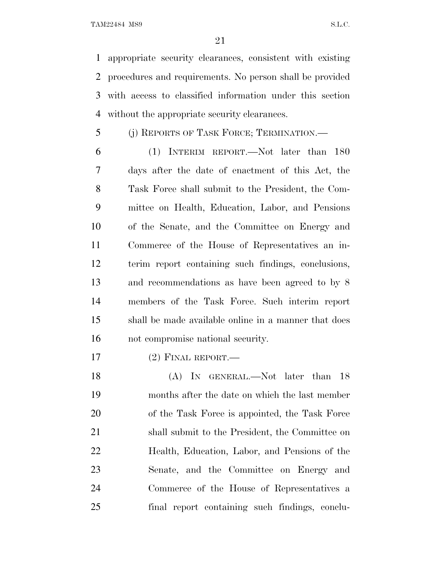appropriate security clearances, consistent with existing procedures and requirements. No person shall be provided with access to classified information under this section without the appropriate security clearances.

(j) REPORTS OF TASK FORCE; TERMINATION.—

 (1) INTERIM REPORT.—Not later than 180 days after the date of enactment of this Act, the Task Force shall submit to the President, the Com- mittee on Health, Education, Labor, and Pensions of the Senate, and the Committee on Energy and Commerce of the House of Representatives an in- terim report containing such findings, conclusions, and recommendations as have been agreed to by 8 members of the Task Force. Such interim report shall be made available online in a manner that does not compromise national security.

(2) FINAL REPORT.—

18 (A) In GENERAL.—Not later than 18 months after the date on which the last member 20 of the Task Force is appointed, the Task Force shall submit to the President, the Committee on Health, Education, Labor, and Pensions of the Senate, and the Committee on Energy and Commerce of the House of Representatives a final report containing such findings, conclu-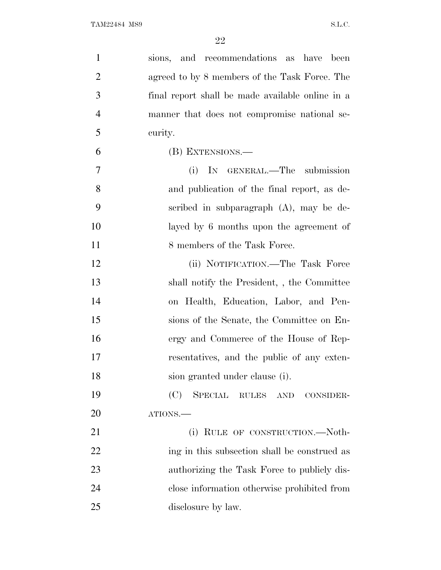| $\mathbf{1}$   | sions, and recommendations as have<br>been       |
|----------------|--------------------------------------------------|
| $\overline{2}$ | agreed to by 8 members of the Task Force. The    |
| 3              | final report shall be made available online in a |
| $\overline{4}$ | manner that does not compromise national se-     |
| 5              | curity.                                          |
| 6              | (B) EXTENSIONS.—                                 |
| 7              | IN GENERAL.—The submission<br>(i)                |
| 8              | and publication of the final report, as de-      |
| 9              | scribed in subparagraph $(A)$ , may be de-       |
| 10             | layed by 6 months upon the agreement of          |
| 11             | 8 members of the Task Force.                     |
| 12             | (ii) NOTIFICATION.—The Task Force                |
| 13             | shall notify the President, the Committee        |
| 14             | on Health, Education, Labor, and Pen-            |
| 15             | sions of the Senate, the Committee on En-        |
| 16             | ergy and Commerce of the House of Rep-           |
| 17             | resentatives, and the public of any exten-       |
| 18             | sion granted under clause (i).                   |
| 19             | (C)<br>SPECIAL RULES AND<br>CONSIDER-            |
| 20             | ATIONS.                                          |
| 21             | (i) RULE OF CONSTRUCTION.—Noth-                  |
| 22             | ing in this subsection shall be construed as     |
| 23             | authorizing the Task Force to publicly dis-      |
| 24             | close information otherwise prohibited from      |
| 25             | disclosure by law.                               |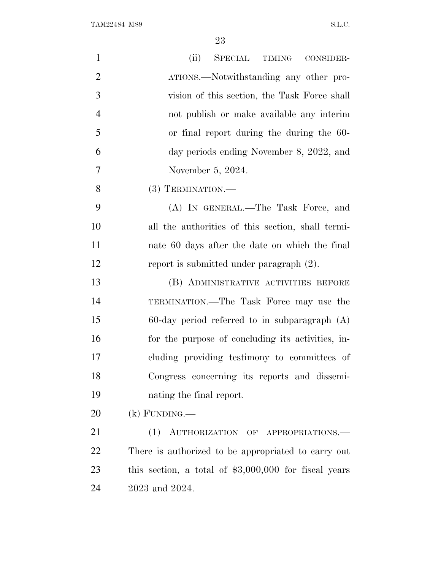| $\mathbf{1}$   | (ii)<br>SPECIAL TIMING CONSIDER-                       |
|----------------|--------------------------------------------------------|
| $\overline{2}$ | ATIONS.—Notwithstanding any other pro-                 |
| 3              | vision of this section, the Task Force shall           |
| $\overline{4}$ | not publish or make available any interim              |
| 5              | or final report during the during the 60-              |
| 6              | day periods ending November 8, 2022, and               |
| 7              | November 5, 2024.                                      |
| 8              | $(3)$ TERMINATION.—                                    |
| 9              | (A) IN GENERAL.—The Task Force, and                    |
| 10             | all the authorities of this section, shall termi-      |
| 11             | nate 60 days after the date on which the final         |
| 12             | report is submitted under paragraph $(2)$ .            |
| 13             | (B) ADMINISTRATIVE ACTIVITIES BEFORE                   |
| 14             | TERMINATION.—The Task Force may use the                |
| 15             | $60$ -day period referred to in subparagraph $(A)$     |
| 16             | for the purpose of concluding its activities, in-      |
| 17             | cluding providing testimony to committees of           |
| 18             | Congress concerning its reports and dissemi-           |
| 19             | nating the final report.                               |
| 20             | $(k)$ FUNDING.—                                        |
| 21             | (1) AUTHORIZATION OF APPROPRIATIONS.—                  |
| 22             | There is authorized to be appropriated to carry out    |
| 23             | this section, a total of $$3,000,000$ for fiscal years |
| 24             | 2023 and 2024.                                         |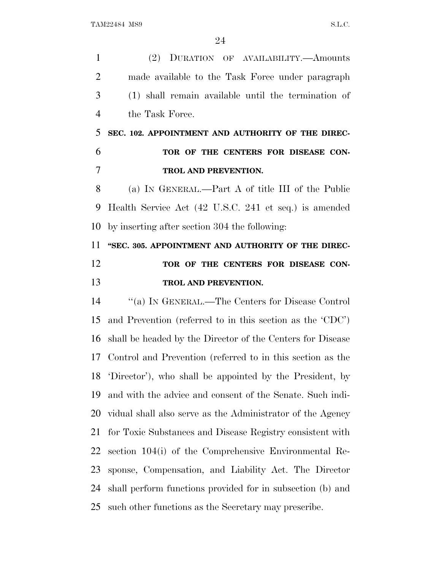(2) DURATION OF AVAILABILITY.—Amounts made available to the Task Force under paragraph (1) shall remain available until the termination of the Task Force. **SEC. 102. APPOINTMENT AND AUTHORITY OF THE DIREC- TOR OF THE CENTERS FOR DISEASE CON- TROL AND PREVENTION.** (a) I<sup>N</sup> GENERAL.—Part A of title III of the Public Health Service Act (42 U.S.C. 241 et seq.) is amended by inserting after section 304 the following: **''SEC. 305. APPOINTMENT AND AUTHORITY OF THE DIREC-TOR OF THE CENTERS FOR DISEASE CON- TROL AND PREVENTION.** ''(a) I<sup>N</sup> GENERAL.—The Centers for Disease Control and Prevention (referred to in this section as the 'CDC') shall be headed by the Director of the Centers for Disease Control and Prevention (referred to in this section as the 'Director'), who shall be appointed by the President, by and with the advice and consent of the Senate. Such indi- vidual shall also serve as the Administrator of the Agency for Toxic Substances and Disease Registry consistent with section 104(i) of the Comprehensive Environmental Re- sponse, Compensation, and Liability Act. The Director shall perform functions provided for in subsection (b) and such other functions as the Secretary may prescribe.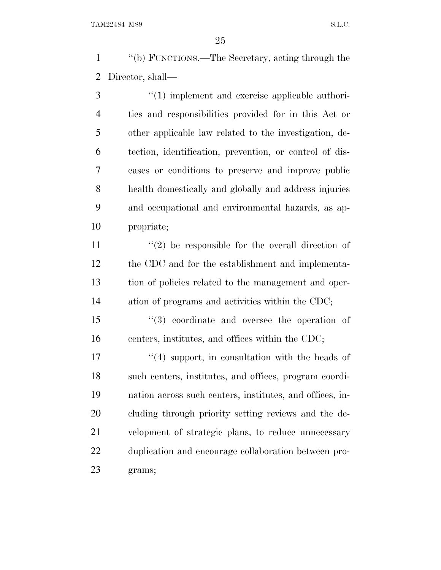''(b) FUNCTIONS.—The Secretary, acting through the Director, shall—

3 (1) implement and exercise applicable authori- ties and responsibilities provided for in this Act or other applicable law related to the investigation, de- tection, identification, prevention, or control of dis- eases or conditions to preserve and improve public health domestically and globally and address injuries and occupational and environmental hazards, as ap-propriate;

 $\langle \cdot (2) \rangle$  be responsible for the overall direction of the CDC and for the establishment and implementa- tion of policies related to the management and oper-ation of programs and activities within the CDC;

 ''(3) coordinate and oversee the operation of centers, institutes, and offices within the CDC;

17 ''(4) support, in consultation with the heads of such centers, institutes, and offices, program coordi- nation across such centers, institutes, and offices, in- cluding through priority setting reviews and the de- velopment of strategic plans, to reduce unnecessary duplication and encourage collaboration between pro-grams;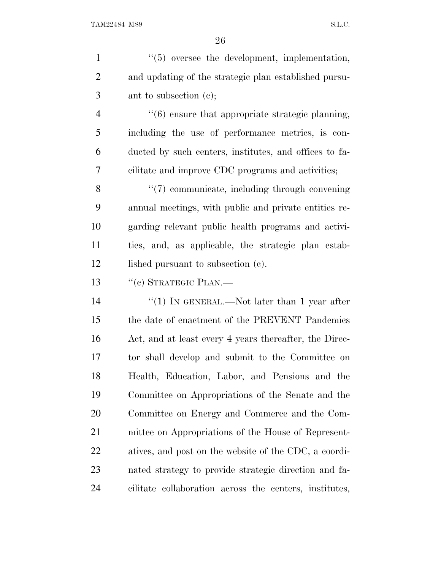| $\mathbf{1}$   | "(5) oversee the development, implementation,          |
|----------------|--------------------------------------------------------|
| $\overline{2}$ | and updating of the strategic plan established pursu-  |
| 3              | ant to subsection $(e)$ ;                              |
| $\overline{4}$ | $"(6)$ ensure that appropriate strategic planning,     |
| 5              | including the use of performance metrics, is con-      |
| 6              | ducted by such centers, institutes, and offices to fa- |
| 7              | cilitate and improve CDC programs and activities;      |
| 8              | "(7) communicate, including through convening          |
| 9              | annual meetings, with public and private entities re-  |
| 10             | garding relevant public health programs and activi-    |
| 11             | ties, and, as applicable, the strategic plan estab-    |
| 12             | lished pursuant to subsection (c).                     |
| 13             | $``(c)$ STRATEGIC PLAN.—                               |
| 14             | "(1) IN GENERAL.—Not later than 1 year after           |
| 15             | the date of enactment of the PREVENT Pandemics         |
| 16             | Act, and at least every 4 years thereafter, the Direc- |
| 17             | tor shall develop and submit to the Committee on       |
| 18             | Health, Education, Labor, and Pensions and the         |
| 19             | Committee on Appropriations of the Senate and the      |
| 20             | Committee on Energy and Commerce and the Com-          |
| 21             | mittee on Appropriations of the House of Represent-    |
| 22             | atives, and post on the website of the CDC, a coordi-  |
| 23             | nated strategy to provide strategic direction and fa-  |
| 24             | cilitate collaboration across the centers, institutes, |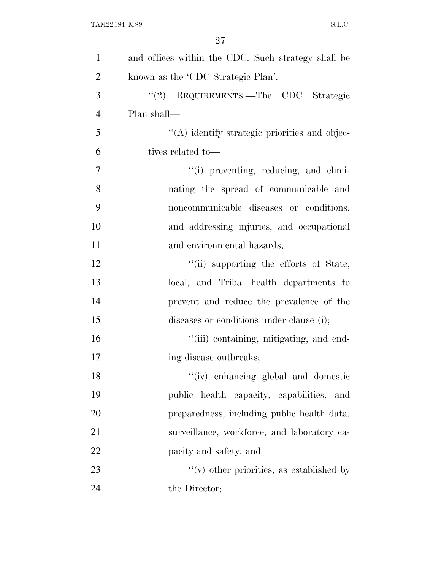| $\mathbf{1}$   | and offices within the CDC. Such strategy shall be |
|----------------|----------------------------------------------------|
| $\overline{2}$ | known as the 'CDC Strategic Plan'.                 |
| 3              | "(2) REQUIREMENTS.—The CDC Strategic               |
| $\overline{4}$ | Plan shall—                                        |
| 5              | "(A) identify strategic priorities and objec-      |
| 6              | tives related to—                                  |
| 7              | "(i) preventing, reducing, and elimi-              |
| 8              | nating the spread of communicable and              |
| 9              | noncommunicable diseases or conditions,            |
| 10             | and addressing injuries, and occupational          |
| 11             | and environmental hazards;                         |
| 12             | "(ii) supporting the efforts of State,             |
| 13             | local, and Tribal health departments to            |
| 14             | prevent and reduce the prevalence of the           |
| 15             | diseases or conditions under clause (i);           |
| 16             | "(iii) containing, mitigating, and end-            |
| 17             | ing disease outbreaks;                             |
| 18             | "(iv) enhancing global and domestic                |
| 19             | public health capacity, capabilities, and          |
| 20             | preparedness, including public health data,        |
| 21             | surveillance, workforce, and laboratory ca-        |
| 22             | pacity and safety; and                             |
| 23             | $f'(v)$ other priorities, as established by        |
| 24             | the Director;                                      |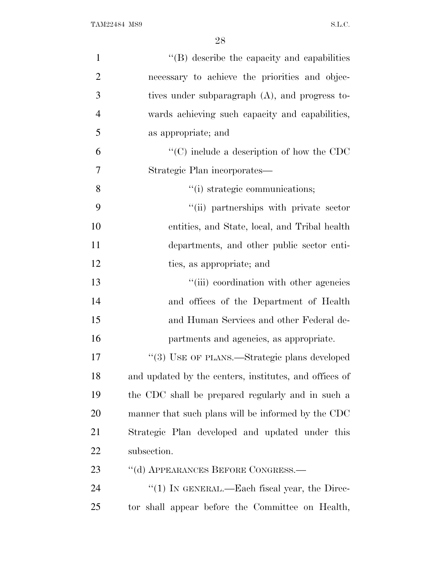| $\mathbf{1}$   | $\lq\lq$ describe the capacity and capabilities        |
|----------------|--------------------------------------------------------|
| $\overline{2}$ | necessary to achieve the priorities and objec-         |
| 3              | tives under subparagraph $(A)$ , and progress to-      |
| $\overline{4}$ | wards achieving such capacity and capabilities,        |
| 5              | as appropriate; and                                    |
| 6              | $\cdot$ (C) include a description of how the CDC       |
| 7              | Strategic Plan incorporates—                           |
| 8              | "(i) strategic communications;                         |
| 9              | "(ii) partnerships with private sector                 |
| 10             | entities, and State, local, and Tribal health          |
| 11             | departments, and other public sector enti-             |
| 12             | ties, as appropriate; and                              |
| 13             | "(iii) coordination with other agencies                |
| 14             | and offices of the Department of Health                |
| 15             | and Human Services and other Federal de-               |
| 16             | partments and agencies, as appropriate.                |
| 17             | "(3) USE OF PLANS.—Strategic plans developed           |
| 18             | and updated by the centers, institutes, and offices of |
| 19             | the CDC shall be prepared regularly and in such a      |
| 20             | manner that such plans will be informed by the CDC     |
| 21             | Strategic Plan developed and updated under this        |
| 22             | subsection.                                            |
| 23             | "(d) APPEARANCES BEFORE CONGRESS.—                     |
| 24             | "(1) IN GENERAL.—Each fiscal year, the Direc-          |
| 25             | tor shall appear before the Committee on Health,       |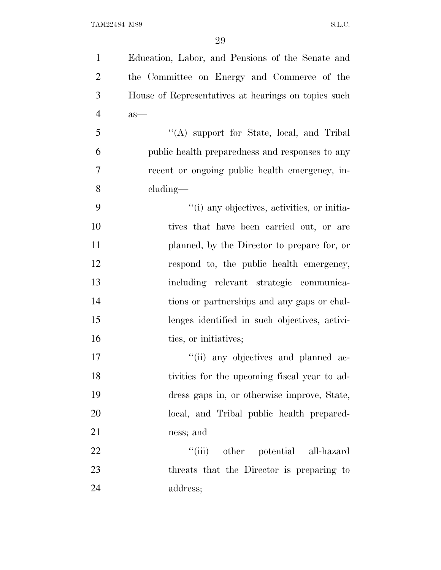| $\mathbf{1}$   | Education, Labor, and Pensions of the Senate and    |
|----------------|-----------------------------------------------------|
| $\overline{2}$ | the Committee on Energy and Commerce of the         |
| 3              | House of Representatives at hearings on topics such |
| $\overline{4}$ | as—                                                 |
| 5              | "(A) support for State, local, and Tribal           |
| 6              | public health preparedness and responses to any     |
| 7              | recent or ongoing public health emergency, in-      |
| 8              | cluding—                                            |
| 9              | "(i) any objectives, activities, or initia-         |
| 10             | tives that have been carried out, or are            |
| 11             | planned, by the Director to prepare for, or         |
| 12             | respond to, the public health emergency,            |
| 13             | including relevant strategic communica-             |
| 14             | tions or partnerships and any gaps or chal-         |
| 15             | lenges identified in such objectives, activi-       |
| 16             | ties, or initiatives;                               |
| 17             | "(ii) any objectives and planned ac-                |
| 18             | tivities for the upcoming fiscal year to ad-        |
| 19             | dress gaps in, or otherwise improve, State,         |
| 20             | local, and Tribal public health prepared-           |
| 21             | ness; and                                           |
| 22             | ``(iii)<br>other potential all-hazard               |
| 23             | threats that the Director is preparing to           |
| 24             | address;                                            |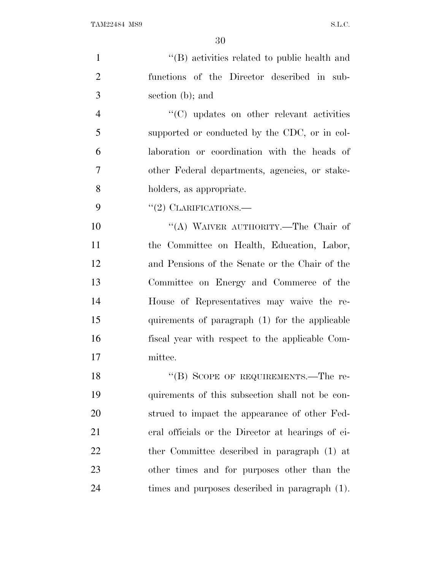''(B) activities related to public health and functions of the Director described in sub- section (b); and  $\langle ^{\prime}(C) \rangle$  updates on other relevant activities supported or conducted by the CDC, or in col- laboration or coordination with the heads of other Federal departments, agencies, or stake- holders, as appropriate.  $"(2)$  CLARIFICATIONS.— 10 "(A) WAIVER AUTHORITY.—The Chair of the Committee on Health, Education, Labor, and Pensions of the Senate or the Chair of the Committee on Energy and Commerce of the House of Representatives may waive the re- quirements of paragraph (1) for the applicable fiscal year with respect to the applicable Com- mittee. 18 "(B) SCOPE OF REQUIREMENTS.—The re- quirements of this subsection shall not be con- strued to impact the appearance of other Fed-eral officials or the Director at hearings of ei-

22 the Committee described in paragraph (1) at other times and for purposes other than the times and purposes described in paragraph (1).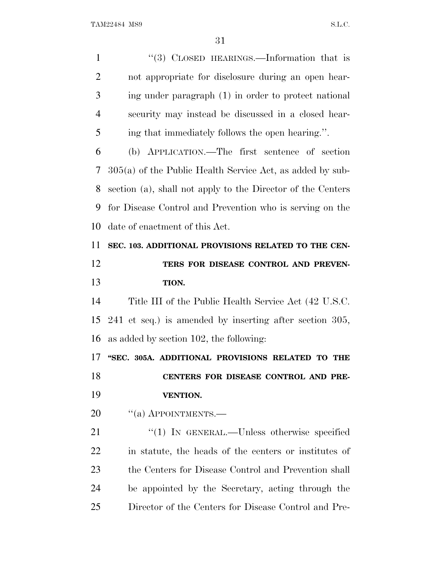1 "(3) CLOSED HEARINGS.—Information that is not appropriate for disclosure during an open hear- ing under paragraph (1) in order to protect national security may instead be discussed in a closed hear- ing that immediately follows the open hearing.''. (b) APPLICATION.—The first sentence of section 305(a) of the Public Health Service Act, as added by sub- section (a), shall not apply to the Director of the Centers for Disease Control and Prevention who is serving on the date of enactment of this Act. **SEC. 103. ADDITIONAL PROVISIONS RELATED TO THE CEN- TERS FOR DISEASE CONTROL AND PREVEN- TION.** Title III of the Public Health Service Act (42 U.S.C. 241 et seq.) is amended by inserting after section 305, as added by section 102, the following: **''SEC. 305A. ADDITIONAL PROVISIONS RELATED TO THE CENTERS FOR DISEASE CONTROL AND PRE- VENTION.** 20 "(a) APPOINTMENTS.— 21 "(1) IN GENERAL.—Unless otherwise specified in statute, the heads of the centers or institutes of 23 the Centers for Disease Control and Prevention shall be appointed by the Secretary, acting through the Director of the Centers for Disease Control and Pre-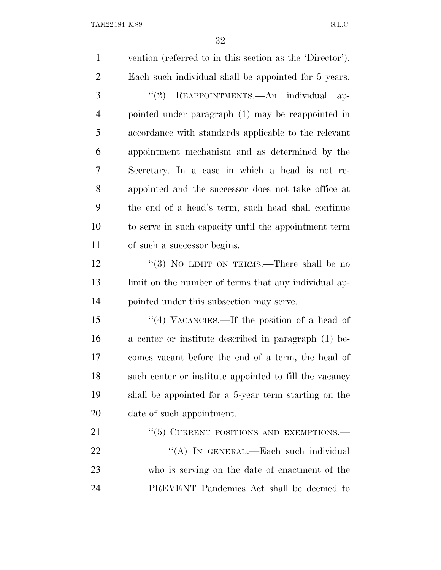vention (referred to in this section as the 'Director'). Each such individual shall be appointed for 5 years. 3 "(2) REAPPOINTMENTS.—An individual ap- pointed under paragraph (1) may be reappointed in accordance with standards applicable to the relevant appointment mechanism and as determined by the Secretary. In a case in which a head is not re- appointed and the successor does not take office at the end of a head's term, such head shall continue to serve in such capacity until the appointment term of such a successor begins. 12 "(3) NO LIMIT ON TERMS.—There shall be no 13 limit on the number of terms that any individual ap- pointed under this subsection may serve. ''(4) VACANCIES.—If the position of a head of a center or institute described in paragraph (1) be- comes vacant before the end of a term, the head of such center or institute appointed to fill the vacancy shall be appointed for a 5-year term starting on the date of such appointment. 21 "(5) CURRENT POSITIONS AND EXEMPTIONS.— 22 "(A) IN GENERAL.—Each such individual who is serving on the date of enactment of the PREVENT Pandemics Act shall be deemed to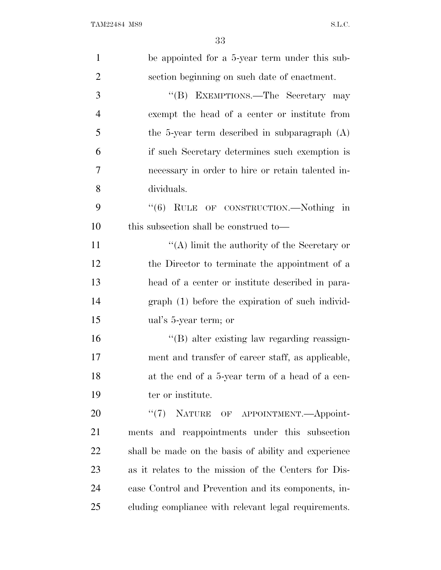| $\mathbf{1}$   | be appointed for a 5-year term under this sub-       |
|----------------|------------------------------------------------------|
| $\overline{2}$ | section beginning on such date of enactment.         |
| 3              | "(B) EXEMPTIONS.—The Secretary may                   |
| $\overline{4}$ | exempt the head of a center or institute from        |
| 5              | the 5-year term described in subparagraph $(A)$      |
| 6              | if such Secretary determines such exemption is       |
| 7              | necessary in order to hire or retain talented in-    |
| 8              | dividuals.                                           |
| 9              | "(6) RULE OF CONSTRUCTION.—Nothing in                |
| 10             | this subsection shall be construed to—               |
| 11             | "(A) limit the authority of the Secretary or         |
| 12             | the Director to terminate the appointment of a       |
| 13             | head of a center or institute described in para-     |
| 14             | graph (1) before the expiration of such individ-     |
| 15             | ual's 5-year term; or                                |
| 16             | $\lq\lq (B)$ alter existing law regarding reassign-  |
| 17             | ment and transfer of career staff, as applicable,    |
| 18             | at the end of a 5-year term of a head of a cen-      |
| 19             | ter or institute.                                    |
| 20             | "(7) NATURE OF APPOINTMENT.—Appoint-                 |
| 21             | ments and reappointments under this subsection       |
| 22             | shall be made on the basis of ability and experience |
| 23             | as it relates to the mission of the Centers for Dis- |
| 24             | ease Control and Prevention and its components, in-  |
| 25             | cluding compliance with relevant legal requirements. |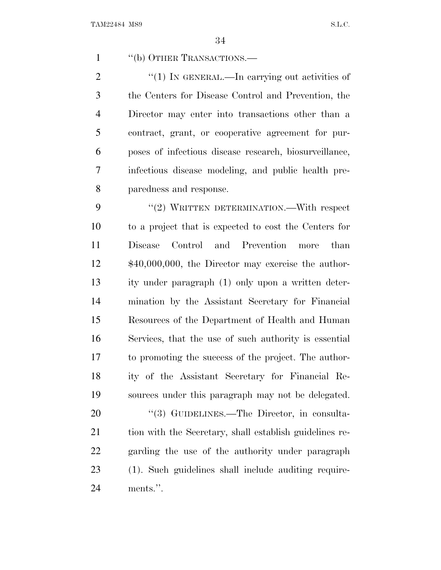1 "(b) OTHER TRANSACTIONS.—

2 "(1) In GENERAL.—In carrying out activities of the Centers for Disease Control and Prevention, the Director may enter into transactions other than a contract, grant, or cooperative agreement for pur- poses of infectious disease research, biosurveillance, infectious disease modeling, and public health pre-paredness and response.

9 "(2) WRITTEN DETERMINATION.—With respect to a project that is expected to cost the Centers for Disease Control and Prevention more than \$40,000,000, the Director may exercise the author- ity under paragraph (1) only upon a written deter- mination by the Assistant Secretary for Financial Resources of the Department of Health and Human Services, that the use of such authority is essential to promoting the success of the project. The author- ity of the Assistant Secretary for Financial Re-sources under this paragraph may not be delegated.

20 "(3) GUIDELINES.—The Director, in consulta- tion with the Secretary, shall establish guidelines re- garding the use of the authority under paragraph (1). Such guidelines shall include auditing require-ments.''.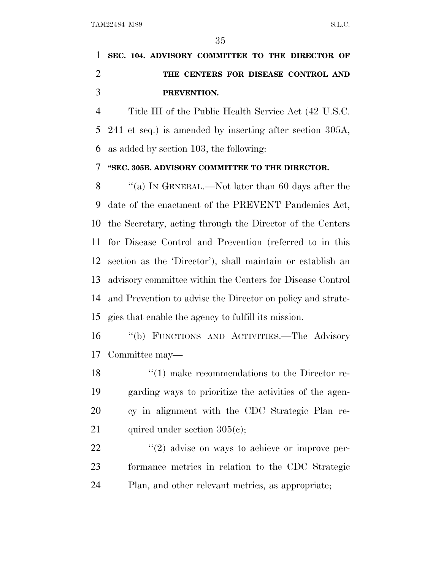# **SEC. 104. ADVISORY COMMITTEE TO THE DIRECTOR OF THE CENTERS FOR DISEASE CONTROL AND PREVENTION.**

 Title III of the Public Health Service Act (42 U.S.C. 241 et seq.) is amended by inserting after section 305A, as added by section 103, the following:

## **''SEC. 305B. ADVISORY COMMITTEE TO THE DIRECTOR.**

 ''(a) I<sup>N</sup> GENERAL.—Not later than 60 days after the date of the enactment of the PREVENT Pandemics Act, the Secretary, acting through the Director of the Centers for Disease Control and Prevention (referred to in this section as the 'Director'), shall maintain or establish an advisory committee within the Centers for Disease Control and Prevention to advise the Director on policy and strate-gies that enable the agency to fulfill its mission.

 ''(b) FUNCTIONS AND ACTIVITIES.—The Advisory Committee may—

18 ''(1) make recommendations to the Director re- garding ways to prioritize the activities of the agen- cy in alignment with the CDC Strategic Plan re-21 quired under section  $305(e)$ ;

22  $\frac{u(2)}{2}$  advise on ways to achieve or improve per- formance metrics in relation to the CDC Strategic Plan, and other relevant metrics, as appropriate;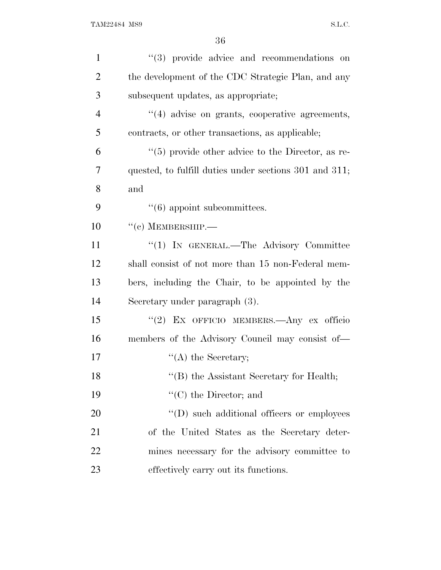| $\mathbf{1}$   | "(3) provide advice and recommendations on             |
|----------------|--------------------------------------------------------|
| $\overline{2}$ | the development of the CDC Strategic Plan, and any     |
| 3              | subsequent updates, as appropriate;                    |
| $\overline{4}$ | "(4) advise on grants, cooperative agreements,         |
| 5              | contracts, or other transactions, as applicable;       |
| 6              | $\lq(5)$ provide other advice to the Director, as re-  |
| 7              | quested, to fulfill duties under sections 301 and 311; |
| 8              | and                                                    |
| 9              | $\lq(6)$ appoint subcommittees.                        |
| 10             | $``(c)$ MEMBERSHIP.—                                   |
| 11             | "(1) IN GENERAL.—The Advisory Committee                |
| 12             | shall consist of not more than 15 non-Federal mem-     |
| 13             | bers, including the Chair, to be appointed by the      |
| 14             | Secretary under paragraph (3).                         |
| 15             | "(2) EX OFFICIO MEMBERS. Any ex officio                |
| 16             | members of the Advisory Council may consist of—        |
| 17             | $\lq\lq$ the Secretary;                                |
| 18             | "(B) the Assistant Secretary for Health;               |
| 19             | $\lq\lq$ (C) the Director; and                         |
| 20             | $\lq\lq$ ) such additional officers or employees       |
| 21             | of the United States as the Secretary deter-           |
| 22             | mines necessary for the advisory committee to          |
| 23             | effectively carry out its functions.                   |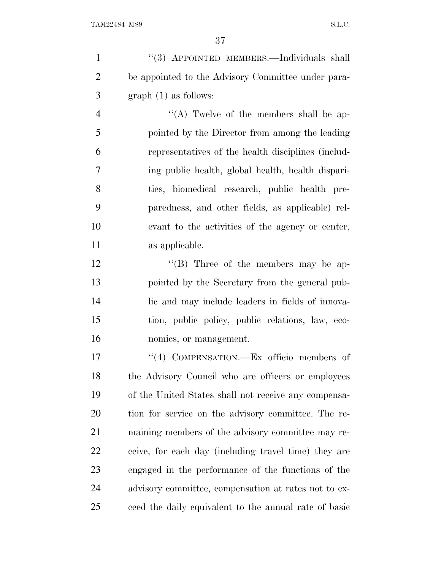| $\mathbf{1}$   | "(3) APPOINTED MEMBERS.—Individuals shall             |
|----------------|-------------------------------------------------------|
| $\overline{2}$ | be appointed to the Advisory Committee under para-    |
| 3              | $graph(1)$ as follows:                                |
| $\overline{4}$ | "(A) Twelve of the members shall be ap-               |
| 5              | pointed by the Director from among the leading        |
| 6              | representatives of the health disciplines (includ-    |
| 7              | ing public health, global health, health dispari-     |
| 8              | ties, biomedical research, public health pre-         |
| 9              | paredness, and other fields, as applicable) rel-      |
| 10             | evant to the activities of the agency or center,      |
| 11             | as applicable.                                        |
| 12             | "(B) Three of the members may be ap-                  |
| 13             | pointed by the Secretary from the general pub-        |
| 14             | lic and may include leaders in fields of innova-      |
| 15             | tion, public policy, public relations, law, eco-      |
| 16             | nomics, or management.                                |
| 17             | "(4) COMPENSATION.—Ex officio members of              |
| 18             | the Advisory Council who are officers or employees    |
| 19             | of the United States shall not receive any compensa-  |
| 20             | tion for service on the advisory committee. The re-   |
| 21             | maining members of the advisory committee may re-     |
| 22             | ceive, for each day (including travel time) they are  |
| 23             | engaged in the performance of the functions of the    |
| 24             | advisory committee, compensation at rates not to ex-  |
| 25             | ceed the daily equivalent to the annual rate of basic |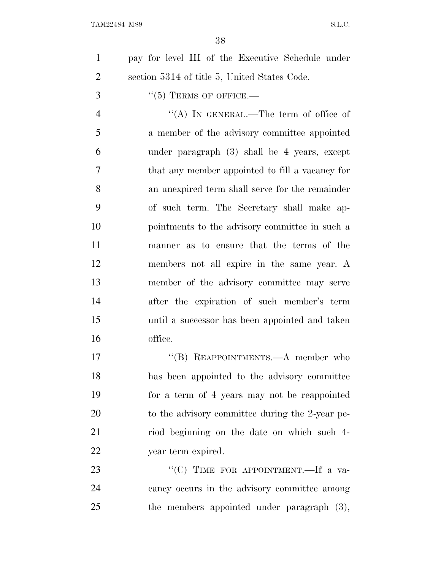| pay for level III of the Executive Schedule under |
|---------------------------------------------------|
| section 5314 of title 5, United States Code.      |

''(5) TERMS OF OFFICE.—

 ''(A) IN GENERAL.—The term of office of a member of the advisory committee appointed under paragraph (3) shall be 4 years, except that any member appointed to fill a vacancy for an unexpired term shall serve for the remainder of such term. The Secretary shall make ap- pointments to the advisory committee in such a manner as to ensure that the terms of the members not all expire in the same year. A member of the advisory committee may serve after the expiration of such member's term until a successor has been appointed and taken office.

17 "(B) REAPPOINTMENTS.—A member who has been appointed to the advisory committee for a term of 4 years may not be reappointed 20 to the advisory committee during the 2-year pe- riod beginning on the date on which such 4- year term expired.

23 ""(C) TIME FOR APPOINTMENT.—If a va- cancy occurs in the advisory committee among the members appointed under paragraph (3),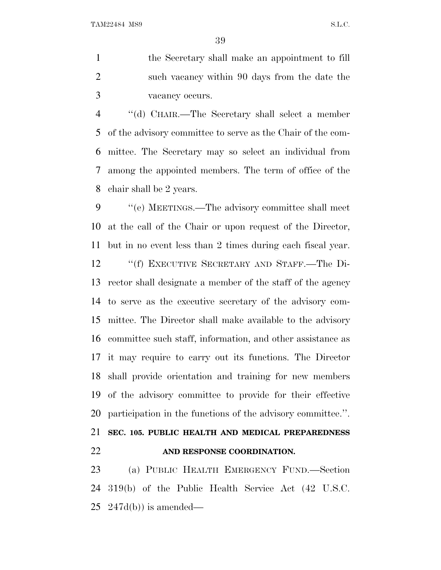the Secretary shall make an appointment to fill such vacancy within 90 days from the date the vacancy occurs.

 ''(d) CHAIR.—The Secretary shall select a member of the advisory committee to serve as the Chair of the com- mittee. The Secretary may so select an individual from among the appointed members. The term of office of the chair shall be 2 years.

 ''(e) MEETINGS.—The advisory committee shall meet at the call of the Chair or upon request of the Director, but in no event less than 2 times during each fiscal year. ''(f) EXECUTIVE SECRETARY AND STAFF.—The Di- rector shall designate a member of the staff of the agency to serve as the executive secretary of the advisory com- mittee. The Director shall make available to the advisory committee such staff, information, and other assistance as it may require to carry out its functions. The Director shall provide orientation and training for new members of the advisory committee to provide for their effective participation in the functions of the advisory committee.''.

 **SEC. 105. PUBLIC HEALTH AND MEDICAL PREPAREDNESS AND RESPONSE COORDINATION.**

 (a) PUBLIC HEALTH EMERGENCY FUND.—Section 319(b) of the Public Health Service Act (42 U.S.C.  $25 \text{ } 247d(b)$  is amended—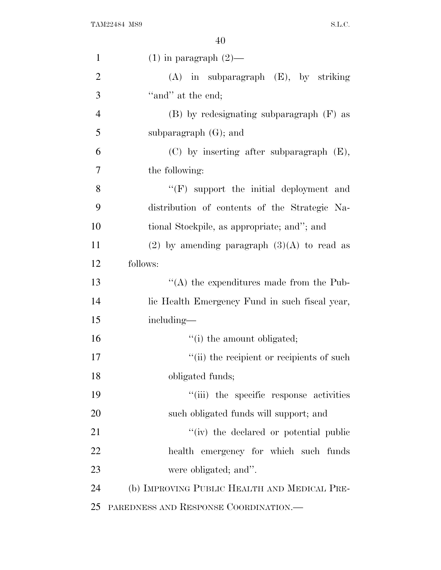| $\mathbf{1}$   | $(1)$ in paragraph $(2)$ —                      |
|----------------|-------------------------------------------------|
| $\overline{2}$ | $(A)$ in subparagraph $(E)$ , by striking       |
| 3              | "and" at the end;                               |
| $\overline{4}$ | $(B)$ by redesignating subparagraph $(F)$ as    |
| 5              | subparagraph $(G)$ ; and                        |
| 6              | (C) by inserting after subparagraph (E),        |
| 7              | the following:                                  |
| 8              | "(F) support the initial deployment and         |
| 9              | distribution of contents of the Strategic Na-   |
| 10             | tional Stockpile, as appropriate; and"; and     |
| 11             | $(2)$ by amending paragraph $(3)(A)$ to read as |
| 12             | follows:                                        |
| 13             | $\lq\lq$ the expenditures made from the Pub-    |
| 14             | lic Health Emergency Fund in such fiscal year,  |
| 15             | including—                                      |
| 16             | "(i) the amount obligated;                      |
| 17             | "(ii) the recipient or recipients of such       |
| 18             | obligated funds;                                |
| 19             | "(iii) the specific response activities         |
| 20             | such obligated funds will support; and          |
| 21             | "(iv) the declared or potential public          |
| 22             | health emergency for which such funds           |
| 23             | were obligated; and".                           |
| 24             | (b) IMPROVING PUBLIC HEALTH AND MEDICAL PRE-    |
| 25             | PAREDNESS AND RESPONSE COORDINATION.            |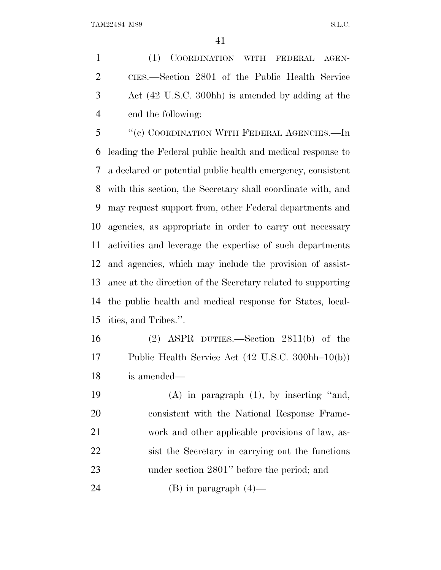(1) COORDINATION WITH FEDERAL AGEN- CIES.—Section 2801 of the Public Health Service Act (42 U.S.C. 300hh) is amended by adding at the end the following:

 ''(c) COORDINATION WITH FEDERAL AGENCIES.—In leading the Federal public health and medical response to a declared or potential public health emergency, consistent with this section, the Secretary shall coordinate with, and may request support from, other Federal departments and agencies, as appropriate in order to carry out necessary activities and leverage the expertise of such departments and agencies, which may include the provision of assist- ance at the direction of the Secretary related to supporting the public health and medical response for States, local-ities, and Tribes.''.

 (2) ASPR DUTIES.—Section 2811(b) of the Public Health Service Act (42 U.S.C. 300hh–10(b)) is amended—

 (A) in paragraph (1), by inserting ''and, consistent with the National Response Frame- work and other applicable provisions of law, as- sist the Secretary in carrying out the functions under section 2801'' before the period; and

24 (B) in paragraph  $(4)$ —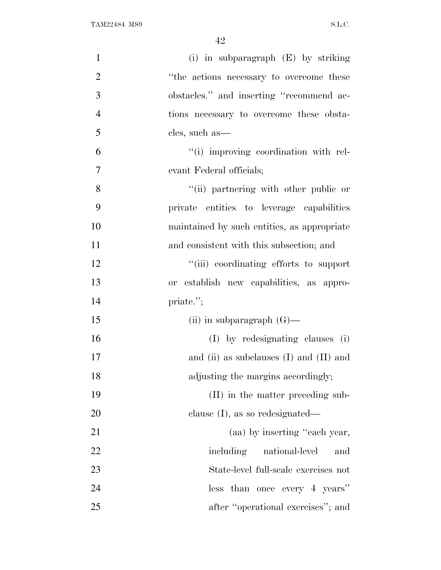| $\mathbf{1}$   | (i) in subparagraph $(E)$ by striking       |
|----------------|---------------------------------------------|
| $\mathbf{2}$   | "the actions necessary to overcome these    |
| $\mathfrak{Z}$ | obstacles." and inserting "recommend ac-    |
| $\overline{4}$ | tions necessary to overcome these obsta-    |
| 5              | cles, such as—                              |
| 6              | "(i) improving coordination with rel-       |
| $\overline{7}$ | evant Federal officials;                    |
| 8              | "(ii) partnering with other public or       |
| 9              | private entities to leverage capabilities   |
| 10             | maintained by such entities, as appropriate |
| 11             | and consistent with this subsection; and    |
| 12             | "(iii) coordinating efforts to support      |
| 13             | or establish new capabilities, as appro-    |
| 14             | priate.";                                   |
| 15             | (ii) in subparagraph $(G)$ —                |
| 16             | (I) by redesignating clauses (i)            |
| 17             | and (ii) as subclauses $(I)$ and $(II)$ and |
| 18             | adjusting the margins accordingly;          |
| 19             | (II) in the matter preceding sub-           |
| 20             | clause $(I)$ , as so redesignated—          |
| 21             | (aa) by inserting "each year,               |
| 22             | including national-level<br>and             |
| 23             | State-level full-scale exercises not        |
| 24             | less than once every 4 years"               |
| 25             | after "operational exercises"; and          |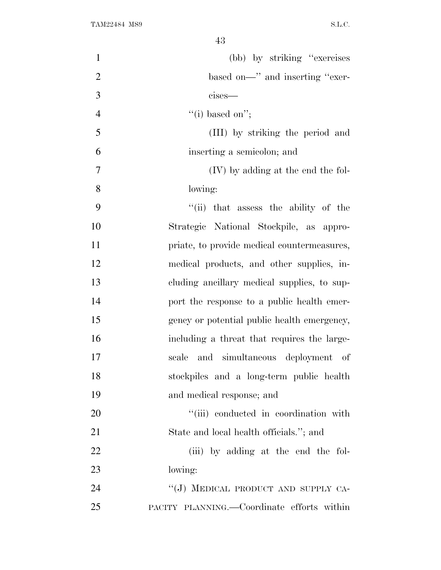| $\mathbf{1}$   | (bb) by striking "exercises"                |
|----------------|---------------------------------------------|
| $\overline{2}$ | based on—" and inserting "exer-             |
| 3              | cises-                                      |
| $\overline{4}$ | "(i) based on";                             |
| 5              | (III) by striking the period and            |
| 6              | inserting a semicolon; and                  |
| 7              | (IV) by adding at the end the fol-          |
| 8              | lowing:                                     |
| 9              | "(ii) that assess the ability of the        |
| 10             | Strategic National Stockpile, as appro-     |
| 11             | priate, to provide medical countermeasures, |
| 12             | medical products, and other supplies, in-   |
| 13             | cluding ancillary medical supplies, to sup- |
| 14             | port the response to a public health emer-  |
| 15             | gency or potential public health emergency, |
| 16             | including a threat that requires the large- |
| 17             | scale and simultaneous deployment of        |
| 18             | stockpiles and a long-term public health    |
| 19             | and medical response; and                   |
| 20             | "(iii) conducted in coordination with       |
| 21             | State and local health officials."; and     |
| 22             | (iii) by adding at the end the fol-         |
| 23             | lowing:                                     |
| 24             | "(J) MEDICAL PRODUCT AND SUPPLY CA-         |
| 25             | PACITY PLANNING.—Coordinate efforts within  |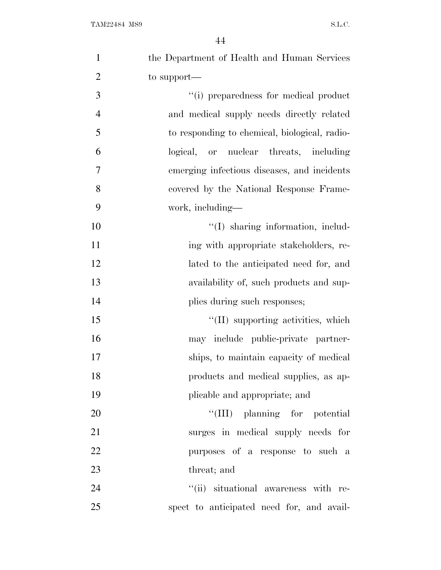| $\mathbf{1}$   | the Department of Health and Human Services   |
|----------------|-----------------------------------------------|
| $\overline{2}$ | to support—                                   |
| 3              | "(i) preparedness for medical product         |
| $\overline{4}$ | and medical supply needs directly related     |
| 5              | to responding to chemical, biological, radio- |
| 6              | logical, or nuclear threats, including        |
| 7              | emerging infectious diseases, and incidents   |
| 8              | covered by the National Response Frame-       |
| 9              | work, including—                              |
| 10             | "(I) sharing information, includ-             |
| 11             | ing with appropriate stakeholders, re-        |
| 12             | lated to the anticipated need for, and        |
| 13             | availability of, such products and sup-       |
| 14             | plies during such responses;                  |
| 15             | "(II) supporting activities, which            |
| 16             | may include public-private partner-           |
| 17             | ships, to maintain capacity of medical        |
| 18             | products and medical supplies, as ap-         |
| 19             | plicable and appropriate; and                 |
| 20             | "(III) planning for potential                 |
| 21             | surges in medical supply needs for            |
| 22             | purposes of a response to such a              |
| 23             | threat; and                                   |
| 24             | "(ii) situational awareness with re-          |
| 25             | spect to anticipated need for, and avail-     |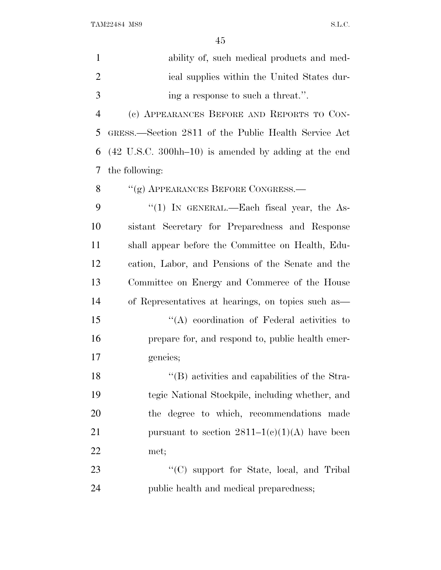| $\mathbf{1}$   | ability of, such medical products and med-                                |
|----------------|---------------------------------------------------------------------------|
| $\overline{2}$ | ical supplies within the United States dur-                               |
| 3              | ing a response to such a threat.".                                        |
| $\overline{4}$ | (c) APPEARANCES BEFORE AND REPORTS TO CON-                                |
| 5              | GRESS.—Section 2811 of the Public Health Service Act                      |
| 6              | $(42 \text{ U.S.C. } 300 \text{hh} - 10)$ is amended by adding at the end |
| 7              | the following:                                                            |
| 8              | "(g) APPEARANCES BEFORE CONGRESS.—                                        |
| 9              | "(1) IN GENERAL.—Each fiscal year, the As-                                |
| 10             | sistant Secretary for Preparedness and Response                           |
| 11             | shall appear before the Committee on Health, Edu-                         |
| 12             | cation, Labor, and Pensions of the Senate and the                         |
| 13             | Committee on Energy and Commerce of the House                             |
| 14             | of Representatives at hearings, on topics such as                         |
| 15             | $\lq\lq$ coordination of Federal activities to                            |
| 16             | prepare for, and respond to, public health emer-                          |
| 17             | gencies;                                                                  |
| 18             | "(B) activities and capabilities of the Stra-                             |
| 19             | tegic National Stockpile, including whether, and                          |
| 20             | the degree to which, recommendations made                                 |
| 21             | pursuant to section $2811-1(c)(1)(A)$ have been                           |
| 22             | met;                                                                      |
| 23             | "(C) support for State, local, and Tribal                                 |
| 24             | public health and medical preparedness;                                   |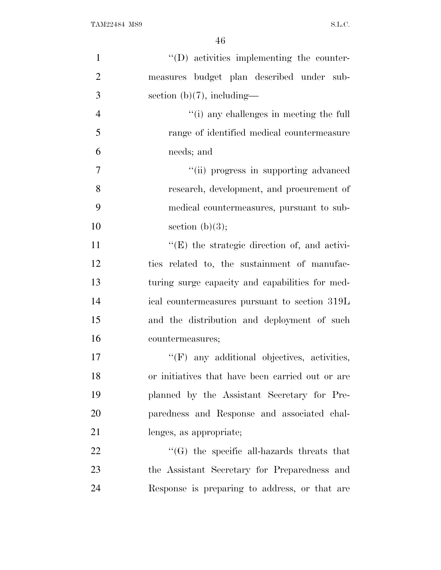| $\mathbf{1}$   | $\lq\lq$ . (D) activities implementing the counter- |
|----------------|-----------------------------------------------------|
| $\overline{2}$ | measures budget plan described under sub-           |
| 3              | section $(b)(7)$ , including—                       |
| $\overline{4}$ | "(i) any challenges in meeting the full             |
| 5              | range of identified medical countermeasure          |
| 6              | needs; and                                          |
| $\overline{7}$ | "(ii) progress in supporting advanced               |
| 8              | research, development, and procurement of           |
| 9              | medical countermeasures, pursuant to sub-           |
| 10             | section $(b)(3);$                                   |
| 11             | $\lq\lq(E)$ the strategic direction of, and activi- |
| 12             | ties related to, the sustainment of manufac-        |
| 13             | turing surge capacity and capabilities for med-     |
| 14             | ical countermeasures pursuant to section 319L       |
| 15             | and the distribution and deployment of such         |
| 16             | countermeasures;                                    |
| 17             | $\lq\lq(F)$ any additional objectives, activities,  |
| 18             | or initiatives that have been carried out or are    |
| 19             | planned by the Assistant Secretary for Pre-         |
| 20             | paredness and Response and associated chal-         |
| 21             | lenges, as appropriate;                             |
| 22             | $\lq\lq(G)$ the specific all-hazards threats that   |
| 23             | the Assistant Secretary for Preparedness and        |
| 24             | Response is preparing to address, or that are       |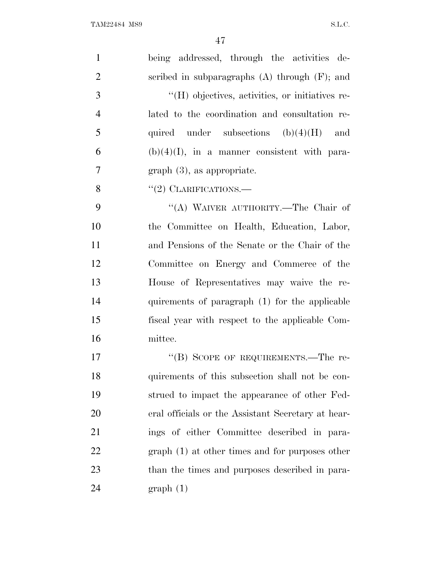| $\mathbf{1}$   | being addressed, through the activities de-        |
|----------------|----------------------------------------------------|
| $\overline{2}$ | scribed in subparagraphs $(A)$ through $(F)$ ; and |
| 3              | "(H) objectives, activities, or initiatives re-    |
| $\overline{4}$ | lated to the coordination and consultation re-     |
| 5              | quired under subsections $(b)(4)(H)$ and           |
| 6              | $(b)(4)(I)$ , in a manner consistent with para-    |
| $\overline{7}$ | $graph(3)$ , as appropriate.                       |
| 8              | $"(2)$ CLARIFICATIONS.—                            |
| 9              | "(A) WAIVER AUTHORITY.—The Chair of                |
| 10             | the Committee on Health, Education, Labor,         |
| 11             | and Pensions of the Senate or the Chair of the     |
| 12             | Committee on Energy and Commerce of the            |
| 13             | House of Representatives may waive the re-         |
| 14             | quirements of paragraph (1) for the applicable     |
| 15             | fiscal year with respect to the applicable Com-    |
| 16             | mittee.                                            |
| 17             | "(B) SCOPE OF REQUIREMENTS.—The re-                |
| 18             | quirements of this subsection shall not be con-    |
| 19             | strued to impact the appearance of other Fed-      |
| <b>20</b>      | eral officials or the Assistant Secretary at hear- |
| 21             | ings of either Committee described in para-        |
| 22             | $graph(1)$ at other times and for purposes other   |
| 23             | than the times and purposes described in para-     |
| 24             | graph(1)                                           |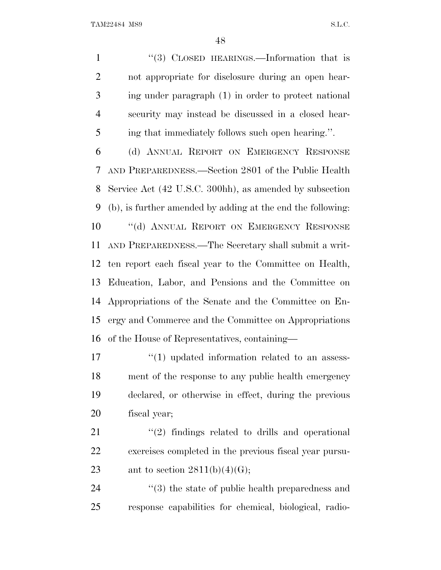1 "(3) CLOSED HEARINGS.—Information that is not appropriate for disclosure during an open hear- ing under paragraph (1) in order to protect national security may instead be discussed in a closed hear-ing that immediately follows such open hearing.''.

 (d) ANNUAL REPORT ON EMERGENCY RESPONSE AND PREPAREDNESS.—Section 2801 of the Public Health Service Act (42 U.S.C. 300hh), as amended by subsection (b), is further amended by adding at the end the following: 10 "(d) ANNUAL REPORT ON EMERGENCY RESPONSE AND PREPAREDNESS.—The Secretary shall submit a writ- ten report each fiscal year to the Committee on Health, Education, Labor, and Pensions and the Committee on Appropriations of the Senate and the Committee on En- ergy and Commerce and the Committee on Appropriations of the House of Representatives, containing—

 $\frac{17}{2}$  (1) updated information related to an assess- ment of the response to any public health emergency declared, or otherwise in effect, during the previous fiscal year;

 $\frac{1}{21}$  ''(2) findings related to drills and operational exercises completed in the previous fiscal year pursu-23 ant to section  $2811(b)(4)(G);$ 

24  $(3)$  the state of public health preparedness and response capabilities for chemical, biological, radio-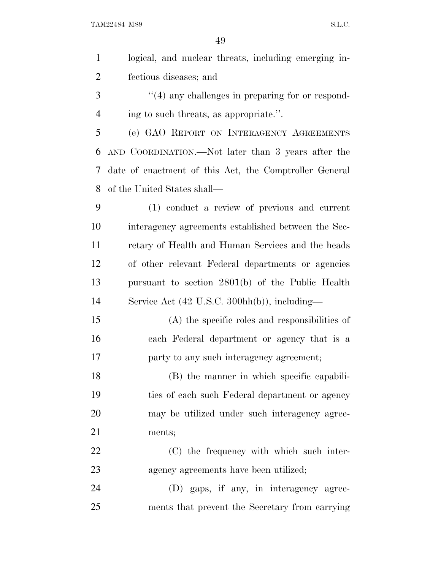| $\mathbf{1}$   | logical, and nuclear threats, including emerging in-   |
|----------------|--------------------------------------------------------|
| $\overline{2}$ | fectious diseases; and                                 |
| 3              | $\lq(4)$ any challenges in preparing for or respond-   |
| $\overline{4}$ | ing to such threats, as appropriate.".                 |
| 5              | (e) GAO REPORT ON INTERAGENCY AGREEMENTS               |
| 6              | AND COORDINATION.—Not later than 3 years after the     |
| 7              | date of enactment of this Act, the Comptroller General |
| 8              | of the United States shall—                            |
| 9              | (1) conduct a review of previous and current           |
| 10             | interagency agreements established between the Sec-    |
| 11             | retary of Health and Human Services and the heads      |
| 12             | of other relevant Federal departments or agencies      |
| 13             | pursuant to section 2801(b) of the Public Health       |
| 14             | Service Act (42 U.S.C. 300hh(b)), including—           |
| 15             | $(A)$ the specific roles and responsibilities of       |
| 16             | each Federal department or agency that is a            |
| 17             | party to any such interagency agreement;               |
| 18             | (B) the manner in which specific capabili-             |
| 19             | ties of each such Federal department or agency         |
| 20             | may be utilized under such interagency agree-          |
| 21             | ments;                                                 |
| 22             | (C) the frequency with which such inter-               |
| 23             | agency agreements have been utilized;                  |
| 24             | (D) gaps, if any, in interagency agree-                |
| 25             | ments that prevent the Secretary from carrying         |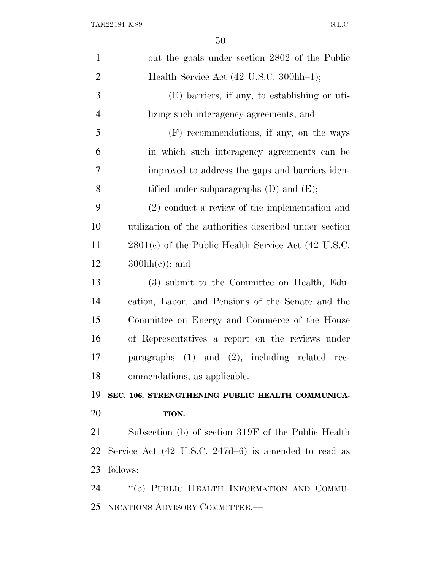| $\mathbf{1}$   | out the goals under section 2802 of the Public                  |
|----------------|-----------------------------------------------------------------|
| $\overline{2}$ | Health Service Act (42 U.S.C. 300hh-1);                         |
| 3              | $(E)$ barriers, if any, to establishing or uti-                 |
| $\overline{4}$ | lizing such interagency agreements; and                         |
| 5              | (F) recommendations, if any, on the ways                        |
| 6              | in which such interagency agreements can be                     |
| 7              | improved to address the gaps and barriers iden-                 |
| 8              | tified under subparagraphs $(D)$ and $(E)$ ;                    |
| 9              | $(2)$ conduct a review of the implementation and                |
| 10             | utilization of the authorities described under section          |
| 11             | $2801(c)$ of the Public Health Service Act (42 U.S.C.           |
| 12             | $300hh(c)$ ; and                                                |
| 13             | (3) submit to the Committee on Health, Edu-                     |
| 14             | cation, Labor, and Pensions of the Senate and the               |
| 15             | Committee on Energy and Commerce of the House                   |
| 16             | of Representatives a report on the reviews under                |
| 17             | paragraphs $(1)$ and $(2)$ , including related rec-             |
| 18             | ommendations, as applicable.                                    |
| 19             | SEC. 106. STRENGTHENING PUBLIC HEALTH COMMUNICA-                |
| 20             | TION.                                                           |
| 21             | Subsection (b) of section 319F of the Public Health             |
| 22             | Service Act $(42 \text{ U.S.C. } 247d-6)$ is amended to read as |
| 23             | follows:                                                        |
| 24             | "(b) PUBLIC HEALTH INFORMATION AND COMMU-                       |
| 25             | NICATIONS ADVISORY COMMITTEE.-                                  |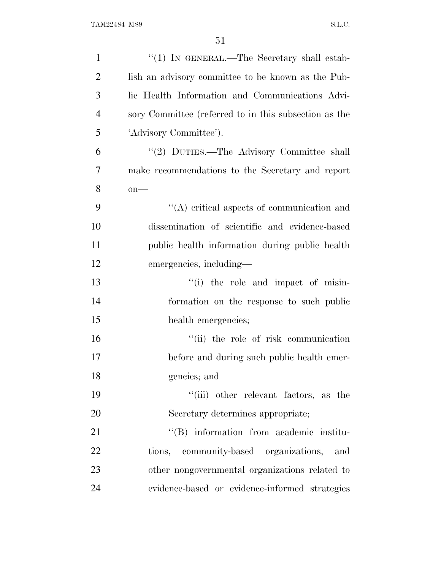| $\mathbf{1}$   | "(1) IN GENERAL.—The Secretary shall estab-           |
|----------------|-------------------------------------------------------|
| $\overline{2}$ | lish an advisory committee to be known as the Pub-    |
| 3              | lic Health Information and Communications Advi-       |
| $\overline{4}$ | sory Committee (referred to in this subsection as the |
| 5              | 'Advisory Committee').                                |
| 6              | "(2) DUTIES.—The Advisory Committee shall             |
| $\overline{7}$ | make recommendations to the Secretary and report      |
| 8              | $on$ —                                                |
| 9              | $\lq\lq$ critical aspects of communication and        |
| 10             | dissemination of scientific and evidence-based        |
| 11             | public health information during public health        |
| 12             | emergencies, including—                               |
| 13             | "(i) the role and impact of misin-                    |
| 14             | formation on the response to such public              |
| 15             | health emergencies;                                   |
| 16             | "(ii) the role of risk communication                  |
| 17             | before and during such public health emer-            |
| 18             | gencies; and                                          |
| 19             | "(iii) other relevant factors, as the                 |
| 20             | Secretary determines appropriate;                     |
| 21             | "(B) information from academic institu-               |
| 22             | tions, community-based organizations, and             |
| 23             | other nongovernmental organizations related to        |
| 24             | evidence-based or evidence-informed strategies        |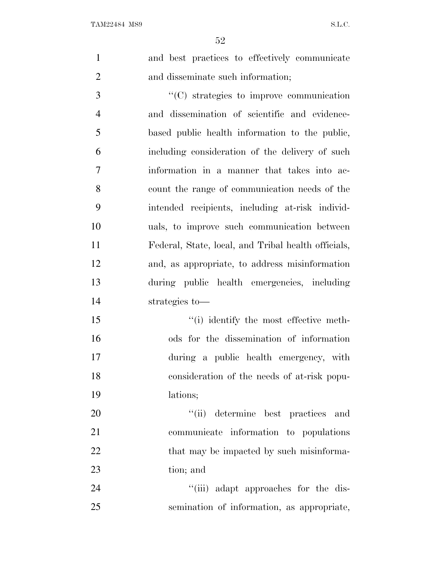and best practices to effectively communicate and disseminate such information;

 $\cdot$  (C) strategies to improve communication and dissemination of scientific and evidence- based public health information to the public, including consideration of the delivery of such information in a manner that takes into ac- count the range of communication needs of the intended recipients, including at-risk individ- uals, to improve such communication between Federal, State, local, and Tribal health officials, and, as appropriate, to address misinformation during public health emergencies, including strategies to—

 ''(i) identify the most effective meth- ods for the dissemination of information during a public health emergency, with consideration of the needs of at-risk popu-lations;

 $\frac{1}{1}$  (ii) determine best practices and communicate information to populations 22 that may be impacted by such misinforma-tion; and

24  $\frac{1}{1}$   $\frac{1}{2}$   $\frac{1}{2}$  adapt approaches for the dis-semination of information, as appropriate,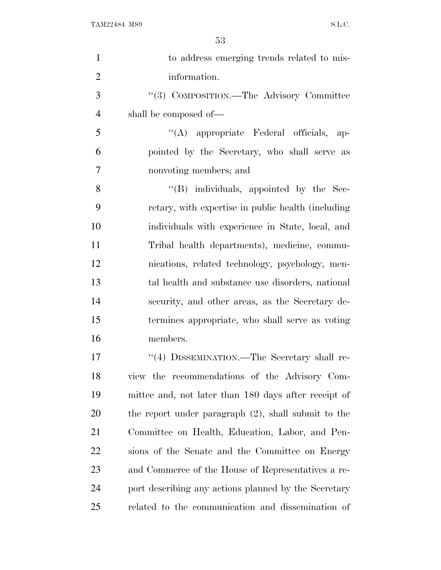| $\mathbf{1}$   | to address emerging trends related to mis-             |
|----------------|--------------------------------------------------------|
| $\overline{2}$ | information.                                           |
| 3              | "(3) COMPOSITION.—The Advisory Committee               |
| $\overline{4}$ | shall be composed of—                                  |
| 5              | "(A) appropriate Federal officials, ap-                |
| 6              | pointed by the Secretary, who shall serve as           |
| 7              | nonvoting members; and                                 |
| 8              | "(B) individuals, appointed by the Sec-                |
| 9              | retary, with expertise in public health (including     |
| 10             | individuals with experience in State, local, and       |
| 11             | Tribal health departments), medicine, commu-           |
| 12             | nications, related technology, psychology, men-        |
| 13             | tal health and substance use disorders, national       |
| 14             | security, and other areas, as the Secretary de-        |
| 15             | termines appropriate, who shall serve as voting        |
| 16             | members.                                               |
| 17             | "(4) DISSEMINATION.—The Secretary shall re-            |
| 18             | view the recommendations of the Advisory Com-          |
| 19             | mittee and, not later than 180 days after receipt of   |
| 20             | the report under paragraph $(2)$ , shall submit to the |
| 21             | Committee on Health, Education, Labor, and Pen-        |
| 22             | sions of the Senate and the Committee on Energy        |
| 23             | and Commerce of the House of Representatives a re-     |
| 24             | port describing any actions planned by the Secretary   |
| 25             | related to the communication and dissemination of      |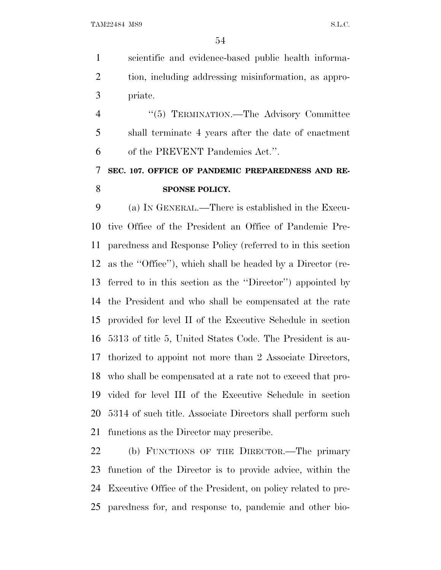scientific and evidence-based public health informa- tion, including addressing misinformation, as appro-priate.

4 "(5) TERMINATION.—The Advisory Committee shall terminate 4 years after the date of enactment of the PREVENT Pandemics Act.''.

## **SEC. 107. OFFICE OF PANDEMIC PREPAREDNESS AND RE-SPONSE POLICY.**

 (a) I<sup>N</sup> GENERAL.—There is established in the Execu- tive Office of the President an Office of Pandemic Pre- paredness and Response Policy (referred to in this section as the ''Office''), which shall be headed by a Director (re- ferred to in this section as the ''Director'') appointed by the President and who shall be compensated at the rate provided for level II of the Executive Schedule in section 5313 of title 5, United States Code. The President is au- thorized to appoint not more than 2 Associate Directors, who shall be compensated at a rate not to exceed that pro- vided for level III of the Executive Schedule in section 5314 of such title. Associate Directors shall perform such functions as the Director may prescribe.

 (b) FUNCTIONS OF THE DIRECTOR.—The primary function of the Director is to provide advice, within the Executive Office of the President, on policy related to pre-paredness for, and response to, pandemic and other bio-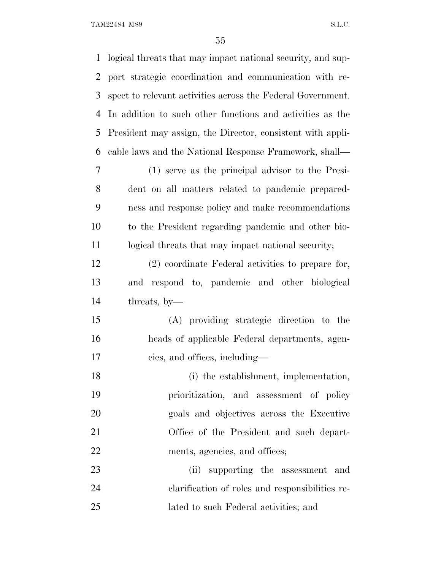| $\mathbf{1}$ | logical threats that may impact national security, and sup- |
|--------------|-------------------------------------------------------------|
| 2            | port strategic coordination and communication with re-      |
| 3            | spect to relevant activities across the Federal Government. |
| 4            | In addition to such other functions and activities as the   |
| 5            | President may assign, the Director, consistent with appli-  |
| 6            | cable laws and the National Response Framework, shall—      |
| 7            | (1) serve as the principal advisor to the Presi-            |
| 8            | dent on all matters related to pandemic prepared-           |
| 9            | ness and response policy and make recommendations           |
| 10           | to the President regarding pandemic and other bio-          |
| 11           | logical threats that may impact national security;          |
| 12           | (2) coordinate Federal activities to prepare for,           |
| 13           | and respond to, pandemic and other biological               |
| 14           | threats, by-                                                |
| 15           | (A) providing strategic direction to the                    |
| 16           | heads of applicable Federal departments, agen-              |
| 17           | cies, and offices, including—                               |
| 18           | (i) the establishment, implementation,                      |
| 19           | prioritization, and assessment of policy                    |
| 20           | goals and objectives across the Executive                   |
| 21           | Office of the President and such depart-                    |
| 22           | ments, agencies, and offices;                               |
| 23           | (ii) supporting the assessment and                          |
| 24           | elarification of roles and responsibilities re-             |
| 25           | lated to such Federal activities; and                       |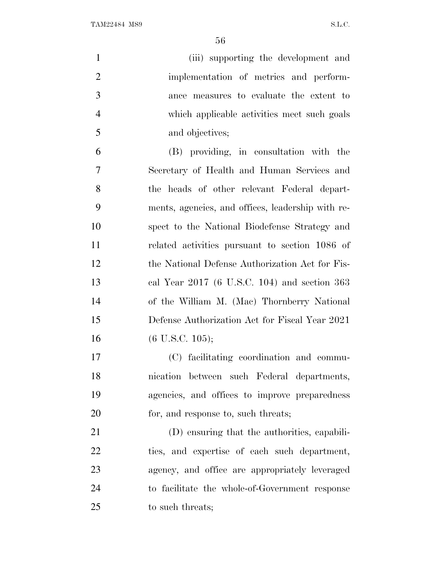| $\mathbf{1}$   | (iii) supporting the development and              |
|----------------|---------------------------------------------------|
| $\overline{2}$ | implementation of metrics and perform-            |
| 3              | ance measures to evaluate the extent to           |
| $\overline{4}$ | which applicable activities meet such goals       |
| 5              | and objectives;                                   |
| 6              | (B) providing, in consultation with the           |
| 7              | Secretary of Health and Human Services and        |
| 8              | the heads of other relevant Federal depart-       |
| 9              | ments, agencies, and offices, leadership with re- |
| 10             | spect to the National Biodefense Strategy and     |
| 11             | related activities pursuant to section 1086 of    |
| 12             | the National Defense Authorization Act for Fis-   |
| 13             | cal Year $2017$ (6 U.S.C. 104) and section 363    |
| 14             | of the William M. (Mac) Thornberry National       |
| 15             | Defense Authorization Act for Fiscal Year 2021    |
| 16             | $(6 \text{ U.S.C. } 105);$                        |
| 17             | (C) facilitating coordination and commu-          |
| 18             | nication between such Federal departments,        |
| 19             | agencies, and offices to improve preparedness     |
| 20             | for, and response to, such threats;               |
| 21             | (D) ensuring that the authorities, capabili-      |
| 22             | ties, and expertise of each such department,      |
| 23             | agency, and office are appropriately leveraged    |
| 24             | to facilitate the whole-of-Government response    |
| 25             | to such threats;                                  |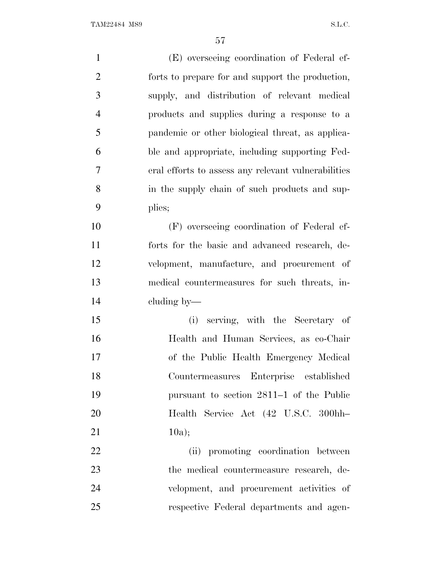(E) overseeing coordination of Federal ef- forts to prepare for and support the production, supply, and distribution of relevant medical products and supplies during a response to a pandemic or other biological threat, as applica- ble and appropriate, including supporting Fed- eral efforts to assess any relevant vulnerabilities in the supply chain of such products and sup- plies; (F) overseeing coordination of Federal ef- forts for the basic and advanced research, de- velopment, manufacture, and procurement of medical countermeasures for such threats, in- cluding by— (i) serving, with the Secretary of Health and Human Services, as co-Chair of the Public Health Emergency Medical Countermeasures Enterprise established pursuant to section 2811–1 of the Public Health Service Act (42 U.S.C. 300hh– 21  $10a$ ; (ii) promoting coordination between the medical countermeasure research, de- velopment, and procurement activities of respective Federal departments and agen-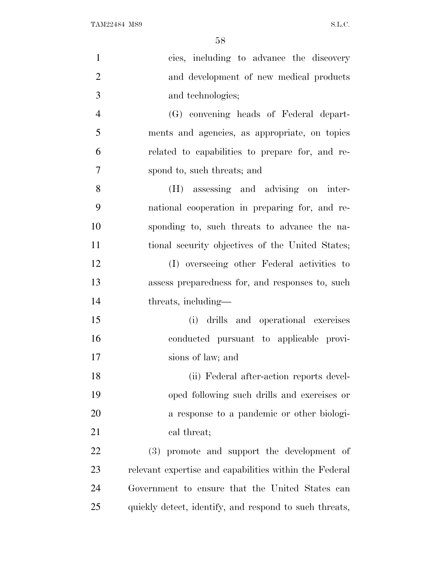| $\mathbf{1}$   | cies, including to advance the discovery               |
|----------------|--------------------------------------------------------|
| $\overline{2}$ | and development of new medical products                |
| 3              | and technologies;                                      |
| $\overline{4}$ | (G) convening heads of Federal depart-                 |
| 5              | ments and agencies, as appropriate, on topics          |
| 6              | related to capabilities to prepare for, and re-        |
| 7              | spond to, such threats; and                            |
| 8              | (H) assessing and advising on inter-                   |
| 9              | national cooperation in preparing for, and re-         |
| 10             | sponding to, such threats to advance the na-           |
| 11             | tional security objectives of the United States;       |
| 12             | (I) overseeing other Federal activities to             |
| 13             | assess preparedness for, and responses to, such        |
| 14             | threats, including—                                    |
| 15             | (i) drills and operational exercises                   |
| 16             | conducted pursuant to applicable provi-                |
| 17             | sions of law; and                                      |
| 18             | (ii) Federal after-action reports devel-               |
| 19             | oped following such drills and exercises or            |
| 20             | a response to a pandemic or other biologi-             |
| 21             | cal threat;                                            |
| 22             | (3) promote and support the development of             |
| 23             | relevant expertise and capabilities within the Federal |
| 24             | Government to ensure that the United States can        |
| 25             | quickly detect, identify, and respond to such threats, |
|                |                                                        |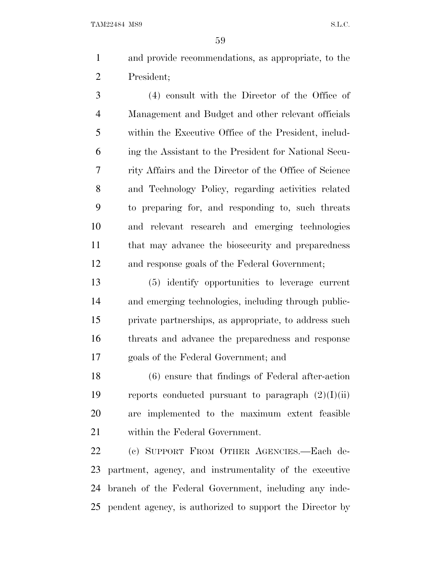and provide recommendations, as appropriate, to the President;

 (4) consult with the Director of the Office of Management and Budget and other relevant officials within the Executive Office of the President, includ- ing the Assistant to the President for National Secu- rity Affairs and the Director of the Office of Science and Technology Policy, regarding activities related to preparing for, and responding to, such threats and relevant research and emerging technologies that may advance the biosecurity and preparedness and response goals of the Federal Government;

 (5) identify opportunities to leverage current and emerging technologies, including through public- private partnerships, as appropriate, to address such threats and advance the preparedness and response goals of the Federal Government; and

 (6) ensure that findings of Federal after-action 19 reports conducted pursuant to paragraph  $(2)(I)(ii)$  are implemented to the maximum extent feasible within the Federal Government.

 (c) SUPPORT FROM OTHER AGENCIES.—Each de- partment, agency, and instrumentality of the executive branch of the Federal Government, including any inde-pendent agency, is authorized to support the Director by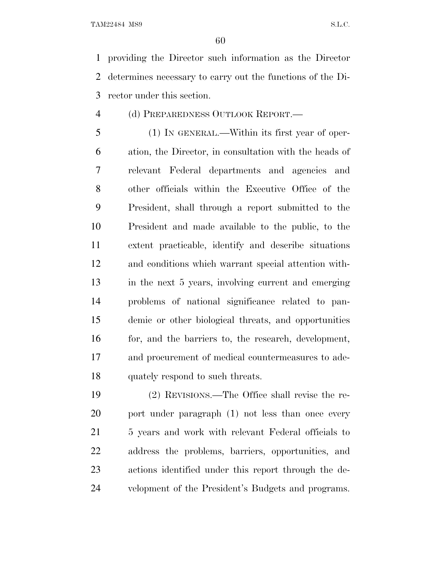providing the Director such information as the Director determines necessary to carry out the functions of the Di-rector under this section.

(d) PREPAREDNESS OUTLOOK REPORT.—

 (1) IN GENERAL.—Within its first year of oper- ation, the Director, in consultation with the heads of relevant Federal departments and agencies and other officials within the Executive Office of the President, shall through a report submitted to the President and made available to the public, to the extent practicable, identify and describe situations and conditions which warrant special attention with- in the next 5 years, involving current and emerging problems of national significance related to pan- demic or other biological threats, and opportunities 16 for, and the barriers to, the research, development, and procurement of medical countermeasures to ade-quately respond to such threats.

 (2) REVISIONS.—The Office shall revise the re-20 port under paragraph (1) not less than once every 5 years and work with relevant Federal officials to address the problems, barriers, opportunities, and actions identified under this report through the de-velopment of the President's Budgets and programs.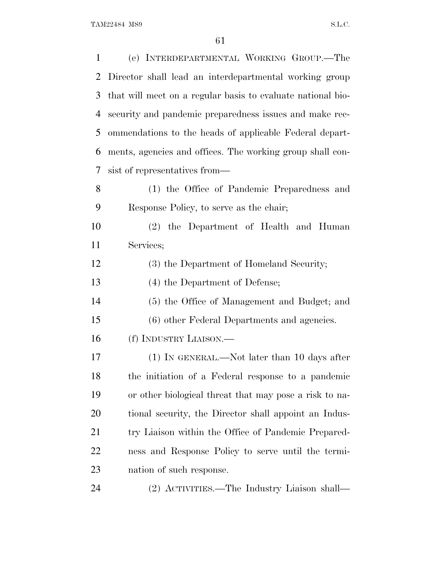| $\mathbf{1}$   | (e) INTERDEPARTMENTAL WORKING GROUP.-The                    |
|----------------|-------------------------------------------------------------|
| $\overline{2}$ | Director shall lead an interdepartmental working group      |
| 3              | that will meet on a regular basis to evaluate national bio- |
| 4              | security and pandemic preparedness issues and make rec-     |
| 5              | ommendations to the heads of applicable Federal depart-     |
| 6              | ments, agencies and offices. The working group shall con-   |
| 7              | sist of representatives from—                               |
| 8              | (1) the Office of Pandemic Preparedness and                 |
| 9              | Response Policy, to serve as the chair;                     |
| 10             | (2) the Department of Health and Human                      |
| 11             | Services;                                                   |
| 12             | (3) the Department of Homeland Security;                    |
| 13             | (4) the Department of Defense;                              |
| 14             | (5) the Office of Management and Budget; and                |
| 15             | (6) other Federal Departments and agencies.                 |
| 16             | (f) INDUSTRY LIAISON.—                                      |
| 17             | (1) IN GENERAL.—Not later than 10 days after                |
| 18             | the initiation of a Federal response to a pandemic          |
| 19             | or other biological threat that may pose a risk to na-      |
| 20             | tional security, the Director shall appoint an Indus-       |
| 21             | try Liaison within the Office of Pandemic Prepared-         |
| 22             | ness and Response Policy to serve until the termi-          |
| 23             | nation of such response.                                    |
| 24             | (2) ACTIVITIES.—The Industry Liaison shall—                 |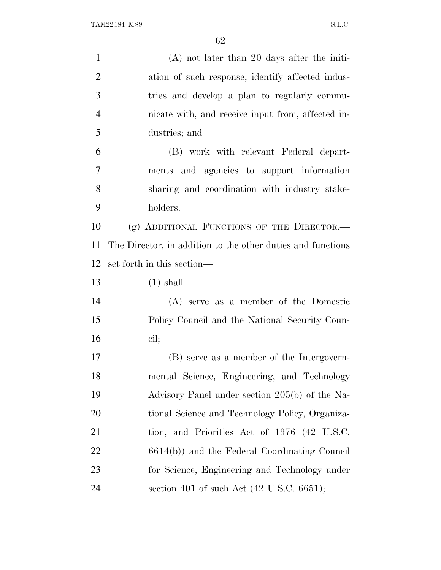| $\mathbf{1}$   | $(A)$ not later than 20 days after the initi-               |
|----------------|-------------------------------------------------------------|
| $\overline{2}$ | ation of such response, identify affected indus-            |
| 3              | tries and develop a plan to regularly commu-                |
| $\overline{4}$ | nicate with, and receive input from, affected in-           |
| 5              | dustries; and                                               |
| 6              | (B) work with relevant Federal depart-                      |
| $\overline{7}$ | ments and agencies to support information                   |
| 8              | sharing and coordination with industry stake-               |
| 9              | holders.                                                    |
| 10             | (g) ADDITIONAL FUNCTIONS OF THE DIRECTOR.-                  |
| 11             | The Director, in addition to the other duties and functions |
| 12             | set forth in this section—                                  |
| 13             | $(1)$ shall—                                                |
| 14             | (A) serve as a member of the Domestic                       |
| 15             | Policy Council and the National Security Coun-              |
| 16             | cil;                                                        |
| 17             | (B) serve as a member of the Intergovern-                   |
| 18             | mental Science, Engineering, and Technology                 |
| 19             | Advisory Panel under section 205(b) of the Na-              |
| 20             | tional Science and Technology Policy, Organiza-             |
| 21             | tion, and Priorities Act of 1976 (42 U.S.C.                 |
| 22             | 6614(b)) and the Federal Coordinating Council               |
| 23             | for Science, Engineering and Technology under               |
| 24             | section 401 of such Act $(42 \text{ U.S.C. } 6651);$        |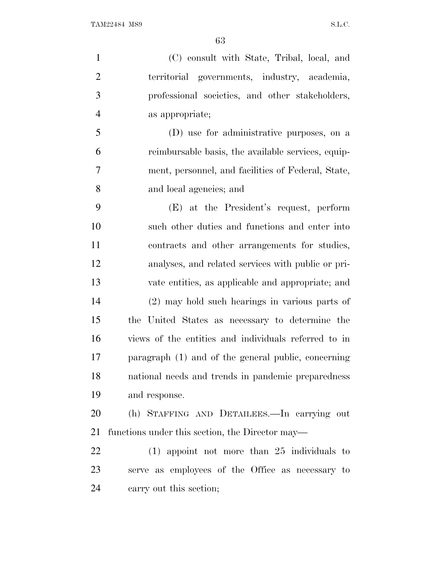(C) consult with State, Tribal, local, and territorial governments, industry, academia, professional societies, and other stakeholders, as appropriate; (D) use for administrative purposes, on a reimbursable basis, the available services, equip- ment, personnel, and facilities of Federal, State, and local agencies; and (E) at the President's request, perform such other duties and functions and enter into contracts and other arrangements for studies, analyses, and related services with public or pri- vate entities, as applicable and appropriate; and (2) may hold such hearings in various parts of

 the United States as necessary to determine the views of the entities and individuals referred to in paragraph (1) and of the general public, concerning national needs and trends in pandemic preparedness and response.

 (h) STAFFING AND DETAILEES.—In carrying out functions under this section, the Director may—

 (1) appoint not more than 25 individuals to serve as employees of the Office as necessary to carry out this section;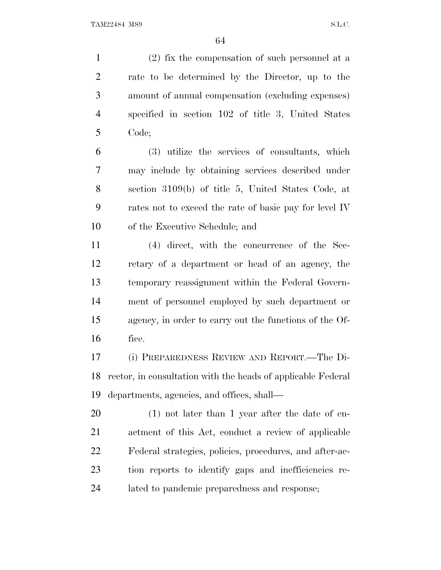(2) fix the compensation of such personnel at a rate to be determined by the Director, up to the amount of annual compensation (excluding expenses) specified in section 102 of title 3, United States Code;

 (3) utilize the services of consultants, which may include by obtaining services described under section 3109(b) of title 5, United States Code, at rates not to exceed the rate of basic pay for level IV of the Executive Schedule; and

 (4) direct, with the concurrence of the Sec- retary of a department or head of an agency, the temporary reassignment within the Federal Govern- ment of personnel employed by such department or agency, in order to carry out the functions of the Of-fice.

 (i) PREPAREDNESS REVIEW AND REPORT.—The Di- rector, in consultation with the heads of applicable Federal departments, agencies, and offices, shall—

 (1) not later than 1 year after the date of en- actment of this Act, conduct a review of applicable Federal strategies, policies, procedures, and after-ac- tion reports to identify gaps and inefficiencies re-lated to pandemic preparedness and response;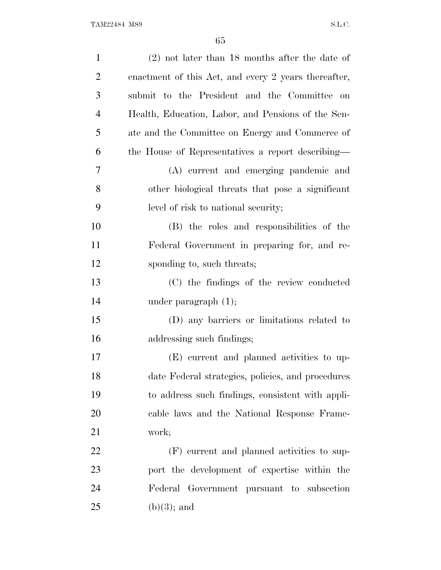| $\mathbf{1}$   | $(2)$ not later than 18 months after the date of     |
|----------------|------------------------------------------------------|
| $\overline{2}$ | enactment of this Act, and every 2 years thereafter, |
| 3              | submit to the President and the Committee on         |
| $\overline{4}$ | Health, Education, Labor, and Pensions of the Sen-   |
| 5              | ate and the Committee on Energy and Commerce of      |
| 6              | the House of Representatives a report describing—    |
| 7              | (A) current and emerging pandemic and                |
| 8              | other biological threats that pose a significant     |
| 9              | level of risk to national security;                  |
| 10             | (B) the roles and responsibilities of the            |
| 11             | Federal Government in preparing for, and re-         |
| 12             | sponding to, such threats;                           |
| 13             | (C) the findings of the review conducted             |
| 14             | under paragraph $(1)$ ;                              |
| 15             | (D) any barriers or limitations related to           |
| 16             | addressing such findings;                            |
| 17             | (E) current and planned activities to up-            |
| 18             | date Federal strategies, policies, and procedures    |
| 19             | to address such findings, consistent with appli-     |
| 20             | cable laws and the National Response Frame-          |
| 21             | work;                                                |
| 22             | (F) current and planned activities to sup-           |
| 23             | port the development of expertise within the         |
| 24             | Federal Government pursuant to subsection            |
| 25             | $(b)(3)$ ; and                                       |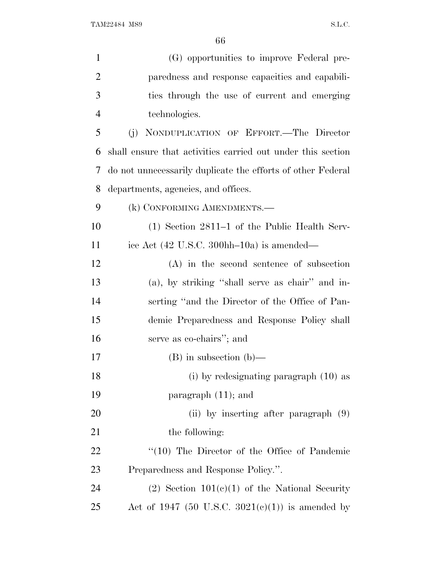| $\mathbf{1}$   | (G) opportunities to improve Federal pre-                              |
|----------------|------------------------------------------------------------------------|
| $\overline{2}$ | paredness and response capacities and capabili-                        |
| 3              | ties through the use of current and emerging                           |
| $\overline{4}$ | technologies.                                                          |
| 5              | (j) NONDUPLICATION OF EFFORT.—The Director                             |
| 6              | shall ensure that activities carried out under this section            |
| 7              | do not unnecessarily duplicate the efforts of other Federal            |
| 8              | departments, agencies, and offices.                                    |
| 9              | (k) CONFORMING AMENDMENTS.-                                            |
| 10             | (1) Section 2811–1 of the Public Health Serv-                          |
| 11             | ice Act $(42 \text{ U.S.C. } 300 \text{hh} - 10 \text{a})$ is amended— |
| 12             | $(A)$ in the second sentence of subsection                             |
| 13             | (a), by striking "shall serve as chair" and in-                        |
| 14             | serting "and the Director of the Office of Pan-                        |
| 15             | demic Preparedness and Response Policy shall                           |
| 16             | serve as co-chairs"; and                                               |
| 17             | $(B)$ in subsection $(b)$ —                                            |
| 18             | $(i)$ by redesignating paragraph $(10)$ as                             |
| 19             | paragraph $(11)$ ; and                                                 |
| 20             | (ii) by inserting after paragraph $(9)$                                |
| 21             | the following:                                                         |
| 22             | "(10) The Director of the Office of Pandemic                           |
| 23             | Preparedness and Response Policy.".                                    |
| 24             | $(2)$ Section $101(c)(1)$ of the National Security                     |
| 25             | Act of 1947 (50 U.S.C. 3021(c)(1)) is amended by                       |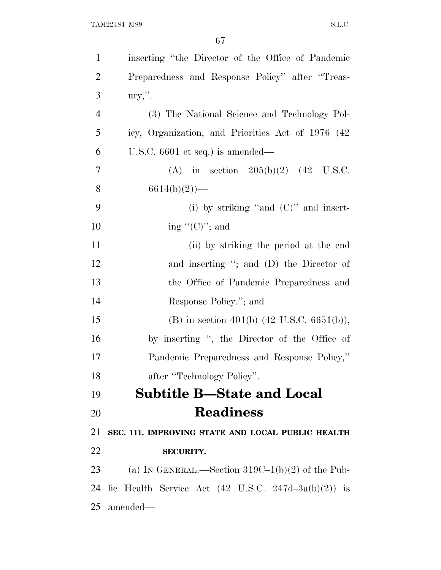| $\mathbf{1}$   | inserting "the Director of the Office of Pandemic              |
|----------------|----------------------------------------------------------------|
| $\overline{2}$ | Preparedness and Response Policy" after "Treas-                |
| 3              | $\text{ury,}$ ".                                               |
| $\overline{4}$ | (3) The National Science and Technology Pol-                   |
| 5              | icy, Organization, and Priorities Act of 1976 (42)             |
| 6              | U.S.C. $6601$ et seq.) is amended—                             |
| 7              | (A) in section $205(b)(2)$ (42 U.S.C.                          |
| 8              | $6614(b)(2)$ —                                                 |
| 9              | (i) by striking "and $(C)$ " and insert-                       |
| 10             | ing " $(C)$ "; and                                             |
| 11             | (ii) by striking the period at the end                         |
| 12             | and inserting "; and (D) the Director of                       |
| 13             | the Office of Pandemic Preparedness and                        |
| 14             | Response Policy."; and                                         |
| 15             | (B) in section 401(b) $(42 \text{ U.S.C. } 6651(b)),$          |
| 16             | by inserting ", the Director of the Office of                  |
| 17             | Pandemic Preparedness and Response Policy,"                    |
| 18             | after "Technology Policy".                                     |
| 19             | <b>Subtitle B-State and Local</b>                              |
| 20             | <b>Readiness</b>                                               |
| 21             | SEC. 111. IMPROVING STATE AND LOCAL PUBLIC HEALTH              |
| 22             | <b>SECURITY.</b>                                               |
| 23             | (a) IN GENERAL.—Section $319C-1(b)(2)$ of the Pub-             |
| 24             | lic Health Service Act $(42 \text{ U.S.C. } 247d-3a(b)(2))$ is |
| 25             | amended—                                                       |
|                |                                                                |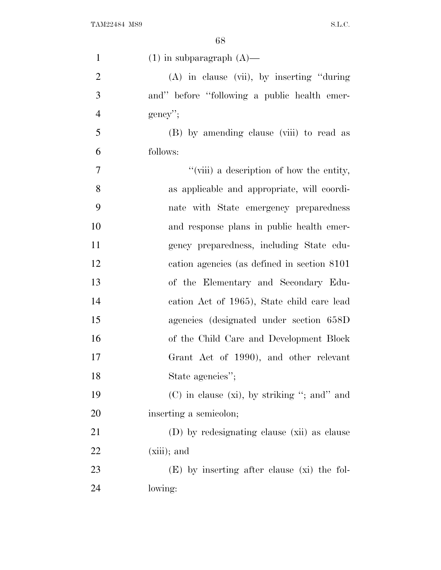| $\mathbf{1}$   | $(1)$ in subparagraph $(A)$ —                    |
|----------------|--------------------------------------------------|
| $\overline{2}$ | $(A)$ in clause (vii), by inserting "during"     |
| 3              | and" before "following a public health emer-     |
| $\overline{4}$ | $gency$ ";                                       |
| 5              | (B) by amending clause (viii) to read as         |
| 6              | follows:                                         |
| 7              | "(viii) a description of how the entity,         |
| 8              | as applicable and appropriate, will coordi-      |
| 9              | nate with State emergency preparedness           |
| 10             | and response plans in public health emer-        |
| 11             | gency preparedness, including State edu-         |
| 12             | cation agencies (as defined in section 8101)     |
| 13             | of the Elementary and Secondary Edu-             |
| 14             | cation Act of 1965), State child care lead       |
| 15             | agencies (designated under section 658D)         |
| 16             | of the Child Care and Development Block          |
| 17             | Grant Act of 1990), and other relevant           |
| 18             | State agencies";                                 |
| 19             | $(C)$ in clause $(xi)$ , by striking "; and" and |
| 20             | inserting a semicolon;                           |
| 21             | (D) by redesignating clause (xii) as clause      |
| 22             | $(xiii)$ ; and                                   |
| 23             | $(E)$ by inserting after clause (xi) the fol-    |
| 24             | lowing:                                          |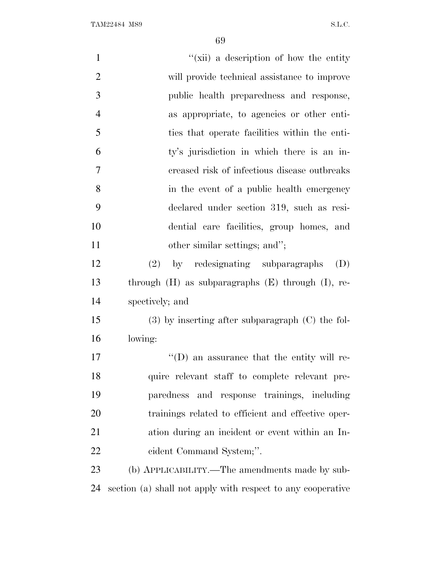| $\mathbf{1}$   | "(xii) a description of how the entity                      |
|----------------|-------------------------------------------------------------|
| $\overline{2}$ | will provide technical assistance to improve                |
| 3              | public health preparedness and response,                    |
| $\overline{4}$ | as appropriate, to agencies or other enti-                  |
| 5              | ties that operate facilities within the enti-               |
| 6              | ty's jurisdiction in which there is an in-                  |
| 7              | creased risk of infectious disease outbreaks                |
| 8              | in the event of a public health emergency                   |
| 9              | declared under section 319, such as resi-                   |
| 10             | dential care facilities, group homes, and                   |
| 11             | other similar settings; and";                               |
| 12             | by redesignating subparagraphs<br>(D)<br>(2)                |
| 13             | through $(H)$ as subparagraphs $(E)$ through $(I)$ , re-    |
| 14             | spectively; and                                             |
| 15             | $(3)$ by inserting after subparagraph $(C)$ the fol-        |
| 16             | lowing:                                                     |
| 17             | $\lq\lq$ (D) an assurance that the entity will re-          |
| 18             | quire relevant staff to complete relevant pre-              |
| 19             | paredness and response trainings, including                 |
| 20             | trainings related to efficient and effective oper-          |
| 21             | ation during an incident or event within an In-             |
| 22             | cident Command System;".                                    |
| 23             | (b) APPLICABILITY.—The amendments made by sub-              |
| 24             | section (a) shall not apply with respect to any cooperative |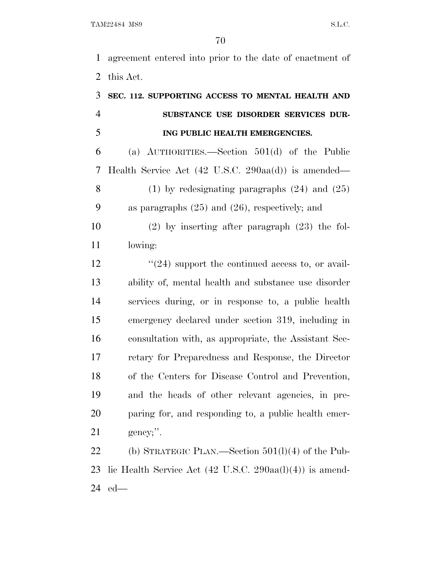agreement entered into prior to the date of enactment of this Act.

| 3              | SEC. 112. SUPPORTING ACCESS TO MENTAL HEALTH AND                       |
|----------------|------------------------------------------------------------------------|
| $\overline{4}$ | SUBSTANCE USE DISORDER SERVICES DUR-                                   |
| 5              | ING PUBLIC HEALTH EMERGENCIES.                                         |
| 6              | (a) $\text{AUTHORITIES.} - \text{Section } 501(d)$ of the Public       |
| $\overline{7}$ | Health Service Act $(42 \text{ U.S.C. } 290 \text{aa(d)})$ is amended— |
| 8              | $(1)$ by redesignating paragraphs $(24)$ and $(25)$                    |
| 9              | as paragraphs $(25)$ and $(26)$ , respectively; and                    |
| 10             | $(2)$ by inserting after paragraph $(23)$ the fol-                     |
| 11             | lowing:                                                                |
| 12             | $\cdot\cdot(24)$ support the continued access to, or avail-            |
| 13             | ability of, mental health and substance use disorder                   |
| 14             | services during, or in response to, a public health                    |
| 15             | emergency declared under section 319, including in                     |
| 16             | consultation with, as appropriate, the Assistant Sec-                  |
| 17             | retary for Preparedness and Response, the Director                     |
| 18             | of the Centers for Disease Control and Prevention,                     |
| 19             | and the heads of other relevant agencies, in pre-                      |
| 20             | paring for, and responding to, a public health emer-                   |
| 21             | gency;".                                                               |
| $\sim$ $\sim$  |                                                                        |

 (b) STRATEGIC PLAN.—Section 501(l)(4) of the Pub- lic Health Service Act (42 U.S.C. 290aa(l)(4)) is amend-ed—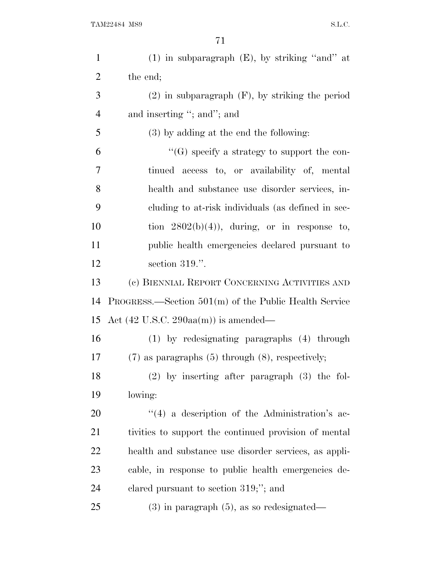| $\mathbf{1}$   | $(1)$ in subparagraph $(E)$ , by striking "and" at        |
|----------------|-----------------------------------------------------------|
| $\overline{2}$ | the end;                                                  |
| 3              | $(2)$ in subparagraph $(F)$ , by striking the period      |
| $\overline{4}$ | and inserting "; and"; and                                |
| 5              | $(3)$ by adding at the end the following:                 |
| 6              | "(G) specify a strategy to support the con-               |
| 7              | tinued access to, or availability of, mental              |
| 8              | health and substance use disorder services, in-           |
| 9              | cluding to at-risk individuals (as defined in sec-        |
| 10             | tion $2802(b)(4)$ , during, or in response to,            |
| 11             | public health emergencies declared pursuant to            |
| 12             | section 319.".                                            |
| 13             | (c) BIENNIAL REPORT CONCERNING ACTIVITIES AND             |
| 14             | $PROGRESS.$ Section $501(m)$ of the Public Health Service |
| 15             | Act $(42 \text{ U.S.C. } 290 \text{aa(m)})$ is amended—   |
| 16             | $(1)$ by redesignating paragraphs $(4)$ through           |
| 17             | $(7)$ as paragraphs $(5)$ through $(8)$ , respectively;   |
| 18             | $(2)$ by inserting after paragraph $(3)$ the fol-         |
| 19             | lowing:                                                   |
| <b>20</b>      | "(4) a description of the Administration's ac-            |
| 21             | tivities to support the continued provision of mental     |
| 22             | health and substance use disorder services, as appli-     |
| 23             | cable, in response to public health emergencies de-       |
| 24             | clared pursuant to section $319;$ "; and                  |
| 25             | $(3)$ in paragraph $(5)$ , as so redesignated—            |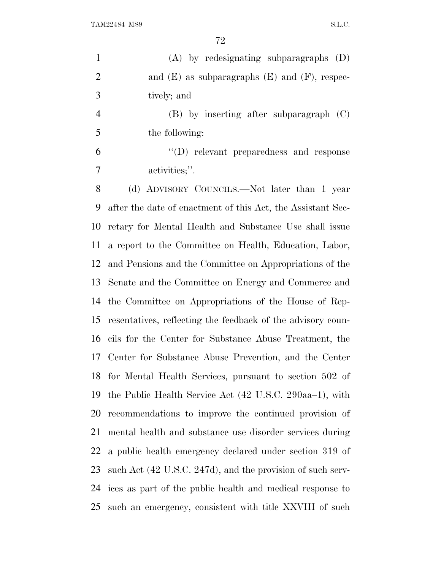| $\mathbf{1}$   | $(A)$ by redesignating subparagraphs $(D)$                  |
|----------------|-------------------------------------------------------------|
| $\overline{2}$ | and $(E)$ as subparagraphs $(E)$ and $(F)$ , respec-        |
| 3              | tively; and                                                 |
| $\overline{4}$ | $(B)$ by inserting after subparagraph $(C)$                 |
| 5              | the following:                                              |
| 6              | $\lq\lq$ relevant preparedness and response                 |
| 7              | activities;".                                               |
| 8              | (d) ADVISORY COUNCILS.—Not later than 1 year                |
| 9              | after the date of enactment of this Act, the Assistant Sec- |
| 10             | retary for Mental Health and Substance Use shall issue      |
| 11             | a report to the Committee on Health, Education, Labor,      |
| 12             | and Pensions and the Committee on Appropriations of the     |
| 13             | Senate and the Committee on Energy and Commerce and         |
| 14             | the Committee on Appropriations of the House of Rep-        |
| 15             | resentatives, reflecting the feedback of the advisory coun- |
| 16             | cils for the Center for Substance Abuse Treatment, the      |
| 17             | Center for Substance Abuse Prevention, and the Center       |
| 18             | for Mental Health Services, pursuant to section 502 of      |
| 19             | the Public Health Service Act (42 U.S.C. 290aa–1), with     |
| 20             | recommendations to improve the continued provision of       |
| 21             | mental health and substance use disorder services during    |
| 22             | a public health emergency declared under section 319 of     |
| 23             | such Act (42 U.S.C. 247d), and the provision of such serv-  |
| 24             | ices as part of the public health and medical response to   |

such an emergency, consistent with title XXVIII of such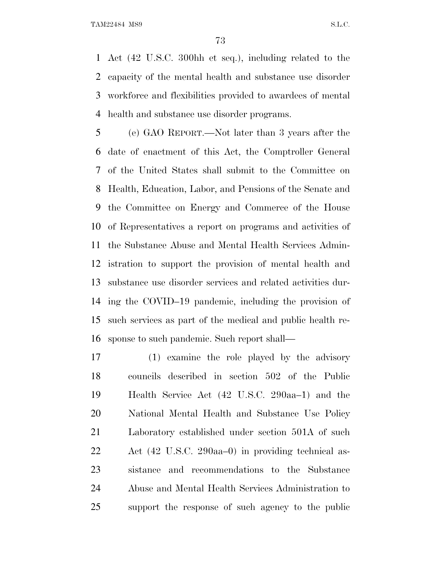Act (42 U.S.C. 300hh et seq.), including related to the capacity of the mental health and substance use disorder workforce and flexibilities provided to awardees of mental health and substance use disorder programs.

 (e) GAO REPORT.—Not later than 3 years after the date of enactment of this Act, the Comptroller General of the United States shall submit to the Committee on Health, Education, Labor, and Pensions of the Senate and the Committee on Energy and Commerce of the House of Representatives a report on programs and activities of the Substance Abuse and Mental Health Services Admin- istration to support the provision of mental health and substance use disorder services and related activities dur- ing the COVID–19 pandemic, including the provision of such services as part of the medical and public health re-sponse to such pandemic. Such report shall—

 (1) examine the role played by the advisory councils described in section 502 of the Public Health Service Act (42 U.S.C. 290aa–1) and the National Mental Health and Substance Use Policy Laboratory established under section 501A of such Act (42 U.S.C. 290aa–0) in providing technical as- sistance and recommendations to the Substance Abuse and Mental Health Services Administration to support the response of such agency to the public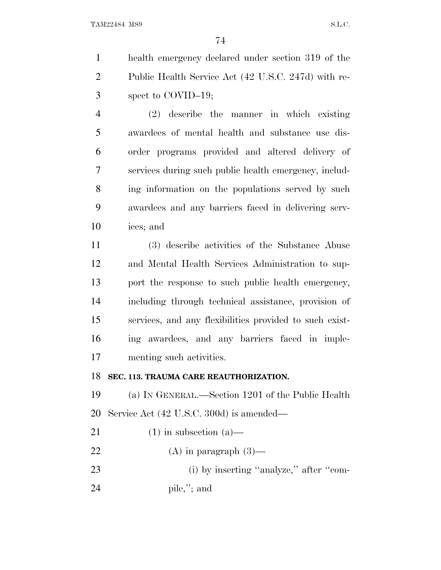health emergency declared under section 319 of the Public Health Service Act (42 U.S.C. 247d) with re-spect to COVID–19;

 (2) describe the manner in which existing awardees of mental health and substance use dis- order programs provided and altered delivery of services during such public health emergency, includ-8 ing information on the populations served by such awardees and any barriers faced in delivering serv-ices; and

 (3) describe activities of the Substance Abuse and Mental Health Services Administration to sup- port the response to such public health emergency, including through technical assistance, provision of services, and any flexibilities provided to such exist- ing awardees, and any barriers faced in imple-menting such activities.

#### **SEC. 113. TRAUMA CARE REAUTHORIZATION.**

 (a) I<sup>N</sup> GENERAL.—Section 1201 of the Public Health Service Act (42 U.S.C. 300d) is amended—

- 21 (1) in subsection  $(a)$ —
- 22 (A) in paragraph  $(3)$ —

23 (i) by inserting "analyze," after "com-

pile,''; and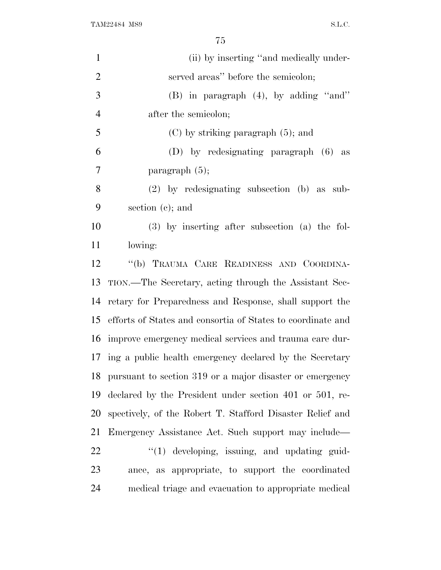| $\mathbf{1}$   | (ii) by inserting "and medically under-                     |
|----------------|-------------------------------------------------------------|
| $\overline{2}$ | served areas" before the semicolon;                         |
| 3              | $(B)$ in paragraph $(4)$ , by adding "and"                  |
| $\overline{4}$ | after the semicolon;                                        |
| 5              | $(C)$ by striking paragraph $(5)$ ; and                     |
| 6              | (D) by redesignating paragraph (6) as                       |
| 7              | paragraph $(5)$ ;                                           |
| 8              | $(2)$ by redesignating subsection (b) as sub-               |
| 9              | section $(c)$ ; and                                         |
| 10             | $(3)$ by inserting after subsection (a) the fol-            |
| 11             | lowing:                                                     |
| 12             | "(b) TRAUMA CARE READINESS AND COORDINA-                    |
| 13             | TION.—The Secretary, acting through the Assistant Sec-      |
| 14             | retary for Preparedness and Response, shall support the     |
| 15             | efforts of States and consortia of States to coordinate and |
| 16             | improve emergency medical services and trauma care dur-     |
| 17             | ing a public health emergency declared by the Secretary     |
| 18             | pursuant to section 319 or a major disaster or emergency    |
| 19             | declared by the President under section 401 or 501, re-     |
| 20             | spectively, of the Robert T. Stafford Disaster Relief and   |
| 21             | Emergency Assistance Act. Such support may include—         |
| 22             | $\lq(1)$ developing, issuing, and updating guid-            |
| 23             | ance, as appropriate, to support the coordinated            |
| 24             | medical triage and evacuation to appropriate medical        |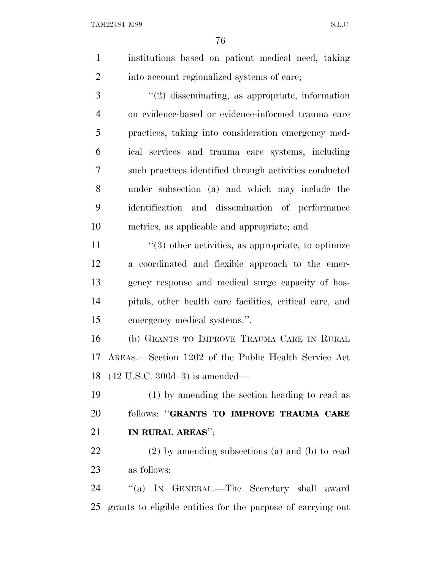- institutions based on patient medical need, taking 2 into account regionalized systems of care; ''(2) disseminating, as appropriate, information on evidence-based or evidence-informed trauma care practices, taking into consideration emergency med-ical services and trauma care systems, including
- such practices identified through activities conducted under subsection (a) and which may include the identification and dissemination of performance metrics, as applicable and appropriate; and
- $\frac{11}{2}$  ''(3) other activities, as appropriate, to optimize a coordinated and flexible approach to the emer- gency response and medical surge capacity of hos- pitals, other health care facilities, critical care, and emergency medical systems.''.
- (b) GRANTS TO IMPROVE TRAUMA CARE IN RURAL AREAS.—Section 1202 of the Public Health Service Act (42 U.S.C. 300d–3) is amended—
- (1) by amending the section heading to read as follows: ''**GRANTS TO IMPROVE TRAUMA CARE IN RURAL AREAS**'';
- (2) by amending subsections (a) and (b) to read as follows:
- ''(a) I<sup>N</sup> GENERAL.—The Secretary shall award grants to eligible entities for the purpose of carrying out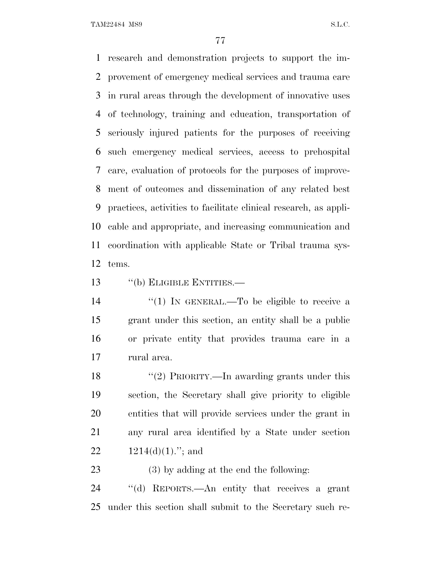research and demonstration projects to support the im- provement of emergency medical services and trauma care in rural areas through the development of innovative uses of technology, training and education, transportation of seriously injured patients for the purposes of receiving such emergency medical services, access to prehospital care, evaluation of protocols for the purposes of improve- ment of outcomes and dissemination of any related best practices, activities to facilitate clinical research, as appli- cable and appropriate, and increasing communication and coordination with applicable State or Tribal trauma sys-tems.

13 "(b) ELIGIBLE ENTITIES.—

 $\frac{1}{2}$  (1) In GENERAL.—To be eligible to receive a grant under this section, an entity shall be a public or private entity that provides trauma care in a rural area.

18 ''(2) PRIORITY.—In awarding grants under this section, the Secretary shall give priority to eligible entities that will provide services under the grant in any rural area identified by a State under section  $1214(d)(1)$ ."; and

(3) by adding at the end the following:

 ''(d) REPORTS.—An entity that receives a grant under this section shall submit to the Secretary such re-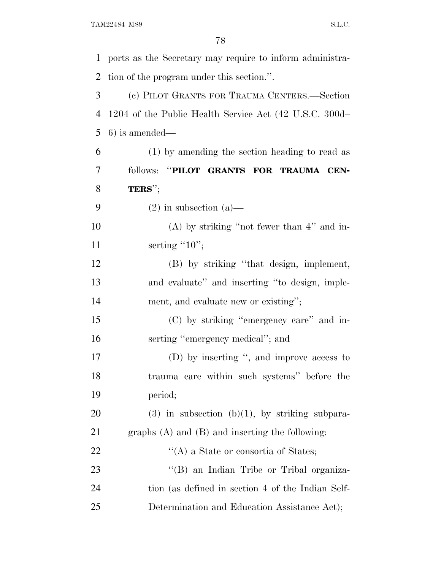ports as the Secretary may require to inform administra- tion of the program under this section.''. (c) PILOT GRANTS FOR TRAUMA CENTERS.—Section 1204 of the Public Health Service Act (42 U.S.C. 300d– 6) is amended— (1) by amending the section heading to read as follows: ''**PILOT GRANTS FOR TRAUMA CEN- TERS**''; 9 (2) in subsection (a) (A) by striking ''not fewer than 4'' and in-11 serting "10"; (B) by striking ''that design, implement, and evaluate'' and inserting ''to design, imple-14 ment, and evaluate new or existing"; (C) by striking ''emergency care'' and in-16 serting "emergency medical"; and (D) by inserting '', and improve access to trauma care within such systems'' before the period; 20 (3) in subsection  $(b)(1)$ , by striking subpara- graphs (A) and (B) and inserting the following: 22 ''(A) a State or consortia of States; 23 ''(B) an Indian Tribe or Tribal organiza- tion (as defined in section 4 of the Indian Self-Determination and Education Assistance Act);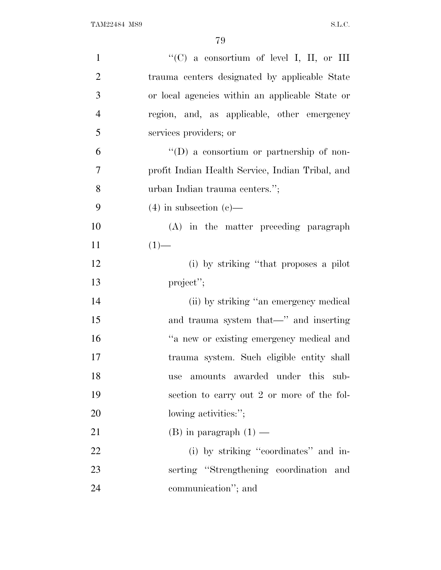| $\mathbf{1}$   | "(C) a consortium of level I, II, or III         |
|----------------|--------------------------------------------------|
| $\overline{2}$ | trauma centers designated by applicable State    |
| 3              | or local agencies within an applicable State or  |
| $\overline{4}$ | region, and, as applicable, other emergency      |
| 5              | services providers; or                           |
| 6              | $\lq\lq$ a consortium or partnership of non-     |
| $\tau$         | profit Indian Health Service, Indian Tribal, and |
| 8              | urban Indian trauma centers.";                   |
| 9              | $(4)$ in subsection $(e)$ —                      |
| 10             | (A) in the matter preceding paragraph            |
| 11             | $(1)$ —                                          |
| 12             | (i) by striking "that proposes a pilot           |
| 13             | project";                                        |
| 14             | (ii) by striking "an emergency medical           |
| 15             | and trauma system that—" and inserting           |
| 16             | "a new or existing emergency medical and         |
| 17             | trauma system. Such eligible entity shall        |
| 18             | amounts awarded under this sub-<br>use           |
| 19             | section to carry out 2 or more of the fol-       |
| 20             | lowing activities:";                             |
| 21             | (B) in paragraph $(1)$ —                         |
| 22             | (i) by striking "coordinates" and in-            |
| 23             | serting "Strengthening coordination and          |
| 24             | communication"; and                              |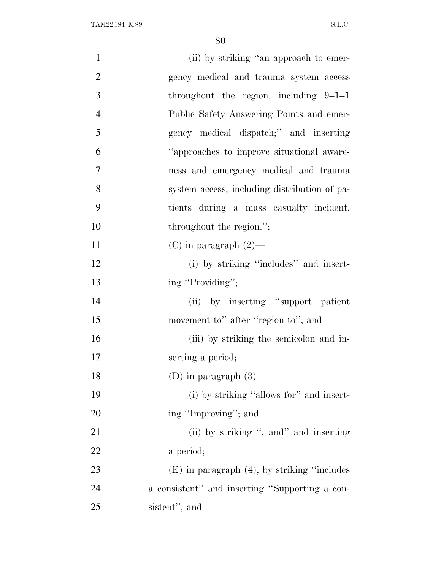| $\mathbf{1}$   | (ii) by striking "an approach to emer-            |
|----------------|---------------------------------------------------|
| $\overline{2}$ | gency medical and trauma system access            |
| 3              | throughout the region, including $9-1-1$          |
| $\overline{4}$ | Public Safety Answering Points and emer-          |
| 5              | gency medical dispatch;" and inserting            |
| 6              | "approaches to improve situational aware-         |
| 7              | ness and emergency medical and trauma             |
| 8              | system access, including distribution of pa-      |
| 9              | tients during a mass casualty incident,           |
| 10             | throughout the region.";                          |
| 11             | $(C)$ in paragraph $(2)$ —                        |
| 12             | (i) by striking "includes" and insert-            |
| 13             | ing "Providing";                                  |
| 14             | (ii) by inserting "support patient                |
| 15             | movement to" after "region to"; and               |
| 16             | (iii) by striking the semicolon and in-           |
| 17             | serting a period;                                 |
| 18             | (D) in paragraph $(3)$ —                          |
| 19             | (i) by striking "allows for" and insert-          |
| 20             | ing "Improving"; and                              |
| 21             | (ii) by striking "; and inserting                 |
| 22             | a period;                                         |
| 23             | $(E)$ in paragraph $(4)$ , by striking "includes" |
| 24             | a consistent" and inserting "Supporting a con-    |
| 25             | sistent"; and                                     |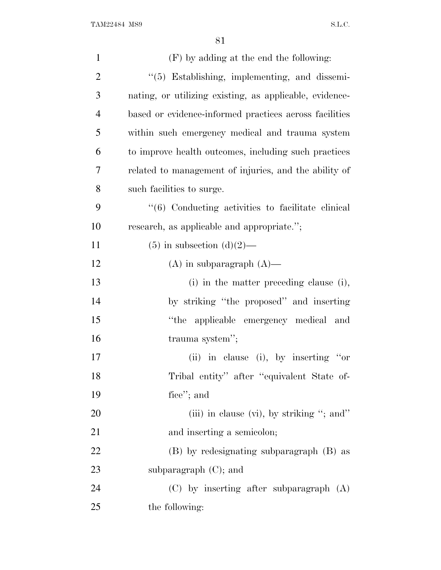| $\mathbf{1}$   | (F) by adding at the end the following:                 |
|----------------|---------------------------------------------------------|
| $\overline{2}$ | "(5) Establishing, implementing, and dissemi-           |
| 3              | nating, or utilizing existing, as applicable, evidence- |
| $\overline{4}$ | based or evidence-informed practices across facilities  |
| 5              | within such emergency medical and trauma system         |
| 6              | to improve health outcomes, including such practices    |
| 7              | related to management of injuries, and the ability of   |
| 8              | such facilities to surge.                               |
| 9              | "(6) Conducting activities to facilitate clinical       |
| 10             | research, as applicable and appropriate.";              |
| 11             | $(5)$ in subsection $(d)(2)$ —                          |
| 12             | $(A)$ in subparagraph $(A)$ —                           |
| 13             | (i) in the matter preceding clause (i),                 |
| 14             | by striking "the proposed" and inserting                |
| 15             | applicable emergency medical and<br>"the                |
| 16             | trauma system";                                         |
| 17             | (ii) in clause (i), by inserting "or                    |
| 18             | Tribal entity" after "equivalent State of-              |
| 19             | fice"; and                                              |
| 20             | (iii) in clause (vi), by striking "; and"               |
| 21             | and inserting a semicolon;                              |
| 22             | (B) by redesignating subparagraph (B) as                |
| 23             | subparagraph $(C)$ ; and                                |
| 24             | $(C)$ by inserting after subparagraph $(A)$             |
| 25             | the following:                                          |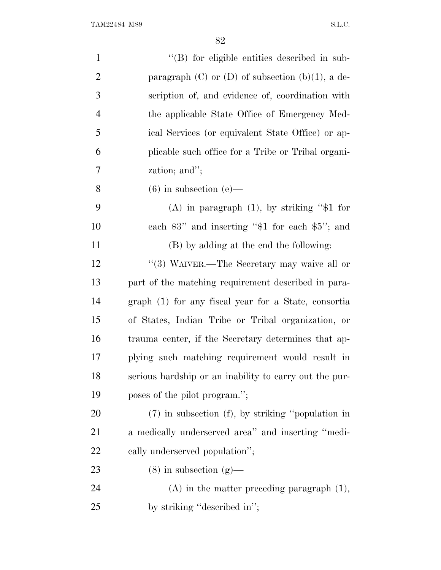| $\mathbf{1}$   | "(B) for eligible entities described in sub-            |
|----------------|---------------------------------------------------------|
| $\overline{2}$ | paragraph $(C)$ or $(D)$ of subsection $(b)(1)$ , a de- |
| 3              | scription of, and evidence of, coordination with        |
| $\overline{4}$ | the applicable State Office of Emergency Med-           |
| 5              | ical Services (or equivalent State Office) or ap-       |
| 6              | plicable such office for a Tribe or Tribal organi-      |
| 7              | zation; and";                                           |
| 8              | $(6)$ in subsection $(e)$ —                             |
| 9              | (A) in paragraph $(1)$ , by striking "\$1 for           |
| 10             | each $$3"$ and inserting " $$1$ for each $$5"$ ; and    |
| 11             | (B) by adding at the end the following:                 |
| 12             | "(3) WAIVER.—The Secretary may waive all or             |
| 13             | part of the matching requirement described in para-     |
| 14             | graph (1) for any fiscal year for a State, consortia    |
| 15             | of States, Indian Tribe or Tribal organization, or      |
| 16             | trauma center, if the Secretary determines that ap-     |
| 17             | plying such matching requirement would result in        |
| 18             | serious hardship or an inability to carry out the pur-  |
| 19             | poses of the pilot program.";                           |
| 20             | $(7)$ in subsection $(f)$ , by striking "population in  |
| <b>21</b>      | a medically underserved area" and inserting "medi-      |
| 22             | cally underserved population";                          |
| 23             | $(8)$ in subsection $(g)$ —                             |
| 24             | $(A)$ in the matter preceding paragraph $(1)$ ,         |
| 25             | by striking "described in";                             |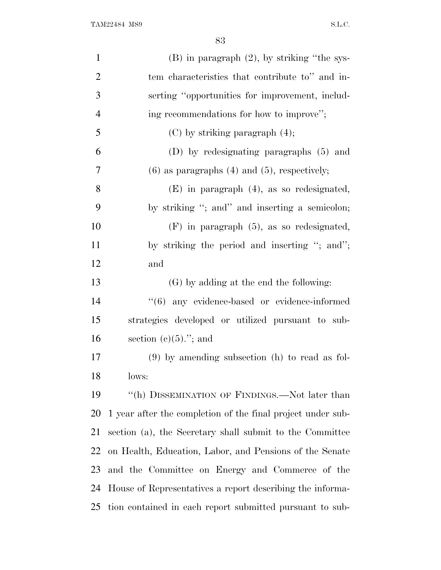| $\mathbf{1}$   | $(B)$ in paragraph $(2)$ , by striking "the sys-            |
|----------------|-------------------------------------------------------------|
| $\overline{2}$ | tem characteristics that contribute to" and in-             |
| 3              | serting "opportunities for improvement, includ-             |
| $\overline{4}$ | ing recommendations for how to improve";                    |
| 5              | $(C)$ by striking paragraph $(4)$ ;                         |
| 6              | (D) by redesignating paragraphs (5) and                     |
| 7              | $(6)$ as paragraphs $(4)$ and $(5)$ , respectively;         |
| 8              | $(E)$ in paragraph $(4)$ , as so redesignated,              |
| 9              | by striking "; and" and inserting a semicolon;              |
| 10             | $(F)$ in paragraph $(5)$ , as so redesignated,              |
| 11             | by striking the period and inserting "; and";               |
| 12             | and                                                         |
| 13             | (G) by adding at the end the following:                     |
| 14             | "(6) any evidence-based or evidence-informed                |
| 15             | strategies developed or utilized pursuant to sub-           |
| 16             | section $(e)(5)$ ."; and                                    |
| 17             | $(9)$ by amending subsection (h) to read as fol-            |
| 18             | lows:                                                       |
| 19             | "(h) DISSEMINATION OF FINDINGS.—Not later than              |
| 20             | 1 year after the completion of the final project under sub- |
| 21             | section (a), the Secretary shall submit to the Committee    |
| 22             | on Health, Education, Labor, and Pensions of the Senate     |
| 23             | and the Committee on Energy and Commerce of the             |
| 24             | House of Representatives a report describing the informa-   |
| 25             | tion contained in each report submitted pursuant to sub-    |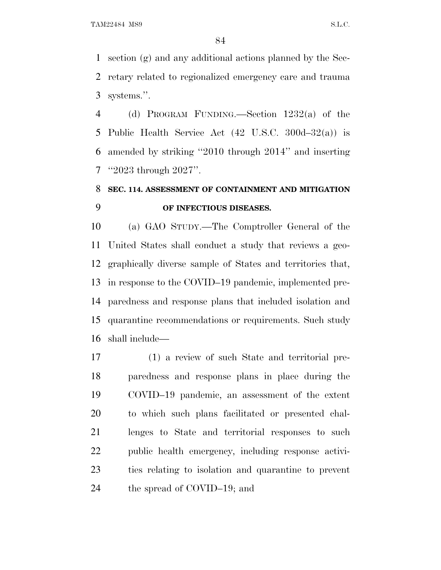section (g) and any additional actions planned by the Sec- retary related to regionalized emergency care and trauma systems.''.

 (d) PROGRAM FUNDING.—Section 1232(a) of the Public Health Service Act (42 U.S.C. 300d–32(a)) is amended by striking ''2010 through 2014'' and inserting ''2023 through 2027''.

### **SEC. 114. ASSESSMENT OF CONTAINMENT AND MITIGATION OF INFECTIOUS DISEASES.**

 (a) GAO STUDY.—The Comptroller General of the United States shall conduct a study that reviews a geo- graphically diverse sample of States and territories that, in response to the COVID–19 pandemic, implemented pre- paredness and response plans that included isolation and quarantine recommendations or requirements. Such study shall include—

 (1) a review of such State and territorial pre- paredness and response plans in place during the COVID–19 pandemic, an assessment of the extent to which such plans facilitated or presented chal- lenges to State and territorial responses to such public health emergency, including response activi- ties relating to isolation and quarantine to prevent the spread of COVID–19; and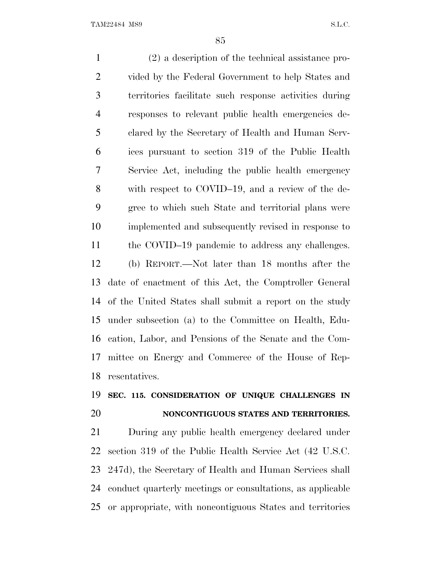(2) a description of the technical assistance pro- vided by the Federal Government to help States and territories facilitate such response activities during responses to relevant public health emergencies de- clared by the Secretary of Health and Human Serv- ices pursuant to section 319 of the Public Health Service Act, including the public health emergency with respect to COVID–19, and a review of the de- gree to which such State and territorial plans were implemented and subsequently revised in response to 11 the COVID–19 pandemic to address any challenges. (b) REPORT.—Not later than 18 months after the date of enactment of this Act, the Comptroller General of the United States shall submit a report on the study under subsection (a) to the Committee on Health, Edu- cation, Labor, and Pensions of the Senate and the Com- mittee on Energy and Commerce of the House of Rep-resentatives.

### **SEC. 115. CONSIDERATION OF UNIQUE CHALLENGES IN NONCONTIGUOUS STATES AND TERRITORIES.**

 During any public health emergency declared under section 319 of the Public Health Service Act (42 U.S.C. 247d), the Secretary of Health and Human Services shall conduct quarterly meetings or consultations, as applicable or appropriate, with noncontiguous States and territories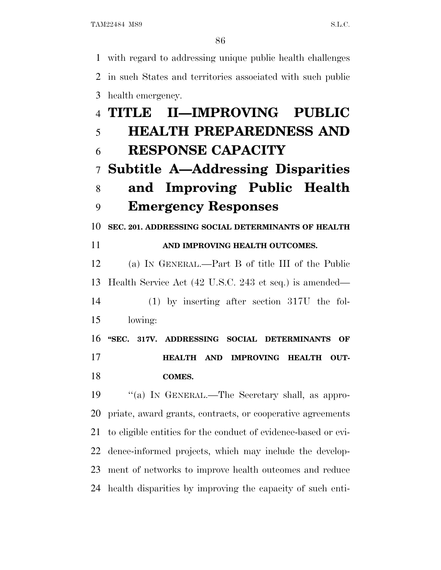with regard to addressing unique public health challenges in such States and territories associated with such public health emergency. **TITLE II—IMPROVING PUBLIC**

# **HEALTH PREPAREDNESS AND RESPONSE CAPACITY**

## **Subtitle A—Addressing Disparities and Improving Public Health**

## **Emergency Responses**

**SEC. 201. ADDRESSING SOCIAL DETERMINANTS OF HEALTH**

#### **AND IMPROVING HEALTH OUTCOMES.**

 (a) I<sup>N</sup> GENERAL.—Part B of title III of the Public Health Service Act (42 U.S.C. 243 et seq.) is amended—

 (1) by inserting after section 317U the fol-lowing:

 **''SEC. 317V. ADDRESSING SOCIAL DETERMINANTS OF HEALTH AND IMPROVING HEALTH OUT-COMES.**

 ''(a) I<sup>N</sup> GENERAL.—The Secretary shall, as appro- priate, award grants, contracts, or cooperative agreements to eligible entities for the conduct of evidence-based or evi- dence-informed projects, which may include the develop- ment of networks to improve health outcomes and reduce health disparities by improving the capacity of such enti-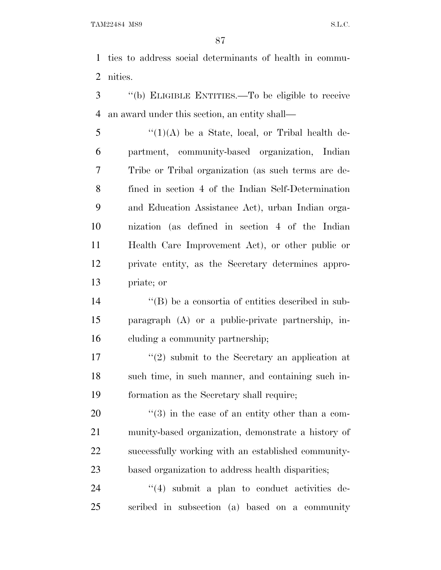ties to address social determinants of health in commu-nities.

 ''(b) ELIGIBLE ENTITIES.—To be eligible to receive an award under this section, an entity shall—

 "(1)(A) be a State, local, or Tribal health de- partment, community-based organization, Indian Tribe or Tribal organization (as such terms are de- fined in section 4 of the Indian Self-Determination and Education Assistance Act), urban Indian orga- nization (as defined in section 4 of the Indian Health Care Improvement Act), or other public or private entity, as the Secretary determines appro-priate; or

14  $\langle$  (B) be a consortia of entities described in sub- paragraph (A) or a public-private partnership, in-cluding a community partnership;

 $\frac{17}{2}$  ''(2) submit to the Secretary an application at such time, in such manner, and containing such in-formation as the Secretary shall require;

 ''(3) in the case of an entity other than a com- munity-based organization, demonstrate a history of successfully working with an established community-based organization to address health disparities;

24  $\frac{1}{4}$  submit a plan to conduct activities de-scribed in subsection (a) based on a community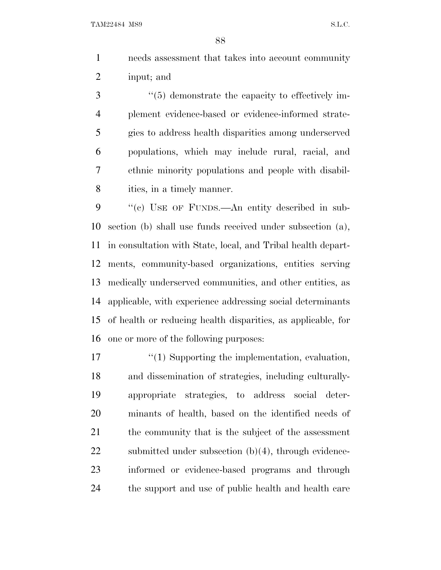needs assessment that takes into account community input; and

 $\frac{4}{5}$  demonstrate the capacity to effectively im- plement evidence-based or evidence-informed strate- gies to address health disparities among underserved populations, which may include rural, racial, and ethnic minority populations and people with disabil-8 ities, in a timely manner.

 ''(c) USE OF FUNDS.—An entity described in sub- section (b) shall use funds received under subsection (a), in consultation with State, local, and Tribal health depart- ments, community-based organizations, entities serving medically underserved communities, and other entities, as applicable, with experience addressing social determinants of health or reducing health disparities, as applicable, for one or more of the following purposes:

 $\frac{1}{2}$  (1) Supporting the implementation, evaluation, and dissemination of strategies, including culturally- appropriate strategies, to address social deter- minants of health, based on the identified needs of the community that is the subject of the assessment 22 submitted under subsection (b)(4), through evidence- informed or evidence-based programs and through the support and use of public health and health care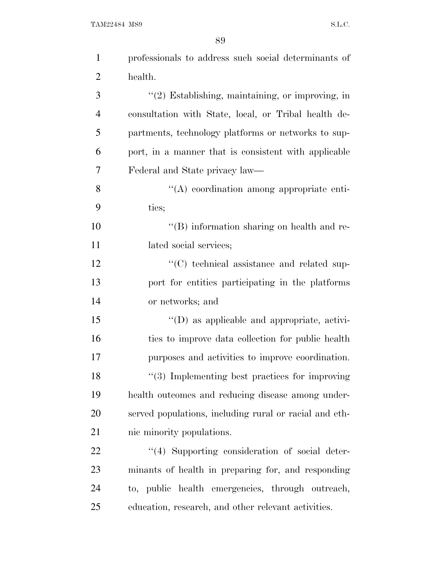| $\mathbf{1}$   | professionals to address such social determinants of   |
|----------------|--------------------------------------------------------|
| $\overline{2}$ | health.                                                |
| 3              | "(2) Establishing, maintaining, or improving, in       |
| $\overline{4}$ | consultation with State, local, or Tribal health de-   |
| 5              | partments, technology platforms or networks to sup-    |
| 6              | port, in a manner that is consistent with applicable   |
| 7              | Federal and State privacy law—                         |
| 8              | $\lq\lq$ coordination among appropriate enti-          |
| 9              | ties;                                                  |
| 10             | $\lq\lq$ information sharing on health and re-         |
| 11             | lated social services;                                 |
| 12             | $\cdot$ (C) technical assistance and related sup-      |
| 13             | port for entities participating in the platforms       |
| 14             | or networks; and                                       |
| 15             | "(D) as applicable and appropriate, activi-            |
| 16             | ties to improve data collection for public health      |
| 17             | purposes and activities to improve coordination.       |
| 18             | $\lq(3)$ Implementing best practices for improving     |
| 19             | health outcomes and reducing disease among under-      |
| 20             | served populations, including rural or racial and eth- |
| 21             | nic minority populations.                              |
| 22             | "(4) Supporting consideration of social deter-         |
| 23             | minants of health in preparing for, and responding     |
| 24             | to, public health emergencies, through outreach,       |
| 25             | education, research, and other relevant activities.    |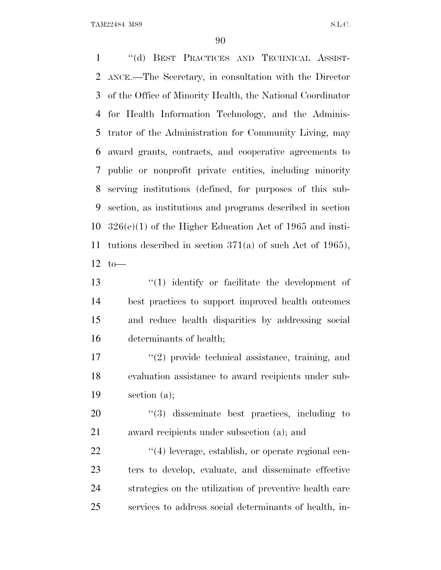''(d) BEST PRACTICES AND TECHNICAL ASSIST- ANCE.—The Secretary, in consultation with the Director of the Office of Minority Health, the National Coordinator for Health Information Technology, and the Adminis- trator of the Administration for Community Living, may award grants, contracts, and cooperative agreements to public or nonprofit private entities, including minority serving institutions (defined, for purposes of this sub- section, as institutions and programs described in section 326(e)(1) of the Higher Education Act of 1965 and insti- tutions described in section 371(a) of such Act of 1965), to—

 ''(1) identify or facilitate the development of best practices to support improved health outcomes and reduce health disparities by addressing social determinants of health;

17 ''(2) provide technical assistance, training, and evaluation assistance to award recipients under sub-section (a);

20  $\frac{1}{20}$   $\frac{1}{3}$  disseminate best practices, including to award recipients under subsection (a); and

 $\frac{((4) \text{ leverage, establish, or operate regional cen-1})}{((4) \text{ leverage, establish, or operate regional cen-1})}$  ters to develop, evaluate, and disseminate effective strategies on the utilization of preventive health care services to address social determinants of health, in-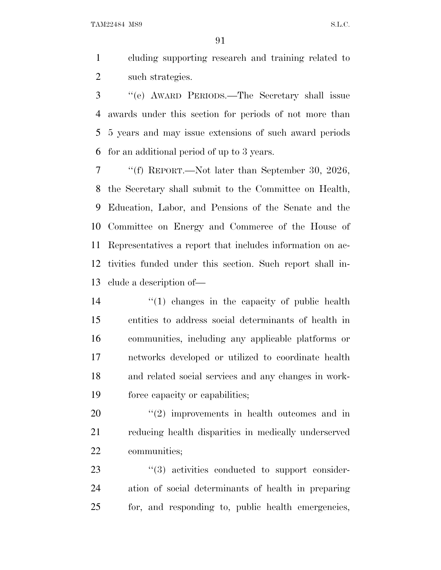cluding supporting research and training related to 2 such strategies.

 ''(e) AWARD PERIODS.—The Secretary shall issue awards under this section for periods of not more than 5 years and may issue extensions of such award periods for an additional period of up to 3 years.

 ''(f) REPORT.—Not later than September 30, 2026, the Secretary shall submit to the Committee on Health, Education, Labor, and Pensions of the Senate and the Committee on Energy and Commerce of the House of Representatives a report that includes information on ac- tivities funded under this section. Such report shall in-clude a description of—

 ''(1) changes in the capacity of public health entities to address social determinants of health in communities, including any applicable platforms or networks developed or utilized to coordinate health and related social services and any changes in work-force capacity or capabilities;

  $(2)$  improvements in health outcomes and in reducing health disparities in medically underserved communities;

23  $\frac{1}{2}$  (3) activities conducted to support consider- ation of social determinants of health in preparing for, and responding to, public health emergencies,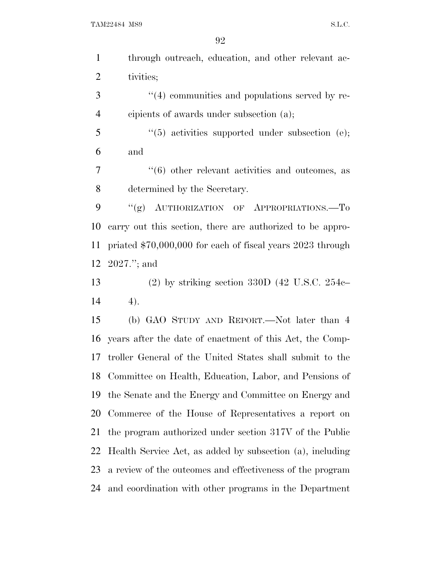through outreach, education, and other relevant ac-tivities;

3  $\frac{4}{4}$  communities and populations served by re-cipients of awards under subsection (a);

5 "(5) activities supported under subsection (e); and

 ''(6) other relevant activities and outcomes, as determined by the Secretary.

9 "(g) AUTHORIZATION OF APPROPRIATIONS.—To carry out this section, there are authorized to be appro- priated \$70,000,000 for each of fiscal years 2023 through 2027.''; and

 (2) by striking section 330D (42 U.S.C. 254c– 4).

 (b) GAO STUDY AND REPORT.—Not later than 4 years after the date of enactment of this Act, the Comp- troller General of the United States shall submit to the Committee on Health, Education, Labor, and Pensions of the Senate and the Energy and Committee on Energy and Commerce of the House of Representatives a report on the program authorized under section 317V of the Public Health Service Act, as added by subsection (a), including a review of the outcomes and effectiveness of the program and coordination with other programs in the Department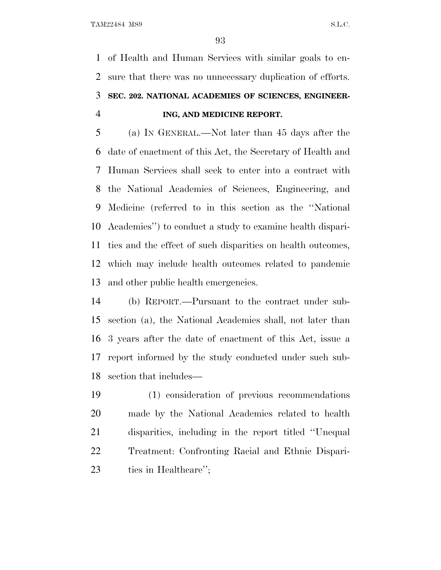of Health and Human Services with similar goals to en- sure that there was no unnecessary duplication of efforts. **SEC. 202. NATIONAL ACADEMIES OF SCIENCES, ENGINEER-ING, AND MEDICINE REPORT.**

 (a) I<sup>N</sup> GENERAL.—Not later than 45 days after the date of enactment of this Act, the Secretary of Health and Human Services shall seek to enter into a contract with the National Academies of Sciences, Engineering, and Medicine (referred to in this section as the ''National Academies'') to conduct a study to examine health dispari- ties and the effect of such disparities on health outcomes, which may include health outcomes related to pandemic and other public health emergencies.

 (b) REPORT.—Pursuant to the contract under sub- section (a), the National Academies shall, not later than 3 years after the date of enactment of this Act, issue a report informed by the study conducted under such sub-section that includes—

 (1) consideration of previous recommendations made by the National Academies related to health disparities, including in the report titled ''Unequal Treatment: Confronting Racial and Ethnic Dispari-ties in Healthcare'';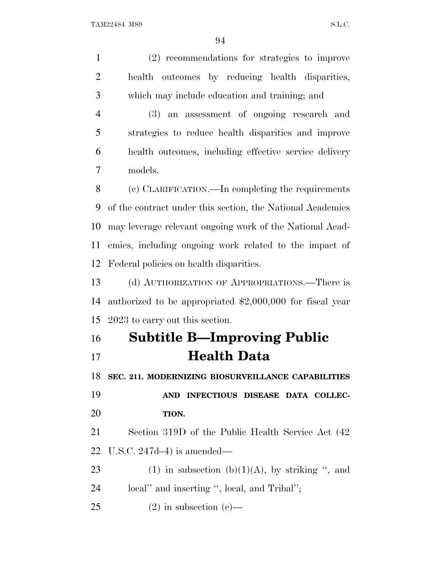(2) recommendations for strategies to improve health outcomes by reducing health disparities, which may include education and training; and (3) an assessment of ongoing research and strategies to reduce health disparities and improve health outcomes, including effective service delivery models. (c) CLARIFICATION.—In completing the requirements of the contract under this section, the National Academies may leverage relevant ongoing work of the National Acad- emies, including ongoing work related to the impact of Federal policies on health disparities. (d) AUTHORIZATION OF APPROPRIATIONS.—There is authorized to be appropriated \$2,000,000 for fiscal year 2023 to carry out this section. **Subtitle B—Improving Public Health Data SEC. 211. MODERNIZING BIOSURVEILLANCE CAPABILITIES AND INFECTIOUS DISEASE DATA COLLEC- TION.** Section 319D of the Public Health Service Act (42 U.S.C. 247d–4) is amended— 23 (1) in subsection (b)(1)(A), by striking ", and local'' and inserting '', local, and Tribal''; 25 (2) in subsection (c)—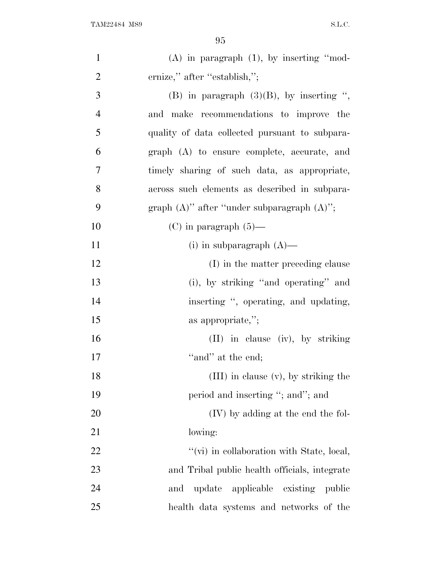| $\mathbf{1}$   | $(A)$ in paragraph $(1)$ , by inserting "mod-    |
|----------------|--------------------------------------------------|
| $\overline{2}$ | ernize," after "establish,";                     |
| 3              | (B) in paragraph $(3)(B)$ , by inserting ",      |
| $\overline{4}$ | and make recommendations to improve the          |
| 5              | quality of data collected pursuant to subpara-   |
| 6              | graph (A) to ensure complete, accurate, and      |
| 7              | timely sharing of such data, as appropriate,     |
| 8              | across such elements as described in subpara-    |
| 9              | graph $(A)$ " after "under subparagraph $(A)$ "; |
| 10             | $(C)$ in paragraph $(5)$ —                       |
| 11             | (i) in subparagraph $(A)$ —                      |
| 12             | (I) in the matter preceding clause               |
| 13             | (i), by striking "and operating" and             |
| 14             | inserting ", operating, and updating,            |
| 15             | as appropriate,";                                |
| 16             | (II) in clause (iv), by striking                 |
| 17             | "and" at the end;                                |
| 18             | (III) in clause (v), by striking the             |
| 19             | period and inserting "; and"; and                |
| 20             | (IV) by adding at the end the fol-               |
| 21             | lowing:                                          |
| 22             | "(vi) in collaboration with State, local,        |
| 23             | and Tribal public health officials, integrate    |
| 24             | update applicable<br>existing public<br>and      |
| 25             | health data systems and networks of the          |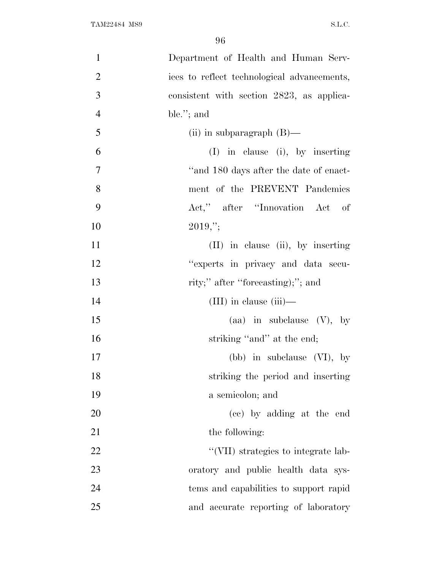| $\mathbf{1}$   | Department of Health and Human Serv-        |
|----------------|---------------------------------------------|
| $\overline{2}$ | ices to reflect technological advancements, |
| 3              | consistent with section 2823, as applica-   |
| $\overline{4}$ | ble."; and                                  |
| 5              | (ii) in subparagraph $(B)$ —                |
| 6              | $(I)$ in clause (i), by inserting           |
| $\overline{7}$ | "and 180 days after the date of enact-      |
| 8              | ment of the PREVENT Pandemics               |
| 9              | Act," after "Innovation Act of              |
| 10             | $2019,$ ";                                  |
| 11             | $(II)$ in clause (ii), by inserting         |
| 12             | "experts in privacy and data secu-          |
| 13             | rity;" after "forecasting);"; and           |
| 14             | $(III)$ in clause $(iii)$ —                 |
| 15             | (aa) in subclause $(V)$ , by                |
| 16             | striking "and" at the end;                  |
| 17             | (bb) in subclause $(VI)$ , by               |
| 18             | striking the period and inserting           |
| 19             | a semicolon; and                            |
| 20             | (cc) by adding at the end                   |
| 21             | the following:                              |
| 22             | "(VII) strategies to integrate lab-         |
| 23             | oratory and public health data sys-         |
| 24             | tems and capabilities to support rapid      |
| 25             | and accurate reporting of laboratory        |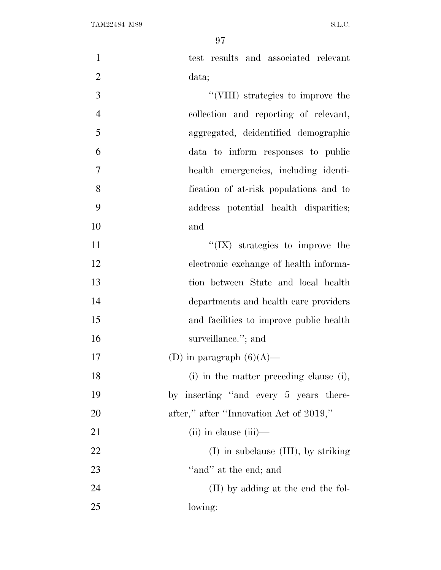| $\mathbf{1}$   | test results and associated relevant     |
|----------------|------------------------------------------|
| $\overline{2}$ | data;                                    |
| 3              | "(VIII) strategies to improve the        |
| $\overline{4}$ | collection and reporting of relevant,    |
| 5              | aggregated, deidentified demographic     |
| 6              | data to inform responses to public       |
| 7              | health emergencies, including identi-    |
| 8              | fication of at-risk populations and to   |
| 9              | address potential health disparities;    |
| 10             | and                                      |
| 11             | $\lq\lq$ (IX) strategies to improve the  |
| 12             | electronic exchange of health informa-   |
| 13             | tion between State and local health      |
| 14             | departments and health care providers    |
| 15             | and facilities to improve public health  |
| 16             | surveillance."; and                      |
| 17             | (D) in paragraph $(6)(A)$ —              |
| 18             | (i) in the matter preceding clause (i),  |
| 19             | by inserting "and every 5 years there-   |
| 20             | after," after "Innovation Act of 2019,"  |
| 21             | $(ii)$ in clause $(iii)$ —               |
| 22             | $(I)$ in subclause $(III)$ , by striking |
| 23             | "and" at the end; and                    |
| 24             | (II) by adding at the end the fol-       |
| 25             | lowing:                                  |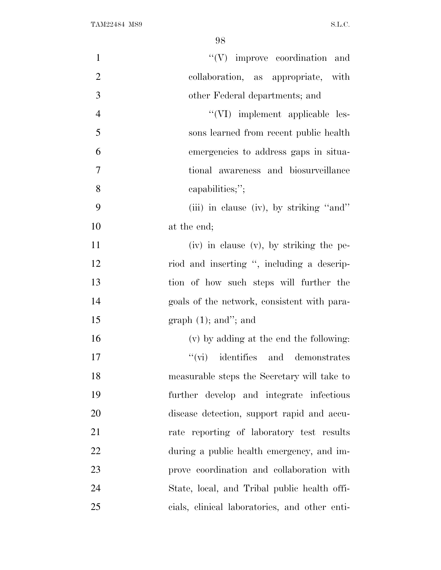| $\mathbf{1}$     | $\lq\lq(V)$ improve coordination and          |
|------------------|-----------------------------------------------|
| $\overline{2}$   | collaboration, as appropriate, with           |
| $\mathfrak{Z}$   | other Federal departments; and                |
| $\overline{4}$   | "(VI) implement applicable les-               |
| 5                | sons learned from recent public health        |
| 6                | emergencies to address gaps in situa-         |
| $\boldsymbol{7}$ | tional awareness and biosurveillance          |
| 8                | capabilities;";                               |
| 9                | (iii) in clause (iv), by striking "and"       |
| 10               | at the end;                                   |
| 11               | $(iv)$ in clause $(v)$ , by striking the pe-  |
| 12               | riod and inserting ", including a descrip-    |
| 13               | tion of how such steps will further the       |
| 14               | goals of the network, consistent with para-   |
| 15               | graph $(1)$ ; and"; and                       |
| 16               | (v) by adding at the end the following:       |
| 17               | $\lq\lq$ (vi) identifies and demonstrates     |
| 18               | measurable steps the Secretary will take to   |
| 19               | further develop and integrate infectious      |
| 20               | disease detection, support rapid and accu-    |
| 21               | rate reporting of laboratory test results     |
| 22               | during a public health emergency, and im-     |
| 23               | prove coordination and collaboration with     |
| 24               | State, local, and Tribal public health offi-  |
| 25               | cials, clinical laboratories, and other enti- |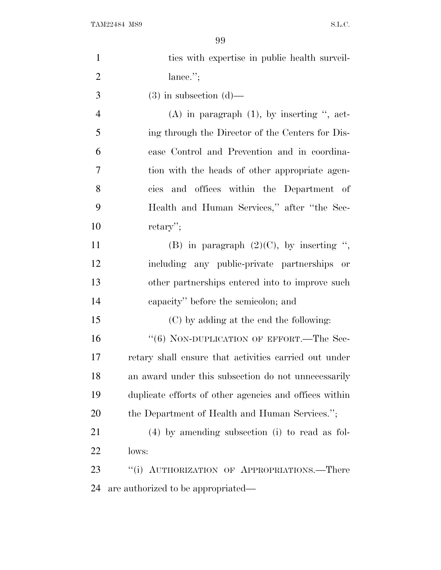| $\mathbf{1}$   | ties with expertise in public health surveil-          |
|----------------|--------------------------------------------------------|
| $\overline{2}$ | lance.";                                               |
| 3              | $(3)$ in subsection $(d)$ —                            |
| $\overline{4}$ | $(A)$ in paragraph $(1)$ , by inserting ", act-        |
| 5              | ing through the Director of the Centers for Dis-       |
| 6              | ease Control and Prevention and in coordina-           |
| 7              | tion with the heads of other appropriate agen-         |
| 8              | cies and offices within the Department of              |
| 9              | Health and Human Services," after "the Sec-            |
| 10             | $return$ .                                             |
| 11             | (B) in paragraph $(2)(C)$ , by inserting ",            |
| 12             | including any public-private partnerships or           |
| 13             | other partnerships entered into to improve such        |
| 14             | capacity" before the semicolon; and                    |
| 15             | (C) by adding at the end the following:                |
| 16             | "(6) NON-DUPLICATION OF EFFORT.—The Sec-               |
| 17             | retary shall ensure that activities carried out under  |
| 18             | an award under this subsection do not unnecessarily    |
| 19             | duplicate efforts of other agencies and offices within |
| 20             | the Department of Health and Human Services.";         |
| 21             | $(4)$ by amending subsection (i) to read as fol-       |
| 22             | lows:                                                  |
| 23             | "(i) AUTHORIZATION OF APPROPRIATIONS.—There            |
| 24             | are authorized to be appropriated—                     |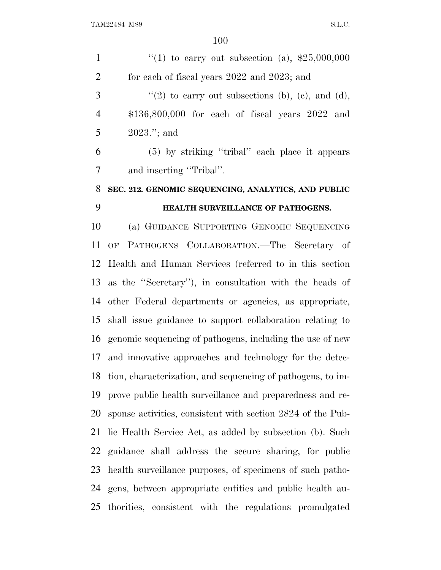| $\mathbf{1}$   | "(1) to carry out subsection (a), $$25,000,000$             |
|----------------|-------------------------------------------------------------|
| $\overline{2}$ | for each of fiscal years 2022 and 2023; and                 |
| 3              | "(2) to carry out subsections (b), (c), and (d),            |
| $\overline{4}$ | $$136,800,000$ for each of fiscal years $2022$ and          |
| 5              | $2023$ ."; and                                              |
| 6              | (5) by striking "tribal" each place it appears              |
| 7              | and inserting "Tribal".                                     |
| 8              | SEC. 212. GENOMIC SEQUENCING, ANALYTICS, AND PUBLIC         |
| 9              | HEALTH SURVEILLANCE OF PATHOGENS.                           |
| 10             | (a) GUIDANCE SUPPORTING GENOMIC SEQUENCING                  |
| 11             | PATHOGENS COLLABORATION.-The Secretary of<br>OF             |
| 12             | Health and Human Services (referred to in this section      |
| 13             | as the "Secretary"), in consultation with the heads of      |
| 14             | other Federal departments or agencies, as appropriate,      |
| 15             | shall issue guidance to support collaboration relating to   |
| 16             | genomic sequencing of pathogens, including the use of new   |
| 17             | and innovative approaches and technology for the detec-     |
| 18             | tion, characterization, and sequencing of pathogens, to im- |
| 19             | prove public health surveillance and preparedness and re-   |
| 20             | sponse activities, consistent with section 2824 of the Pub- |
| 21             | lic Health Service Act, as added by subsection (b). Such    |
| 22             | guidance shall address the secure sharing, for public       |
| 23             | health surveillance purposes, of specimens of such patho-   |
| 24             | gens, between appropriate entities and public health au-    |
| 25             | thorities, consistent with the regulations promulgated      |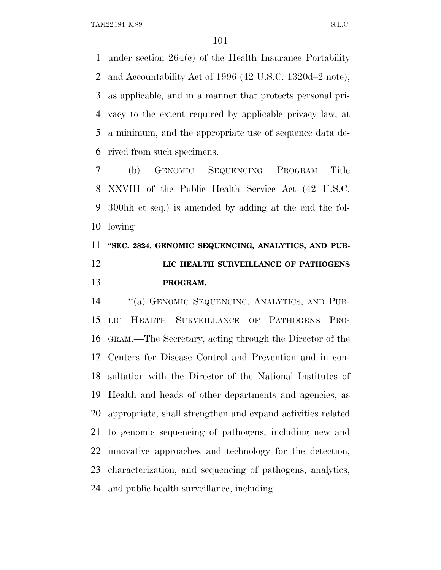under section 264(c) of the Health Insurance Portability and Accountability Act of 1996 (42 U.S.C. 1320d–2 note), as applicable, and in a manner that protects personal pri- vacy to the extent required by applicable privacy law, at a minimum, and the appropriate use of sequence data de-rived from such specimens.

 (b) GENOMIC SEQUENCING PROGRAM.—Title XXVIII of the Public Health Service Act (42 U.S.C. 300hh et seq.) is amended by adding at the end the fol-lowing

## **''SEC. 2824. GENOMIC SEQUENCING, ANALYTICS, AND PUB- LIC HEALTH SURVEILLANCE OF PATHOGENS PROGRAM.**

 ''(a) GENOMIC SEQUENCING, ANALYTICS, AND PUB- LIC HEALTH SURVEILLANCE OF PATHOGENS PRO- GRAM.—The Secretary, acting through the Director of the Centers for Disease Control and Prevention and in con- sultation with the Director of the National Institutes of Health and heads of other departments and agencies, as appropriate, shall strengthen and expand activities related to genomic sequencing of pathogens, including new and innovative approaches and technology for the detection, characterization, and sequencing of pathogens, analytics, and public health surveillance, including—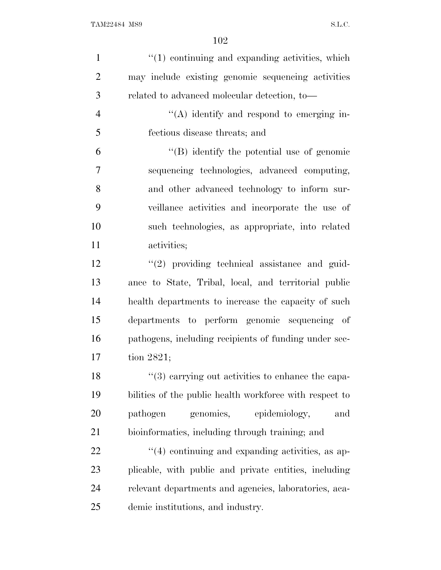| $\mathbf{1}$   | $"(1)$ continuing and expanding activities, which       |
|----------------|---------------------------------------------------------|
| $\overline{2}$ | may include existing genomic sequencing activities      |
| 3              | related to advanced molecular detection, to-            |
| $\overline{4}$ | $\lq\lq$ identify and respond to emerging in-           |
| 5              | fectious disease threats; and                           |
| 6              | $\lq\lq (B)$ identify the potential use of genomic      |
| $\overline{7}$ | sequencing technologies, advanced computing,            |
| 8              | and other advanced technology to inform sur-            |
| 9              | veillance activities and incorporate the use of         |
| 10             | such technologies, as appropriate, into related         |
| 11             | activities;                                             |
| 12             | $\lq(2)$ providing technical assistance and guid-       |
| 13             | ance to State, Tribal, local, and territorial public    |
| 14             | health departments to increase the capacity of such     |
| 15             | departments to perform genomic sequencing of            |
| 16             | pathogens, including recipients of funding under sec-   |
| 17             | tion $2821$ ;                                           |
| 18             | "(3) carrying out activities to enhance the capa-       |
| 19             | bilities of the public health workforce with respect to |
| 20             | pathogen<br>genomics,<br>epidemiology,<br>and           |
| 21             | bioinformatics, including through training; and         |
| <u>22</u>      | $\cdot$ (4) continuing and expanding activities, as ap- |
| 23             | plicable, with public and private entities, including   |
| 24             | relevant departments and agencies, laboratories, aca-   |
| 25             | demic institutions, and industry.                       |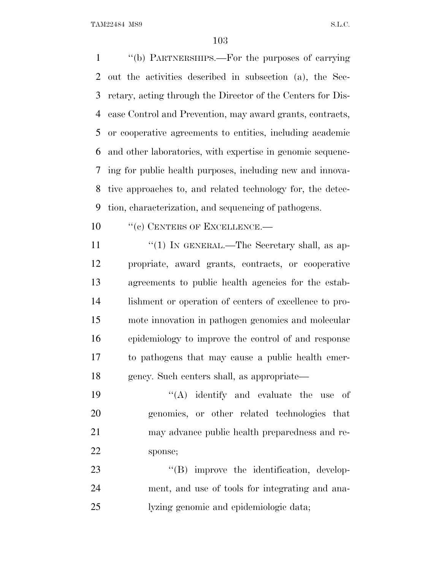''(b) PARTNERSHIPS.—For the purposes of carrying out the activities described in subsection (a), the Sec- retary, acting through the Director of the Centers for Dis- ease Control and Prevention, may award grants, contracts, or cooperative agreements to entities, including academic and other laboratories, with expertise in genomic sequenc- ing for public health purposes, including new and innova- tive approaches to, and related technology for, the detec-tion, characterization, and sequencing of pathogens.

10 "(c) CENTERS OF EXCELLENCE.—

11 "(1) IN GENERAL.—The Secretary shall, as ap- propriate, award grants, contracts, or cooperative agreements to public health agencies for the estab- lishment or operation of centers of excellence to pro- mote innovation in pathogen genomics and molecular epidemiology to improve the control of and response to pathogens that may cause a public health emer-gency. Such centers shall, as appropriate—

 $((A)$  identify and evaluate the use of genomics, or other related technologies that may advance public health preparedness and re-sponse;

23  $\text{``(B)}$  improve the identification, develop- ment, and use of tools for integrating and ana-lyzing genomic and epidemiologic data;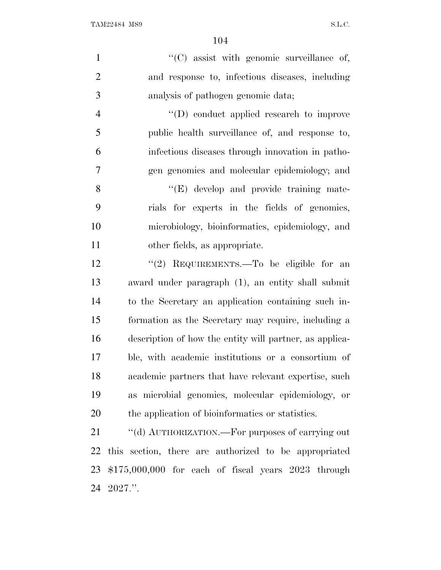1  $\lq(0)$  assist with genomic surveillance of, and response to, infectious diseases, including analysis of pathogen genomic data;

 $\langle (D) \rangle$  conduct applied research to improve public health surveillance of, and response to, infectious diseases through innovation in patho-gen genomics and molecular epidemiology; and

8 "(E) develop and provide training mate- rials for experts in the fields of genomics, microbiology, bioinformatics, epidemiology, and other fields, as appropriate.

12 "(2) REQUIREMENTS.—To be eligible for an award under paragraph (1), an entity shall submit to the Secretary an application containing such in- formation as the Secretary may require, including a description of how the entity will partner, as applica- ble, with academic institutions or a consortium of academic partners that have relevant expertise, such as microbial genomics, molecular epidemiology, or the application of bioinformatics or statistics.

21 "(d) AUTHORIZATION.—For purposes of carrying out this section, there are authorized to be appropriated \$175,000,000 for each of fiscal years 2023 through 2027.''.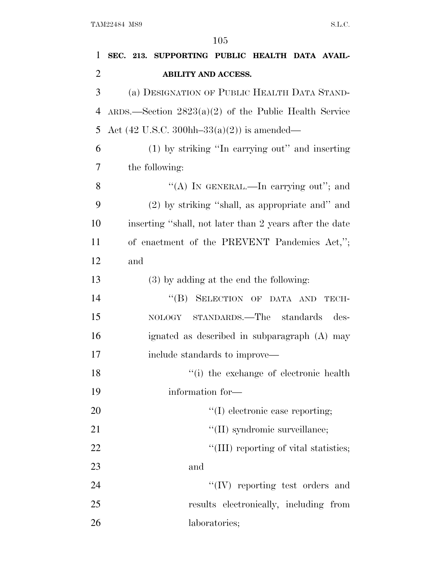| 1              | SEC. 213. SUPPORTING PUBLIC HEALTH DATA AVAIL-                  |
|----------------|-----------------------------------------------------------------|
| $\overline{2}$ | <b>ABILITY AND ACCESS.</b>                                      |
| 3              | (a) DESIGNATION OF PUBLIC HEALTH DATA STAND-                    |
| 4              | ARDS.—Section $2823(a)(2)$ of the Public Health Service         |
| 5              | Act $(42 \text{ U.S.C. } 300 \text{hh} - 33(a)(2))$ is amended— |
| 6              | (1) by striking "In carrying out" and inserting                 |
| 7              | the following:                                                  |
| 8              | "(A) IN GENERAL.—In carrying out"; and                          |
| 9              | (2) by striking "shall, as appropriate and" and                 |
| 10             | inserting "shall, not later than 2 years after the date         |
| 11             | of enactment of the PREVENT Pandemics Act,";                    |
| 12             | and                                                             |
| 13             | $(3)$ by adding at the end the following:                       |
| 14             | "(B) SELECTION OF DATA AND<br>TECH-                             |
| 15             | STANDARDS.—The standards<br>des-<br>NOLOGY                      |
| 16             | ignated as described in subparagraph (A) may                    |
| 17             | include standards to improve—                                   |
| 18             | "(i) the exchange of electronic health                          |
| 19             | information for-                                                |
| 20             | $\lq\lq$ electronic case reporting;                             |
| 21             | "(II) syndromic surveillance;                                   |
| 22             | "(III) reporting of vital statistics;                           |
| 23             | and                                                             |
| 24             | $``(IV)$ reporting test orders and                              |
| 25             | results electronically, including from                          |
| 26             | laboratories;                                                   |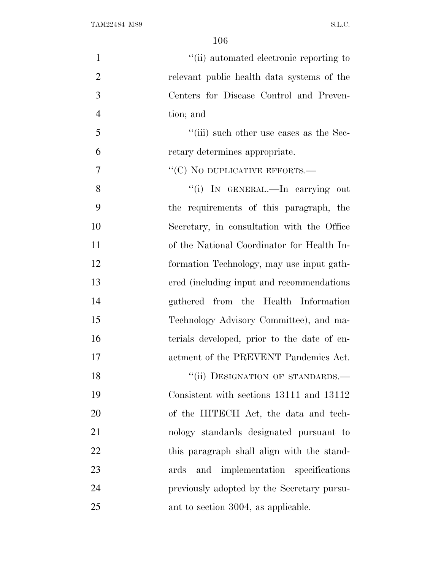| $\mathbf{1}$   | "(ii) automated electronic reporting to     |
|----------------|---------------------------------------------|
| $\overline{2}$ | relevant public health data systems of the  |
| 3              | Centers for Disease Control and Preven-     |
| $\overline{4}$ | tion; and                                   |
| 5              | "(iii) such other use cases as the Sec-     |
| 6              | retary determines appropriate.              |
| 7              | $\lq\lq$ (C) NO DUPLICATIVE EFFORTS.—       |
| 8              | "(i) IN GENERAL.—In carrying out            |
| 9              | the requirements of this paragraph, the     |
| 10             | Secretary, in consultation with the Office  |
| 11             | of the National Coordinator for Health In-  |
| 12             | formation Technology, may use input gath-   |
| 13             | ered (including input and recommendations)  |
| 14             | gathered from the Health Information        |
| 15             | Technology Advisory Committee), and ma-     |
| 16             | terials developed, prior to the date of en- |
| 17             | actment of the PREVENT Pandemics Act.       |
| 18             | "(ii) DESIGNATION OF STANDARDS.-            |
| 19             | Consistent with sections 13111 and 13112    |
| 20             | of the HITECH Act, the data and tech-       |
| 21             | nology standards designated pursuant to     |
| 22             | this paragraph shall align with the stand-  |
| 23             | and implementation specifications<br>ards   |
| 24             | previously adopted by the Secretary pursu-  |
| 25             | ant to section 3004, as applicable.         |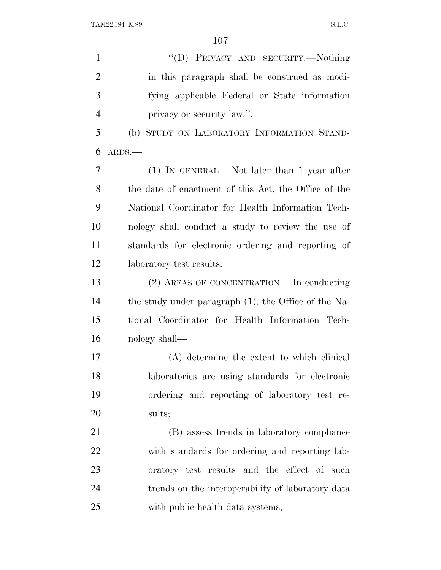| $\mathbf{1}$   | "(D) PRIVACY AND SECURITY.—Nothing                   |
|----------------|------------------------------------------------------|
| $\overline{2}$ | in this paragraph shall be construed as modi-        |
| 3              | fying applicable Federal or State information        |
| $\overline{4}$ | privacy or security law.".                           |
| 5              | (b) STUDY ON LABORATORY INFORMATION STAND-           |
| 6              | $ARDS$ .                                             |
| 7              | $(1)$ IN GENERAL.—Not later than 1 year after        |
| 8              | the date of enactment of this Act, the Office of the |
| 9              | National Coordinator for Health Information Tech-    |
| 10             | nology shall conduct a study to review the use of    |
| 11             | standards for electronic ordering and reporting of   |
| 12             | laboratory test results.                             |
| 13             | (2) AREAS OF CONCENTRATION.—In conducting            |
| 14             | the study under paragraph (1), the Office of the Na- |
| 15             | tional Coordinator for Health Information Tech-      |
| 16             | nology shall—                                        |
| 17             | (A) determine the extent to which clinical           |
| 18             | laboratories are using standards for electronic      |
| 19             | ordering and reporting of laboratory test re-        |
| 20             | sults;                                               |
| 21             | (B) assess trends in laboratory compliance           |
| 22             | with standards for ordering and reporting lab-       |
| 23             | oratory test results and the effect of such          |
| 24             | trends on the interoperability of laboratory data    |
| 25             | with public health data systems;                     |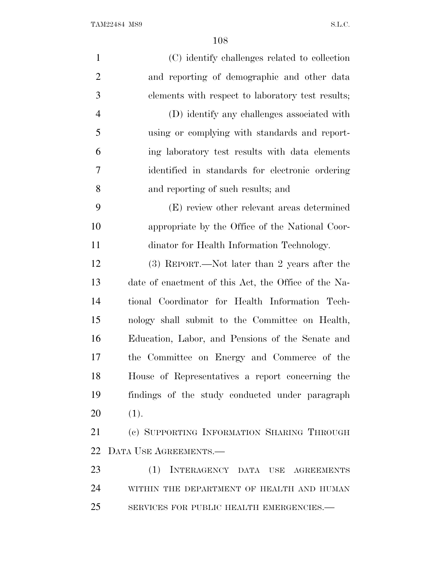| $\mathbf{1}$   | (C) identify challenges related to collection        |
|----------------|------------------------------------------------------|
| $\overline{2}$ | and reporting of demographic and other data          |
| 3              | elements with respect to laboratory test results;    |
| 4              | (D) identify any challenges associated with          |
| 5              | using or complying with standards and report-        |
| 6              | ing laboratory test results with data elements       |
| 7              | identified in standards for electronic ordering      |
| 8              | and reporting of such results; and                   |
| 9              | (E) review other relevant areas determined           |
| 10             | appropriate by the Office of the National Coor-      |
| 11             | dinator for Health Information Technology.           |
| 12             | (3) REPORT.—Not later than 2 years after the         |
| 13             | date of enactment of this Act, the Office of the Na- |
| 14             | tional Coordinator for Health Information Tech-      |
| 15             | nology shall submit to the Committee on Health,      |
| 16             | Education, Labor, and Pensions of the Senate and     |
| 17             | the Committee on Energy and Commerce of the          |
| 18             | House of Representatives a report concerning the     |
| 19             | findings of the study conducted under paragraph      |
| 20             | (1).                                                 |
| 21             | (c) SUPPORTING INFORMATION SHARING THROUGH           |
| 22             | DATA USE AGREEMENTS.-                                |
| 23             | (1) INTERAGENCY DATA USE AGREEMENTS                  |
| 24             | WITHIN THE DEPARTMENT OF HEALTH AND HUMAN            |
| 25             | SERVICES FOR PUBLIC HEALTH EMERGENCIES.-             |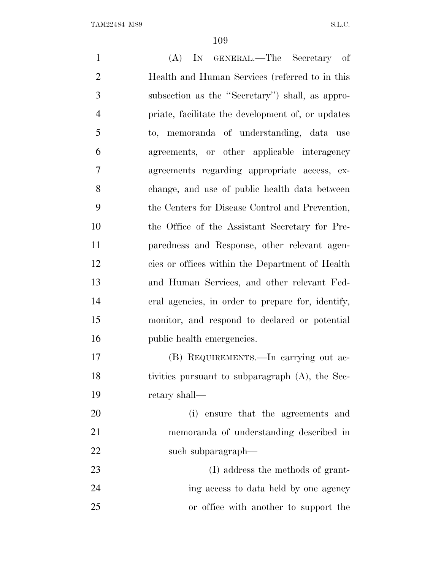(A) IN GENERAL.—The Secretary of Health and Human Services (referred to in this subsection as the ''Secretary'') shall, as appro- priate, facilitate the development of, or updates to, memoranda of understanding, data use agreements, or other applicable interagency agreements regarding appropriate access, ex- change, and use of public health data between the Centers for Disease Control and Prevention, the Office of the Assistant Secretary for Pre- paredness and Response, other relevant agen- cies or offices within the Department of Health and Human Services, and other relevant Fed- eral agencies, in order to prepare for, identify, monitor, and respond to declared or potential 16 public health emergencies. (B) REQUIREMENTS.—In carrying out ac- tivities pursuant to subparagraph (A), the Sec- retary shall— (i) ensure that the agreements and memoranda of understanding described in 22 such subparagraph— 23 (I) address the methods of grant- ing access to data held by one agency or office with another to support the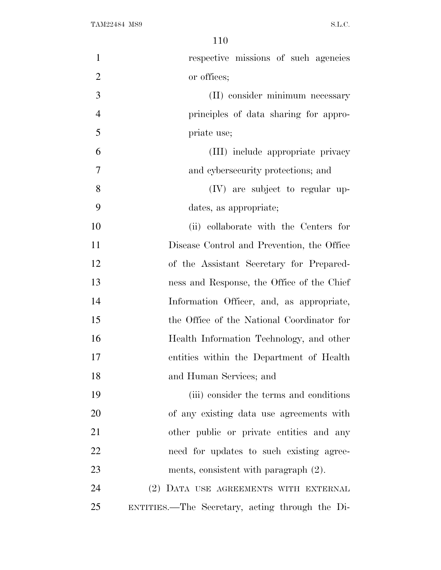| $\mathbf{1}$   | respective missions of such agencies            |
|----------------|-------------------------------------------------|
| $\overline{2}$ | or offices;                                     |
| 3              | (II) consider minimum necessary                 |
| $\overline{4}$ | principles of data sharing for appro-           |
| 5              | priate use;                                     |
| 6              | (III) include appropriate privacy               |
| 7              | and cybersecurity protections; and              |
| 8              | $(IV)$ are subject to regular up-               |
| 9              | dates, as appropriate;                          |
| 10             | (ii) collaborate with the Centers for           |
| 11             | Disease Control and Prevention, the Office      |
| 12             | of the Assistant Secretary for Prepared-        |
| 13             | ness and Response, the Office of the Chief      |
| 14             | Information Officer, and, as appropriate,       |
| 15             | the Office of the National Coordinator for      |
| 16             | Health Information Technology, and other        |
| 17             | entities within the Department of Health        |
| 18             | and Human Services; and                         |
| 19             | (iii) consider the terms and conditions         |
| 20             | of any existing data use agreements with        |
| 21             | other public or private entities and any        |
| 22             | need for updates to such existing agree-        |
| 23             | ments, consistent with paragraph (2).           |
| 24             | (2) DATA USE AGREEMENTS WITH EXTERNAL           |
| 25             | ENTITIES.—The Secretary, acting through the Di- |
|                |                                                 |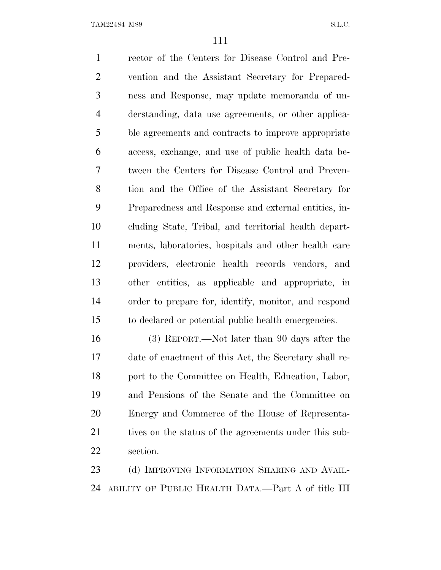rector of the Centers for Disease Control and Pre- vention and the Assistant Secretary for Prepared- ness and Response, may update memoranda of un- derstanding, data use agreements, or other applica- ble agreements and contracts to improve appropriate access, exchange, and use of public health data be- tween the Centers for Disease Control and Preven- tion and the Office of the Assistant Secretary for Preparedness and Response and external entities, in- cluding State, Tribal, and territorial health depart- ments, laboratories, hospitals and other health care providers, electronic health records vendors, and other entities, as applicable and appropriate, in order to prepare for, identify, monitor, and respond to declared or potential public health emergencies.

 (3) REPORT.—Not later than 90 days after the date of enactment of this Act, the Secretary shall re-18 port to the Committee on Health, Education, Labor, and Pensions of the Senate and the Committee on Energy and Commerce of the House of Representa-21 tives on the status of the agreements under this sub-section.

23 (d) IMPROVING INFORMATION SHARING AND AVAIL-ABILITY OF PUBLIC HEALTH DATA.—Part A of title III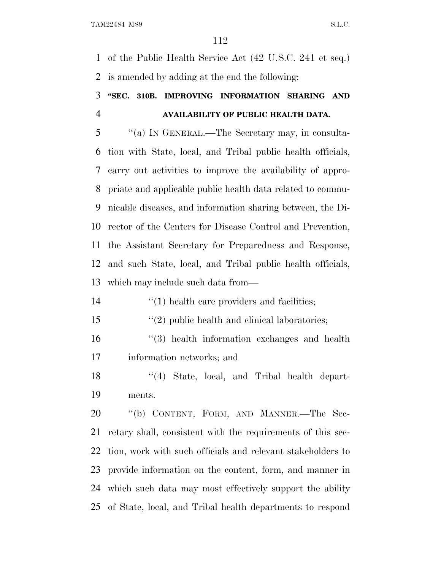of the Public Health Service Act (42 U.S.C. 241 et seq.) is amended by adding at the end the following:

## **''SEC. 310B. IMPROVING INFORMATION SHARING AND AVAILABILITY OF PUBLIC HEALTH DATA.**

 ''(a) I<sup>N</sup> GENERAL.—The Secretary may, in consulta- tion with State, local, and Tribal public health officials, carry out activities to improve the availability of appro- priate and applicable public health data related to commu- nicable diseases, and information sharing between, the Di- rector of the Centers for Disease Control and Prevention, the Assistant Secretary for Preparedness and Response, and such State, local, and Tribal public health officials, which may include such data from—

- 14  $\frac{1}{2}$  (1) health care providers and facilities;
- 15 ''(2) public health and clinical laboratories;
- ''(3) health information exchanges and health information networks; and
- 18 ''(4) State, local, and Tribal health depart-ments.

 ''(b) CONTENT, FORM, AND MANNER.—The Sec- retary shall, consistent with the requirements of this sec- tion, work with such officials and relevant stakeholders to provide information on the content, form, and manner in which such data may most effectively support the ability of State, local, and Tribal health departments to respond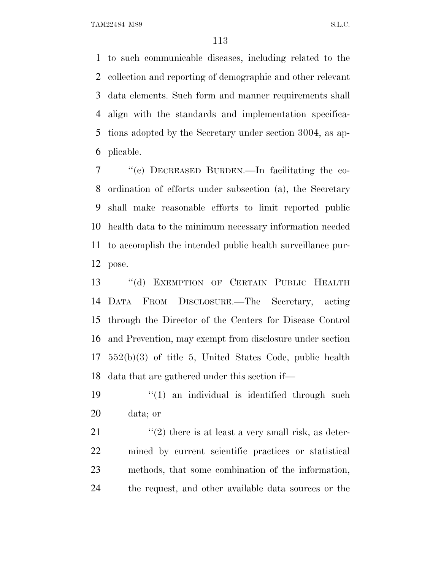to such communicable diseases, including related to the collection and reporting of demographic and other relevant data elements. Such form and manner requirements shall align with the standards and implementation specifica- tions adopted by the Secretary under section 3004, as ap-plicable.

 ''(c) DECREASED BURDEN.—In facilitating the co- ordination of efforts under subsection (a), the Secretary shall make reasonable efforts to limit reported public health data to the minimum necessary information needed to accomplish the intended public health surveillance pur-pose.

 ''(d) EXEMPTION OF CERTAIN PUBLIC HEALTH DATA FROM DISCLOSURE.—The Secretary, acting through the Director of the Centers for Disease Control and Prevention, may exempt from disclosure under section 552(b)(3) of title 5, United States Code, public health data that are gathered under this section if—

19  $(1)$  an individual is identified through such data; or

 $\langle \langle 2 \rangle$  there is at least a very small risk, as deter- mined by current scientific practices or statistical methods, that some combination of the information, the request, and other available data sources or the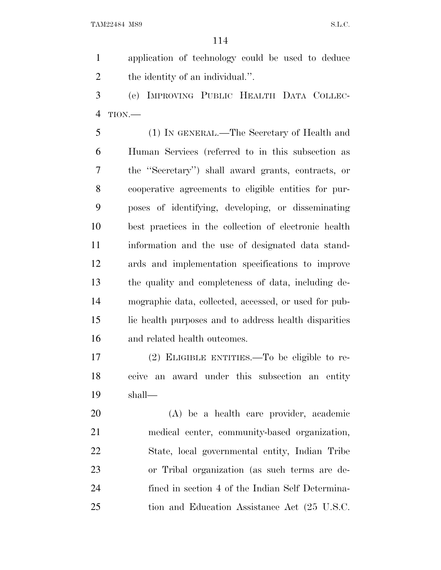application of technology could be used to deduce 2 the identity of an individual.".

 (e) IMPROVING PUBLIC HEALTH DATA COLLEC-TION.—

 (1) IN GENERAL.—The Secretary of Health and Human Services (referred to in this subsection as the ''Secretary'') shall award grants, contracts, or cooperative agreements to eligible entities for pur- poses of identifying, developing, or disseminating best practices in the collection of electronic health information and the use of designated data stand- ards and implementation specifications to improve the quality and completeness of data, including de- mographic data, collected, accessed, or used for pub- lic health purposes and to address health disparities and related health outcomes.

 (2) ELIGIBLE ENTITIES.—To be eligible to re- ceive an award under this subsection an entity shall—

 (A) be a health care provider, academic medical center, community-based organization, State, local governmental entity, Indian Tribe or Tribal organization (as such terms are de- fined in section 4 of the Indian Self Determina-tion and Education Assistance Act (25 U.S.C.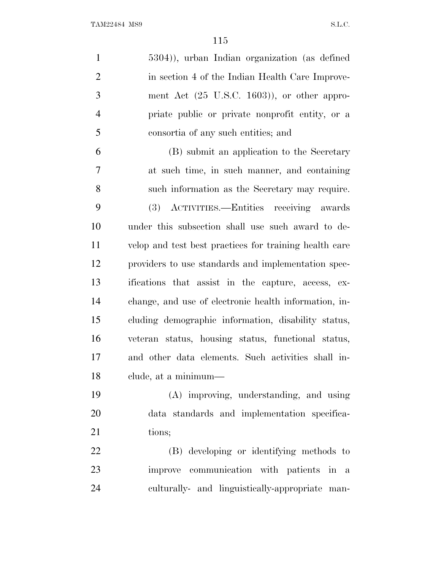| $\mathbf{1}$   | 5304)), urban Indian organization (as defined          |
|----------------|--------------------------------------------------------|
| $\overline{2}$ | in section 4 of the Indian Health Care Improve-        |
| 3              | ment Act (25 U.S.C. 1603)), or other appro-            |
| $\overline{4}$ | priate public or private nonprofit entity, or a        |
| 5              | consortia of any such entities; and                    |
| 6              | (B) submit an application to the Secretary             |
| 7              | at such time, in such manner, and containing           |
| 8              | such information as the Secretary may require.         |
| 9              | (3) ACTIVITIES.—Entities receiving awards              |
| 10             | under this subsection shall use such award to de-      |
| 11             | velop and test best practices for training health care |
| 12             | providers to use standards and implementation spec-    |
| 13             | ifications that assist in the capture, access, ex-     |
| 14             | change, and use of electronic health information, in-  |
| 15             | cluding demographic information, disability status,    |
| 16             | veteran status, housing status, functional status,     |
| 17             | and other data elements. Such activities shall in-     |
| 18             | clude, at a minimum—                                   |
| 19             | (A) improving, understanding, and using                |
| 20             | data standards and implementation specifica-           |
| 21             | tions;                                                 |
| 22             | (B) developing or identifying methods to               |
| 23             | improve communication with patients in a               |
| 24             | culturally- and linguistically-appropriate man-        |
|                |                                                        |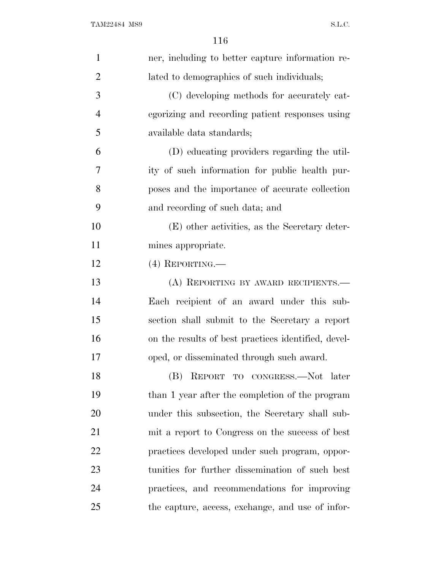| $\mathbf{1}$   | ner, including to better capture information re-    |
|----------------|-----------------------------------------------------|
| $\overline{2}$ | lated to demographics of such individuals;          |
| 3              | (C) developing methods for accurately cat-          |
| $\overline{4}$ | egorizing and recording patient responses using     |
| 5              | available data standards;                           |
| 6              | (D) educating providers regarding the util-         |
| 7              | ity of such information for public health pur-      |
| 8              | poses and the importance of accurate collection     |
| 9              | and recording of such data; and                     |
| 10             | (E) other activities, as the Secretary deter-       |
| 11             | mines appropriate.                                  |
| 12             | $(4)$ REPORTING.—                                   |
| 13             | (A) REPORTING BY AWARD RECIPIENTS.                  |
| 14             | Each recipient of an award under this sub-          |
| 15             | section shall submit to the Secretary a report      |
| 16             | on the results of best practices identified, devel- |
| 17             | oped, or disseminated through such award.           |
| 18             | (B) REPORT TO CONGRESS.—Not later                   |
| 19             | than 1 year after the completion of the program     |
| 20             | under this subsection, the Secretary shall sub-     |
| 21             | mit a report to Congress on the success of best     |
| 22             | practices developed under such program, oppor-      |
| 23             | tunities for further dissemination of such best     |
| 24             | practices, and recommendations for improving        |
| 25             | the capture, access, exchange, and use of infor-    |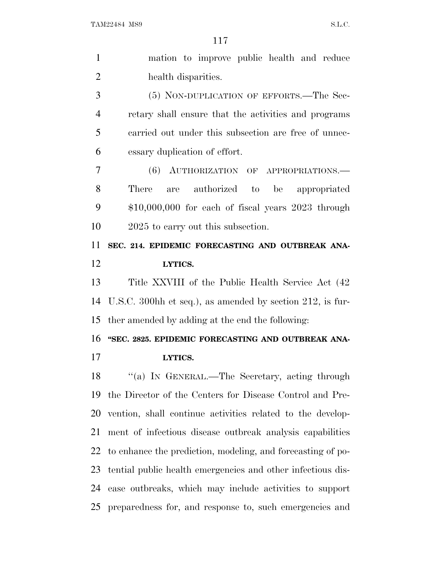| $\mathbf{1}$   | mation to improve public health and reduce                  |
|----------------|-------------------------------------------------------------|
| $\overline{2}$ | health disparities.                                         |
| 3              | (5) NON-DUPLICATION OF EFFORTS.—The Sec-                    |
| $\overline{4}$ | retary shall ensure that the activities and programs        |
| 5              | carried out under this subsection are free of unnec-        |
| 6              | essary duplication of effort.                               |
| 7              | (6)<br>AUTHORIZATION OF APPROPRIATIONS.                     |
| 8              | authorized to be appropriated<br>There<br>are               |
| 9              | $$10,000,000$ for each of fiscal years $2023$ through       |
| 10             | 2025 to carry out this subsection.                          |
| 11             | SEC. 214. EPIDEMIC FORECASTING AND OUTBREAK ANA-            |
| 12             | LYTICS.                                                     |
|                |                                                             |
| 13             | Title XXVIII of the Public Health Service Act (42)          |
| 14             | U.S.C. 300hh et seq.), as amended by section 212, is fur-   |
| 15             | ther amended by adding at the end the following:            |
| 16             | "SEC. 2825. EPIDEMIC FORECASTING AND OUTBREAK ANA-          |
| 17             | LYTICS.                                                     |
| 18             | "(a) IN GENERAL.—The Secretary, acting through              |
| 19             | the Director of the Centers for Disease Control and Pre-    |
| 20             | vention, shall continue activities related to the develop-  |
| 21             | ment of infectious disease outbreak analysis capabilities   |
| 22             | to enhance the prediction, modeling, and forecasting of po- |
| 23             | tential public health emergencies and other infectious dis- |

preparedness for, and response to, such emergencies and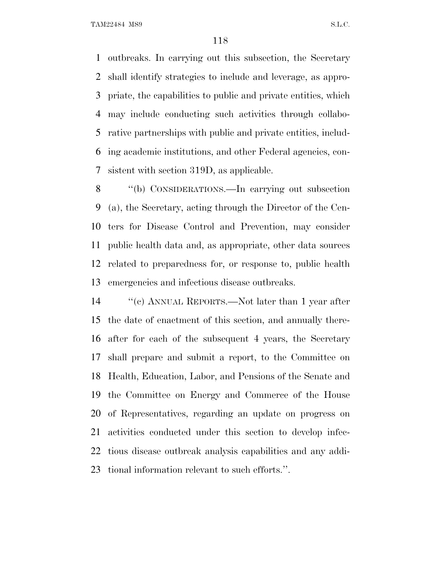outbreaks. In carrying out this subsection, the Secretary shall identify strategies to include and leverage, as appro- priate, the capabilities to public and private entities, which may include conducting such activities through collabo- rative partnerships with public and private entities, includ- ing academic institutions, and other Federal agencies, con-sistent with section 319D, as applicable.

 ''(b) CONSIDERATIONS.—In carrying out subsection (a), the Secretary, acting through the Director of the Cen- ters for Disease Control and Prevention, may consider public health data and, as appropriate, other data sources related to preparedness for, or response to, public health emergencies and infectious disease outbreaks.

 ''(c) ANNUAL REPORTS.—Not later than 1 year after the date of enactment of this section, and annually there- after for each of the subsequent 4 years, the Secretary shall prepare and submit a report, to the Committee on Health, Education, Labor, and Pensions of the Senate and the Committee on Energy and Commerce of the House of Representatives, regarding an update on progress on activities conducted under this section to develop infec- tious disease outbreak analysis capabilities and any addi-tional information relevant to such efforts.''.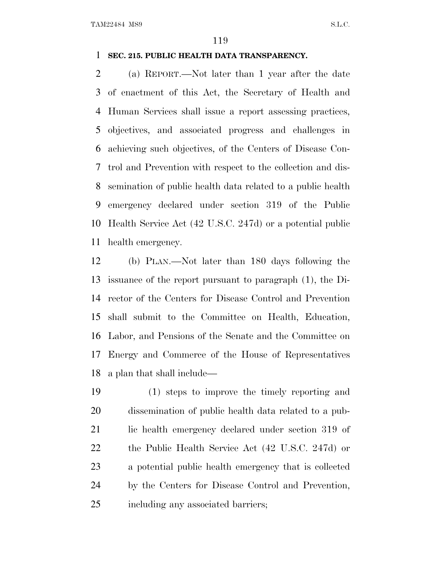## **SEC. 215. PUBLIC HEALTH DATA TRANSPARENCY.**

 (a) REPORT.—Not later than 1 year after the date of enactment of this Act, the Secretary of Health and Human Services shall issue a report assessing practices, objectives, and associated progress and challenges in achieving such objectives, of the Centers of Disease Con- trol and Prevention with respect to the collection and dis- semination of public health data related to a public health emergency declared under section 319 of the Public Health Service Act (42 U.S.C. 247d) or a potential public health emergency.

 (b) PLAN.—Not later than 180 days following the issuance of the report pursuant to paragraph (1), the Di- rector of the Centers for Disease Control and Prevention shall submit to the Committee on Health, Education, Labor, and Pensions of the Senate and the Committee on Energy and Commerce of the House of Representatives a plan that shall include—

 (1) steps to improve the timely reporting and dissemination of public health data related to a pub-21 lic health emergency declared under section 319 of the Public Health Service Act (42 U.S.C. 247d) or a potential public health emergency that is collected by the Centers for Disease Control and Prevention, including any associated barriers;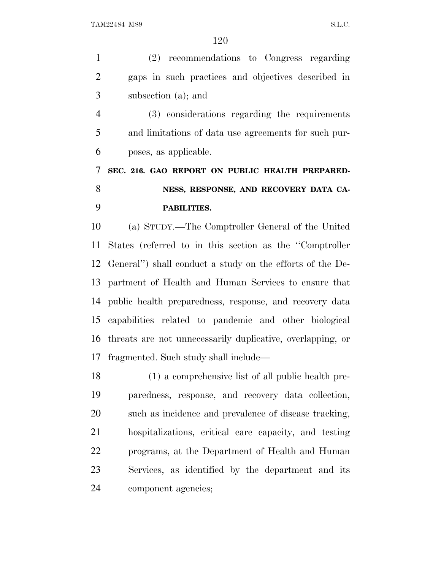(2) recommendations to Congress regarding gaps in such practices and objectives described in subsection (a); and (3) considerations regarding the requirements and limitations of data use agreements for such pur-

poses, as applicable.

 **SEC. 216. GAO REPORT ON PUBLIC HEALTH PREPARED- NESS, RESPONSE, AND RECOVERY DATA CA-PABILITIES.**

 (a) STUDY.—The Comptroller General of the United States (referred to in this section as the ''Comptroller General'') shall conduct a study on the efforts of the De- partment of Health and Human Services to ensure that public health preparedness, response, and recovery data capabilities related to pandemic and other biological threats are not unnecessarily duplicative, overlapping, or fragmented. Such study shall include—

 (1) a comprehensive list of all public health pre- paredness, response, and recovery data collection, such as incidence and prevalence of disease tracking, hospitalizations, critical care capacity, and testing programs, at the Department of Health and Human Services, as identified by the department and its component agencies;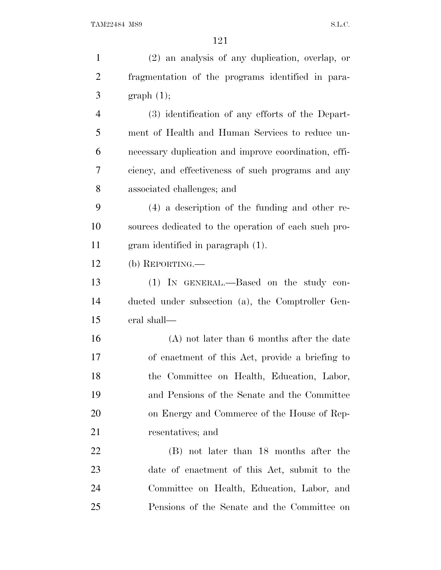| $\mathbf{1}$   | (2) an analysis of any duplication, overlap, or       |
|----------------|-------------------------------------------------------|
| $\overline{2}$ | fragmentation of the programs identified in para-     |
| 3              | graph(1);                                             |
| $\overline{4}$ | (3) identification of any efforts of the Depart-      |
| 5              | ment of Health and Human Services to reduce un-       |
| 6              | necessary duplication and improve coordination, effi- |
| 7              | ciency, and effectiveness of such programs and any    |
| 8              | associated challenges; and                            |
| 9              | $(4)$ a description of the funding and other re-      |
| 10             | sources dedicated to the operation of each such pro-  |
| 11             | gram identified in paragraph (1).                     |
| 12             | $(b)$ REPORTING.—                                     |
| 13             | (1) IN GENERAL.—Based on the study con-               |
| 14             | ducted under subsection (a), the Comptroller Gen-     |
| 15             | eral shall—                                           |
| 16             | $(A)$ not later than 6 months after the date          |
| 17             | of enactment of this Act, provide a briefing to       |
| 18             | the Committee on Health, Education, Labor,            |
| 19             | and Pensions of the Senate and the Committee          |
| 20             | on Energy and Commerce of the House of Rep-           |
| 21             | resentatives; and                                     |
| 22             | (B) not later than 18 months after the                |
| 23             | date of enactment of this Act, submit to the          |
| 24             | Committee on Health, Education, Labor, and            |
| 25             | Pensions of the Senate and the Committee on           |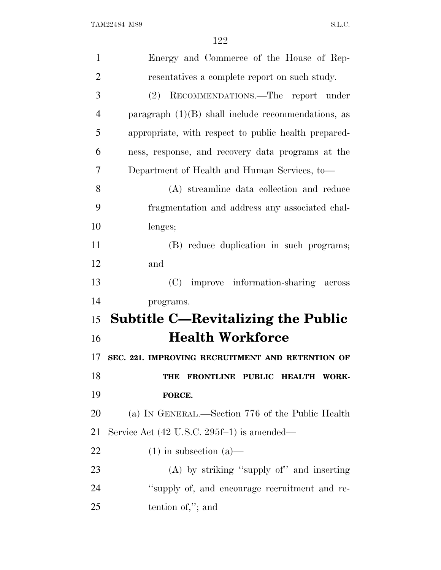| $\mathbf{1}$   | Energy and Commerce of the House of Rep-              |
|----------------|-------------------------------------------------------|
| $\overline{2}$ | resentatives a complete report on such study.         |
| 3              | (2) RECOMMENDATIONS.—The report under                 |
| $\overline{4}$ | paragraph $(1)(B)$ shall include recommendations, as  |
| 5              | appropriate, with respect to public health prepared-  |
| 6              | ness, response, and recovery data programs at the     |
| 7              | Department of Health and Human Services, to-          |
| 8              | (A) streamline data collection and reduce             |
| 9              | fragmentation and address any associated chal-        |
| 10             | lenges;                                               |
| 11             | (B) reduce duplication in such programs;              |
| 12             | and                                                   |
| 13             | (C) improve information-sharing across                |
| 14             | programs.                                             |
| 15             | <b>Subtitle C—Revitalizing the Public</b>             |
| 16             | <b>Health Workforce</b>                               |
| 17             | SEC. 221. IMPROVING RECRUITMENT AND RETENTION OF      |
| 18             | FRONTLINE PUBLIC<br><b>HEALTH WORK-</b><br><b>THE</b> |
| 19             | FORCE.                                                |
| <b>20</b>      | (a) IN GENERAL.—Section 776 of the Public Health      |
| 21             | Service Act (42 U.S.C. 295f-1) is amended—            |
| 22             | $(1)$ in subsection $(a)$ —                           |
|                |                                                       |
| 23             | $(A)$ by striking "supply of" and inserting           |
| 24             | "supply of, and encourage recruitment and re-         |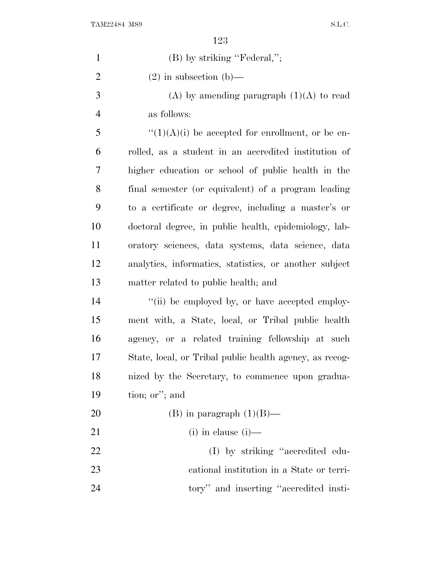| $\mathbf{1}$   | $(B)$ by striking "Federal,";                           |
|----------------|---------------------------------------------------------|
| $\overline{2}$ | $(2)$ in subsection $(b)$ —                             |
| 3              | (A) by amending paragraph $(1)(A)$ to read              |
| $\overline{4}$ | as follows:                                             |
| 5              | $\lq(1)(A)(i)$ be accepted for enrollment, or be en-    |
| 6              | rolled, as a student in an accredited institution of    |
| 7              | higher education or school of public health in the      |
| 8              | final semester (or equivalent) of a program leading     |
| 9              | to a certificate or degree, including a master's or     |
| 10             | doctoral degree, in public health, epidemiology, lab-   |
| 11             | oratory sciences, data systems, data science, data      |
| 12             | analytics, informatics, statistics, or another subject  |
| 13             | matter related to public health; and                    |
| 14             | "(ii) be employed by, or have accepted employ-          |
| 15             | ment with, a State, local, or Tribal public health      |
| 16             | agency, or a related training fellowship at such        |
| 17             | State, local, or Tribal public health agency, as recog- |
| 18             | nized by the Secretary, to commence upon gradua-        |
| 19             | tion; or"; and                                          |
| 20             | (B) in paragraph $(1)(B)$ —                             |
| 21             | $(i)$ in clause $(i)$ —                                 |
| 22             | (I) by striking "accredited edu-                        |
| 23             | cational institution in a State or terri-               |
| 24             | tory" and inserting "accredited insti-                  |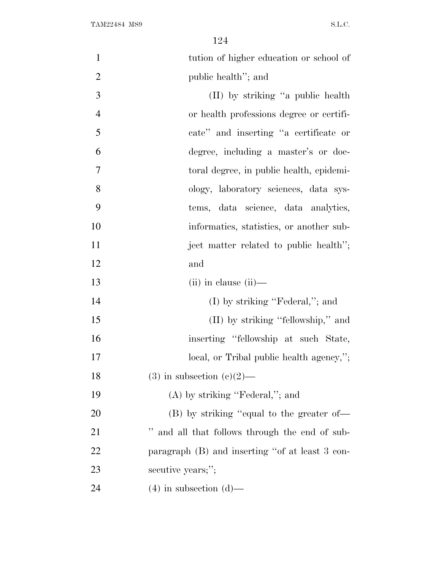| $\mathbf{1}$   | tution of higher education or school of         |
|----------------|-------------------------------------------------|
| $\overline{2}$ | public health"; and                             |
| 3              | (II) by striking "a public health               |
| $\overline{4}$ | or health professions degree or certifi-        |
| 5              | cate" and inserting "a certificate or           |
| 6              | degree, including a master's or doc-            |
| $\overline{7}$ | toral degree, in public health, epidemi-        |
| 8              | ology, laboratory sciences, data sys-           |
| 9              | tems, data science, data analytics,             |
| 10             | informatics, statistics, or another sub-        |
| 11             | ject matter related to public health";          |
| 12             | and                                             |
| 13             | $(ii)$ in clause $(ii)$ —                       |
| 14             | $(I)$ by striking "Federal,"; and               |
| 15             | (II) by striking "fellowship," and              |
| 16             | inserting "fellowship at such State,            |
| 17             | local, or Tribal public health agency,";        |
| 18             | $(3)$ in subsection $(e)(2)$ —                  |
| 19             | $(A)$ by striking "Federal,"; and               |
| 20             | (B) by striking "equal to the greater of—       |
| 21             | " and all that follows through the end of sub-  |
| 22             | paragraph (B) and inserting "of at least 3 con- |
| 23             | secutive years;";                               |
| 24             | $(4)$ in subsection $(d)$ —                     |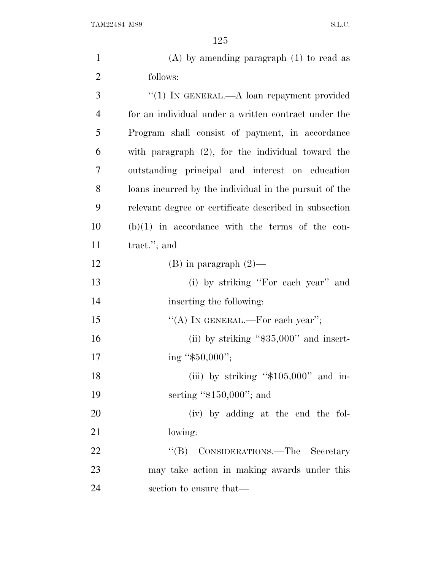| $\mathbf{1}$   | $(A)$ by amending paragraph $(1)$ to read as           |
|----------------|--------------------------------------------------------|
| $\overline{2}$ | follows:                                               |
| 3              | " $(1)$ In GENERAL.—A loan repayment provided          |
| $\overline{4}$ | for an individual under a written contract under the   |
| 5              | Program shall consist of payment, in accordance        |
| 6              | with paragraph $(2)$ , for the individual toward the   |
| $\overline{7}$ | outstanding principal and interest on education        |
| 8              | loans incurred by the individual in the pursuit of the |
| 9              | relevant degree or certificate described in subsection |
| 10             | $(b)(1)$ in accordance with the terms of the con-      |
| 11             | tract."; and                                           |
| 12             | $(B)$ in paragraph $(2)$ —                             |
| 13             | (i) by striking "For each year" and                    |
| 14             | inserting the following:                               |
| 15             | "(A) IN GENERAL.—For each year";                       |
| 16             | (ii) by striking " $$35,000"$ and insert-              |
| 17             | ing " $$50,000$ ";                                     |
| 18             | (iii) by striking " $$105,000$ " and in-               |
| 19             | serting " $$150,000$ "; and                            |
| <b>20</b>      | (iv) by adding at the end the fol-                     |
| 21             | lowing:                                                |
| 22             | "(B) CONSIDERATIONS.—The Secretary                     |
| 23             | may take action in making awards under this            |
| 24             | section to ensure that—                                |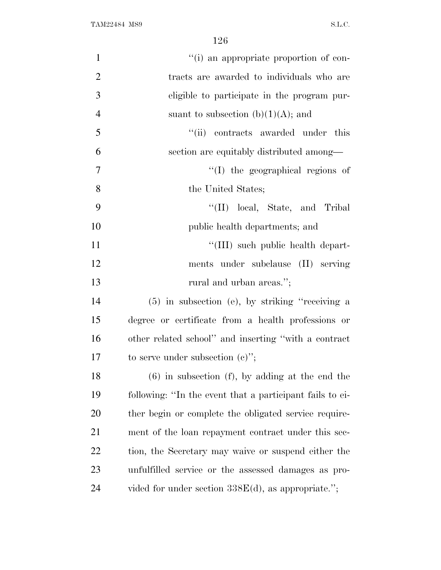| $\mathbf{1}$   | "(i) an appropriate proportion of con-                   |
|----------------|----------------------------------------------------------|
| $\overline{2}$ | tracts are awarded to individuals who are                |
| 3              | eligible to participate in the program pur-              |
| $\overline{4}$ | suant to subsection $(b)(1)(A)$ ; and                    |
| 5              | "(ii) contracts awarded under this                       |
| 6              | section are equitably distributed among—                 |
| 7              | "(I) the geographical regions of                         |
| 8              | the United States;                                       |
| 9              | "(II) local, State, and Tribal                           |
| 10             | public health departments; and                           |
| 11             | "(III) such public health depart-                        |
| 12             | ments under subclause (II) serving                       |
| 13             | rural and urban areas.";                                 |
| 14             | $(5)$ in subsection (e), by striking "receiving a        |
| 15             | degree or certificate from a health professions or       |
| 16             | other related school" and inserting "with a contract     |
| 17             | to serve under subsection $(e)$ ";                       |
| 18             | $(6)$ in subsection $(f)$ , by adding at the end the     |
| 19             | following: "In the event that a participant fails to ei- |
| 20             | ther begin or complete the obligated service require-    |
| 21             | ment of the loan repayment contract under this sec-      |
| 22             | tion, the Secretary may waive or suspend either the      |
| 23             | unfulfilled service or the assessed damages as pro-      |
| 24             | vided for under section $338E(d)$ , as appropriate.";    |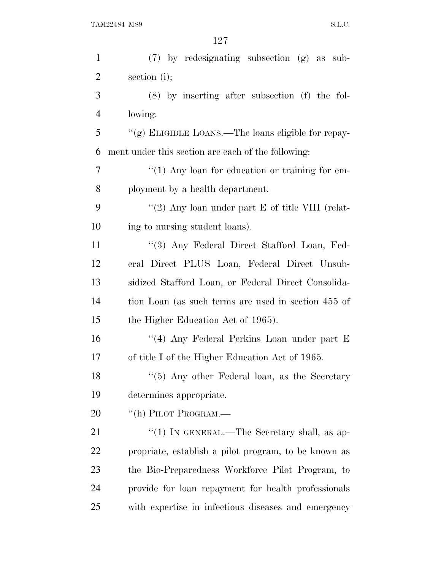| $\mathbf{1}$   | (7) by redesignating subsection (g) as sub-          |
|----------------|------------------------------------------------------|
| $\overline{2}$ | section (i);                                         |
| 3              | $(8)$ by inserting after subsection $(f)$ the fol-   |
| 4              | lowing:                                              |
| 5              | "(g) ELIGIBLE LOANS.—The loans eligible for repay-   |
| 6              | ment under this section are each of the following:   |
| 7              | $\lq(1)$ Any loan for education or training for em-  |
| 8              | ployment by a health department.                     |
| 9              | "(2) Any loan under part $E$ of title VIII (relat-   |
| 10             | ing to nursing student loans).                       |
| 11             | "(3) Any Federal Direct Stafford Loan, Fed-          |
| 12             | eral Direct PLUS Loan, Federal Direct Unsub-         |
| 13             | sidized Stafford Loan, or Federal Direct Consolida-  |
| 14             | tion Loan (as such terms are used in section 455 of  |
| 15             | the Higher Education Act of 1965).                   |
| 16             | "(4) Any Federal Perkins Loan under part E           |
| 17             | of title I of the Higher Education Act of 1965.      |
| 18             | "(5) Any other Federal loan, as the Secretary        |
| 19             | determines appropriate.                              |
| 20             | "(h) PILOT PROGRAM.—                                 |
| 21             | "(1) IN GENERAL.—The Secretary shall, as ap-         |
| <u>22</u>      | propriate, establish a pilot program, to be known as |
| 23             | the Bio-Preparedness Workforce Pilot Program, to     |
| 24             | provide for loan repayment for health professionals  |
| 25             | with expertise in infectious diseases and emergency  |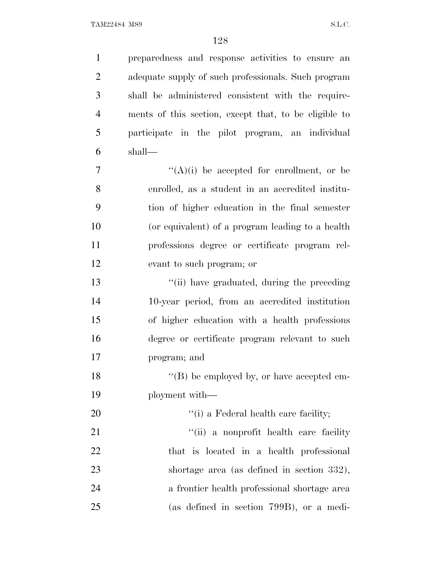preparedness and response activities to ensure an adequate supply of such professionals. Such program shall be administered consistent with the require- ments of this section, except that, to be eligible to participate in the pilot program, an individual shall—  $\mathcal{T}$  ''(A)(i) be accepted for enrollment, or be enrolled, as a student in an accredited institu- tion of higher education in the final semester (or equivalent) of a program leading to a health professions degree or certificate program rel- evant to such program; or 13 ''(ii) have graduated, during the preceding 10-year period, from an accredited institution of higher education with a health professions degree or certificate program relevant to such program; and 18 ''(B) be employed by, or have accepted em- ployment with—  $\frac{1}{1}$  a Federal health care facility; 21 ''(ii) a nonprofit health care facility that is located in a health professional shortage area (as defined in section 332), a frontier health professional shortage area (as defined in section 799B), or a medi-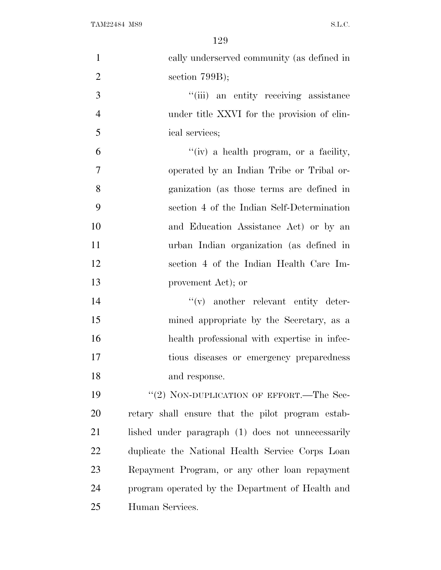| $\mathbf{1}$   | cally underserved community (as defined in        |
|----------------|---------------------------------------------------|
| $\overline{2}$ | section $799B$ ;                                  |
| 3              | "(iii) an entity receiving assistance             |
| $\overline{4}$ | under title XXVI for the provision of clin-       |
| 5              | ical services;                                    |
| 6              | $f'(iv)$ a health program, or a facility,         |
| 7              | operated by an Indian Tribe or Tribal or-         |
| 8              | ganization (as those terms are defined in         |
| 9              | section 4 of the Indian Self-Determination        |
| 10             | and Education Assistance Act) or by an            |
| 11             | urban Indian organization (as defined in          |
| 12             | section 4 of the Indian Health Care Im-           |
| 13             | provement Act); or                                |
| 14             | $f'(v)$ another relevant entity deter-            |
| 15             | mined appropriate by the Secretary, as a          |
| 16             | health professional with expertise in infec-      |
| 17             | tious diseases or emergency preparedness          |
| 18             | and response.                                     |
| 19             | "(2) NON-DUPLICATION OF EFFORT.—The Sec-          |
| 20             | retary shall ensure that the pilot program estab- |
| 21             | lished under paragraph (1) does not unnecessarily |
| 22             | duplicate the National Health Service Corps Loan  |
| 23             | Repayment Program, or any other loan repayment    |
| 24             | program operated by the Department of Health and  |
| 25             | Human Services.                                   |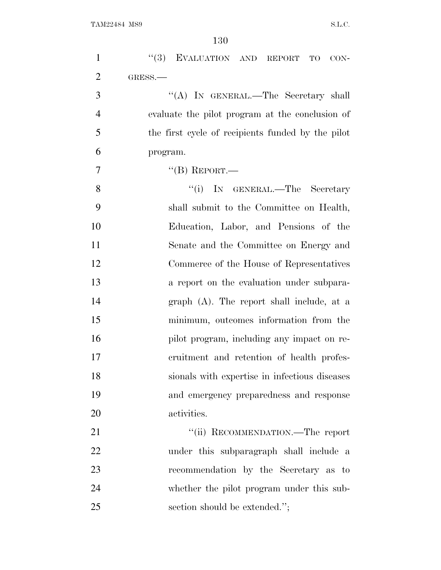| $\mathbf{1}$   | "(3) EVALUATION AND REPORT TO<br>$CON-$           |
|----------------|---------------------------------------------------|
| $\overline{2}$ | GRESS.-                                           |
| 3              | "(A) IN GENERAL.—The Secretary shall              |
| $\overline{4}$ | evaluate the pilot program at the conclusion of   |
| 5              | the first cycle of recipients funded by the pilot |
| 6              | program.                                          |
| 7              | $``$ (B) REPORT.—                                 |
| 8              | "(i) IN GENERAL.—The Secretary                    |
| 9              | shall submit to the Committee on Health,          |
| 10             | Education, Labor, and Pensions of the             |
| 11             | Senate and the Committee on Energy and            |
| 12             | Commerce of the House of Representatives          |
| 13             | a report on the evaluation under subpara-         |
| 14             | $graph$ (A). The report shall include, at a       |
| 15             | minimum, outcomes information from the            |
| 16             | pilot program, including any impact on re-        |
| 17             | cruitment and retention of health profes-         |
| 18             | sionals with expertise in infectious diseases     |
| 19             | and emergency preparedness and response           |
| 20             | activities.                                       |
| 21             | "(ii) RECOMMENDATION.—The report                  |
| 22             | under this subparagraph shall include a           |
| 23             | recommendation by the Secretary as to             |
| 24             | whether the pilot program under this sub-         |
| 25             | section should be extended.";                     |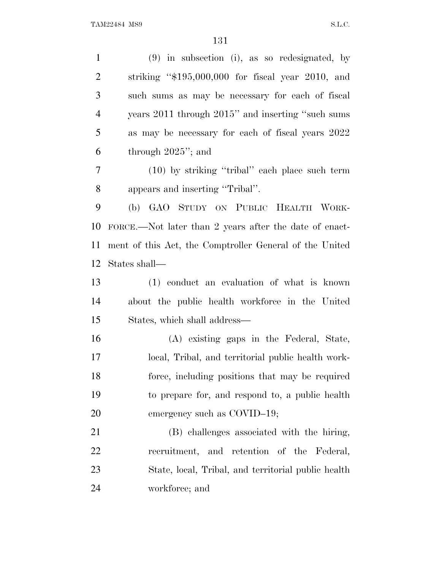(9) in subsection (i), as so redesignated, by striking ''\$195,000,000 for fiscal year 2010, and such sums as may be necessary for each of fiscal years 2011 through 2015'' and inserting ''such sums as may be necessary for each of fiscal years 2022 through 2025''; and (10) by striking ''tribal'' each place such term appears and inserting ''Tribal''. (b) GAO STUDY ON PUBLIC HEALTH WORK- FORCE.—Not later than 2 years after the date of enact- ment of this Act, the Comptroller General of the United States shall— (1) conduct an evaluation of what is known about the public health workforce in the United States, which shall address— (A) existing gaps in the Federal, State, local, Tribal, and territorial public health work- force, including positions that may be required to prepare for, and respond to, a public health 20 emergency such as COVID–19; (B) challenges associated with the hiring, recruitment, and retention of the Federal, State, local, Tribal, and territorial public health workforce; and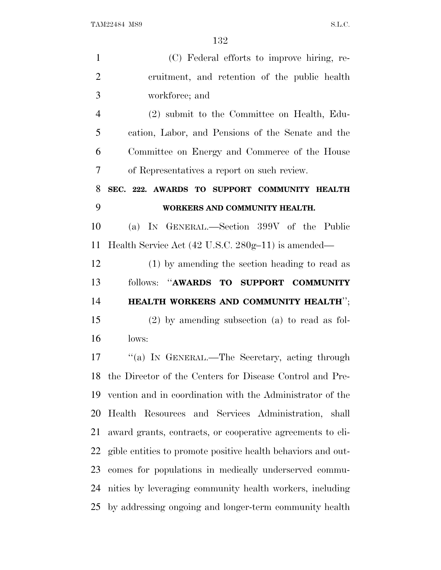| $\mathbf{1}$   | (C) Federal efforts to improve hiring, re-                   |
|----------------|--------------------------------------------------------------|
| $\overline{2}$ | cruitment, and retention of the public health                |
| 3              | workforce; and                                               |
| $\overline{4}$ | (2) submit to the Committee on Health, Edu-                  |
| 5              | cation, Labor, and Pensions of the Senate and the            |
| 6              | Committee on Energy and Commerce of the House                |
| 7              | of Representatives a report on such review.                  |
| 8              | SEC. 222. AWARDS TO SUPPORT COMMUNITY HEALTH                 |
| 9              | WORKERS AND COMMUNITY HEALTH.                                |
| 10             | (a) IN GENERAL.—Section 399V of the Public                   |
| 11             | Health Service Act (42 U.S.C. 280g-11) is amended—           |
| 12             | (1) by amending the section heading to read as               |
| 13             | follows: "AWARDS TO SUPPORT COMMUNITY                        |
| 14             | HEALTH WORKERS AND COMMUNITY HEALTH";                        |
| 15             | $(2)$ by amending subsection $(a)$ to read as fol-           |
| 16             | lows:                                                        |
| 17             | "(a) IN GENERAL.—The Secretary, acting through               |
|                | 18 the Director of the Centers for Disease Control and Pre-  |
| 19             | vention and in coordination with the Administrator of the    |
| 20             | Health Resources and Services Administration, shall          |
| 21             | award grants, contracts, or cooperative agreements to eli-   |
| 22             | gible entities to promote positive health behaviors and out- |
| 23             | comes for populations in medically underserved commu-        |
| 24             | nities by leveraging community health workers, including     |
|                | 25 by addressing ongoing and longer-term community health    |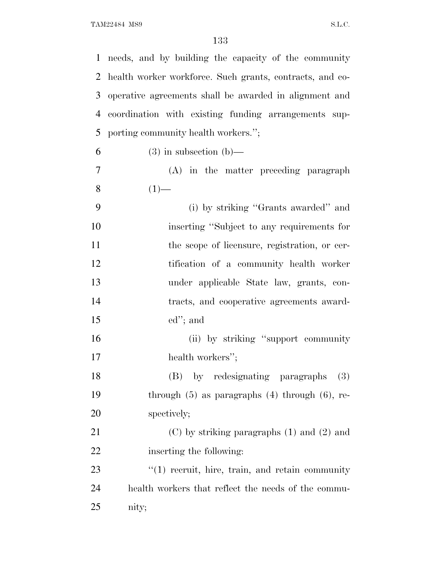| $\mathbf{1}$ | needs, and by building the capacity of the community     |
|--------------|----------------------------------------------------------|
| 2            | health worker workforce. Such grants, contracts, and co- |
| 3            | operative agreements shall be awarded in alignment and   |
| 4            | coordination with existing funding arrangements sup-     |
| 5            | porting community health workers.";                      |
| 6            | $(3)$ in subsection $(b)$ —                              |
| 7            | (A) in the matter preceding paragraph                    |
| 8            | $(1)$ —                                                  |
| 9            | (i) by striking "Grants awarded" and                     |
| 10           | inserting "Subject to any requirements for               |
| 11           | the scope of licensure, registration, or cer-            |
| 12           | tification of a community health worker                  |
| 13           | under applicable State law, grants, con-                 |
| 14           | tracts, and cooperative agreements award-                |
| 15           | $ed$ "; and                                              |
| 16           | (ii) by striking "support community"                     |
| 17           | health workers";                                         |
| 18           | (B) by redesignating paragraphs (3)                      |
| 19           | through $(5)$ as paragraphs $(4)$ through $(6)$ , re-    |
| 20           | spectively;                                              |
| 21           | $(C)$ by striking paragraphs $(1)$ and $(2)$ and         |
| 22           | inserting the following:                                 |
| 23           | $f'(1)$ recruit, hire, train, and retain community       |
| 24           | health workers that reflect the needs of the commu-      |
| 25           | nity;                                                    |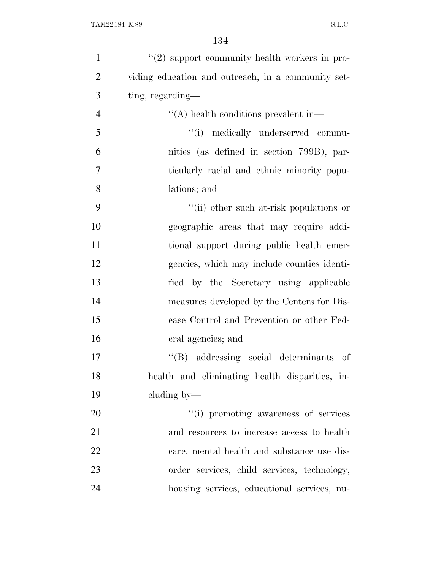| $\mathbf{1}$   | $"(2)$ support community health workers in pro-    |
|----------------|----------------------------------------------------|
| $\overline{2}$ | viding education and outreach, in a community set- |
| 3              | ting, regarding—                                   |
| $\overline{4}$ | "(A) health conditions prevalent in-               |
| 5              | "(i) medically underserved commu-                  |
| 6              | nities (as defined in section 799B), par-          |
| 7              | ticularly racial and ethnic minority popu-         |
| 8              | lations; and                                       |
| 9              | "(ii) other such at-risk populations or            |
| 10             | geographic areas that may require addi-            |
| 11             | tional support during public health emer-          |
| 12             | gencies, which may include counties identi-        |
| 13             | fied by the Secretary using applicable             |
| 14             | measures developed by the Centers for Dis-         |
| 15             | ease Control and Prevention or other Fed-          |
| 16             | eral agencies; and                                 |
| 17             | "(B) addressing social determinants of             |
| 18             | health and eliminating health disparities, in-     |
| 19             | cluding by—                                        |
| 20             | "(i) promoting awareness of services"              |
| 21             | and resources to increase access to health         |
| 22             | care, mental health and substance use dis-         |
| 23             | order services, child services, technology,        |
| 24             | housing services, educational services, nu-        |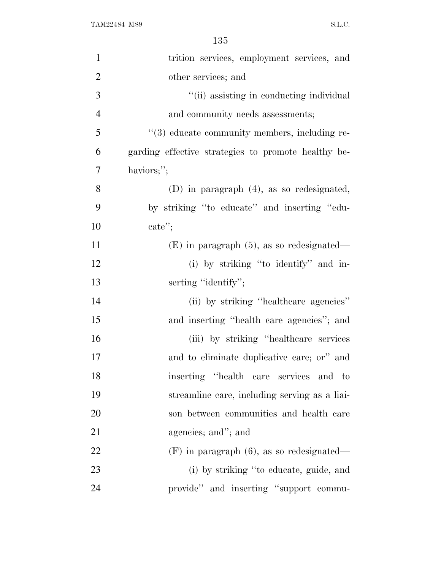| $\mathbf{1}$   | trition services, employment services, and          |
|----------------|-----------------------------------------------------|
| $\overline{2}$ | other services; and                                 |
| 3              | "(ii) assisting in conducting individual            |
| $\overline{4}$ | and community needs assessments;                    |
| 5              | "(3) educate community members, including re-       |
| 6              | garding effective strategies to promote healthy be- |
| 7              | haviors;";                                          |
| 8              | $(D)$ in paragraph $(4)$ , as so redesignated,      |
| 9              | by striking "to educate" and inserting "edu-        |
| 10             | $\text{cate}$ ";                                    |
| 11             | $(E)$ in paragraph $(5)$ , as so redesignated—      |
| 12             | (i) by striking "to identify" and in-               |
| 13             | serting "identify";                                 |
| 14             | (ii) by striking "healthcare agencies"              |
| 15             | and inserting "health care agencies"; and           |
| 16             | (iii) by striking "healthcare services"             |
| 17             | and to eliminate duplicative care; or" and          |
| 18             | inserting "health care services and to              |
| 19             | streamline care, including serving as a liai-       |
| 20             | son between communities and health care             |
| 21             | agencies; and"; and                                 |
| 22             | $(F)$ in paragraph $(6)$ , as so redesignated—      |
| 23             | (i) by striking "to educate, guide, and             |
| 24             | provide" and inserting "support commu-              |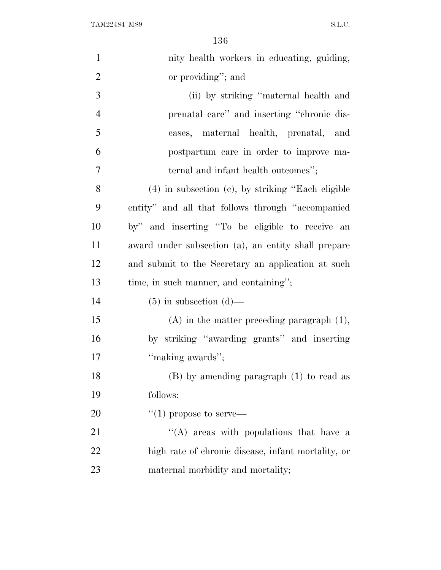| $\mathbf{1}$   | nity health workers in educating, guiding,              |
|----------------|---------------------------------------------------------|
| $\overline{2}$ | or providing"; and                                      |
| 3              | (ii) by striking "maternal health and                   |
| $\overline{4}$ | prenatal care" and inserting "chronic dis-              |
| 5              | eases, maternal health, prenatal, and                   |
| 6              | postpartum care in order to improve ma-                 |
| 7              | ternal and infant health outcomes";                     |
| 8              | $(4)$ in subsection $(c)$ , by striking "Each eligible" |
| 9              | entity" and all that follows through "accompanied"      |
| 10             | by" and inserting "To be eligible to receive an         |
| 11             | award under subsection (a), an entity shall prepare     |
| 12             | and submit to the Secretary an application at such      |
| 13             | time, in such manner, and containing";                  |
| 14             | $(5)$ in subsection $(d)$ —                             |
| 15             | $(A)$ in the matter preceding paragraph $(1)$ ,         |
| 16             | by striking "awarding grants" and inserting             |
| 17             | "making awards";                                        |
| 18             | $(B)$ by amending paragraph $(1)$ to read as            |
| 19             | follows:                                                |
| 20             | $\lq(1)$ propose to serve—                              |
| 21             | "(A) areas with populations that have a                 |
| 22             | high rate of chronic disease, infant mortality, or      |
| 23             | maternal morbidity and mortality;                       |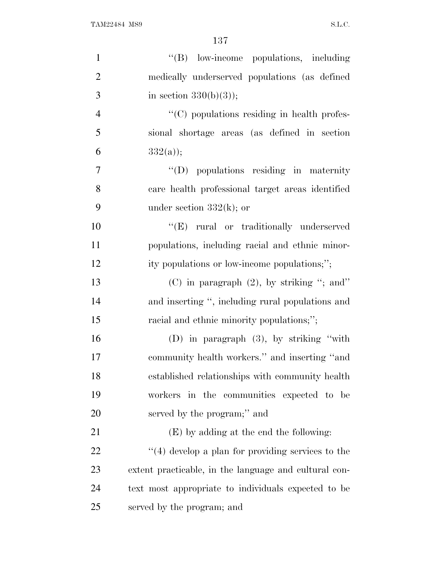| $\mathbf{1}$   | $\lq\lq(B)$ low-income populations, including         |
|----------------|-------------------------------------------------------|
| $\overline{2}$ | medically underserved populations (as defined         |
| 3              | in section $330(b)(3)$ ;                              |
| $\overline{4}$ | "(C) populations residing in health profes-           |
| 5              | sional shortage areas (as defined in section          |
| 6              | $332(a)$ ;                                            |
| 7              | $\lq\lq$ (D) populations residing in maternity        |
| 8              | care health professional target areas identified      |
| 9              | under section $332(k)$ ; or                           |
| 10             | "(E) rural or traditionally underserved               |
| 11             | populations, including racial and ethnic minor-       |
| 12             | ity populations or low-income populations;";          |
| 13             | (C) in paragraph $(2)$ , by striking "; and"          |
| 14             | and inserting ", including rural populations and      |
| 15             | racial and ethnic minority populations;";             |
| 16             | (D) in paragraph $(3)$ , by striking "with            |
| 17             | community health workers." and inserting "and         |
| 18             | established relationships with community health       |
| 19             | workers in the communities expected to be             |
| 20             | served by the program;" and                           |
| 21             | (E) by adding at the end the following:               |
| 22             | $\lq(4)$ develop a plan for providing services to the |
| 23             | extent practicable, in the language and cultural con- |
| 24             | text most appropriate to individuals expected to be   |
| 25             | served by the program; and                            |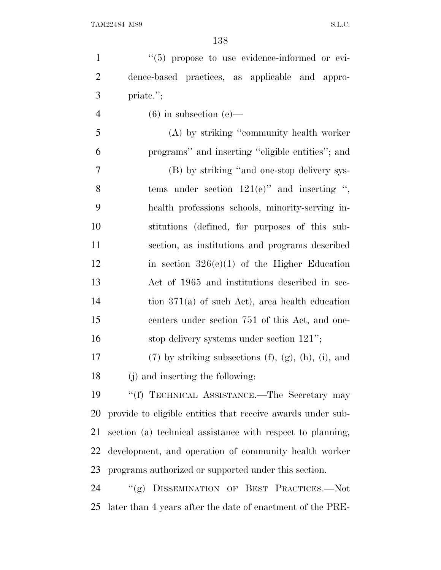| $\mathbf{1}$   | "(5) propose to use evidence-informed or evi-                     |
|----------------|-------------------------------------------------------------------|
| $\overline{2}$ | dence-based practices, as applicable and appro-                   |
| 3              | priate.";                                                         |
| $\overline{4}$ | $(6)$ in subsection $(e)$ —                                       |
| 5              | (A) by striking "community health worker                          |
| 6              | programs" and inserting "eligible entities"; and                  |
| 7              | (B) by striking "and one-stop delivery sys-                       |
| 8              | tems under section $121(e)$ " and inserting ",                    |
| 9              | health professions schools, minority-serving in-                  |
| 10             | stitutions (defined, for purposes of this sub-                    |
| 11             | section, as institutions and programs described                   |
| 12             | in section $326(e)(1)$ of the Higher Education                    |
| 13             | Act of 1965 and institutions described in sec-                    |
| 14             | tion $371(a)$ of such Act), area health education                 |
| 15             | centers under section 751 of this Act, and one-                   |
| 16             | stop delivery systems under section $121$ ";                      |
| 17             | $(7)$ by striking subsections $(f)$ , $(g)$ , $(h)$ , $(i)$ , and |
| 18             | (j) and inserting the following:                                  |
| 19             | "(f) TECHNICAL ASSISTANCE.—The Secretary may                      |
| 20             | provide to eligible entities that receive awards under sub-       |
| 21             | section (a) technical assistance with respect to planning,        |
| 22             | development, and operation of community health worker             |
| 23             | programs authorized or supported under this section.              |
| 24             | "(g) DISSEMINATION OF BEST PRACTICES.-Not                         |
| 25             | later than 4 years after the date of enactment of the PRE-        |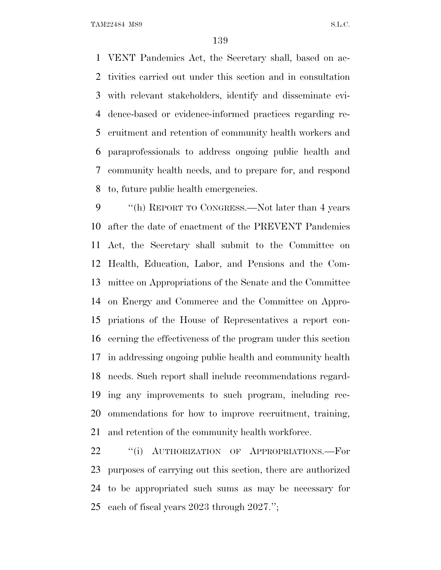VENT Pandemics Act, the Secretary shall, based on ac- tivities carried out under this section and in consultation with relevant stakeholders, identify and disseminate evi- dence-based or evidence-informed practices regarding re- cruitment and retention of community health workers and paraprofessionals to address ongoing public health and community health needs, and to prepare for, and respond to, future public health emergencies.

 ''(h) REPORT TO CONGRESS.—Not later than 4 years after the date of enactment of the PREVENT Pandemics Act, the Secretary shall submit to the Committee on Health, Education, Labor, and Pensions and the Com- mittee on Appropriations of the Senate and the Committee on Energy and Commerce and the Committee on Appro- priations of the House of Representatives a report con- cerning the effectiveness of the program under this section in addressing ongoing public health and community health needs. Such report shall include recommendations regard- ing any improvements to such program, including rec- ommendations for how to improve recruitment, training, and retention of the community health workforce.

22 "(i) AUTHORIZATION OF APPROPRIATIONS.—For purposes of carrying out this section, there are authorized to be appropriated such sums as may be necessary for each of fiscal years 2023 through 2027.'';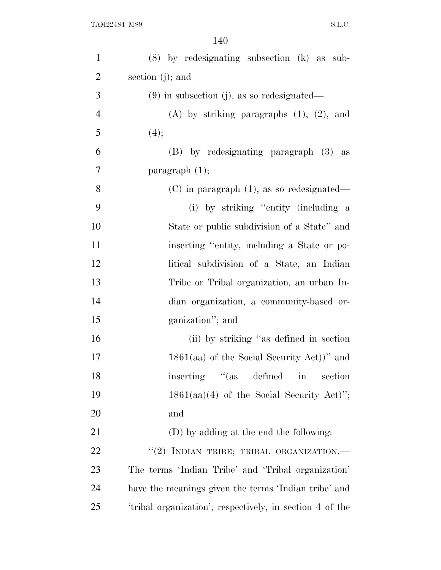| $\mathbf{1}$   | $(8)$ by redesignating subsection $(k)$ as sub-          |
|----------------|----------------------------------------------------------|
| $\overline{2}$ | section $(j)$ ; and                                      |
| 3              | $(9)$ in subsection (j), as so redesignated—             |
| $\overline{4}$ | $(A)$ by striking paragraphs $(1)$ , $(2)$ , and         |
| 5              | (4);                                                     |
| 6              | (B) by redesignating paragraph (3) as                    |
| 7              | paragraph $(1)$ ;                                        |
| 8              | $(C)$ in paragraph $(1)$ , as so redesignated—           |
| 9              | (i) by striking "entity (including a                     |
| 10             | State or public subdivision of a State" and              |
| 11             | inserting "entity, including a State or po-              |
| 12             | litical subdivision of a State, an Indian                |
| 13             | Tribe or Tribal organization, an urban In-               |
| 14             | dian organization, a community-based or-                 |
| 15             | ganization"; and                                         |
| 16             | (ii) by striking "as defined in section                  |
| 17             | $1861(aa)$ of the Social Security Act))" and             |
| 18             | inserting "(as defined in section                        |
| 19             | $1861(aa)(4)$ of the Social Security Act)";              |
| 20             | and                                                      |
| 21             | (D) by adding at the end the following:                  |
| 22             | "(2) INDIAN TRIBE; TRIBAL ORGANIZATION.-                 |
| 23             | The terms 'Indian Tribe' and 'Tribal organization'       |
| 24             | have the meanings given the terms 'Indian tribe' and     |
| 25             | 'tribal organization', respectively, in section 4 of the |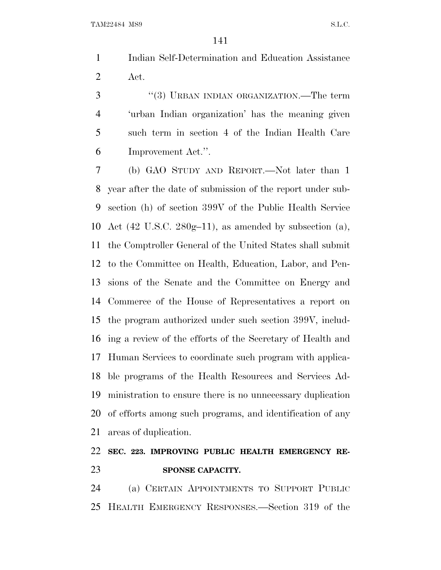Indian Self-Determination and Education Assistance Act.

3 "(3) URBAN INDIAN ORGANIZATION.—The term 'urban Indian organization' has the meaning given such term in section 4 of the Indian Health Care Improvement Act.''.

 (b) GAO STUDY AND REPORT.—Not later than 1 year after the date of submission of the report under sub- section (h) of section 399V of the Public Health Service Act (42 U.S.C. 280g–11), as amended by subsection (a), the Comptroller General of the United States shall submit to the Committee on Health, Education, Labor, and Pen- sions of the Senate and the Committee on Energy and Commerce of the House of Representatives a report on the program authorized under such section 399V, includ- ing a review of the efforts of the Secretary of Health and Human Services to coordinate such program with applica- ble programs of the Health Resources and Services Ad- ministration to ensure there is no unnecessary duplication of efforts among such programs, and identification of any areas of duplication.

## **SEC. 223. IMPROVING PUBLIC HEALTH EMERGENCY RE-SPONSE CAPACITY.**

 (a) CERTAIN APPOINTMENTS TO SUPPORT PUBLIC HEALTH EMERGENCY RESPONSES.—Section 319 of the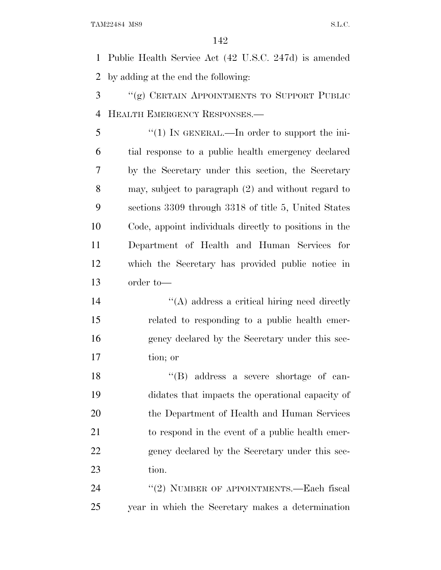Public Health Service Act (42 U.S.C. 247d) is amended by adding at the end the following:

- ''(g) CERTAIN APPOINTMENTS TO SUPPORT PUBLIC HEALTH EMERGENCY RESPONSES.—
- 5 "(1) IN GENERAL.—In order to support the ini- tial response to a public health emergency declared by the Secretary under this section, the Secretary may, subject to paragraph (2) and without regard to sections 3309 through 3318 of title 5, United States Code, appoint individuals directly to positions in the Department of Health and Human Services for which the Secretary has provided public notice in order to—
- 14 ''(A) address a critical hiring need directly related to responding to a public health emer- gency declared by the Secretary under this sec-tion; or

 ''(B) address a severe shortage of can- didates that impacts the operational capacity of the Department of Health and Human Services to respond in the event of a public health emer-22 gency declared by the Secretary under this sec-tion.

24 "(2) NUMBER OF APPOINTMENTS.—Each fiscal year in which the Secretary makes a determination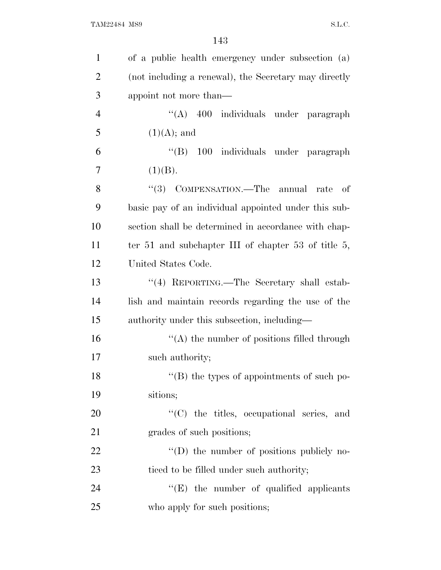| $\mathbf{1}$   | of a public health emergency under subsection (a)            |
|----------------|--------------------------------------------------------------|
| $\overline{2}$ | (not including a renewal), the Secretary may directly        |
| 3              | appoint not more than—                                       |
| $\overline{4}$ | "(A) 400 individuals under paragraph                         |
| 5              | $(1)(A);$ and                                                |
| 6              | "(B) 100 individuals under paragraph                         |
| 7              | (1)(B).                                                      |
| 8              | "(3) COMPENSATION.—The annual rate<br>- of                   |
| 9              | basic pay of an individual appointed under this sub-         |
| 10             | section shall be determined in accordance with chap-         |
| 11             | ter 51 and subchapter III of chapter 53 of title $5$ ,       |
| 12             | United States Code.                                          |
| 13             | "(4) REPORTING.—The Secretary shall estab-                   |
| 14             | lish and maintain records regarding the use of the           |
| 15             | authority under this subsection, including—                  |
| 16             | $\cdot$ (A) the number of positions filled through           |
| 17             | such authority;                                              |
| 18             | $\lq$ <sup>"</sup> (B) the types of appointments of such po- |
| 19             | sitions;                                                     |
| 20             | "(C) the titles, occupational series, and                    |
| 21             | grades of such positions;                                    |
| 22             | $\lq\lq$ the number of positions publicly no-                |
| 23             | ticed to be filled under such authority;                     |
| 24             | $\lq\lq(E)$ the number of qualified applicants               |
| 25             | who apply for such positions;                                |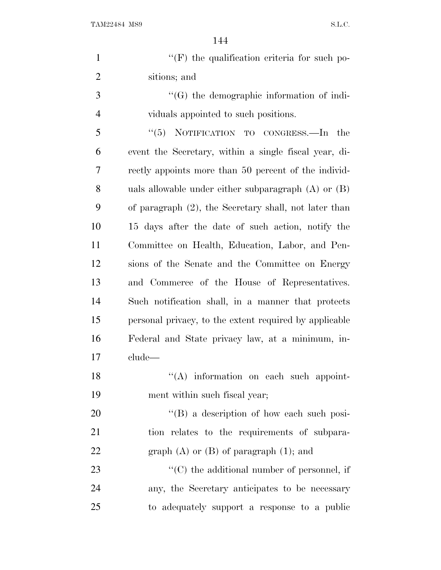| $\mathbf{1}$   | $\lq\lq(F)$ the qualification criteria for such po-     |
|----------------|---------------------------------------------------------|
| $\overline{2}$ | sitions; and                                            |
| 3              | $\lq\lq(G)$ the demographic information of indi-        |
| $\overline{4}$ | viduals appointed to such positions.                    |
| 5              | NOTIFICATION TO CONGRESS.-In<br>``(5)<br>the            |
| 6              | event the Secretary, within a single fiscal year, di-   |
| 7              | rectly appoints more than 50 percent of the individ-    |
| 8              | uals allowable under either subparagraph $(A)$ or $(B)$ |
| 9              | of paragraph (2), the Secretary shall, not later than   |
| 10             | 15 days after the date of such action, notify the       |
| 11             | Committee on Health, Education, Labor, and Pen-         |
| 12             | sions of the Senate and the Committee on Energy         |
| 13             | and Commerce of the House of Representatives.           |
| 14             | Such notification shall, in a manner that protects      |
| 15             | personal privacy, to the extent required by applicable  |
| 16             | Federal and State privacy law, at a minimum, in-        |
| 17             | clude                                                   |
| 18             | "(A) information on each such appoint-                  |
| 19             | ment within such fiscal year;                           |
| 20             | $\lq\lq (B)$ a description of how each such posi-       |
| 21             | tion relates to the requirements of subpara-            |
| 22             | graph $(A)$ or $(B)$ of paragraph $(1)$ ; and           |
| 23             | $\lq\lq$ (C) the additional number of personnel, if     |
| 24             | any, the Secretary anticipates to be necessary          |
| 25             | to adequately support a response to a public            |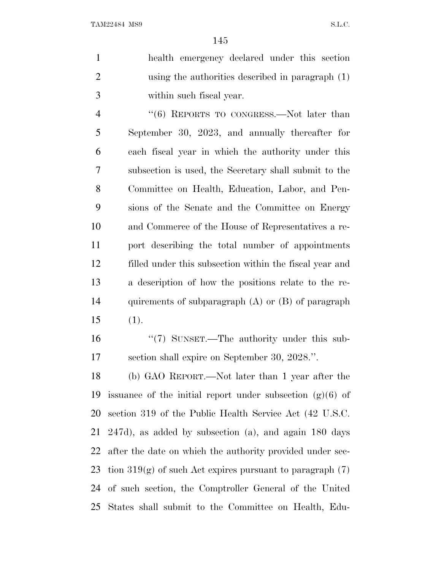|               | health emergency declared under this section       |
|---------------|----------------------------------------------------|
|               | using the authorities described in paragraph $(1)$ |
| $\mathcal{R}$ | within such fiscal year.                           |

4 "(6) REPORTS TO CONGRESS.—Not later than September 30, 2023, and annually thereafter for each fiscal year in which the authority under this subsection is used, the Secretary shall submit to the Committee on Health, Education, Labor, and Pen- sions of the Senate and the Committee on Energy and Commerce of the House of Representatives a re- port describing the total number of appointments filled under this subsection within the fiscal year and a description of how the positions relate to the re- quirements of subparagraph (A) or (B) of paragraph (1).

16 "(7) SUNSET.—The authority under this sub-section shall expire on September 30, 2028.''.

 (b) GAO REPORT.—Not later than 1 year after the issuance of the initial report under subsection (g)(6) of section 319 of the Public Health Service Act (42 U.S.C. 247d), as added by subsection (a), and again 180 days after the date on which the authority provided under sec-23 tion  $319(g)$  of such Act expires pursuant to paragraph  $(7)$  of such section, the Comptroller General of the United States shall submit to the Committee on Health, Edu-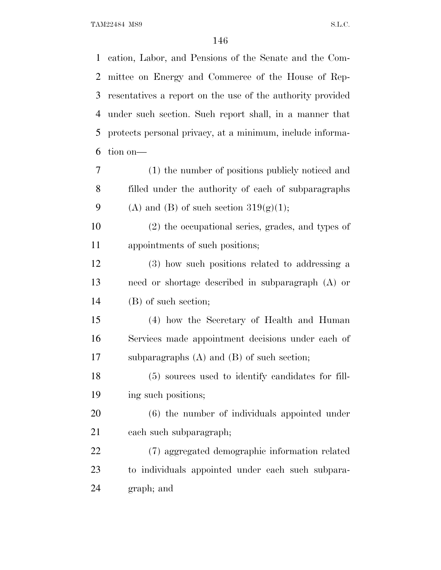cation, Labor, and Pensions of the Senate and the Com- mittee on Energy and Commerce of the House of Rep- resentatives a report on the use of the authority provided under such section. Such report shall, in a manner that protects personal privacy, at a minimum, include informa- tion on— (1) the number of positions publicly noticed and filled under the authority of each of subparagraphs 9 (A) and (B) of such section  $319(g)(1)$ ; (2) the occupational series, grades, and types of appointments of such positions; (3) how such positions related to addressing a need or shortage described in subparagraph (A) or (B) of such section; (4) how the Secretary of Health and Human Services made appointment decisions under each of subparagraphs (A) and (B) of such section; (5) sources used to identify candidates for fill- ing such positions; (6) the number of individuals appointed under each such subparagraph; (7) aggregated demographic information related to individuals appointed under each such subpara-graph; and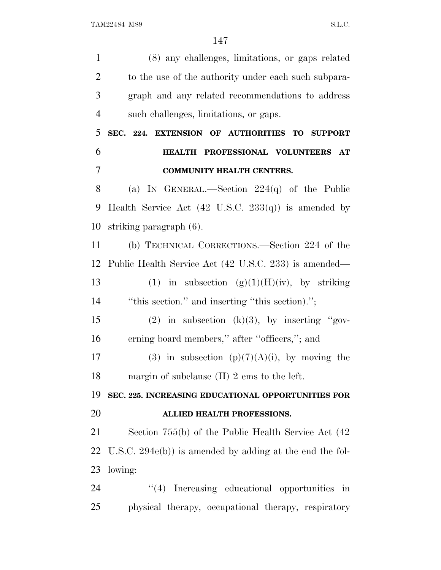(8) any challenges, limitations, or gaps related 2 to the use of the authority under each such subpara- graph and any related recommendations to address such challenges, limitations, or gaps. **SEC. 224. EXTENSION OF AUTHORITIES TO SUPPORT HEALTH PROFESSIONAL VOLUNTEERS AT COMMUNITY HEALTH CENTERS.** (a) I<sup>N</sup> GENERAL.—Section 224(q) of the Public Health Service Act (42 U.S.C. 233(q)) is amended by striking paragraph (6). (b) TECHNICAL CORRECTIONS.—Section 224 of the Public Health Service Act (42 U.S.C. 233) is amended— 13 (1) in subsection  $(g)(1)(H)(iv)$ , by striking ''this section.'' and inserting ''this section).''; 15 (2) in subsection (k)(3), by inserting "gov- erning board members,'' after ''officers,''; and 17 (3) in subsection  $(p)(7)(A)(i)$ , by moving the margin of subclause (II) 2 ems to the left. **SEC. 225. INCREASING EDUCATIONAL OPPORTUNITIES FOR ALLIED HEALTH PROFESSIONS.** Section 755(b) of the Public Health Service Act (42 U.S.C. 294e(b)) is amended by adding at the end the fol- lowing:  $\frac{1}{4}$  Increasing educational opportunities in physical therapy, occupational therapy, respiratory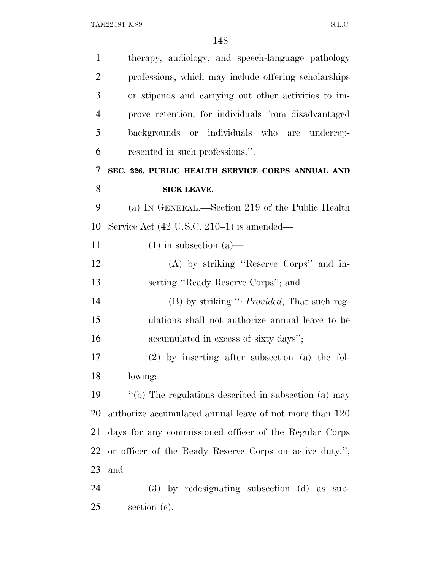| $\mathbf{1}$   | therapy, audiology, and speech-language pathology       |
|----------------|---------------------------------------------------------|
| $\overline{2}$ | professions, which may include offering scholarships    |
| 3              | or stipends and carrying out other activities to im-    |
| $\overline{4}$ | prove retention, for individuals from disadvantaged     |
| 5              | backgrounds or individuals who are underrep-            |
| 6              | resented in such professions.".                         |
| 7              | SEC. 226. PUBLIC HEALTH SERVICE CORPS ANNUAL AND        |
| 8              | <b>SICK LEAVE.</b>                                      |
| 9              | (a) IN GENERAL.—Section 219 of the Public Health        |
| 10             | Service Act $(42 \text{ U.S.C. } 210-1)$ is amended—    |
| 11             | $(1)$ in subsection $(a)$ —                             |
| 12             | (A) by striking "Reserve Corps" and in-                 |
| 13             | serting "Ready Reserve Corps"; and                      |
| 14             | $(B)$ by striking ": <i>Provided</i> , That such reg-   |
| 15             | ulations shall not authorize annual leave to be         |
| 16             | accumulated in excess of sixty days";                   |
| 17             | $(2)$ by inserting after subsection $(a)$ the fol-      |
| 18             | lowing:                                                 |
| 19             | "(b) The regulations described in subsection (a) may    |
| 20             | authorize accumulated annual leave of not more than 120 |
| 21             | days for any commissioned officer of the Regular Corps  |
| 22             | or officer of the Ready Reserve Corps on active duty."; |
| 23             | and                                                     |
| 24             | $(3)$ by redesignating subsection $(d)$ as sub-         |
| 25             | section $(c)$ .                                         |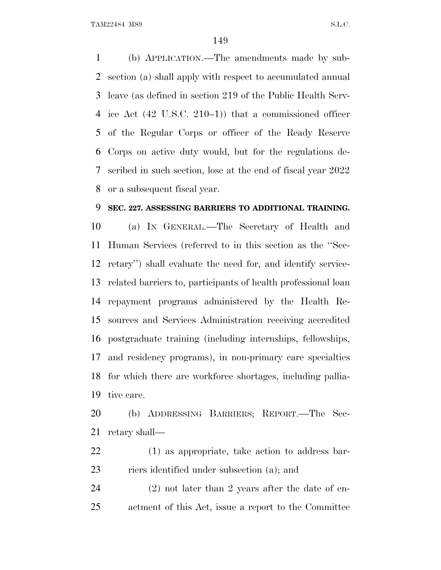(b) APPLICATION.—The amendments made by sub- section (a) shall apply with respect to accumulated annual leave (as defined in section 219 of the Public Health Serv- ice Act (42 U.S.C. 210–1)) that a commissioned officer of the Regular Corps or officer of the Ready Reserve Corps on active duty would, but for the regulations de- scribed in such section, lose at the end of fiscal year 2022 or a subsequent fiscal year.

#### **SEC. 227. ASSESSING BARRIERS TO ADDITIONAL TRAINING.**

 (a) I<sup>N</sup> GENERAL.—The Secretary of Health and Human Services (referred to in this section as the ''Sec- retary'') shall evaluate the need for, and identify service- related barriers to, participants of health professional loan repayment programs administered by the Health Re- sources and Services Administration receiving accredited postgraduate training (including internships, fellowships, and residency programs), in non-primary care specialties for which there are workforce shortages, including pallia-tive care.

 (b) ADDRESSING BARRIERS; REPORT.—The Sec-retary shall—

 (1) as appropriate, take action to address bar-riers identified under subsection (a); and

 (2) not later than 2 years after the date of en-actment of this Act, issue a report to the Committee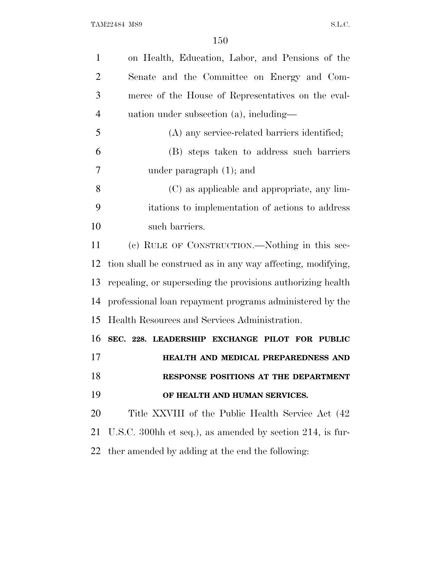| $\mathbf{1}$   | on Health, Education, Labor, and Pensions of the            |
|----------------|-------------------------------------------------------------|
| $\overline{2}$ | Senate and the Committee on Energy and Com-                 |
| 3              | merce of the House of Representatives on the eval-          |
| $\overline{4}$ | $uation$ under subsection $(a)$ , including—                |
| 5              | (A) any service-related barriers identified;                |
| 6              | (B) steps taken to address such barriers                    |
| 7              | under paragraph $(1)$ ; and                                 |
| 8              | (C) as applicable and appropriate, any lim-                 |
| 9              | itations to implementation of actions to address            |
| 10             | such barriers.                                              |
| 11             | (c) RULE OF CONSTRUCTION.—Nothing in this sec-              |
| 12             | tion shall be construed as in any way affecting, modifying, |
| 13             | repealing, or superseding the provisions authorizing health |
| 14             | professional loan repayment programs administered by the    |
| 15             | Health Resources and Services Administration.               |
| 16             | SEC. 228. LEADERSHIP EXCHANGE PILOT FOR PUBLIC              |
| 17             | HEALTH AND MEDICAL PREPAREDNESS AND                         |
| 18             | RESPONSE POSITIONS AT THE DEPARTMENT                        |
| 19             | OF HEALTH AND HUMAN SERVICES.                               |
| 20             | Title XXVIII of the Public Health Service Act (42)          |
| 21             | U.S.C. 300hh et seq.), as amended by section 214, is fur-   |
| 22             | ther amended by adding at the end the following:            |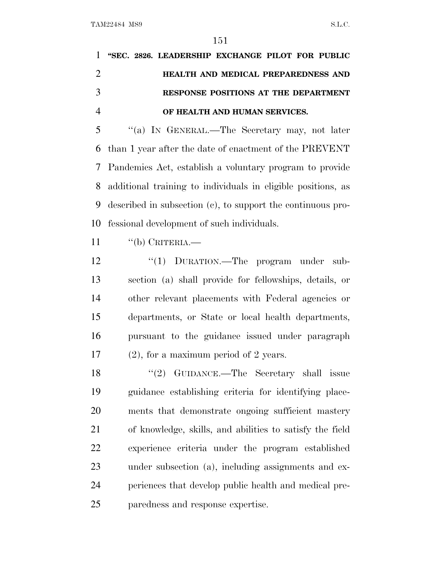| 1 "SEC. 2826. LEADERSHIP EXCHANGE PILOT FOR PUBLIC |
|----------------------------------------------------|
| HEALTH AND MEDICAL PREPAREDNESS AND                |
| RESPONSE POSITIONS AT THE DEPARTMENT               |
| OF HEALTH AND HUMAN SERVICES.                      |

 ''(a) I<sup>N</sup> GENERAL.—The Secretary may, not later than 1 year after the date of enactment of the PREVENT Pandemics Act, establish a voluntary program to provide additional training to individuals in eligible positions, as described in subsection (c), to support the continuous pro-fessional development of such individuals.

"(b) CRITERIA.—

 $\frac{1}{2}$   $\frac{1}{2}$  DURATION. The program under sub- section (a) shall provide for fellowships, details, or other relevant placements with Federal agencies or departments, or State or local health departments, pursuant to the guidance issued under paragraph (2), for a maximum period of 2 years.

 ''(2) GUIDANCE.—The Secretary shall issue guidance establishing criteria for identifying place- ments that demonstrate ongoing sufficient mastery of knowledge, skills, and abilities to satisfy the field experience criteria under the program established under subsection (a), including assignments and ex- periences that develop public health and medical pre-paredness and response expertise.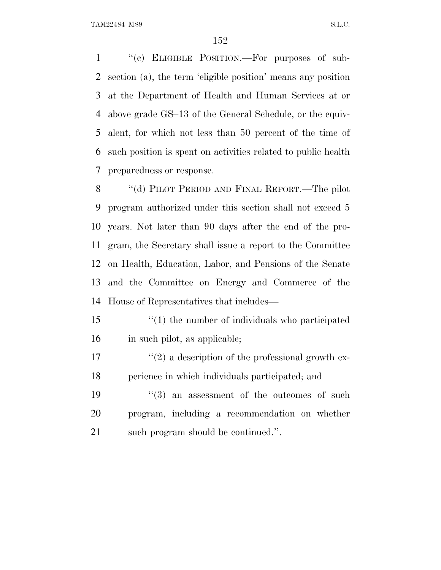''(c) ELIGIBLE POSITION.—For purposes of sub- section (a), the term 'eligible position' means any position at the Department of Health and Human Services at or above grade GS–13 of the General Schedule, or the equiv- alent, for which not less than 50 percent of the time of such position is spent on activities related to public health preparedness or response.

 ''(d) PILOT PERIOD AND FINAL REPORT.—The pilot program authorized under this section shall not exceed 5 years. Not later than 90 days after the end of the pro- gram, the Secretary shall issue a report to the Committee on Health, Education, Labor, and Pensions of the Senate and the Committee on Energy and Commerce of the House of Representatives that includes—

- ''(1) the number of individuals who participated in such pilot, as applicable;
- $\mathcal{L}^{\prime}(2)$  a description of the professional growth ex-perience in which individuals participated; and
- 19  $(3)$  an assessment of the outcomes of such program, including a recommendation on whether such program should be continued.''.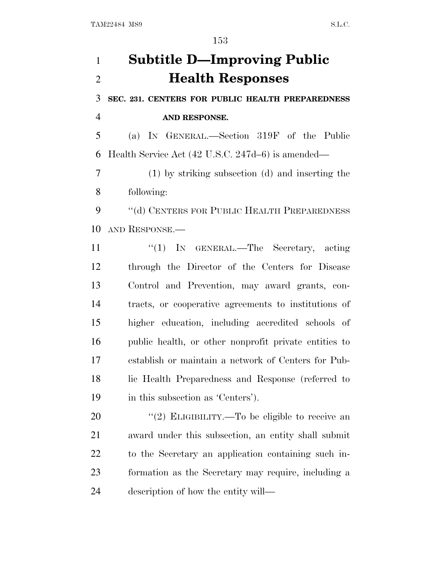# **Subtitle D—Improving Public Health Responses**

 **SEC. 231. CENTERS FOR PUBLIC HEALTH PREPAREDNESS AND RESPONSE.**

 (a) I<sup>N</sup> GENERAL.—Section 319F of the Public Health Service Act (42 U.S.C. 247d–6) is amended—

 (1) by striking subsection (d) and inserting the following:

9 "(d) CENTERS FOR PUBLIC HEALTH PREPAREDNESS AND RESPONSE.—

11 ''(1) IN GENERAL.—The Secretary, acting through the Director of the Centers for Disease Control and Prevention, may award grants, con- tracts, or cooperative agreements to institutions of higher education, including accredited schools of public health, or other nonprofit private entities to establish or maintain a network of Centers for Pub- lic Health Preparedness and Response (referred to in this subsection as 'Centers').

 $\frac{1}{2}$  ELIGIBILITY.—To be eligible to receive an award under this subsection, an entity shall submit to the Secretary an application containing such in- formation as the Secretary may require, including a description of how the entity will—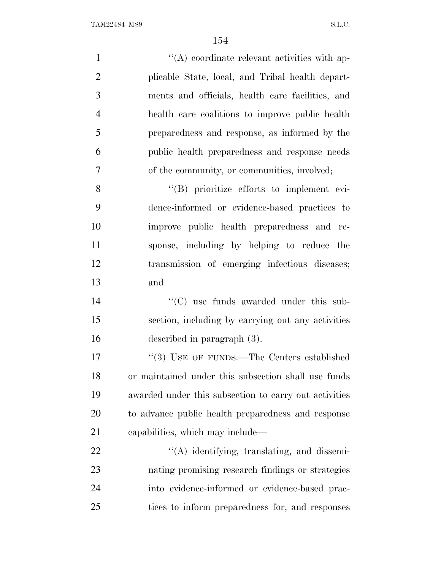| $\mathbf{1}$   | $\lq\lq$ coordinate relevant activities with ap-      |
|----------------|-------------------------------------------------------|
| $\overline{2}$ | plicable State, local, and Tribal health depart-      |
| 3              | ments and officials, health care facilities, and      |
| $\overline{4}$ | health care coalitions to improve public health       |
| 5              | preparedness and response, as informed by the         |
| 6              | public health preparedness and response needs         |
| 7              | of the community, or communities, involved;           |
| 8              | $\lq\lq(B)$ prioritize efforts to implement evi-      |
| 9              | dence-informed or evidence-based practices to         |
| 10             | improve public health preparedness and re-            |
| 11             | sponse, including by helping to reduce the            |
| 12             | transmission of emerging infectious diseases;         |
| 13             | and                                                   |
| 14             | "(C) use funds awarded under this sub-                |
| 15             | section, including by carrying out any activities     |
| 16             | described in paragraph (3).                           |
| 17             | "(3) USE OF FUNDS.—The Centers established            |
| 18             | or maintained under this subsection shall use funds   |
| 19             | awarded under this subsection to carry out activities |
| 20             | to advance public health preparedness and response    |
| 21             | capabilities, which may include—                      |
| 22             | $\lq\lq$ identifying, translating, and dissemi-       |
| 23             | nating promising research findings or strategies      |
| 24             | into evidence-informed or evidence-based prac-        |
| 25             | tices to inform preparedness for, and responses       |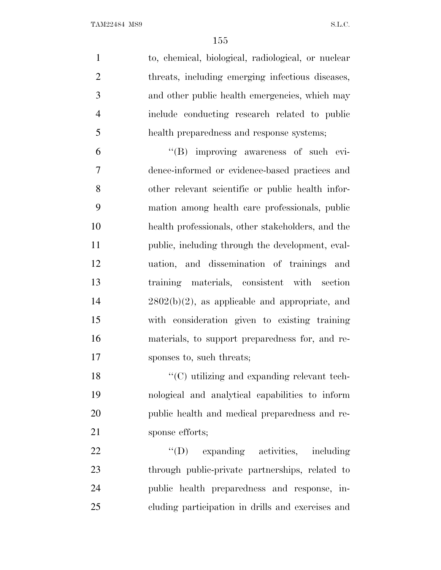| $\mathbf{1}$   | to, chemical, biological, radiological, or nuclear |
|----------------|----------------------------------------------------|
| $\overline{2}$ | threats, including emerging infectious diseases,   |
| 3              | and other public health emergencies, which may     |
| $\overline{4}$ | include conducting research related to public      |
| 5              | health preparedness and response systems;          |
| 6              | "(B) improving awareness of such evi-              |
| $\tau$         | dence-informed or evidence-based practices and     |
| 8              | other relevant scientific or public health infor-  |
| 9              | mation among health care professionals, public     |
| 10             | health professionals, other stakeholders, and the  |
| 11             | public, including through the development, eval-   |
| 12             | uation, and dissemination of trainings and         |
| 13             | training materials, consistent with section        |
| 14             | $2802(b)(2)$ , as applicable and appropriate, and  |
| 15             | with consideration given to existing training      |
| 16             | materials, to support preparedness for, and re-    |
| 17             | sponses to, such threats;                          |
| 18             | "(C) utilizing and expanding relevant tech-        |
| 19             | nological and analytical capabilities to inform    |
| 20             | public health and medical preparedness and re-     |
| 21             | sponse efforts;                                    |
| 22             | $\lq\lq$ (D) expanding activities, including       |
| 23             | through public-private partnerships, related to    |
| 24             | public health preparedness and response, in-       |
| 25             | cluding participation in drills and exercises and  |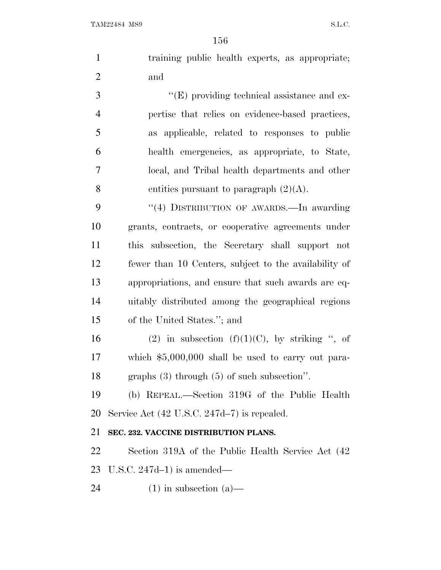|                | 156                                                                                                                 |
|----------------|---------------------------------------------------------------------------------------------------------------------|
| $\mathbf{1}$   | training public health experts, as appropriate;                                                                     |
| $\overline{2}$ | and                                                                                                                 |
| 3              | $\lq\lq(E)$ providing technical assistance and ex-                                                                  |
| $\overline{4}$ | pertise that relies on evidence-based practices,                                                                    |
| 5              | as applicable, related to responses to public                                                                       |
| 6              | health emergencies, as appropriate, to State,                                                                       |
| 7              | local, and Tribal health departments and other                                                                      |
| 8              | entities pursuant to paragraph $(2)(A)$ .                                                                           |
| 9              | "(4) DISTRIBUTION OF AWARDS.—In awarding                                                                            |
| 10             | grants, contracts, or cooperative agreements under                                                                  |
| 11             | this subsection, the Secretary shall support not                                                                    |
| 12             | fewer than 10 Centers, subject to the availability of                                                               |
| 13             | appropriations, and ensure that such awards are eq-                                                                 |
| 14             | uitably distributed among the geographical regions                                                                  |
| 15             | of the United States."; and                                                                                         |
| 1 <sub>6</sub> | $\mathcal{L}(\Omega)$ in orthocotion $\mathcal{L}(\Gamma)(1)/\mathcal{L}(\Omega)$ by other in $\mathcal{L}(\Omega)$ |

16 (2) in subsection  $(f)(1)(C)$ , by striking ", of which \$5,000,000 shall be used to carry out para-graphs (3) through (5) of such subsection''.

 (b) REPEAL.—Section 319G of the Public Health Service Act (42 U.S.C. 247d–7) is repealed.

#### **SEC. 232. VACCINE DISTRIBUTION PLANS.**

 Section 319A of the Public Health Service Act (42 U.S.C. 247d–1) is amended—

24  $(1)$  in subsection  $(a)$ —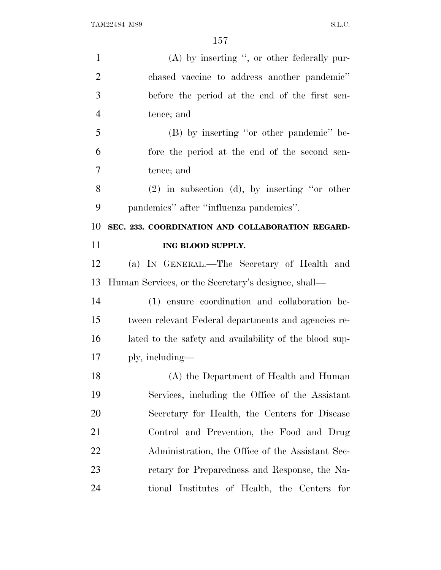| $\mathbf{1}$   | $(A)$ by inserting ", or other federally pur-          |
|----------------|--------------------------------------------------------|
| $\overline{2}$ | chased vaccine to address another pandemic"            |
| 3              | before the period at the end of the first sen-         |
| $\overline{4}$ | tence; and                                             |
| 5              | (B) by inserting "or other pandemic" be-               |
| 6              | fore the period at the end of the second sen-          |
| 7              | tence; and                                             |
| 8              | $(2)$ in subsection (d), by inserting "or other        |
| 9              | pandemics" after "influenza pandemics".                |
| 10             | SEC. 233. COORDINATION AND COLLABORATION REGARD-       |
| 11             | ING BLOOD SUPPLY.                                      |
| 12             | (a) IN GENERAL.—The Secretary of Health and            |
| 13             | Human Services, or the Secretary's designee, shall—    |
| 14             | (1) ensure coordination and collaboration be-          |
| 15             | tween relevant Federal departments and agencies re-    |
| 16             | lated to the safety and availability of the blood sup- |
| 17             | ply, including—                                        |
| 18             | (A) the Department of Health and Human                 |
| 19             | Services, including the Office of the Assistant        |
| 20             | Secretary for Health, the Centers for Disease          |
| 21             | Control and Prevention, the Food and Drug              |
| 22             | Administration, the Office of the Assistant Sec-       |
| 23             |                                                        |
|                | retary for Preparedness and Response, the Na-          |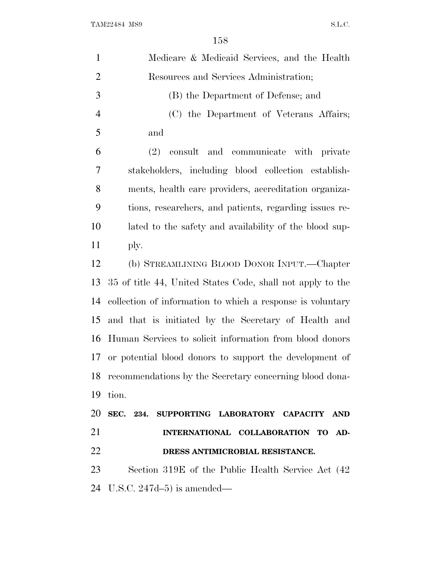| $\mathbf{1}$   | Medicare & Medicaid Services, and the Health               |
|----------------|------------------------------------------------------------|
| $\overline{2}$ | Resources and Services Administration;                     |
| 3              | (B) the Department of Defense; and                         |
| $\overline{4}$ | (C) the Department of Veterans Affairs;                    |
| 5              | and                                                        |
| 6              | and communicate with private<br>$(2)$ consult              |
| 7              | stakeholders, including blood collection establish-        |
| 8              | ments, health care providers, accreditation organiza-      |
| 9              | tions, researchers, and patients, regarding issues re-     |
| 10             | lated to the safety and availability of the blood sup-     |
| 11             | ply.                                                       |
| 12             | (b) STREAMLINING BLOOD DONOR INPUT.—Chapter                |
| 13             | 35 of title 44, United States Code, shall not apply to the |
| 14             | collection of information to which a response is voluntary |
| 15             | and that is initiated by the Secretary of Health and       |
| 16             | Human Services to solicit information from blood donors    |
| 17             | or potential blood donors to support the development of    |
|                | 18 recommendations by the Secretary concerning blood dona- |
| 19             | tion.                                                      |
|                | 20 SEC. 234. SUPPORTING LABORATORY CAPACITY AND            |
| 21             | INTERNATIONAL COLLABORATION TO AD-                         |
| 22             | DRESS ANTIMICROBIAL RESISTANCE.                            |
| 23             | Section 319E of the Public Health Service Act (42)         |
|                | 24 U.S.C. 247d–5) is amended—                              |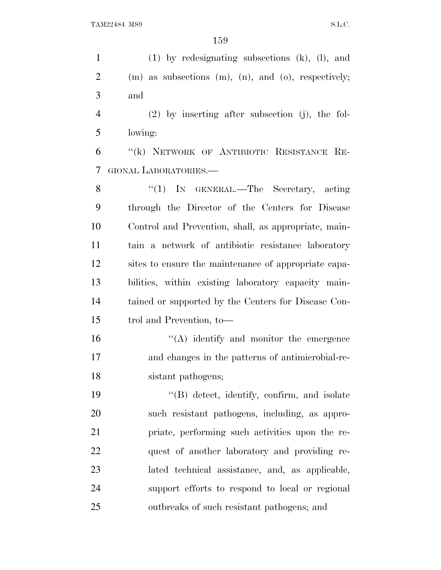(1) by redesignating subsections (k), (l), and (m) as subsections (m), (n), and (o), respectively; and (2) by inserting after subsection (j), the fol- lowing: ''(k) NETWORK OF ANTIBIOTIC RESISTANCE RE- GIONAL LABORATORIES.— 8 "(1) IN GENERAL.—The Secretary, acting through the Director of the Centers for Disease Control and Prevention, shall, as appropriate, main- tain a network of antibiotic resistance laboratory sites to ensure the maintenance of appropriate capa- bilities, within existing laboratory capacity main- tained or supported by the Centers for Disease Con- trol and Prevention, to—  $\langle A \rangle$  identify and monitor the emergence and changes in the patterns of antimicrobial-re- sistant pathogens; ''(B) detect, identify, confirm, and isolate such resistant pathogens, including, as appro- priate, performing such activities upon the re- quest of another laboratory and providing re- lated technical assistance, and, as applicable, support efforts to respond to local or regional outbreaks of such resistant pathogens; and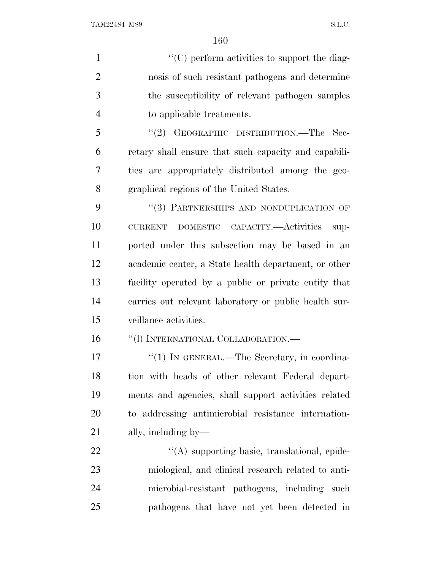$\langle ^{\prime}(C) \rangle$  perform activities to support the diag- nosis of such resistant pathogens and determine the susceptibility of relevant pathogen samples to applicable treatments. ''(2) GEOGRAPHIC DISTRIBUTION.—The Sec- retary shall ensure that such capacity and capabili-ties are appropriately distributed among the geo-

graphical regions of the United States.

9 "(3) PARTNERSHIPS AND NONDUPLICATION OF CURRENT DOMESTIC CAPACITY.—Activities sup- ported under this subsection may be based in an academic center, a State health department, or other facility operated by a public or private entity that carries out relevant laboratory or public health sur-veillance activities.

16 "(1) INTERNATIONAL COLLABORATION.—

17 "(1) IN GENERAL.—The Secretary, in coordina- tion with heads of other relevant Federal depart- ments and agencies, shall support activities related to addressing antimicrobial resistance internation-ally, including by—

 $\langle (A)$  supporting basic, translational, epide- miological, and clinical research related to anti- microbial-resistant pathogens, including such pathogens that have not yet been detected in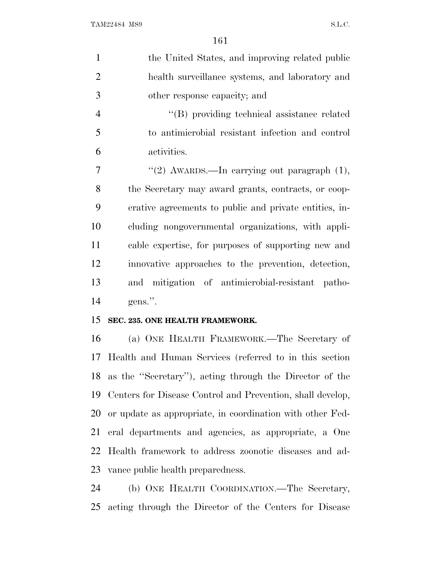| $\mathbf{1}$   | the United States, and improving related public            |
|----------------|------------------------------------------------------------|
| $\overline{2}$ | health surveillance systems, and laboratory and            |
| 3              | other response capacity; and                               |
| $\overline{4}$ | "(B) providing technical assistance related                |
| 5              | to antimicrobial resistant infection and control           |
| 6              | activities.                                                |
| 7              | "(2) AWARDS.—In carrying out paragraph $(1)$ ,             |
| 8              | the Secretary may award grants, contracts, or coop-        |
| 9              | erative agreements to public and private entities, in-     |
| 10             | cluding nongovernmental organizations, with appli-         |
| 11             | cable expertise, for purposes of supporting new and        |
| 12             | innovative approaches to the prevention, detection,        |
| 13             | and mitigation of antimicrobial-resistant patho-           |
| 14             | gens.".                                                    |
| 15             | SEC. 235. ONE HEALTH FRAMEWORK.                            |
| 16             | (a) ONE HEALTH FRAMEWORK.—The Secretary of                 |
| 17             | Health and Human Services (referred to in this section     |
|                | 18 as the "Secretary"), acting through the Director of the |
| 19             | Centers for Disease Control and Prevention, shall develop, |
| 20             | or update as appropriate, in coordination with other Fed-  |
| 21             | eral departments and agencies, as appropriate, a One       |
| 22             | Health framework to address zoonotic diseases and ad-      |
| 23             | vance public health preparedness.                          |
| 24             | (b) ONE HEALTH COORDINATION.—The Secretary,                |
| 25             | acting through the Director of the Centers for Disease     |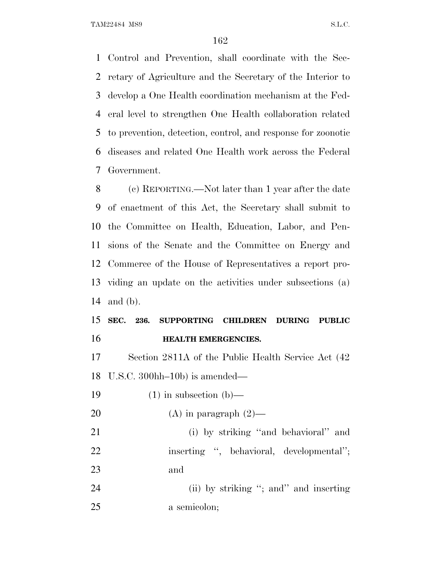Control and Prevention, shall coordinate with the Sec- retary of Agriculture and the Secretary of the Interior to develop a One Health coordination mechanism at the Fed- eral level to strengthen One Health collaboration related to prevention, detection, control, and response for zoonotic diseases and related One Health work across the Federal Government.

 (c) REPORTING.—Not later than 1 year after the date of enactment of this Act, the Secretary shall submit to the Committee on Health, Education, Labor, and Pen- sions of the Senate and the Committee on Energy and Commerce of the House of Representatives a report pro- viding an update on the activities under subsections (a) and (b).

### **SEC. 236. SUPPORTING CHILDREN DURING PUBLIC HEALTH EMERGENCIES.**

 Section 2811A of the Public Health Service Act (42 U.S.C. 300hh–10b) is amended—

19  $(1)$  in subsection  $(b)$ —

20 (A) in paragraph  $(2)$ —

 (i) by striking ''and behavioral'' and 22 inserting ", behavioral, developmental"; and

24 (ii) by striking "; and" and inserting a semicolon;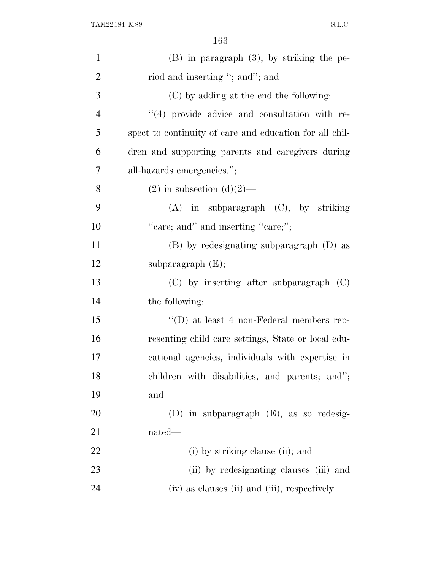| $\mathbf{1}$   | $(B)$ in paragraph $(3)$ , by striking the pe-          |
|----------------|---------------------------------------------------------|
| $\overline{2}$ | riod and inserting "; and"; and                         |
| 3              | (C) by adding at the end the following:                 |
| $\overline{4}$ | $(4)$ provide advice and consultation with re-          |
| 5              | spect to continuity of care and education for all chil- |
| 6              | dren and supporting parents and caregivers during       |
| 7              | all-hazards emergencies.";                              |
| 8              | $(2)$ in subsection $(d)(2)$ —                          |
| 9              | $(A)$ in subparagraph $(C)$ , by striking               |
| 10             | "care; and" and inserting "care;";                      |
| 11             | (B) by redesignating subparagraph (D) as                |
| 12             | subparagraph $(E);$                                     |
| 13             | $(C)$ by inserting after subparagraph $(C)$             |
| 14             | the following:                                          |
| 15             | "(D) at least 4 non-Federal members rep-                |
| 16             | resenting child care settings, State or local edu-      |
| 17             | cational agencies, individuals with expertise in        |
| 18             | children with disabilities, and parents; and";          |
| 19             | and                                                     |
| 20             | $(D)$ in subparagraph $(E)$ , as so redesig-            |
| 21             | nated—                                                  |
| 22             | (i) by striking clause (ii); and                        |
| 23             | (ii) by redesignating clauses (iii) and                 |
| 24             | (iv) as clauses (ii) and (iii), respectively.           |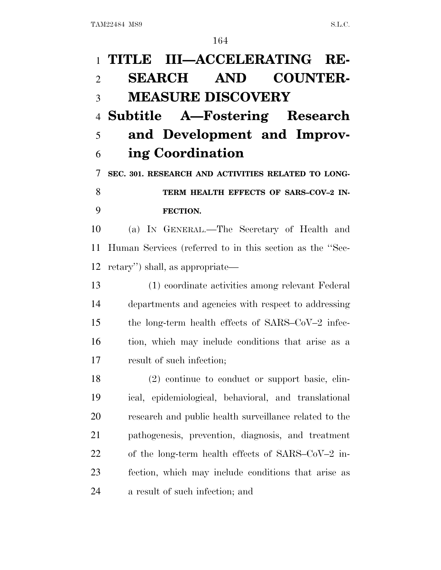# **TITLE III—ACCELERATING RE- SEARCH AND COUNTER- MEASURE DISCOVERY Subtitle A—Fostering Research and Development and Improv- ing Coordination SEC. 301. RESEARCH AND ACTIVITIES RELATED TO LONG-**8 TERM HEALTH EFFECTS OF SARS-COV-2 IN- **FECTION.** (a) I<sup>N</sup> GENERAL.—The Secretary of Health and Human Services (referred to in this section as the ''Sec- retary'') shall, as appropriate— (1) coordinate activities among relevant Federal departments and agencies with respect to addressing the long-term health effects of SARS–CoV–2 infec- tion, which may include conditions that arise as a result of such infection; (2) continue to conduct or support basic, clin- ical, epidemiological, behavioral, and translational research and public health surveillance related to the pathogenesis, prevention, diagnosis, and treatment of the long-term health effects of SARS–CoV–2 in- fection, which may include conditions that arise as a result of such infection; and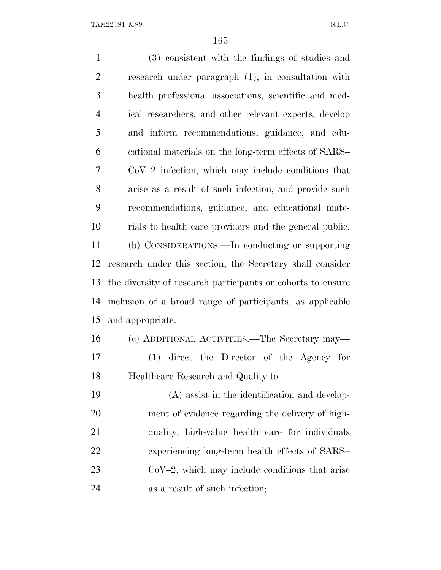(3) consistent with the findings of studies and research under paragraph (1), in consultation with health professional associations, scientific and med- ical researchers, and other relevant experts, develop and inform recommendations, guidance, and edu- cational materials on the long-term effects of SARS– CoV–2 infection, which may include conditions that arise as a result of such infection, and provide such recommendations, guidance, and educational mate- rials to health care providers and the general public. (b) CONSIDERATIONS.—In conducting or supporting research under this section, the Secretary shall consider the diversity of research participants or cohorts to ensure inclusion of a broad range of participants, as applicable and appropriate. (c) ADDITIONAL ACTIVITIES.—The Secretary may— (1) direct the Director of the Agency for Healthcare Research and Quality to— (A) assist in the identification and develop- ment of evidence regarding the delivery of high- quality, high-value health care for individuals experiencing long-term health effects of SARS– CoV–2, which may include conditions that arise as a result of such infection;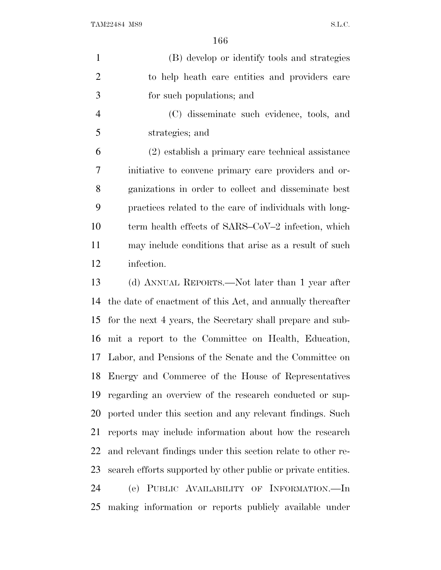| $\mathbf{1}$   | (B) develop or identify tools and strategies               |
|----------------|------------------------------------------------------------|
| $\overline{2}$ | to help heath care entities and providers care             |
| 3              | for such populations; and                                  |
| $\overline{4}$ | (C) disseminate such evidence, tools, and                  |
| 5              | strategies; and                                            |
| 6              | (2) establish a primary care technical assistance          |
| 7              | initiative to convene primary care providers and or-       |
| 8              | ganizations in order to collect and disseminate best       |
| 9              | practices related to the care of individuals with long-    |
| 10             | term health effects of SARS–CoV–2 infection, which         |
| 11             | may include conditions that arise as a result of such      |
| 12             | infection.                                                 |
| 13             | (d) ANNUAL REPORTS.—Not later than 1 year after            |
| 14             | the date of enactment of this Act, and annually thereafter |
| 15             | for the next 4 years, the Secretary shall prepare and sub- |
|                | 16 mit a report to the Committee on Health, Education,     |

 Labor, and Pensions of the Senate and the Committee on Energy and Commerce of the House of Representatives regarding an overview of the research conducted or sup- ported under this section and any relevant findings. Such reports may include information about how the research and relevant findings under this section relate to other re- search efforts supported by other public or private entities. (e) PUBLIC AVAILABILITY OF INFORMATION.—In making information or reports publicly available under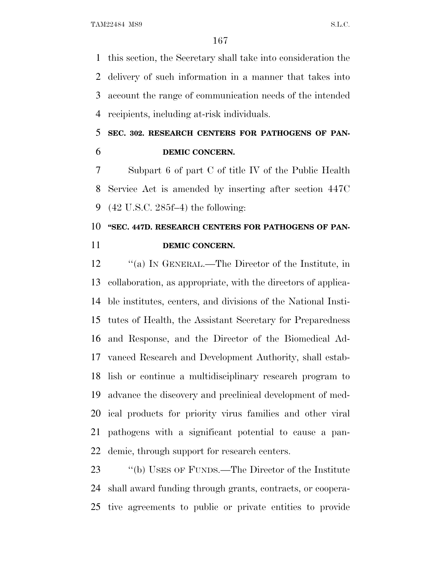this section, the Secretary shall take into consideration the delivery of such information in a manner that takes into account the range of communication needs of the intended recipients, including at-risk individuals.

### **SEC. 302. RESEARCH CENTERS FOR PATHOGENS OF PAN-DEMIC CONCERN.**

 Subpart 6 of part C of title IV of the Public Health Service Act is amended by inserting after section 447C (42 U.S.C. 285f–4) the following:

## 10 "SEC. 447D. RESEARCH CENTERS FOR PATHOGENS OF PAN-**DEMIC CONCERN.**

 ''(a) I<sup>N</sup> GENERAL.—The Director of the Institute, in collaboration, as appropriate, with the directors of applica- ble institutes, centers, and divisions of the National Insti- tutes of Health, the Assistant Secretary for Preparedness and Response, and the Director of the Biomedical Ad- vanced Research and Development Authority, shall estab- lish or continue a multidisciplinary research program to advance the discovery and preclinical development of med- ical products for priority virus families and other viral pathogens with a significant potential to cause a pan-demic, through support for research centers.

23 "(b) USES OF FUNDS.—The Director of the Institute shall award funding through grants, contracts, or coopera-tive agreements to public or private entities to provide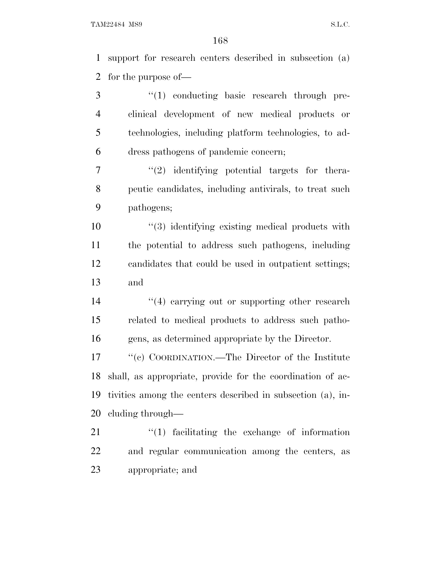support for research centers described in subsection (a) for the purpose of—

3 "(1) conducting basic research through pre- clinical development of new medical products or technologies, including platform technologies, to ad-dress pathogens of pandemic concern;

 $\frac{1}{2}$  ''(2) identifying potential targets for thera- peutic candidates, including antivirals, to treat such pathogens;

 $\frac{10}{2}$   $(3)$  identifying existing medical products with the potential to address such pathogens, including candidates that could be used in outpatient settings; and

14 ''(4) carrying out or supporting other research related to medical products to address such patho-gens, as determined appropriate by the Director.

 ''(c) COORDINATION.—The Director of the Institute shall, as appropriate, provide for the coordination of ac- tivities among the centers described in subsection (a), in-cluding through—

 ''(1) facilitating the exchange of information and regular communication among the centers, as appropriate; and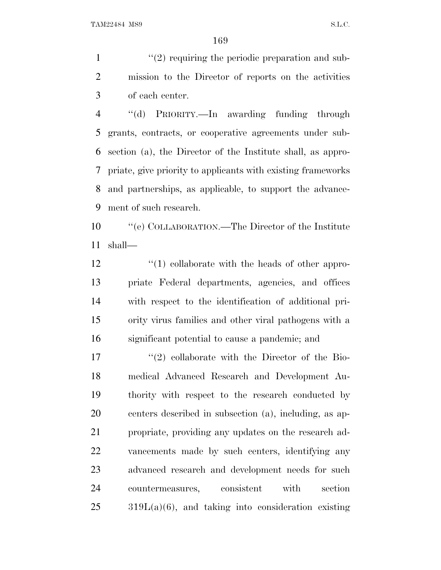1  $\frac{1}{2}$  requiring the periodic preparation and sub- mission to the Director of reports on the activities of each center.

 ''(d) PRIORITY.—In awarding funding through grants, contracts, or cooperative agreements under sub- section (a), the Director of the Institute shall, as appro- priate, give priority to applicants with existing frameworks and partnerships, as applicable, to support the advance-ment of such research.

 ''(e) COLLABORATION.—The Director of the Institute shall—

12 ''(1) collaborate with the heads of other appro- priate Federal departments, agencies, and offices with respect to the identification of additional pri- ority virus families and other viral pathogens with a significant potential to cause a pandemic; and

 $\frac{17}{20}$  collaborate with the Director of the Bio- medical Advanced Research and Development Au- thority with respect to the research conducted by centers described in subsection (a), including, as ap- propriate, providing any updates on the research ad- vancements made by such centers, identifying any advanced research and development needs for such countermeasures, consistent with section  $319L(a)(6)$ , and taking into consideration existing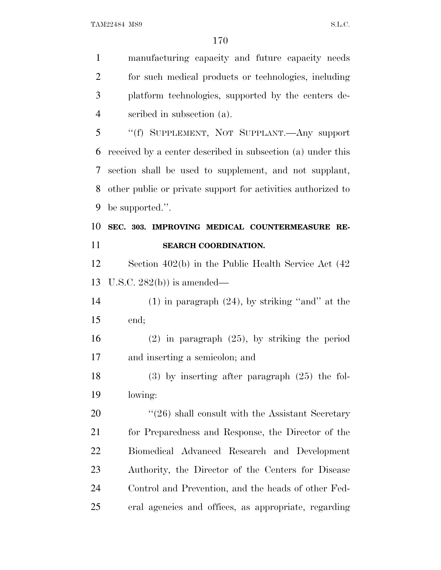manufacturing capacity and future capacity needs for such medical products or technologies, including platform technologies, supported by the centers de- scribed in subsection (a). ''(f) SUPPLEMENT, NOT SUPPLANT.—Any support received by a center described in subsection (a) under this section shall be used to supplement, and not supplant, other public or private support for activities authorized to be supported.''. **SEC. 303. IMPROVING MEDICAL COUNTERMEASURE RE- SEARCH COORDINATION.** Section 402(b) in the Public Health Service Act (42 U.S.C. 282(b)) is amended— 14 (1) in paragraph  $(24)$ , by striking "and" at the end; (2) in paragraph (25), by striking the period and inserting a semicolon; and (3) by inserting after paragraph (25) the fol- lowing: 20 "(26) shall consult with the Assistant Secretary for Preparedness and Response, the Director of the Biomedical Advanced Research and Development Authority, the Director of the Centers for Disease Control and Prevention, and the heads of other Fed-eral agencies and offices, as appropriate, regarding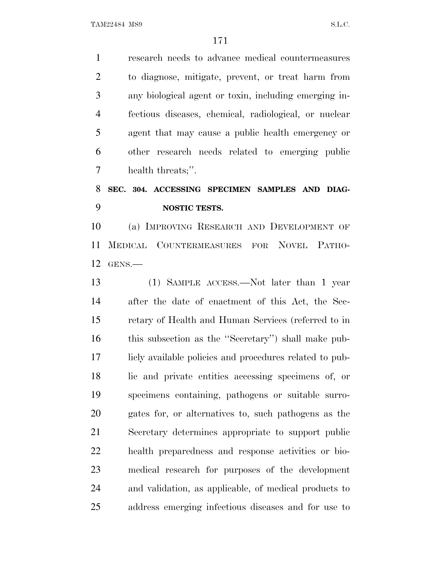research needs to advance medical countermeasures to diagnose, mitigate, prevent, or treat harm from any biological agent or toxin, including emerging in- fectious diseases, chemical, radiological, or nuclear agent that may cause a public health emergency or other research needs related to emerging public health threats;''.

### **SEC. 304. ACCESSING SPECIMEN SAMPLES AND DIAG-NOSTIC TESTS.**

 (a) IMPROVING RESEARCH AND DEVELOPMENT OF MEDICAL COUNTERMEASURES FOR NOVEL PATHO-GENS.—

 (1) SAMPLE ACCESS.—Not later than 1 year after the date of enactment of this Act, the Sec- retary of Health and Human Services (referred to in this subsection as the ''Secretary'') shall make pub- licly available policies and procedures related to pub- lic and private entities accessing specimens of, or specimens containing, pathogens or suitable surro- gates for, or alternatives to, such pathogens as the Secretary determines appropriate to support public health preparedness and response activities or bio- medical research for purposes of the development and validation, as applicable, of medical products to address emerging infectious diseases and for use to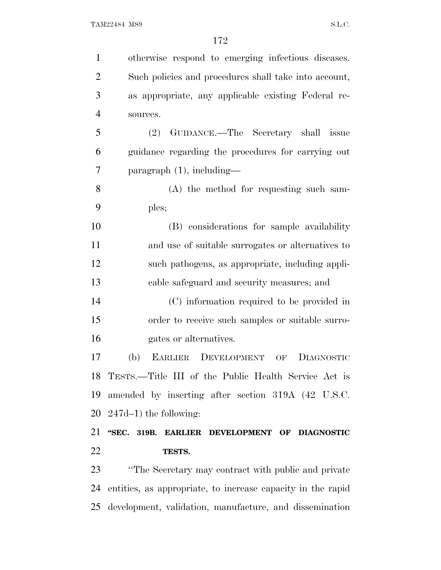| $\mathbf{1}$   | otherwise respond to emerging infectious diseases.          |
|----------------|-------------------------------------------------------------|
| $\overline{2}$ | Such policies and procedures shall take into account,       |
| 3              | as appropriate, any applicable existing Federal re-         |
| $\overline{4}$ | sources.                                                    |
| 5              | GUIDANCE.—The Secretary shall issue<br>(2)                  |
| 6              | guidance regarding the procedures for carrying out          |
| 7              | $\frac{1}{2}$ paragraph $(1)$ , including—                  |
| 8              | (A) the method for requesting such sam-                     |
| 9              | ples;                                                       |
| 10             | (B) considerations for sample availability                  |
| 11             | and use of suitable surrogates or alternatives to           |
| 12             | such pathogens, as appropriate, including appli-            |
| 13             | cable safeguard and security measures; and                  |
| 14             | (C) information required to be provided in                  |
| 15             | order to receive such samples or suitable surro-            |
| 16             | gates or alternatives.                                      |
| 17             | (b)<br>EARLIER DEVELOPMENT<br><b>DIAGNOSTIC</b><br>OF       |
|                | 18 TESTS.—Title III of the Public Health Service Act is     |
| 19             | amended by inserting after section 319A (42 U.S.C.          |
|                | $20\quad 247d-1$ ) the following:                           |
| 21             | "SEC. 319B. EARLIER DEVELOPMENT OF DIAGNOSTIC               |
| 22             | TESTS.                                                      |
| 23             | "The Secretary may contract with public and private         |
| 24             | entities, as appropriate, to increase capacity in the rapid |
| 25             | development, validation, manufacture, and dissemination     |
|                |                                                             |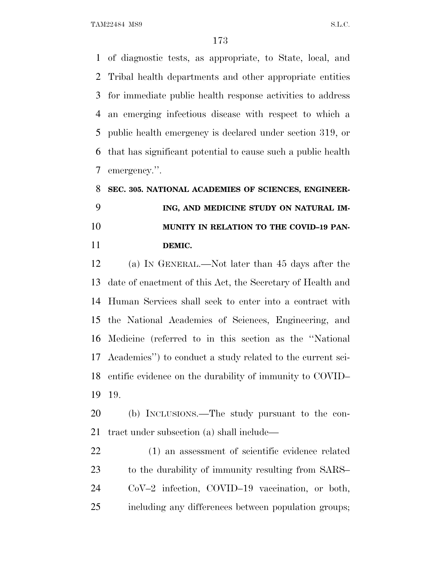of diagnostic tests, as appropriate, to State, local, and Tribal health departments and other appropriate entities for immediate public health response activities to address an emerging infectious disease with respect to which a public health emergency is declared under section 319, or that has significant potential to cause such a public health emergency.''.

## **SEC. 305. NATIONAL ACADEMIES OF SCIENCES, ENGINEER- ING, AND MEDICINE STUDY ON NATURAL IM- MUNITY IN RELATION TO THE COVID–19 PAN-DEMIC.**

 (a) I<sup>N</sup> GENERAL.—Not later than 45 days after the date of enactment of this Act, the Secretary of Health and Human Services shall seek to enter into a contract with the National Academies of Sciences, Engineering, and Medicine (referred to in this section as the ''National Academies'') to conduct a study related to the current sci- entific evidence on the durability of immunity to COVID– 19.

 (b) INCLUSIONS.—The study pursuant to the con-tract under subsection (a) shall include—

 (1) an assessment of scientific evidence related 23 to the durability of immunity resulting from SARS– CoV–2 infection, COVID–19 vaccination, or both, including any differences between population groups;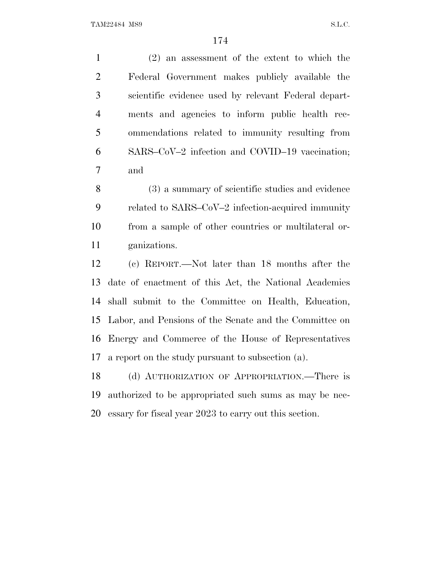(2) an assessment of the extent to which the Federal Government makes publicly available the scientific evidence used by relevant Federal depart- ments and agencies to inform public health rec- ommendations related to immunity resulting from SARS–CoV–2 infection and COVID–19 vaccination; and

 (3) a summary of scientific studies and evidence related to SARS–CoV–2 infection-acquired immunity from a sample of other countries or multilateral or-ganizations.

 (c) REPORT.—Not later than 18 months after the date of enactment of this Act, the National Academies shall submit to the Committee on Health, Education, Labor, and Pensions of the Senate and the Committee on Energy and Commerce of the House of Representatives a report on the study pursuant to subsection (a).

 (d) AUTHORIZATION OF APPROPRIATION.—There is authorized to be appropriated such sums as may be nec-essary for fiscal year 2023 to carry out this section.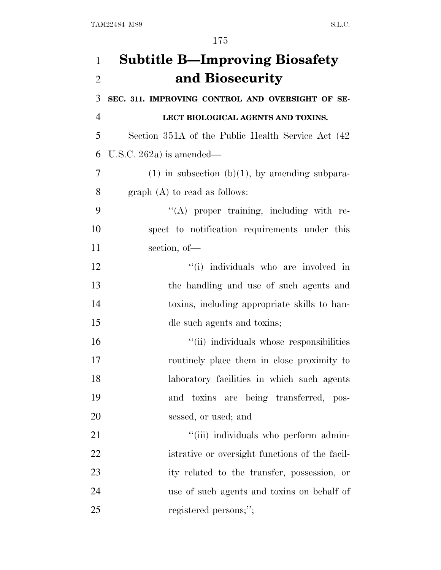| 1              | <b>Subtitle B-Improving Biosafety</b>               |
|----------------|-----------------------------------------------------|
| $\overline{2}$ | and Biosecurity                                     |
| 3              | SEC. 311. IMPROVING CONTROL AND OVERSIGHT OF SE-    |
| $\overline{4}$ | LECT BIOLOGICAL AGENTS AND TOXINS.                  |
| 5              | Section 351A of the Public Health Service Act (42)  |
| 6              | U.S.C. 262a) is amended—                            |
| 7              | $(1)$ in subsection $(b)(1)$ , by amending subpara- |
| 8              | $graph(A)$ to read as follows:                      |
| 9              | $\lq\lq$ proper training, including with re-        |
| 10             | spect to notification requirements under this       |
| 11             | section, of-                                        |
| 12             | "(i) individuals who are involved in                |
| 13             | the handling and use of such agents and             |
| 14             | toxins, including appropriate skills to han-        |
| 15             | dle such agents and toxins;                         |
| 16             | "(ii) individuals whose responsibilities            |
| 17             | routinely place them in close proximity to          |
| 18             | laboratory facilities in which such agents          |
| 19             | and toxins are being transferred, pos-              |
| 20             | sessed, or used; and                                |
| 21             | "(iii) individuals who perform admin-               |
| 22             | istrative or oversight functions of the facil-      |
| 23             | ity related to the transfer, possession, or         |
| 24             | use of such agents and toxins on behalf of          |
| 25             | registered persons;";                               |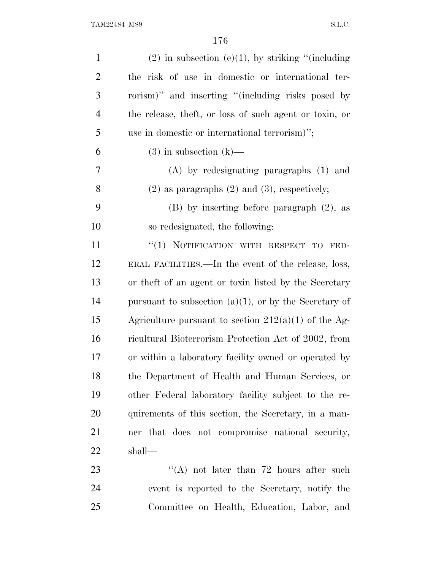| $\mathbf{1}$   | $(2)$ in subsection $(e)(1)$ , by striking "(including   |
|----------------|----------------------------------------------------------|
| $\overline{2}$ | the risk of use in domestic or international ter-        |
| 3              | rorism)" and inserting "(including risks posed by        |
| $\overline{4}$ | the release, theft, or loss of such agent or toxin, or   |
| 5              | use in domestic or international terrorism)";            |
| 6              | $(3)$ in subsection $(k)$ —                              |
| 7              | $(A)$ by redesignating paragraphs $(1)$ and              |
| 8              | $(2)$ as paragraphs $(2)$ and $(3)$ , respectively;      |
| 9              | $(B)$ by inserting before paragraph $(2)$ , as           |
| 10             | so redesignated, the following:                          |
| 11             | "(1) NOTIFICATION WITH RESPECT TO<br>FED-                |
| 12             | ERAL FACILITIES.—In the event of the release, loss,      |
| 13             | or the ft of an agent or toxin listed by the Secretary   |
| 14             | pursuant to subsection $(a)(1)$ , or by the Secretary of |
| 15             | Agriculture pursuant to section $212(a)(1)$ of the Ag-   |
| 16             | ricultural Bioterrorism Protection Act of 2002, from     |
| 17             | or within a laboratory facility owned or operated by     |
| 18             | the Department of Health and Human Services, or          |
| 19             | other Federal laboratory facility subject to the re-     |
| 20             | quirements of this section, the Secretary, in a man-     |
| 21             | ner that does not compromise national security,          |
| 22             | shall—                                                   |
| 23             | "(A) not later than $72$ hours after such                |
| 24             | event is reported to the Secretary, notify the           |
| 25             | Committee on Health, Education, Labor, and               |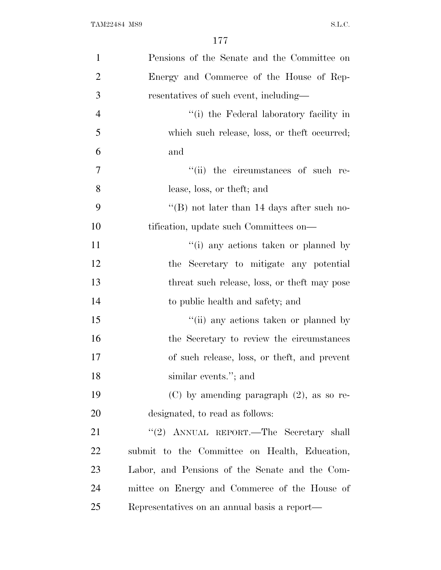| $\mathbf{1}$   | Pensions of the Senate and the Committee on    |
|----------------|------------------------------------------------|
| $\overline{2}$ | Energy and Commerce of the House of Rep-       |
| 3              | resentatives of such event, including—         |
| $\overline{4}$ | "(i) the Federal laboratory facility in        |
| 5              | which such release, loss, or the ft occurred;  |
| 6              | and                                            |
| 7              | "(ii) the circumstances of such re-            |
| 8              | lease, loss, or theft; and                     |
| 9              | "(B) not later than 14 days after such no-     |
| 10             | tification, update such Committees on—         |
| 11             | "(i) any actions taken or planned by           |
| 12             | the Secretary to mitigate any potential        |
| 13             | threat such release, loss, or the ft may pose  |
| 14             | to public health and safety; and               |
| 15             | "(ii) any actions taken or planned by          |
| 16             | the Secretary to review the circumstances      |
| 17             | of such release, loss, or theft, and prevent   |
| 18             | similar events."; and                          |
| 19             | $(C)$ by amending paragraph $(2)$ , as so re-  |
| 20             | designated, to read as follows:                |
| 21             | "(2) ANNUAL REPORT.—The Secretary shall        |
| <u>22</u>      | submit to the Committee on Health, Education,  |
| 23             | Labor, and Pensions of the Senate and the Com- |
| 24             | mittee on Energy and Commerce of the House of  |
| 25             | Representatives on an annual basis a report—   |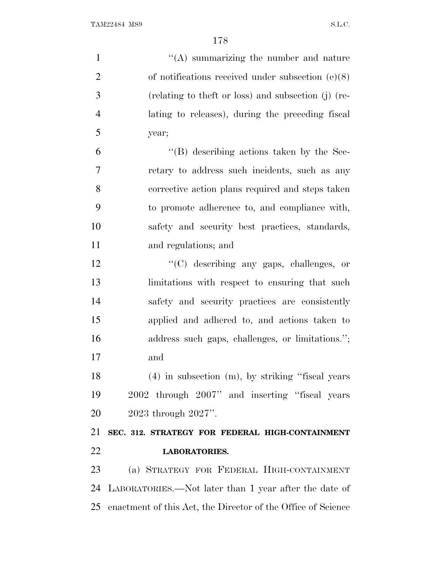| $\mathbf{1}$   | $\lq\lq$ summarizing the number and nature                      |
|----------------|-----------------------------------------------------------------|
| $\overline{2}$ | of notifications received under subsection $(e)(8)$             |
| 3              | (relating to theft or loss) and subsection (j) (re-             |
| $\overline{4}$ | lating to releases), during the preceding fiscal                |
| 5              | year;                                                           |
| 6              | $\lq\lq (B)$ describing actions taken by the Sec-               |
| 7              | retary to address such incidents, such as any                   |
| 8              | corrective action plans required and steps taken                |
| 9              | to promote adherence to, and compliance with,                   |
| 10             | safety and security best practices, standards,                  |
| 11             | and regulations; and                                            |
| 12             | "(C) describing any gaps, challenges, or                        |
| 13             | limitations with respect to ensuring that such                  |
| 14             | safety and security practices are consistently                  |
| 15             | applied and adhered to, and actions taken to                    |
| 16             | address such gaps, challenges, or limitations.";                |
| 17             | and                                                             |
| 18             | $(4)$ in subsection $(m)$ , by striking "fiscal years"          |
| 19             | 2002 through 2007" and inserting "fiscal years"                 |
| 20             | $2023$ through $2027$ ".                                        |
| 21             | SEC. 312. STRATEGY FOR FEDERAL HIGH-CONTAINMENT                 |
| 22             | <b>LABORATORIES.</b>                                            |
| 23             | (a) STRATEGY FOR FEDERAL HIGH-CONTAINMENT                       |
| 24             | LABORATORIES.—Not later than 1 year after the date of           |
|                | 25 enactment of this Act, the Director of the Office of Science |
|                |                                                                 |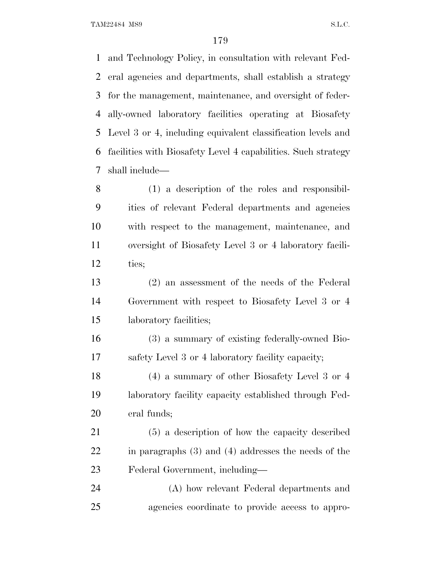and Technology Policy, in consultation with relevant Fed- eral agencies and departments, shall establish a strategy for the management, maintenance, and oversight of feder- ally-owned laboratory facilities operating at Biosafety Level 3 or 4, including equivalent classification levels and facilities with Biosafety Level 4 capabilities. Such strategy shall include—

 (1) a description of the roles and responsibil- ities of relevant Federal departments and agencies with respect to the management, maintenance, and oversight of Biosafety Level 3 or 4 laboratory facili-ties;

 (2) an assessment of the needs of the Federal Government with respect to Biosafety Level 3 or 4 laboratory facilities;

 (3) a summary of existing federally-owned Bio-safety Level 3 or 4 laboratory facility capacity;

 (4) a summary of other Biosafety Level 3 or 4 laboratory facility capacity established through Fed-eral funds;

 (5) a description of how the capacity described in paragraphs (3) and (4) addresses the needs of the Federal Government, including—

 (A) how relevant Federal departments and agencies coordinate to provide access to appro-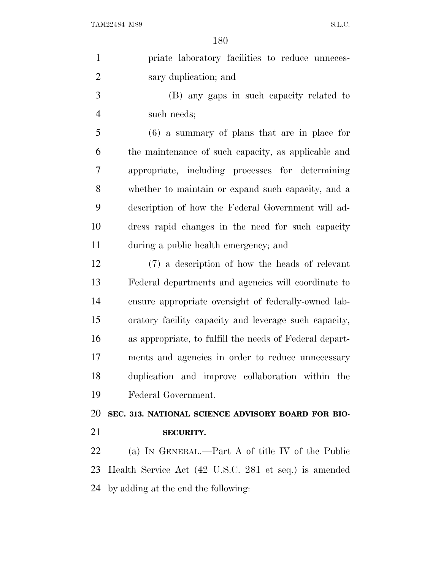| $\mathbf{1}$   | priate laboratory facilities to reduce unneces-         |
|----------------|---------------------------------------------------------|
| $\overline{2}$ | sary duplication; and                                   |
| 3              | (B) any gaps in such capacity related to                |
| $\overline{4}$ | such needs;                                             |
| 5              | $(6)$ a summary of plans that are in place for          |
| 6              | the maintenance of such capacity, as applicable and     |
| 7              | appropriate, including processes for determining        |
| 8              | whether to maintain or expand such capacity, and a      |
| 9              | description of how the Federal Government will ad-      |
| 10             | dress rapid changes in the need for such capacity       |
| 11             | during a public health emergency; and                   |
| 12             | (7) a description of how the heads of relevant          |
| 13             | Federal departments and agencies will coordinate to     |
| 14             | ensure appropriate oversight of federally-owned lab-    |
| 15             | oratory facility capacity and leverage such capacity,   |
| 16             | as appropriate, to fulfill the needs of Federal depart- |
| 17             | ments and agencies in order to reduce unnecessary       |
| 18             | duplication and improve collaboration within the        |
| 19             | Federal Government.                                     |
| 20             | SEC. 313. NATIONAL SCIENCE ADVISORY BOARD FOR BIO-      |
| 21             | <b>SECURITY.</b>                                        |
| 22             | (a) IN GENERAL.—Part A of title IV of the Public        |
| 23             | Health Service Act (42 U.S.C. 281 et seq.) is amended   |
|                | 24 by adding at the end the following:                  |
|                |                                                         |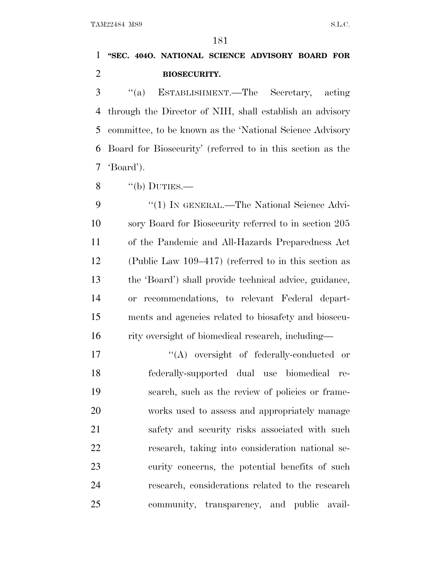### **''SEC. 404O. NATIONAL SCIENCE ADVISORY BOARD FOR BIOSECURITY.**

 ''(a) ESTABLISHMENT.—The Secretary, acting through the Director of NIH, shall establish an advisory committee, to be known as the 'National Science Advisory Board for Biosecurity' (referred to in this section as the 'Board').

 $\frac{8}{100}$  ''(b) DUTIES.—

9 "(1) IN GENERAL.—The National Science Advi- sory Board for Biosecurity referred to in section 205 of the Pandemic and All-Hazards Preparedness Act (Public Law 109–417) (referred to in this section as the 'Board') shall provide technical advice, guidance, or recommendations, to relevant Federal depart- ments and agencies related to biosafety and biosecu-rity oversight of biomedical research, including—

 $\langle (A)$  oversight of federally-conducted or federally-supported dual use biomedical re- search, such as the review of policies or frame- works used to assess and appropriately manage 21 safety and security risks associated with such research, taking into consideration national se- curity concerns, the potential benefits of such research, considerations related to the research community, transparency, and public avail-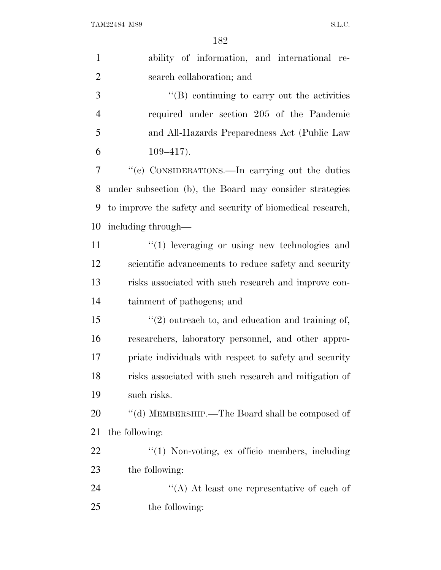| $\mathbf{1}$   | ability of information, and international re-              |
|----------------|------------------------------------------------------------|
| $\overline{2}$ | search collaboration; and                                  |
| 3              | "(B) continuing to carry out the activities                |
| $\overline{4}$ | required under section 205 of the Pandemic                 |
| 5              | and All-Hazards Preparedness Act (Public Law               |
| 6              | $109 - 417$ .                                              |
| 7              | "(c) CONSIDERATIONS.—In carrying out the duties            |
| 8              | under subsection (b), the Board may consider strategies    |
| 9              | to improve the safety and security of biomedical research, |
| 10             | including through—                                         |
| 11             | $\lq(1)$ leveraging or using new technologies and          |
| 12             | scientific advancements to reduce safety and security      |
| 13             | risks associated with such research and improve con-       |
| 14             | tainment of pathogens; and                                 |
| 15             | $\lq(2)$ outreach to, and education and training of,       |
| 16             | researchers, laboratory personnel, and other appro-        |
| 17             | priate individuals with respect to safety and security     |
| 18             | risks associated with such research and mitigation of      |
| 19             | such risks.                                                |
| 20             | "(d) MEMBERSHIP.—The Board shall be composed of            |
| 21             | the following:                                             |
| 22             | "(1) Non-voting, ex officio members, including             |
| 23             | the following:                                             |
| 24             | "(A) At least one representative of each of                |
| 25             | the following:                                             |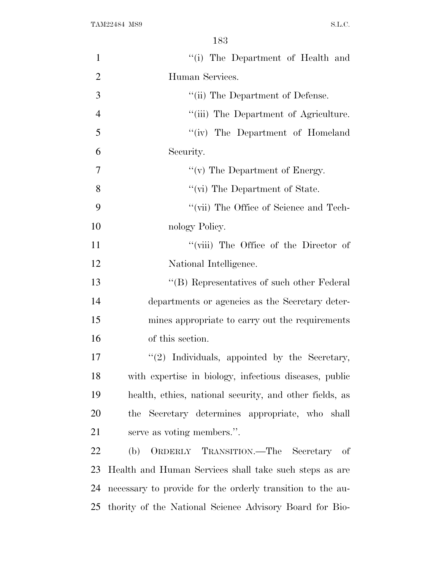| $\mathbf{1}$   | "(i) The Department of Health and                          |
|----------------|------------------------------------------------------------|
| $\overline{2}$ | Human Services.                                            |
| 3              | "(ii) The Department of Defense.                           |
| $\overline{4}$ | "(iii) The Department of Agriculture.                      |
| 5              | "(iv) The Department of Homeland                           |
| 6              | Security.                                                  |
| 7              | " $(v)$ The Department of Energy.                          |
| 8              | "(vi) The Department of State.                             |
| 9              | "(vii) The Office of Science and Tech-                     |
| 10             | nology Policy.                                             |
| 11             | "(viii) The Office of the Director of                      |
| 12             | National Intelligence.                                     |
| 13             | "(B) Representatives of such other Federal                 |
| 14             | departments or agencies as the Secretary deter-            |
| 15             | mines appropriate to carry out the requirements            |
| 16             | of this section.                                           |
| 17             | $\lq(2)$ Individuals, appointed by the Secretary,          |
| 18             | with expertise in biology, infectious diseases, public     |
| 19             | health, ethics, national security, and other fields, as    |
| 20             | the Secretary determines appropriate, who shall            |
| 21             | serve as voting members.".                                 |
| 22             | ORDERLY TRANSITION. The Secretary of<br>(b)                |
| 23             | Health and Human Services shall take such steps as are     |
| 24             | necessary to provide for the orderly transition to the au- |
| 25             | thority of the National Science Advisory Board for Bio-    |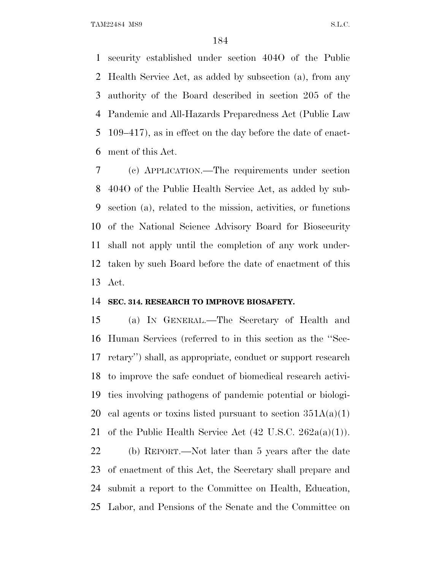security established under section 404O of the Public Health Service Act, as added by subsection (a), from any authority of the Board described in section 205 of the Pandemic and All-Hazards Preparedness Act (Public Law 109–417), as in effect on the day before the date of enact-ment of this Act.

 (c) APPLICATION.—The requirements under section 404O of the Public Health Service Act, as added by sub- section (a), related to the mission, activities, or functions of the National Science Advisory Board for Biosecurity shall not apply until the completion of any work under- taken by such Board before the date of enactment of this Act.

#### **SEC. 314. RESEARCH TO IMPROVE BIOSAFETY.**

 (a) I<sup>N</sup> GENERAL.—The Secretary of Health and Human Services (referred to in this section as the ''Sec- retary'') shall, as appropriate, conduct or support research to improve the safe conduct of biomedical research activi- ties involving pathogens of pandemic potential or biologi-20 cal agents or toxins listed pursuant to section  $351A(a)(1)$ 21 of the Public Health Service Act  $(42 \text{ U.S.C. } 262a(a)(1)).$ 

 (b) REPORT.—Not later than 5 years after the date of enactment of this Act, the Secretary shall prepare and submit a report to the Committee on Health, Education, Labor, and Pensions of the Senate and the Committee on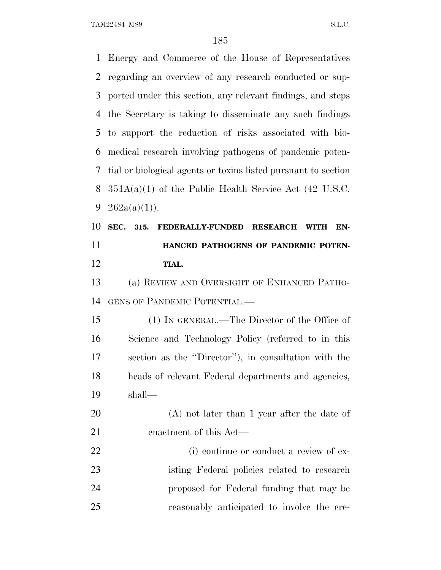Energy and Commerce of the House of Representatives regarding an overview of any research conducted or sup- ported under this section, any relevant findings, and steps the Secretary is taking to disseminate any such findings to support the reduction of risks associated with bio- medical research involving pathogens of pandemic poten- tial or biological agents or toxins listed pursuant to section  $351A(a)(1)$  of the Public Health Service Act (42 U.S.C.  $262a(a)(1)$ . **SEC. 315. FEDERALLY-FUNDED RESEARCH WITH EN- HANCED PATHOGENS OF PANDEMIC POTEN- TIAL.** (a) REVIEW AND OVERSIGHT OF ENHANCED PATHO- GENS OF PANDEMIC POTENTIAL.— (1) IN GENERAL.—The Director of the Office of Science and Technology Policy (referred to in this section as the ''Director''), in consultation with the heads of relevant Federal departments and agencies, shall— (A) not later than 1 year after the date of enactment of this Act— 22 (i) continue or conduct a review of ex- isting Federal policies related to research proposed for Federal funding that may be reasonably anticipated to involve the cre-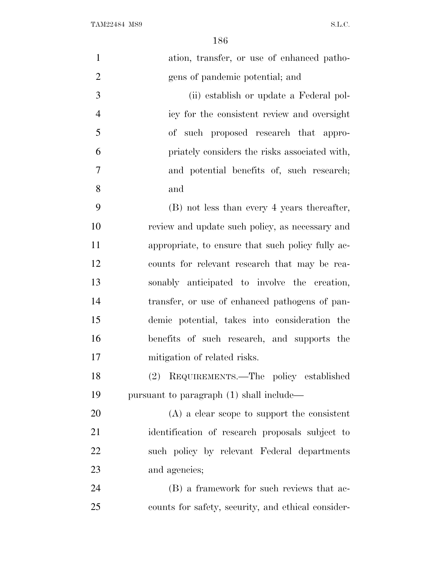| $\mathbf{1}$   | ation, transfer, or use of enhanced patho-         |
|----------------|----------------------------------------------------|
| $\overline{2}$ | gens of pandemic potential; and                    |
| 3              | (ii) establish or update a Federal pol-            |
| $\overline{4}$ | icy for the consistent review and oversight        |
| 5              | of such proposed research that appro-              |
| 6              | priately considers the risks associated with,      |
| 7              | and potential benefits of, such research;          |
| 8              | and                                                |
| 9              | (B) not less than every 4 years thereafter,        |
| 10             | review and update such policy, as necessary and    |
| 11             | appropriate, to ensure that such policy fully ac-  |
| 12             | counts for relevant research that may be rea-      |
| 13             | sonably anticipated to involve the creation,       |
| 14             | transfer, or use of enhanced pathogens of pan-     |
| 15             | demic potential, takes into consideration the      |
| 16             | benefits of such research, and supports the        |
| 17             | mitigation of related risks.                       |
| 18             | (2) REQUIREMENTS.—The policy established           |
| 19             | pursuant to paragraph (1) shall include—           |
| 20             | $(A)$ a clear scope to support the consistent      |
| 21             | identification of research proposals subject to    |
| 22             | such policy by relevant Federal departments        |
| 23             | and agencies;                                      |
| 24             | (B) a framework for such reviews that ac-          |
| 25             | counts for safety, security, and ethical consider- |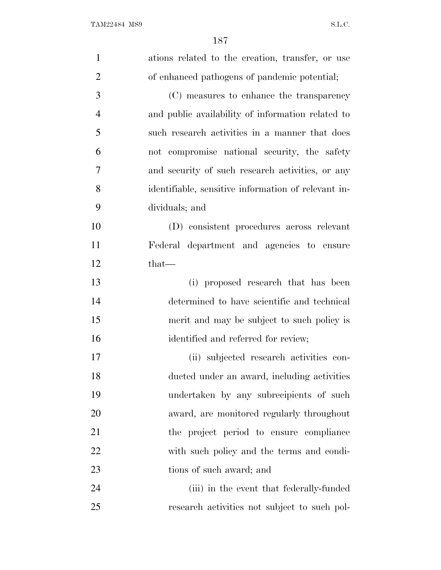| $\mathbf{1}$   | ations related to the creation, transfer, or use    |
|----------------|-----------------------------------------------------|
| $\overline{2}$ | of enhanced pathogens of pandemic potential;        |
| 3              | (C) measures to enhance the transparency            |
| $\overline{4}$ | and public availability of information related to   |
| 5              | such research activities in a manner that does      |
| 6              | not compromise national security, the safety        |
| 7              | and security of such research activities, or any    |
| 8              | identifiable, sensitive information of relevant in- |
| 9              | dividuals; and                                      |
| 10             | (D) consistent procedures across relevant           |
| 11             | Federal department and agencies to ensure           |
| 12             | $that$ —                                            |
| 13             | (i) proposed research that has been                 |
| 14             | determined to have scientific and technical         |
| 15             | merit and may be subject to such policy is          |
| 16             | identified and referred for review;                 |
| 17             | (ii) subjected research activities con-             |
| 18             | ducted under an award, including activities         |
| 19             | undertaken by any subrecipients of such             |
| 20             | award, are monitored regularly throughout           |
| 21             | the project period to ensure compliance             |
| 22             | with such policy and the terms and condi-           |
| 23             | tions of such award; and                            |
| 24             | (iii) in the event that federally-funded            |
| 25             | research activities not subject to such pol-        |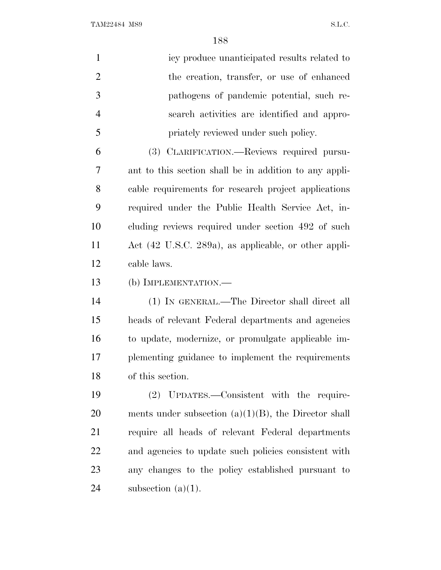| $\mathbf{1}$   | icy produce unanticipated results related to            |
|----------------|---------------------------------------------------------|
| $\overline{2}$ | the creation, transfer, or use of enhanced              |
| 3              | pathogens of pandemic potential, such re-               |
| $\overline{4}$ | search activities are identified and appro-             |
| 5              | priately reviewed under such policy.                    |
| 6              | (3) CLARIFICATION.—Reviews required pursu-              |
| 7              | ant to this section shall be in addition to any appli-  |
| 8              | cable requirements for research project applications    |
| 9              | required under the Public Health Service Act, in-       |
| 10             | cluding reviews required under section 492 of such      |
| 11             | Act (42 U.S.C. 289a), as applicable, or other appli-    |
| 12             | cable laws.                                             |
| 13             | (b) IMPLEMENTATION.—                                    |
| 14             | (1) IN GENERAL.—The Director shall direct all           |
| 15             | heads of relevant Federal departments and agencies      |
| 16             | to update, modernize, or promulgate applicable im-      |
| 17             | plementing guidance to implement the requirements       |
| 18             | of this section.                                        |
| 19             | (2) UPDATES.—Consistent with the require-               |
| 20             | ments under subsection $(a)(1)(B)$ , the Director shall |
| 21             | require all heads of relevant Federal departments       |
| 22             | and agencies to update such policies consistent with    |
| 23             | any changes to the policy established pursuant to       |
| 24             | subsection $(a)(1)$ .                                   |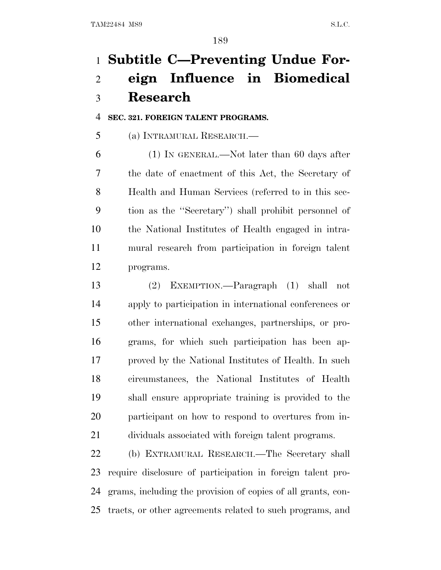# **Subtitle C—Preventing Undue For- eign Influence in Biomedical Research**

### **SEC. 321. FOREIGN TALENT PROGRAMS.**

(a) INTRAMURAL RESEARCH.—

 (1) IN GENERAL.—Not later than 60 days after the date of enactment of this Act, the Secretary of Health and Human Services (referred to in this sec- tion as the ''Secretary'') shall prohibit personnel of the National Institutes of Health engaged in intra- mural research from participation in foreign talent programs.

 (2) EXEMPTION.—Paragraph (1) shall not apply to participation in international conferences or other international exchanges, partnerships, or pro- grams, for which such participation has been ap- proved by the National Institutes of Health. In such circumstances, the National Institutes of Health shall ensure appropriate training is provided to the participant on how to respond to overtures from in-dividuals associated with foreign talent programs.

 (b) EXTRAMURAL RESEARCH.—The Secretary shall require disclosure of participation in foreign talent pro- grams, including the provision of copies of all grants, con-tracts, or other agreements related to such programs, and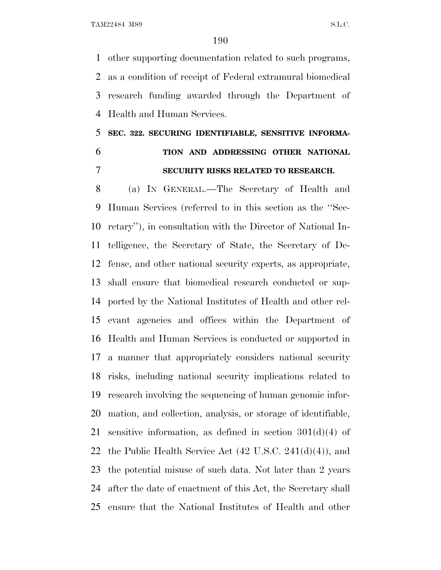other supporting documentation related to such programs, as a condition of receipt of Federal extramural biomedical research funding awarded through the Department of Health and Human Services.

# **SEC. 322. SECURING IDENTIFIABLE, SENSITIVE INFORMA-**

# **TION AND ADDRESSING OTHER NATIONAL SECURITY RISKS RELATED TO RESEARCH.**

 (a) I<sup>N</sup> GENERAL.—The Secretary of Health and Human Services (referred to in this section as the ''Sec- retary''), in consultation with the Director of National In- telligence, the Secretary of State, the Secretary of De- fense, and other national security experts, as appropriate, shall ensure that biomedical research conducted or sup- ported by the National Institutes of Health and other rel- evant agencies and offices within the Department of Health and Human Services is conducted or supported in a manner that appropriately considers national security risks, including national security implications related to research involving the sequencing of human genomic infor- mation, and collection, analysis, or storage of identifiable, 21 sensitive information, as defined in section  $301(d)(4)$  of 22 the Public Health Service Act  $(42 \text{ U.S.C. } 241(d)(4))$ , and the potential misuse of such data. Not later than 2 years after the date of enactment of this Act, the Secretary shall ensure that the National Institutes of Health and other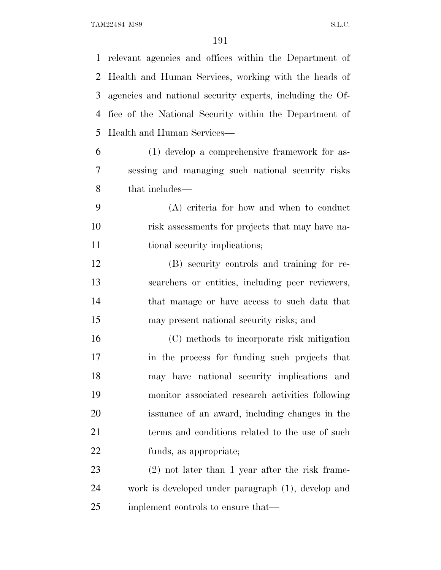relevant agencies and offices within the Department of Health and Human Services, working with the heads of agencies and national security experts, including the Of- fice of the National Security within the Department of Health and Human Services—

 (1) develop a comprehensive framework for as- sessing and managing such national security risks that includes—

 (A) criteria for how and when to conduct risk assessments for projects that may have na-11 tional security implications;

 (B) security controls and training for re- searchers or entities, including peer reviewers, that manage or have access to such data that may present national security risks; and

 (C) methods to incorporate risk mitigation in the process for funding such projects that may have national security implications and monitor associated research activities following issuance of an award, including changes in the 21 terms and conditions related to the use of such funds, as appropriate;

 (2) not later than 1 year after the risk frame- work is developed under paragraph (1), develop and implement controls to ensure that—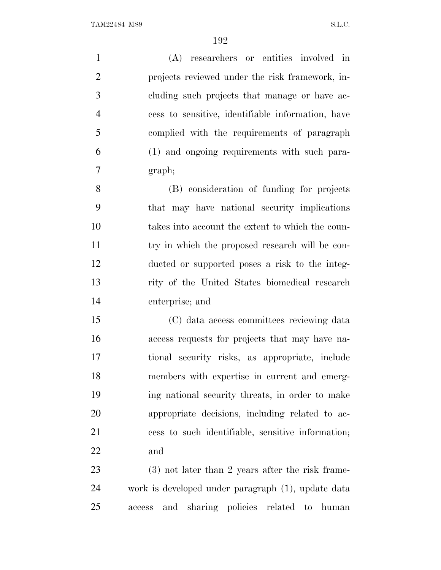(A) researchers or entities involved in projects reviewed under the risk framework, in- cluding such projects that manage or have ac- cess to sensitive, identifiable information, have complied with the requirements of paragraph (1) and ongoing requirements with such para-graph;

 (B) consideration of funding for projects that may have national security implications takes into account the extent to which the coun- try in which the proposed research will be con- ducted or supported poses a risk to the integ- rity of the United States biomedical research enterprise; and

 (C) data access committees reviewing data access requests for projects that may have na- tional security risks, as appropriate, include members with expertise in current and emerg- ing national security threats, in order to make appropriate decisions, including related to ac- cess to such identifiable, sensitive information; and

 (3) not later than 2 years after the risk frame- work is developed under paragraph (1), update data access and sharing policies related to human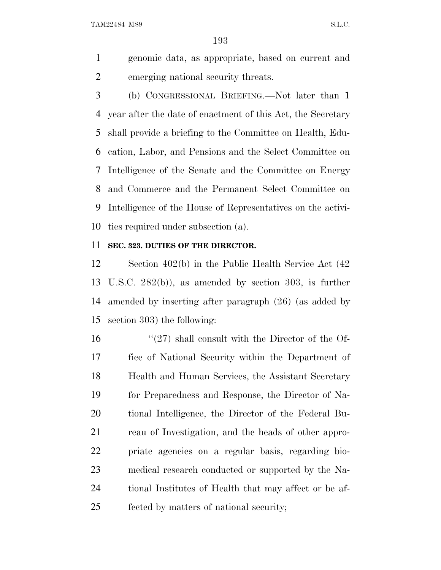genomic data, as appropriate, based on current and emerging national security threats.

 (b) CONGRESSIONAL BRIEFING.—Not later than 1 year after the date of enactment of this Act, the Secretary shall provide a briefing to the Committee on Health, Edu- cation, Labor, and Pensions and the Select Committee on Intelligence of the Senate and the Committee on Energy and Commerce and the Permanent Select Committee on Intelligence of the House of Representatives on the activi-ties required under subsection (a).

### **SEC. 323. DUTIES OF THE DIRECTOR.**

 Section 402(b) in the Public Health Service Act (42 U.S.C. 282(b)), as amended by section 303, is further amended by inserting after paragraph (26) (as added by section 303) the following:

 $\frac{16}{27}$  shall consult with the Director of the Of- fice of National Security within the Department of Health and Human Services, the Assistant Secretary for Preparedness and Response, the Director of Na- tional Intelligence, the Director of the Federal Bu- reau of Investigation, and the heads of other appro- priate agencies on a regular basis, regarding bio- medical research conducted or supported by the Na- tional Institutes of Health that may affect or be af-fected by matters of national security;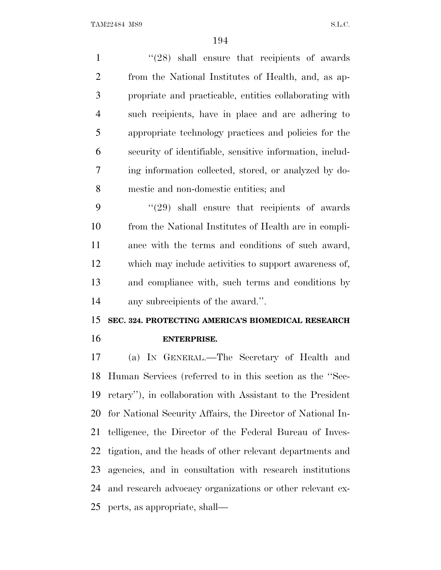1 ''(28) shall ensure that recipients of awards from the National Institutes of Health, and, as ap- propriate and practicable, entities collaborating with such recipients, have in place and are adhering to appropriate technology practices and policies for the security of identifiable, sensitive information, includ- ing information collected, stored, or analyzed by do-mestic and non-domestic entities; and

 ''(29) shall ensure that recipients of awards from the National Institutes of Health are in compli- ance with the terms and conditions of such award, which may include activities to support awareness of, and compliance with, such terms and conditions by any subrecipients of the award.''.

## **SEC. 324. PROTECTING AMERICA'S BIOMEDICAL RESEARCH ENTERPRISE.**

 (a) I<sup>N</sup> GENERAL.—The Secretary of Health and Human Services (referred to in this section as the ''Sec- retary''), in collaboration with Assistant to the President for National Security Affairs, the Director of National In- telligence, the Director of the Federal Bureau of Inves- tigation, and the heads of other relevant departments and agencies, and in consultation with research institutions and research advocacy organizations or other relevant ex-perts, as appropriate, shall—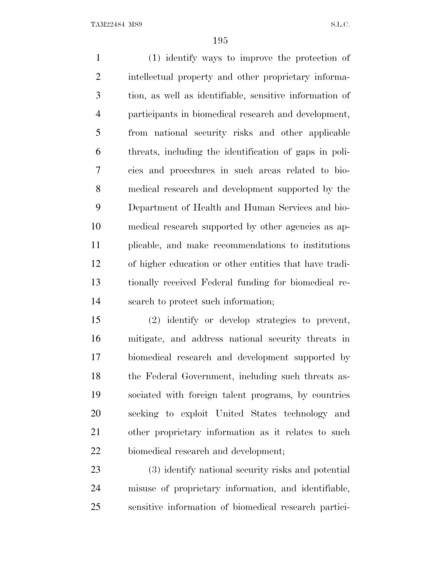(1) identify ways to improve the protection of intellectual property and other proprietary informa- tion, as well as identifiable, sensitive information of participants in biomedical research and development, from national security risks and other applicable threats, including the identification of gaps in poli- cies and procedures in such areas related to bio- medical research and development supported by the Department of Health and Human Services and bio- medical research supported by other agencies as ap- plicable, and make recommendations to institutions of higher education or other entities that have tradi- tionally received Federal funding for biomedical re-search to protect such information;

 (2) identify or develop strategies to prevent, mitigate, and address national security threats in biomedical research and development supported by the Federal Government, including such threats as- sociated with foreign talent programs, by countries seeking to exploit United States technology and other proprietary information as it relates to such biomedical research and development;

 (3) identify national security risks and potential misuse of proprietary information, and identifiable, sensitive information of biomedical research partici-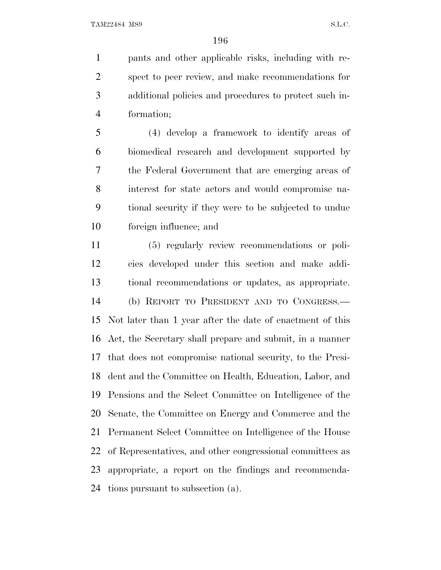pants and other applicable risks, including with re- spect to peer review, and make recommendations for additional policies and procedures to protect such in-formation;

 (4) develop a framework to identify areas of biomedical research and development supported by the Federal Government that are emerging areas of interest for state actors and would compromise na- tional security if they were to be subjected to undue foreign influence; and

 (5) regularly review recommendations or poli- cies developed under this section and make addi- tional recommendations or updates, as appropriate. (b) REPORT TO PRESIDENT AND TO CONGRESS.— Not later than 1 year after the date of enactment of this Act, the Secretary shall prepare and submit, in a manner that does not compromise national security, to the Presi- dent and the Committee on Health, Education, Labor, and Pensions and the Select Committee on Intelligence of the Senate, the Committee on Energy and Commerce and the Permanent Select Committee on Intelligence of the House of Representatives, and other congressional committees as appropriate, a report on the findings and recommenda-tions pursuant to subsection (a).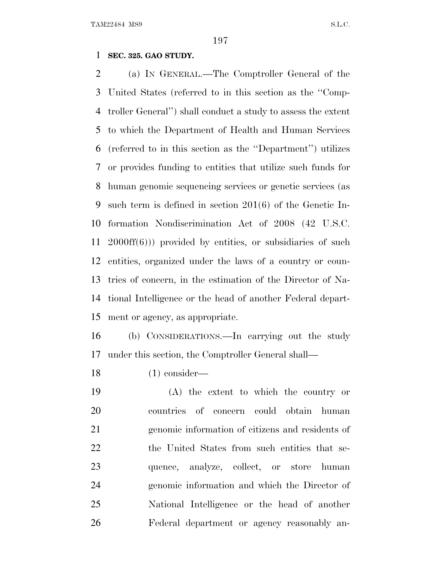### **SEC. 325. GAO STUDY.**

 (a) I<sup>N</sup> GENERAL.—The Comptroller General of the United States (referred to in this section as the ''Comp- troller General'') shall conduct a study to assess the extent to which the Department of Health and Human Services (referred to in this section as the ''Department'') utilizes or provides funding to entities that utilize such funds for human genomic sequencing services or genetic services (as such term is defined in section 201(6) of the Genetic In- formation Nondiscrimination Act of 2008 (42 U.S.C. 2000ff(6))) provided by entities, or subsidiaries of such entities, organized under the laws of a country or coun- tries of concern, in the estimation of the Director of Na- tional Intelligence or the head of another Federal depart-ment or agency, as appropriate.

 (b) CONSIDERATIONS.—In carrying out the study under this section, the Comptroller General shall—

(1) consider—

 (A) the extent to which the country or countries of concern could obtain human genomic information of citizens and residents of 22 the United States from such entities that se-23 quence, analyze, collect, or store human genomic information and which the Director of National Intelligence or the head of another Federal department or agency reasonably an-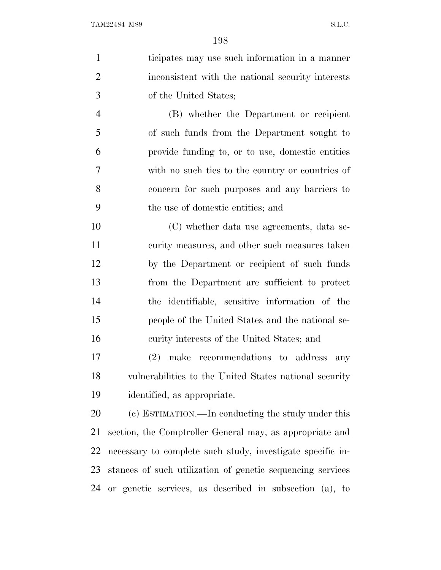ticipates may use such information in a manner inconsistent with the national security interests of the United States; (B) whether the Department or recipient of such funds from the Department sought to provide funding to, or to use, domestic entities with no such ties to the country or countries of concern for such purposes and any barriers to the use of domestic entities; and (C) whether data use agreements, data se-11 curity measures, and other such measures taken by the Department or recipient of such funds from the Department are sufficient to protect the identifiable, sensitive information of the people of the United States and the national se- curity interests of the United States; and (2) make recommendations to address any vulnerabilities to the United States national security identified, as appropriate. (c) ESTIMATION.—In conducting the study under this section, the Comptroller General may, as appropriate and necessary to complete such study, investigate specific in- stances of such utilization of genetic sequencing services or genetic services, as described in subsection (a), to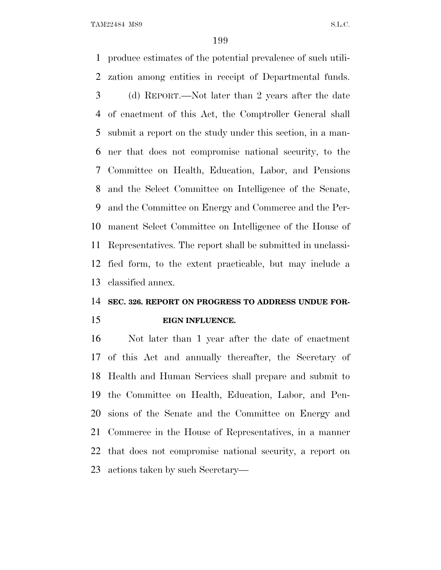produce estimates of the potential prevalence of such utili- zation among entities in receipt of Departmental funds. (d) REPORT.—Not later than 2 years after the date of enactment of this Act, the Comptroller General shall submit a report on the study under this section, in a man- ner that does not compromise national security, to the Committee on Health, Education, Labor, and Pensions and the Select Committee on Intelligence of the Senate, and the Committee on Energy and Commerce and the Per- manent Select Committee on Intelligence of the House of Representatives. The report shall be submitted in unclassi- fied form, to the extent practicable, but may include a classified annex.

### **SEC. 326. REPORT ON PROGRESS TO ADDRESS UNDUE FOR-**

**EIGN INFLUENCE.**

 Not later than 1 year after the date of enactment of this Act and annually thereafter, the Secretary of Health and Human Services shall prepare and submit to the Committee on Health, Education, Labor, and Pen- sions of the Senate and the Committee on Energy and Commerce in the House of Representatives, in a manner that does not compromise national security, a report on actions taken by such Secretary—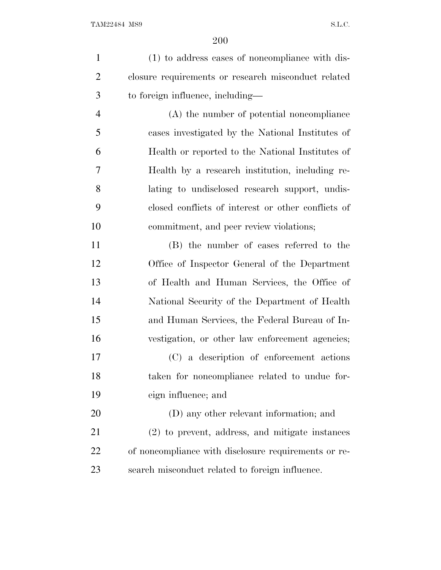(1) to address cases of noncompliance with dis- closure requirements or research misconduct related to foreign influence, including— (A) the number of potential noncompliance cases investigated by the National Institutes of Health or reported to the National Institutes of Health by a research institution, including re- lating to undisclosed research support, undis- closed conflicts of interest or other conflicts of commitment, and peer review violations; (B) the number of cases referred to the Office of Inspector General of the Department of Health and Human Services, the Office of National Security of the Department of Health and Human Services, the Federal Bureau of In- vestigation, or other law enforcement agencies; (C) a description of enforcement actions taken for noncompliance related to undue for- eign influence; and (D) any other relevant information; and (2) to prevent, address, and mitigate instances of noncompliance with disclosure requirements or re-search misconduct related to foreign influence.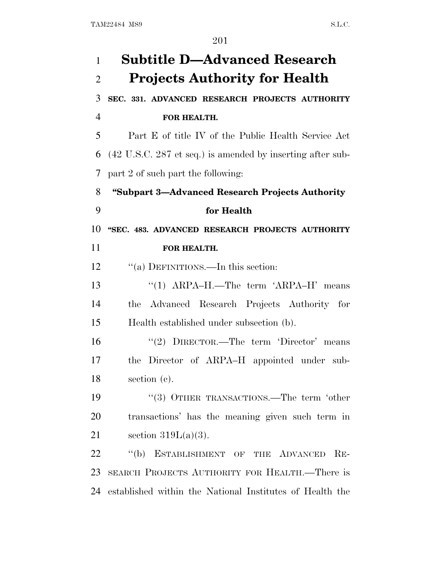| $\mathbf{1}$   | <b>Subtitle D-Advanced Research</b>                                           |
|----------------|-------------------------------------------------------------------------------|
| $\overline{2}$ | <b>Projects Authority for Health</b>                                          |
| 3              | SEC. 331. ADVANCED RESEARCH PROJECTS AUTHORITY                                |
| $\overline{4}$ | FOR HEALTH.                                                                   |
| 5              | Part E of title IV of the Public Health Service Act                           |
| 6              | $(42 \text{ U.S.C. } 287 \text{ et seq.})$ is amended by inserting after sub- |
| 7              | part 2 of such part the following:                                            |
| 8              | "Subpart 3—Advanced Research Projects Authority                               |
| 9              | for Health                                                                    |
| 10             | "SEC. 483. ADVANCED RESEARCH PROJECTS AUTHORITY                               |
| 11             | FOR HEALTH.                                                                   |
| 12             | "(a) DEFINITIONS.—In this section:                                            |
| 13             | " $(1)$ ARPA-H.—The term 'ARPA-H' means                                       |
| 14             | Advanced Research Projects Authority for<br>the                               |
| 15             | Health established under subsection (b).                                      |
| 16             | "(2) $DIRECTOR$ —The term 'Director' means                                    |
| 17             | the Director of ARPA–H appointed under sub-                                   |
| 18             | section $(c)$ .                                                               |
| 19             | "(3) OTHER TRANSACTIONS.—The term 'other                                      |
| 20             | transactions' has the meaning given such term in                              |
| 21             | section $319L(a)(3)$ .                                                        |
| 22             | "(b) ESTABLISHMENT OF THE ADVANCED<br>$RE-$                                   |
| 23             | SEARCH PROJECTS AUTHORITY FOR HEALTH.—There is                                |
| 24             | established within the National Institutes of Health the                      |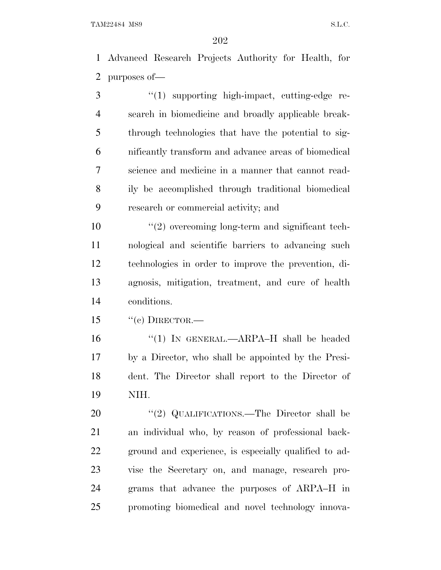Advanced Research Projects Authority for Health, for purposes of—

3 '(1) supporting high-impact, cutting-edge re- search in biomedicine and broadly applicable break- through technologies that have the potential to sig- nificantly transform and advance areas of biomedical science and medicine in a manner that cannot read- ily be accomplished through traditional biomedical research or commercial activity; and

 $\frac{10}{2}$  overcoming long-term and significant tech- nological and scientific barriers to advancing such technologies in order to improve the prevention, di- agnosis, mitigation, treatment, and cure of health conditions.

15  $"$ (c) DIRECTOR.—

 ''(1) IN GENERAL.—ARPA–H shall be headed by a Director, who shall be appointed by the Presi- dent. The Director shall report to the Director of NIH.

20 "(2) QUALIFICATIONS.—The Director shall be an individual who, by reason of professional back- ground and experience, is especially qualified to ad- vise the Secretary on, and manage, research pro- grams that advance the purposes of ARPA–H in promoting biomedical and novel technology innova-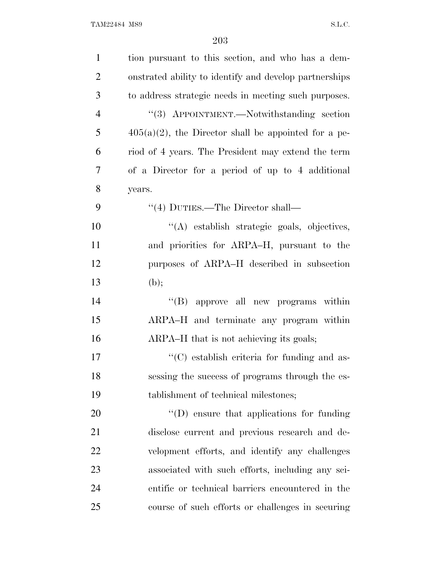| $\mathbf{1}$   | tion pursuant to this section, and who has a dem-       |
|----------------|---------------------------------------------------------|
| $\overline{2}$ | onstrated ability to identify and develop partnerships  |
| 3              | to address strategic needs in meeting such purposes.    |
| $\overline{4}$ | "(3) APPOINTMENT.—Notwithstanding section               |
| 5              | $405(a)(2)$ , the Director shall be appointed for a pe- |
| 6              | riod of 4 years. The President may extend the term      |
| 7              | of a Director for a period of up to 4 additional        |
| 8              | years.                                                  |
| 9              | $\lq(4)$ DUTIES.—The Director shall—                    |
| 10             | "(A) establish strategic goals, objectives,             |
| 11             | and priorities for ARPA-H, pursuant to the              |
| 12             | purposes of ARPA–H described in subsection              |
| 13             | (b);                                                    |
| 14             | "(B) approve all new programs within                    |
| 15             | ARPA-H and terminate any program within                 |
| 16             | ARPA-H that is not achieving its goals;                 |
| 17             | $\lq\lq$ establish criteria for funding and as-         |
| 18             | sessing the success of programs through the es-         |
| 19             | tablishment of technical milestones;                    |
| 20             | $\lq\lq$ (D) ensure that applications for funding       |
| 21             | disclose current and previous research and de-          |
| 22             | velopment efforts, and identify any challenges          |
| 23             | associated with such efforts, including any sci-        |
| 24             | entific or technical barriers encountered in the        |
| 25             | course of such efforts or challenges in securing        |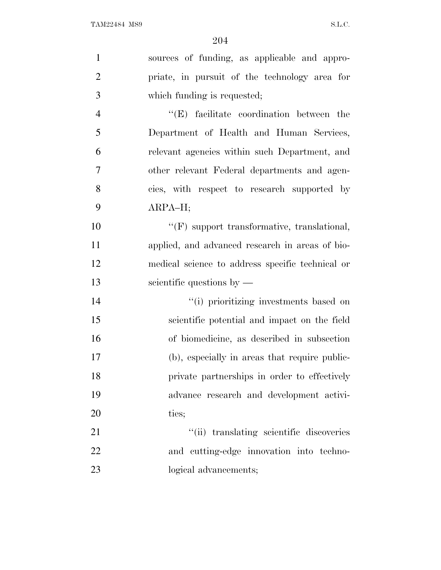| $\mathbf{1}$   | sources of funding, as applicable and appro-       |
|----------------|----------------------------------------------------|
| $\overline{2}$ | priate, in pursuit of the technology area for      |
| 3              | which funding is requested;                        |
| $\overline{4}$ | $\lq\lq$ facilitate coordination between the       |
| 5              | Department of Health and Human Services,           |
| 6              | relevant agencies within such Department, and      |
| 7              | other relevant Federal departments and agen-       |
| 8              | cies, with respect to research supported by        |
| 9              | ARPA-H;                                            |
| 10             | $\lq\lq(F)$ support transformative, translational, |
| 11             | applied, and advanced research in areas of bio-    |
| 12             | medical science to address specific technical or   |
| 13             | scientific questions by $-$                        |
| 14             | "(i) prioritizing investments based on             |
| 15             | scientific potential and impact on the field       |
| 16             | of biomedicine, as described in subsection         |
| 17             | (b), especially in areas that require public-      |
| 18             | private partnerships in order to effectively       |
| 19             | advance research and development activi-           |
| 20             | ties;                                              |
| 21             | "(ii) translating scientific discoveries           |
| 22             | and cutting-edge innovation into techno-           |
| 23             | logical advancements;                              |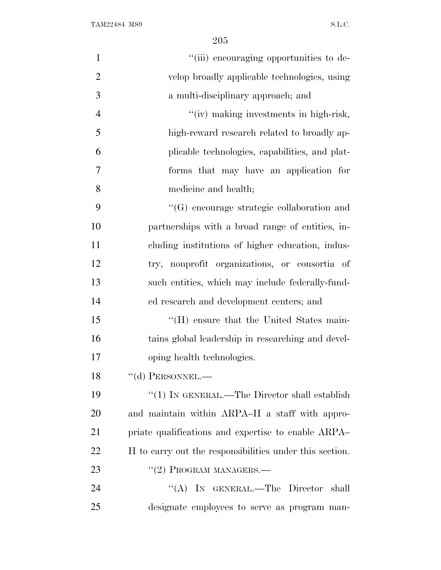| $\mathbf{1}$   | "(iii) encouraging opportunities to de-                 |
|----------------|---------------------------------------------------------|
| $\overline{2}$ | velop broadly applicable technologies, using            |
| 3              | a multi-disciplinary approach; and                      |
| $\overline{4}$ | "(iv) making investments in high-risk,                  |
| 5              | high-reward research related to broadly ap-             |
| 6              | plicable technologies, capabilities, and plat-          |
| $\overline{7}$ | forms that may have an application for                  |
| 8              | medicine and health;                                    |
| 9              | $\lq\lq(G)$ encourage strategic collaboration and       |
| 10             | partnerships with a broad range of entities, in-        |
| 11             | cluding institutions of higher education, indus-        |
| 12             | nonprofit organizations, or consortia of<br>try,        |
| 13             | such entities, which may include federally-fund-        |
| 14             | ed research and development centers; and                |
| 15             | "(H) ensure that the United States main-                |
| 16             | tains global leadership in researching and devel-       |
| 17             | oping health technologies.                              |
| 18             | $\lq\lq$ (d) PERSONNEL.—                                |
| 19             | " $(1)$ In GENERAL.—The Director shall establish        |
| 20             | and maintain within ARPA–H a staff with appro-          |
| 21             | priate qualifications and expertise to enable ARPA      |
| 22             | H to carry out the responsibilities under this section. |
| 23             | $``(2)$ PROGRAM MANAGERS.—                              |
| 24             | "(A) IN GENERAL.—The Director shall                     |
| 25             | designate employees to serve as program man-            |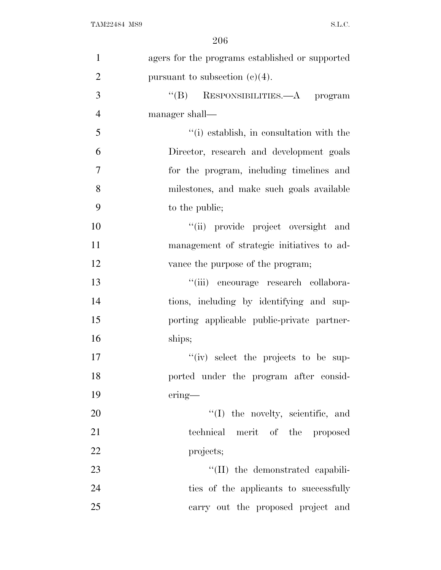| $\mathbf{1}$   | agers for the programs established or supported |
|----------------|-------------------------------------------------|
| $\overline{2}$ | pursuant to subsection $(c)(4)$ .               |
| 3              | $\lq\lq(B)$ RESPONSIBILITIES.—A program         |
| $\overline{4}$ | manager shall—                                  |
| 5              | "(i) establish, in consultation with the        |
| 6              | Director, research and development goals        |
| 7              | for the program, including timelines and        |
| 8              | milestones, and make such goals available       |
| 9              | to the public;                                  |
| 10             | "(ii) provide project oversight and             |
| 11             | management of strategic initiatives to ad-      |
| 12             | vance the purpose of the program;               |
| 13             | "(iii) encourage research collabora-            |
| 14             | tions, including by identifying and sup-        |
| 15             | porting applicable public-private partner-      |
| 16             | ships;                                          |
| 17             | "(iv) select the projects to be sup-            |
| 18             | ported under the program after consid-          |
| 19             | $ering$ —                                       |
| 20             | $\lq\lq$ (I) the novelty, scientific, and       |
| 21             | technical merit of the proposed                 |
| 22             | projects;                                       |
| 23             | "(II) the demonstrated capabili-                |
| 24             | ties of the applicants to successfully          |
| 25             | carry out the proposed project and              |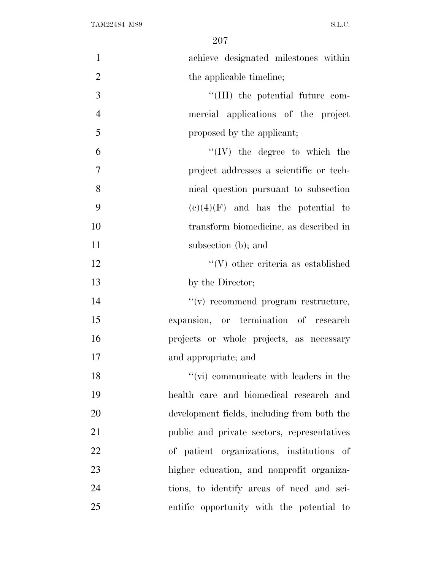| $\mathbf{1}$   | achieve designated milestones within          |
|----------------|-----------------------------------------------|
| $\overline{2}$ | the applicable timeline;                      |
| 3              | "(III) the potential future com-              |
| $\overline{4}$ | mercial applications of the project           |
| 5              | proposed by the applicant;                    |
| 6              | $\lq\lq (IV)$ the degree to which the         |
| $\overline{7}$ | project addresses a scientific or tech-       |
| 8              | nical question pursuant to subsection         |
| 9              | $(e)(4)(F)$ and has the potential to          |
| 10             | transform biomedicine, as described in        |
| 11             | subsection (b); and                           |
| 12             | $\lq\lq(V)$ other criteria as established     |
| 13             | by the Director;                              |
| 14             | $f'(v)$ recommend program restructure,        |
| 15             | expansion, or termination of research         |
| 16             | projects or whole projects, as necessary      |
| 17             | and appropriate; and                          |
| 18             | $\lq\lq$ (vi) communicate with leaders in the |
| 19             | health care and biomedical research and       |
| 20             | development fields, including from both the   |
| 21             | public and private sectors, representatives   |
| 22             | of patient organizations, institutions of     |
| 23             | higher education, and nonprofit organiza-     |
| 24             | tions, to identify areas of need and sci-     |
| 25             | entific opportunity with the potential to     |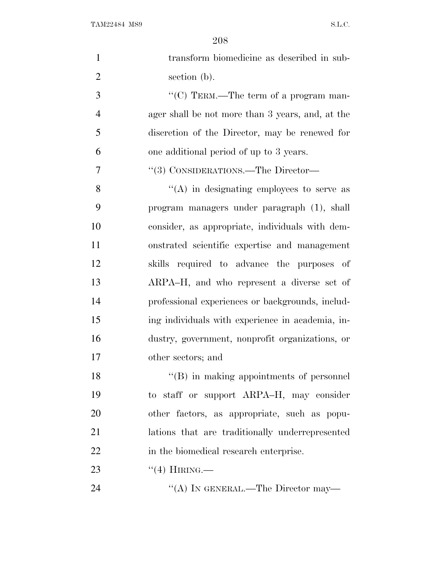| $\mathbf{1}$   | transform biomedicine as described in sub-       |
|----------------|--------------------------------------------------|
| $\overline{2}$ | section (b).                                     |
| 3              | "(C) TERM.—The term of a program man-            |
| $\overline{4}$ | ager shall be not more than 3 years, and, at the |
| 5              | discretion of the Director, may be renewed for   |
| 6              | one additional period of up to 3 years.          |
| 7              | "(3) CONSIDERATIONS.—The Director—               |
| 8              | $\lq\lq$ in designating employees to serve as    |
| 9              | program managers under paragraph (1), shall      |
| 10             | consider, as appropriate, individuals with dem-  |
| 11             | onstrated scientific expertise and management    |
| 12             | skills required to advance the purposes of       |
| 13             | ARPA-H, and who represent a diverse set of       |
| 14             | professional experiences or backgrounds, includ- |
| 15             | ing individuals with experience in academia, in- |
| 16             | dustry, government, nonprofit organizations, or  |
| 17             | other sectors; and                               |
| 18             | $\lq\lq (B)$ in making appointments of personnel |
| 19             | to staff or support ARPA-H, may consider         |
| 20             | other factors, as appropriate, such as popu-     |
| 21             | lations that are traditionally underrepresented  |
| 22             | in the biomedical research enterprise.           |
| 23             | $``(4)$ HIRING.—                                 |
| 24             | "(A) IN GENERAL.—The Director may—               |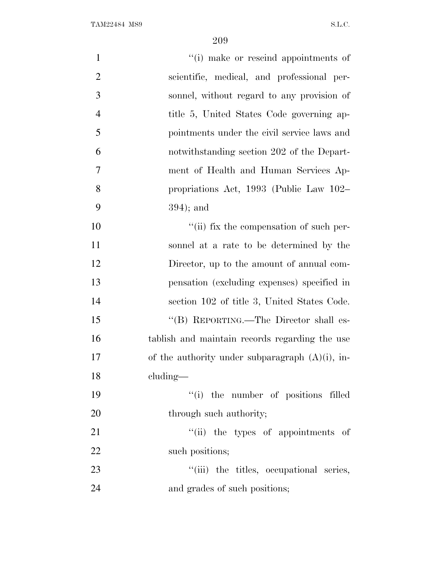| $\mathbf{1}$   | "(i) make or rescind appointments of               |
|----------------|----------------------------------------------------|
| $\overline{2}$ | scientific, medical, and professional per-         |
| 3              | sonnel, without regard to any provision of         |
| $\overline{4}$ | title 5, United States Code governing ap-          |
| 5              | pointments under the civil service laws and        |
| 6              | notwithstanding section 202 of the Depart-         |
| 7              | ment of Health and Human Services Ap-              |
| 8              | propriations Act, 1993 (Public Law 102–            |
| 9              | $394$ ; and                                        |
| 10             | "(ii) fix the compensation of such per-            |
| 11             | sonnel at a rate to be determined by the           |
| 12             | Director, up to the amount of annual com-          |
| 13             | pensation (excluding expenses) specified in        |
| 14             | section 102 of title 3, United States Code.        |
| 15             | "(B) REPORTING.—The Director shall es-             |
| 16             | tablish and maintain records regarding the use     |
| 17             | of the authority under subparagraph $(A)(i)$ , in- |
| 18             | $cluding$ —                                        |
| 19             | "(i) the number of positions filled                |
| 20             | through such authority;                            |
| 21             | "(ii) the types of appointments of                 |
| 22             | such positions;                                    |
| 23             | "(iii) the titles, occupational series,            |
| 24             | and grades of such positions;                      |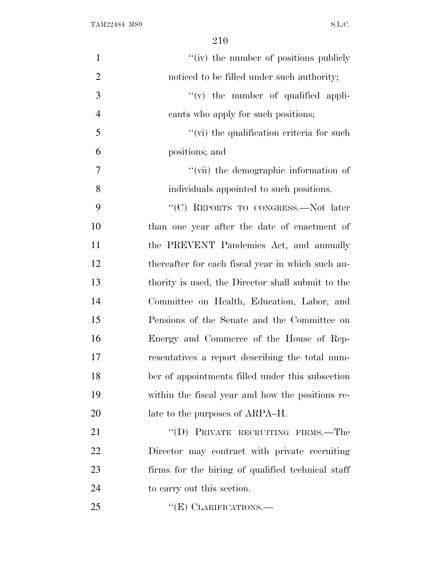| $\mathbf{1}$   | "(iv) the number of positions publicly            |
|----------------|---------------------------------------------------|
| $\overline{2}$ | noticed to be filled under such authority;        |
| 3              | $f'(v)$ the number of qualified appli-            |
| $\overline{4}$ | cants who apply for such positions;               |
| 5              | $\lq\lq$ (vi) the qualification criteria for such |
| 6              | positions; and                                    |
| 7              | "(vii) the demographic information of             |
| 8              | individuals appointed to such positions.          |
| 9              | "(C) REPORTS TO CONGRESS.—Not later               |
| 10             | than one year after the date of enactment of      |
| 11             | the PREVENT Pandemics Act, and annually           |
| 12             | thereafter for each fiscal year in which such au- |
| 13             | thority is used, the Director shall submit to the |
| 14             | Committee on Health, Education, Labor, and        |
| 15             | Pensions of the Senate and the Committee on       |
| 16             | Energy and Commerce of the House of Rep-          |
| 17             | resentatives a report describing the total num-   |
| 18             | ber of appointments filled under this subsection  |
| 19             | within the fiscal year and how the positions re-  |
| 20             | late to the purposes of ARPA–H.                   |
| 21             | "(D) PRIVATE RECRUITING FIRMS.—The                |
| 22             | Director may contract with private recruiting     |
| 23             | firms for the hiring of qualified technical staff |
| 24             | to carry out this section.                        |
| 25             | " $(E)$ CLARIFICATIONS.—                          |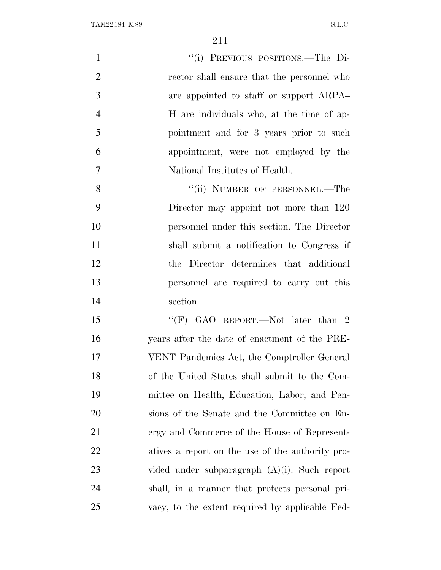| $\mathbf{1}$   | "(i) PREVIOUS POSITIONS.—The Di-                 |
|----------------|--------------------------------------------------|
| $\overline{2}$ | rector shall ensure that the personnel who       |
| 3              | are appointed to staff or support ARPA           |
| $\overline{4}$ | H are individuals who, at the time of ap-        |
| 5              | pointment and for 3 years prior to such          |
| 6              | appointment, were not employed by the            |
| 7              | National Institutes of Health.                   |
| 8              | "(ii) NUMBER OF PERSONNEL.—The                   |
| 9              | Director may appoint not more than 120           |
| 10             | personnel under this section. The Director       |
| 11             | shall submit a notification to Congress if       |
| 12             | the Director determines that additional          |
| 13             | personnel are required to carry out this         |
| 14             | section.                                         |
| 15             | "(F) GAO REPORT.—Not later than 2                |
| 16             | years after the date of enactment of the PRE-    |
| 17             | VENT Pandemics Act, the Comptroller General      |
| 18             | of the United States shall submit to the Com-    |
| 19             | mittee on Health, Education, Labor, and Pen-     |
| 20             | sions of the Senate and the Committee on En-     |
| 21             | ergy and Commerce of the House of Represent-     |
| 22             | atives a report on the use of the authority pro- |
| 23             | vided under subparagraph $(A)(i)$ . Such report  |
| 24             | shall, in a manner that protects personal pri-   |
| 25             | vacy, to the extent required by applicable Fed-  |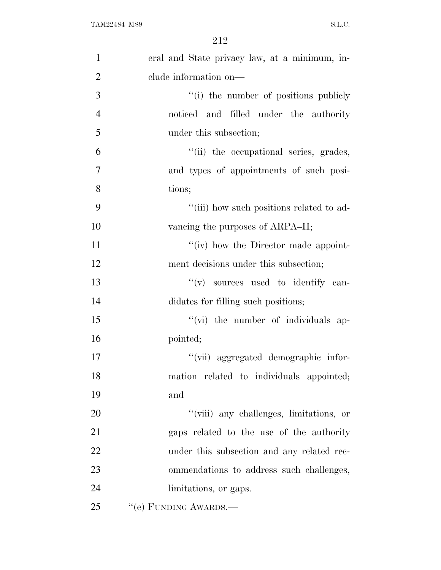| $\mathbf{1}$   | eral and State privacy law, at a minimum, in- |
|----------------|-----------------------------------------------|
| $\overline{2}$ | clude information on-                         |
| 3              | "(i) the number of positions publicly         |
| $\overline{4}$ | noticed and filled under the authority        |
| 5              | under this subsection;                        |
| 6              | "(ii) the occupational series, grades,        |
| 7              | and types of appointments of such posi-       |
| 8              | tions;                                        |
| 9              | "(iii) how such positions related to ad-      |
| 10             | vancing the purposes of ARPA–H;               |
| 11             | "(iv) how the Director made appoint-          |
| 12             | ment decisions under this subsection;         |
| 13             | "(v) sources used to identify can-            |
| 14             | didates for filling such positions;           |
| 15             | "(vi) the number of individuals ap-           |
| 16             | pointed;                                      |
| 17             | "(vii) aggregated demographic infor-          |
| 18             | mation related to individuals appointed;      |
| 19             | and                                           |
| 20             | "(viii) any challenges, limitations, or       |
| 21             | gaps related to the use of the authority      |
| 22             | under this subsection and any related rec-    |
| 23             | ommendations to address such challenges,      |
| 24             | limitations, or gaps.                         |
| 25             | "(e) FUNDING AWARDS.-                         |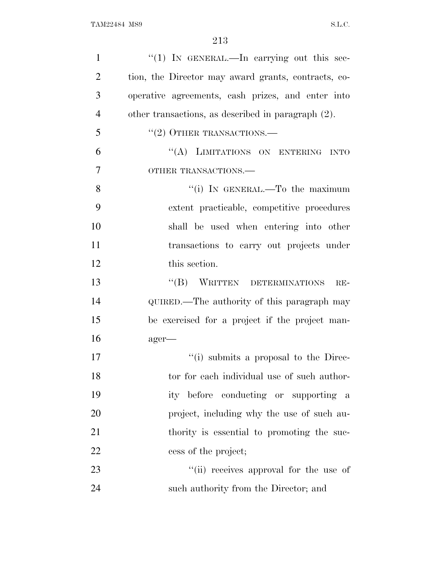| $\mathbf{1}$   | "(1) IN GENERAL.—In carrying out this sec-          |
|----------------|-----------------------------------------------------|
| $\overline{2}$ | tion, the Director may award grants, contracts, co- |
| 3              | operative agreements, cash prizes, and enter into   |
| $\overline{4}$ | other transactions, as described in paragraph (2).  |
| 5              | $``(2)$ OTHER TRANSACTIONS.—                        |
| 6              | "(A) LIMITATIONS ON ENTERING INTO                   |
| 7              | OTHER TRANSACTIONS.                                 |
| 8              | "(i) IN GENERAL.—To the maximum                     |
| 9              | extent practicable, competitive procedures          |
| 10             | shall be used when entering into other              |
| 11             | transactions to carry out projects under            |
| 12             | this section.                                       |
| 13             | "(B) WRITTEN DETERMINATIONS<br>$RE-$                |
| 14             | QUIRED.—The authority of this paragraph may         |
| 15             | be exercised for a project if the project man-      |
|                |                                                     |
| 16             | ager-                                               |
| 17             | "(i) submits a proposal to the Direc-               |
| 18             | tor for each individual use of such author-         |
| 19             | ity before conducting or supporting a               |
| 20             | project, including why the use of such au-          |
| 21             | thority is essential to promoting the suc-          |
| 22             | cess of the project;                                |
| 23             | "(ii) receives approval for the use of              |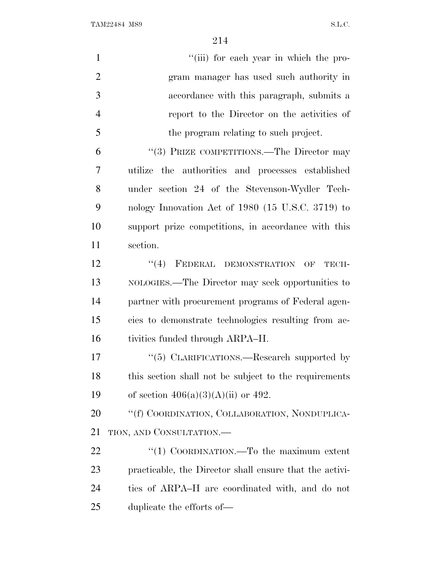| $\mathbf{1}$   | "(iii) for each year in which the pro-                        |
|----------------|---------------------------------------------------------------|
| $\overline{2}$ | gram manager has used such authority in                       |
| 3              | accordance with this paragraph, submits a                     |
| $\overline{4}$ | report to the Director on the activities of                   |
| 5              | the program relating to such project.                         |
| 6              | "(3) PRIZE COMPETITIONS.—The Director may                     |
| 7              | utilize the authorities and processes established             |
| 8              | under section 24 of the Stevenson-Wydler Tech-                |
| 9              | nology Innovation Act of 1980 (15 U.S.C. 3719) to             |
| 10             | support prize competitions, in accordance with this           |
| 11             | section.                                                      |
| 12             | "(4) FEDERAL DEMONSTRATION<br>TECH-<br>$\overline{\text{OF}}$ |
| 13             | NOLOGIES.—The Director may seek opportunities to              |
| 14             | partner with procurement programs of Federal agen-            |
| 15             | cies to demonstrate technologies resulting from ac-           |
| 16             | tivities funded through ARPA–H.                               |
| 17             | "(5) CLARIFICATIONS.—Research supported by                    |
| 18             | this section shall not be subject to the requirements         |
| 19             | of section $406(a)(3)(A)(ii)$ or 492.                         |
| 20             | "(f) COORDINATION, COLLABORATION, NONDUPLICA-                 |
| 21             | TION, AND CONSULTATION.                                       |
| 22             | "(1) COORDINATION.—To the maximum extent                      |
| 23             | practicable, the Director shall ensure that the activi-       |
| 24             | ties of ARPA–H are coordinated with, and do not               |
| 25             | duplicate the efforts of—                                     |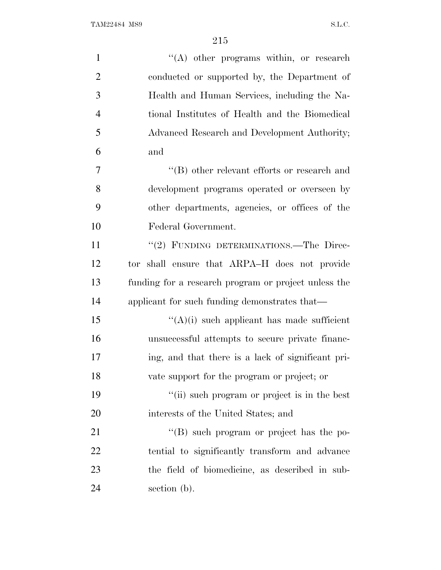| $\mathbf{1}$   | $\lq\lq$ other programs within, or research          |
|----------------|------------------------------------------------------|
| $\overline{2}$ | conducted or supported by, the Department of         |
| 3              | Health and Human Services, including the Na-         |
| $\overline{4}$ | tional Institutes of Health and the Biomedical       |
| 5              | Advanced Research and Development Authority;         |
| 6              | and                                                  |
| 7              | $\lq\lq$ other relevant efforts or research and      |
| 8              | development programs operated or overseen by         |
| 9              | other departments, agencies, or offices of the       |
| 10             | Federal Government.                                  |
| 11             | "(2) FUNDING DETERMINATIONS.—The Direc-              |
| 12             | tor shall ensure that ARPA-H does not provide        |
| 13             | funding for a research program or project unless the |
| 14             | applicant for such funding demonstrates that—        |
| 15             | $\lq\lq$ (A)(i) such applicant has made sufficient   |
| 16             | unsuccessful attempts to secure private financ-      |
| 17             | ing, and that there is a lack of significant pri-    |
| 18             | vate support for the program or project; or          |
| 19             | "(ii) such program or project is in the best         |
| 20             | interests of the United States; and                  |
| 21             | "(B) such program or project has the po-             |
| 22             | tential to significantly transform and advance       |
| 23             | the field of biomedicine, as described in sub-       |
| 24             | section (b).                                         |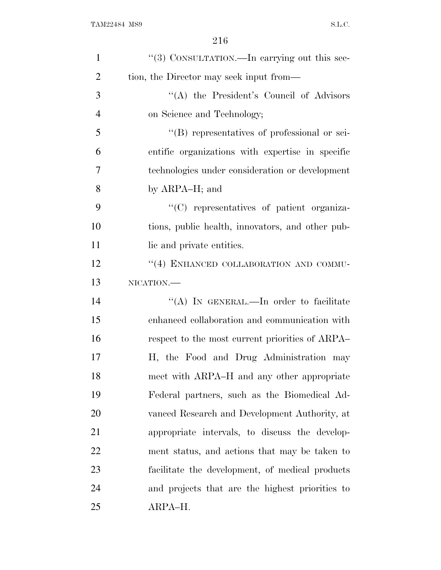| $\mathbf{1}$   | "(3) CONSULTATION.—In carrying out this sec-     |
|----------------|--------------------------------------------------|
| $\overline{2}$ | tion, the Director may seek input from—          |
| 3              | "(A) the President's Council of Advisors"        |
| $\overline{4}$ | on Science and Technology;                       |
| 5              | "(B) representatives of professional or sci-     |
| 6              | entific organizations with expertise in specific |
| 7              | technologies under consideration or development  |
| 8              | by ARPA-H; and                                   |
| 9              | "(C) representatives of patient organiza-        |
| 10             | tions, public health, innovators, and other pub- |
| 11             | lic and private entities.                        |
| 12             | "(4) ENHANCED COLLABORATION AND COMMU-           |
| 13             | NICATION.                                        |
| 14             | "(A) IN GENERAL.—In order to facilitate          |
| 15             | enhanced collaboration and communication with    |
| 16             | respect to the most current priorities of ARPA   |
| 17             | H, the Food and Drug Administration may          |
| 18             | meet with ARPA–H and any other appropriate       |
| 19             | Federal partners, such as the Biomedical Ad-     |
| 20             | vanced Research and Development Authority, at    |
| 21             | appropriate intervals, to discuss the develop-   |
| 22             | ment status, and actions that may be taken to    |
| 23             | facilitate the development, of medical products  |
| 24             | and projects that are the highest priorities to  |
| 25             | ARPA-H.                                          |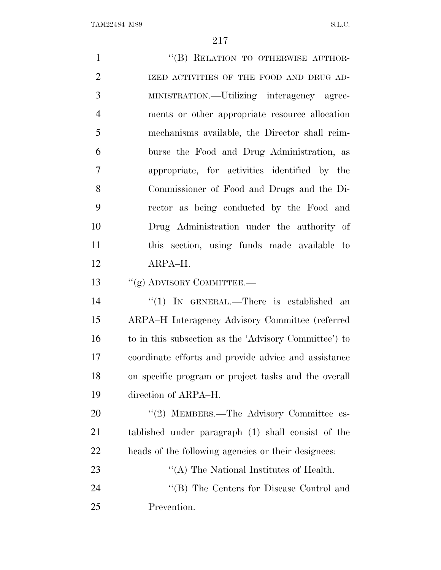| $\mathbf{1}$   | "(B) RELATION TO OTHERWISE AUTHOR-                    |
|----------------|-------------------------------------------------------|
| $\overline{2}$ | IZED ACTIVITIES OF THE FOOD AND DRUG AD-              |
| 3              | MINISTRATION.—Utilizing interagency agree-            |
| $\overline{4}$ | ments or other appropriate resource allocation        |
| 5              | mechanisms available, the Director shall reim-        |
| 6              | burse the Food and Drug Administration, as            |
| 7              | appropriate, for activities identified by the         |
| 8              | Commissioner of Food and Drugs and the Di-            |
| 9              | rector as being conducted by the Food and             |
| 10             | Drug Administration under the authority of            |
| 11             | this section, using funds made available to           |
| 12             | ARPA-H.                                               |
| 13             | $``(g)$ ADVISORY COMMITTEE.—                          |
| 14             | "(1) IN GENERAL.—There is established an              |
| 15             | ARPA-H Interagency Advisory Committee (referred       |
| 16             | to in this subsection as the 'Advisory Committee') to |
| 17             | coordinate efforts and provide advice and assistance  |
| 18             | on specific program or project tasks and the overall  |
| 19             | direction of ARPA-H.                                  |
| 20             | "(2) MEMBERS.—The Advisory Committee es-              |
| 21             | tablished under paragraph (1) shall consist of the    |
| 22             | heads of the following agencies or their designees:   |
| 23             | "(A) The National Institutes of Health.               |
| 24             | "(B) The Centers for Disease Control and              |
| 25             | Prevention.                                           |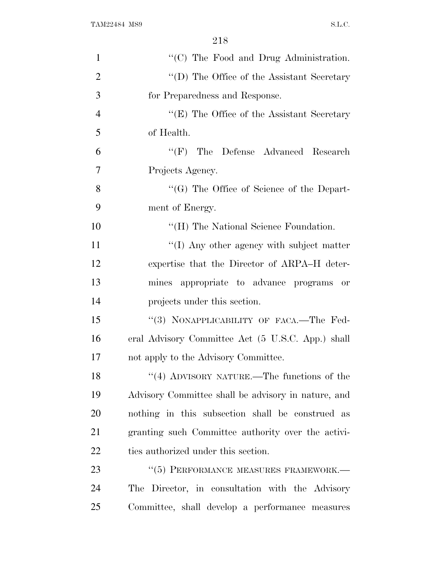| $\mathbf{1}$   | "(C) The Food and Drug Administration.              |
|----------------|-----------------------------------------------------|
| $\overline{2}$ | $\lq\lq$ (D) The Office of the Assistant Secretary  |
| 3              | for Preparedness and Response.                      |
| $\overline{4}$ | " $(E)$ The Office of the Assistant Secretary"      |
| 5              | of Health.                                          |
| 6              | $\lq\lq(F)$ The Defense Advanced Research           |
| $\overline{7}$ | Projects Agency.                                    |
| 8              | $\lq\lq(G)$ The Office of Science of the Depart-    |
| 9              | ment of Energy.                                     |
| 10             | "(H) The National Science Foundation.               |
| 11             | "(I) Any other agency with subject matter           |
| 12             | expertise that the Director of ARPA–H deter-        |
| 13             | mines appropriate to advance programs or            |
| 14             | projects under this section.                        |
| 15             | "(3) NONAPPLICABILITY OF FACA.—The Fed-             |
| 16             | eral Advisory Committee Act (5 U.S.C. App.) shall   |
| 17             | not apply to the Advisory Committee.                |
| 18             | "(4) ADVISORY NATURE.—The functions of the          |
| 19             | Advisory Committee shall be advisory in nature, and |
| 20             | nothing in this subsection shall be construed as    |
| 21             | granting such Committee authority over the activi-  |
| 22             | ties authorized under this section.                 |
| 23             | "(5) PERFORMANCE MEASURES FRAMEWORK.-               |
| 24             | The Director, in consultation with the Advisory     |
| 25             | Committee, shall develop a performance measures     |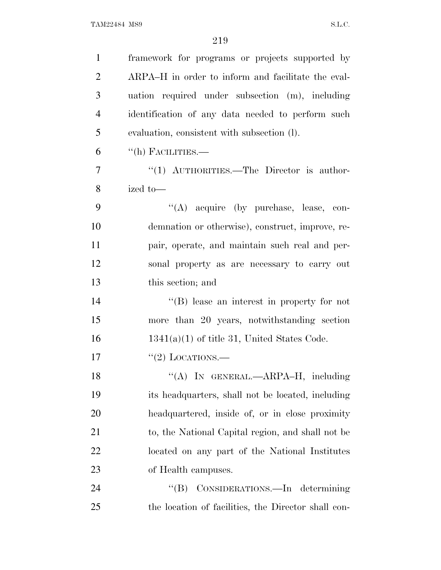| $\mathbf{1}$   | framework for programs or projects supported by     |
|----------------|-----------------------------------------------------|
| $\overline{2}$ | ARPA-H in order to inform and facilitate the eval-  |
| 3              | uation required under subsection (m), including     |
| $\overline{4}$ | identification of any data needed to perform such   |
| 5              | evaluation, consistent with subsection (l).         |
| 6              | $\lq\lq$ (h) FACILITIES.—                           |
| $\overline{7}$ | " $(1)$ AUTHORITIES.—The Director is author-        |
| 8              | ized to-                                            |
| 9              | "(A) acquire (by purchase, lease, con-              |
| 10             | demnation or otherwise), construct, improve, re-    |
| 11             | pair, operate, and maintain such real and per-      |
| 12             | sonal property as are necessary to carry out        |
| 13             | this section; and                                   |
| 14             | $\lq\lq (B)$ lease an interest in property for not  |
| 15             | more than 20 years, notwithstanding section         |
| 16             | $1341(a)(1)$ of title 31, United States Code.       |
| 17             | "(2) LOCATIONS.—                                    |
| 18             | "(A) IN GENERAL.—ARPA-H, including                  |
| 19             | its headquarters, shall not be located, including   |
| 20             | headquartered, inside of, or in close proximity     |
| 21             | to, the National Capital region, and shall not be   |
| 22             | located on any part of the National Institutes      |
| 23             | of Health campuses.                                 |
| 24             | CONSIDERATIONS.—In determining<br>$\lq\lq (B)$      |
| 25             | the location of facilities, the Director shall con- |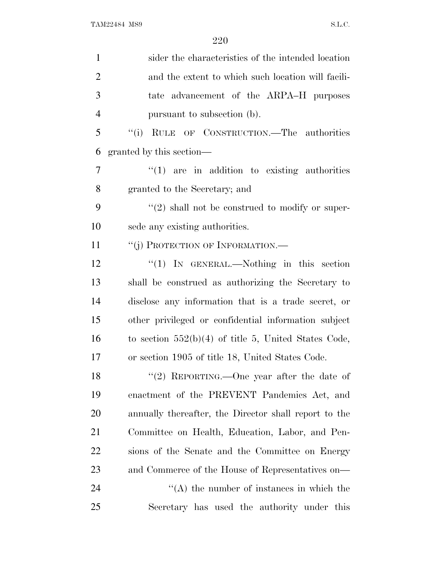| $\mathbf{1}$   | sider the characteristics of the intended location     |
|----------------|--------------------------------------------------------|
| $\overline{2}$ | and the extent to which such location will facili-     |
| 3              | tate advancement of the ARPA–H purposes                |
| $\overline{4}$ | pursuant to subsection (b).                            |
| 5              | RULE OF CONSTRUCTION.—The authorities<br>``(i)         |
| 6              | granted by this section—                               |
| 7              | $"(1)$ are in addition to existing authorities         |
| 8              | granted to the Secretary; and                          |
| 9              | $\lq(2)$ shall not be construed to modify or super-    |
| 10             | sede any existing authorities.                         |
| 11             | "(j) PROTECTION OF INFORMATION.-                       |
| 12             | " $(1)$ IN GENERAL.—Nothing in this section            |
| 13             | shall be construed as authorizing the Secretary to     |
| 14             | disclose any information that is a trade secret, or    |
| 15             | other privileged or confidential information subject   |
| 16             | to section $552(b)(4)$ of title 5, United States Code, |
| 17             | or section 1905 of title 18, United States Code.       |
| 18             | "(2) REPORTING.—One year after the date of             |
| 19             | enactment of the PREVENT Pandemics Act, and            |
| 20             | annually thereafter, the Director shall report to the  |
| 21             | Committee on Health, Education, Labor, and Pen-        |
| <u>22</u>      | sions of the Senate and the Committee on Energy        |
| 23             | and Commerce of the House of Representatives on—       |
| 24             | $\lq\lq$ the number of instances in which the          |
| 25             | Secretary has used the authority under this            |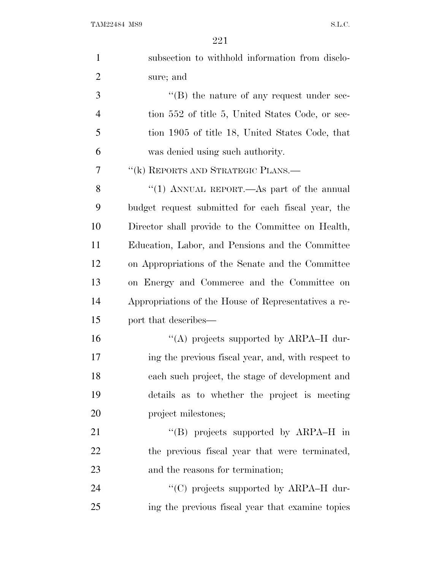| $\mathbf{1}$   | subsection to withhold information from disclo-      |
|----------------|------------------------------------------------------|
| $\overline{2}$ | sure; and                                            |
| 3              | "(B) the nature of any request under sec-            |
| $\overline{4}$ | tion 552 of title 5, United States Code, or sec-     |
| 5              | tion 1905 of title 18, United States Code, that      |
| 6              | was denied using such authority.                     |
| 7              | "(k) REPORTS AND STRATEGIC PLANS.-                   |
| 8              | "(1) ANNUAL REPORT.—As part of the annual            |
| 9              | budget request submitted for each fiscal year, the   |
| 10             | Director shall provide to the Committee on Health,   |
| 11             | Education, Labor, and Pensions and the Committee     |
| 12             | on Appropriations of the Senate and the Committee    |
| 13             | on Energy and Commerce and the Committee on          |
| 14             | Appropriations of the House of Representatives a re- |
| 15             | port that describes—                                 |
| 16             | "(A) projects supported by ARPA-H dur-               |
| 17             | ing the previous fiscal year, and, with respect to   |
| 18             | each such project, the stage of development and      |
| 19             | details as to whether the project is meeting         |
| 20             | project milestones;                                  |
| 21             | "(B) projects supported by ARPA-H in                 |
| 22             | the previous fiscal year that were terminated,       |
| 23             | and the reasons for termination;                     |
| 24             | "(C) projects supported by ARPA-H dur-               |
| 25             | ing the previous fiscal year that examine topics     |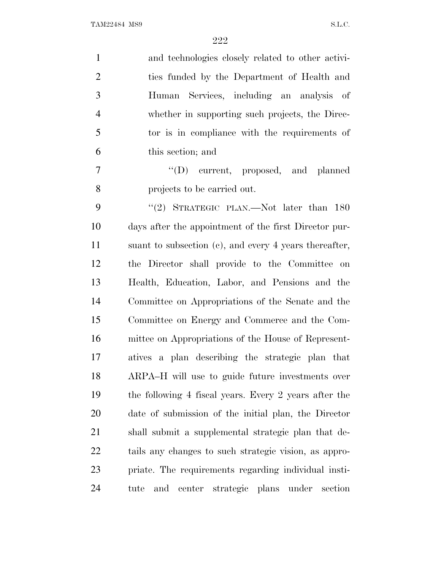| $\mathbf{1}$   | and technologies closely related to other activi-         |
|----------------|-----------------------------------------------------------|
| $\overline{2}$ | ties funded by the Department of Health and               |
| 3              | Human Services, including an analysis of                  |
| $\overline{4}$ | whether in supporting such projects, the Direc-           |
| 5              | tor is in compliance with the requirements of             |
| 6              | this section; and                                         |
| 7              | "(D) current, proposed, and planned                       |
| 8              | projects to be carried out.                               |
| 9              | "(2) STRATEGIC PLAN.—Not later than $180$                 |
| 10             | days after the appointment of the first Director pur-     |
| 11             | suant to subsection $(c)$ , and every 4 years thereafter, |
| 12             | the Director shall provide to the Committee on            |
| 13             | Health, Education, Labor, and Pensions and the            |
| 14             | Committee on Appropriations of the Senate and the         |
| 15             | Committee on Energy and Commerce and the Com-             |
| 16             | mittee on Appropriations of the House of Represent-       |
| 17             | atives a plan describing the strategic plan that          |
| 18             | ARPA-H will use to guide future investments over          |
| 19             | the following 4 fiscal years. Every 2 years after the     |
| 20             | date of submission of the initial plan, the Director      |
| 21             | shall submit a supplemental strategic plan that de-       |
| 22             | tails any changes to such strategic vision, as appro-     |
| 23             | priate. The requirements regarding individual insti-      |
| 24             | center strategic plans under<br>section<br>tute<br>and    |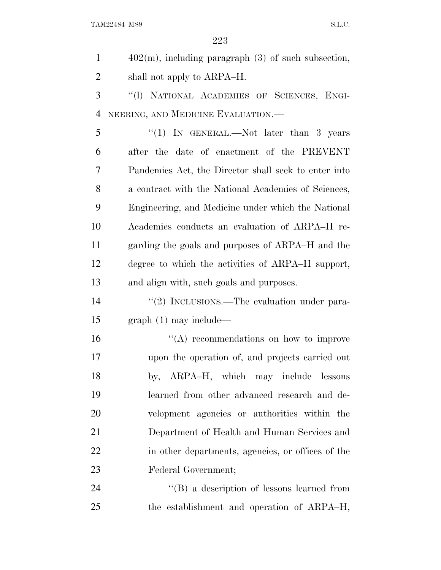402(m), including paragraph (3) of such subsection, 2 shall not apply to ARPA–H.

 ''(l) NATIONAL ACADEMIES OF SCIENCES, ENGI-NEERING, AND MEDICINE EVALUATION.—

5 "(1) In GENERAL.—Not later than 3 years after the date of enactment of the PREVENT Pandemics Act, the Director shall seek to enter into a contract with the National Academies of Sciences, Engineering, and Medicine under which the National Academies conducts an evaluation of ARPA–H re- garding the goals and purposes of ARPA–H and the degree to which the activities of ARPA–H support, and align with, such goals and purposes.

14  $\frac{1}{2}$  INCLUSIONS.—The evaluation under para-graph (1) may include—

 ''(A) recommendations on how to improve upon the operation of, and projects carried out by, ARPA–H, which may include lessons learned from other advanced research and de- velopment agencies or authorities within the Department of Health and Human Services and in other departments, agencies, or offices of the Federal Government;

24 ''(B) a description of lessons learned from the establishment and operation of ARPA–H,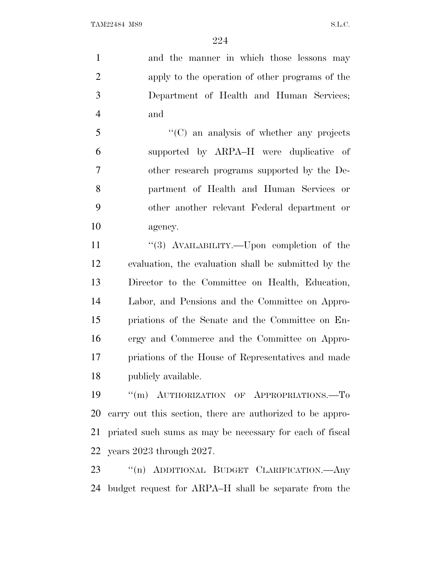and the manner in which those lessons may apply to the operation of other programs of the Department of Health and Human Services; and

 ''(C) an analysis of whether any projects supported by ARPA–H were duplicative of other research programs supported by the De- partment of Health and Human Services or other another relevant Federal department or agency.

11 "(3) AVAILABILITY.—Upon completion of the evaluation, the evaluation shall be submitted by the Director to the Committee on Health, Education, Labor, and Pensions and the Committee on Appro- priations of the Senate and the Committee on En- ergy and Commerce and the Committee on Appro- priations of the House of Representatives and made publicly available.

19 "(m) AUTHORIZATION OF APPROPRIATIONS.-To carry out this section, there are authorized to be appro- priated such sums as may be necessary for each of fiscal years 2023 through 2027.

 ''(n) ADDITIONAL BUDGET CLARIFICATION.—Any budget request for ARPA–H shall be separate from the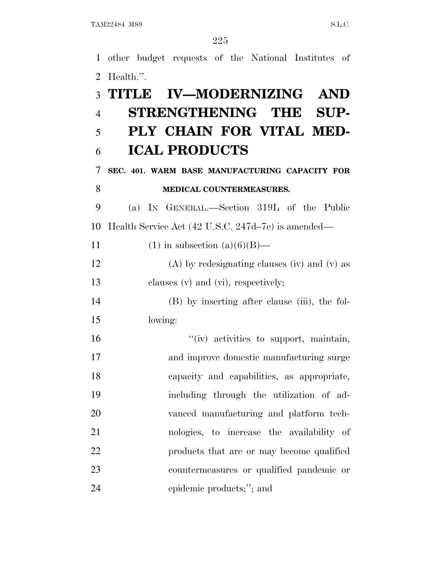other budget requests of the National Institutes of Health.''. **TITLE IV—MODERNIZING AND STRENGTHENING THE SUP- PLY CHAIN FOR VITAL MED- ICAL PRODUCTS SEC. 401. WARM BASE MANUFACTURING CAPACITY FOR MEDICAL COUNTERMEASURES.** (a) I<sup>N</sup> GENERAL.—Section 319L of the Public Health Service Act (42 U.S.C. 247d–7e) is amended— 11 (1) in subsection  $(a)(6)(B)$ — (A) by redesignating clauses (iv) and (v) as 13 clauses (v) and (vi), respectively; (B) by inserting after clause (iii), the fol- lowing:  $"$ (iv) activities to support, maintain, and improve domestic manufacturing surge capacity and capabilities, as appropriate, including through the utilization of ad- vanced manufacturing and platform tech- nologies, to increase the availability of 22 products that are or may become qualified countermeasures or qualified pandemic or epidemic products;''; and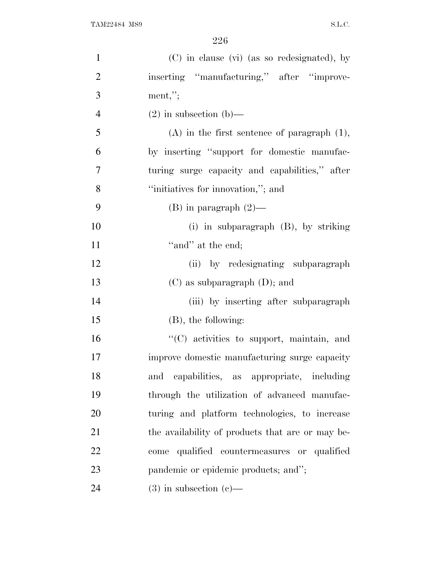| $\mathbf{1}$   | (C) in clause (vi) (as so redesignated), by      |
|----------------|--------------------------------------------------|
| $\overline{2}$ | inserting "manufacturing," after "improve-       |
| 3              | $ment,$ ";                                       |
| $\overline{4}$ | $(2)$ in subsection $(b)$ —                      |
| 5              | $(A)$ in the first sentence of paragraph $(1)$ , |
| 6              | by inserting "support for domestic manufac-      |
| 7              | turing surge capacity and capabilities," after   |
| 8              | "initiatives for innovation,"; and               |
| 9              | $(B)$ in paragraph $(2)$ —                       |
| 10             | $(i)$ in subparagraph $(B)$ , by striking        |
| 11             | "and" at the end;                                |
| 12             | (ii) by redesignating subparagraph               |
| 13             | $(C)$ as subparagraph $(D)$ ; and                |
| 14             | (iii) by inserting after subparagraph            |
| 15             | $(B)$ , the following:                           |
| 16             | "(C) activities to support, maintain, and        |
| 17             | improve domestic manufacturing surge capacity    |
| 18             | capabilities, as appropriate, including<br>and   |
| 19             | through the utilization of advanced manufac-     |
| 20             | turing and platform technologies, to increase    |
| 21             | the availability of products that are or may be- |
| 22             | qualified countermeasures or qualified<br>come   |
| 23             | pandemic or epidemic products; and";             |
| 24             | $(3)$ in subsection $(e)$ —                      |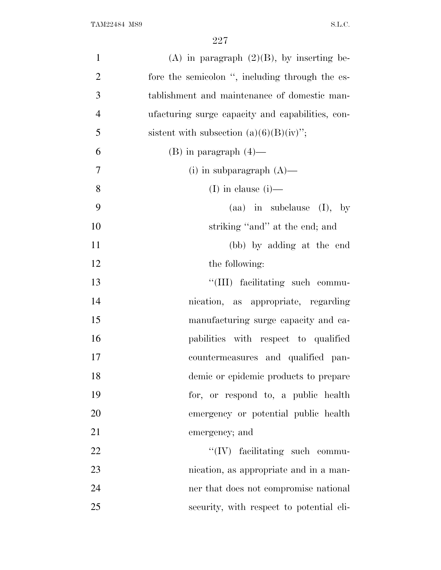| (A) in paragraph $(2)(B)$ , by inserting be-     | $\mathbf{1}$   |
|--------------------------------------------------|----------------|
| fore the semicolon ", including through the es-  | $\overline{2}$ |
| tablishment and maintenance of domestic man-     | 3              |
| ufacturing surge capacity and capabilities, con- | $\overline{4}$ |
| sistent with subsection $(a)(6)(B)(iv)$ ;        | 5              |
| $(B)$ in paragraph $(4)$ —                       | 6              |
| (i) in subparagraph $(A)$ —                      | $\tau$         |
| (I) in clause $(i)$ —                            | 8              |
| $(aa)$ in subclause $(I)$ , by                   | 9              |
| striking "and" at the end; and                   | 10             |
| (bb) by adding at the end                        | 11             |
| the following:                                   | 12             |
| "(III) facilitating such commu-                  | 13             |
| nication, as appropriate, regarding              | 14             |
| manufacturing surge capacity and ca-             | 15             |
| pabilities with respect to qualified             | 16             |
| countermeasures and qualified pan-               | 17             |
| demic or epidemic products to prepare            | 18             |
| for, or respond to, a public health              | 19             |
| emergency or potential public health             | 20             |
| emergency; and                                   | 21             |
| $\lq\lq (IV)$ facilitating such commu-           | 22             |
| nication, as appropriate and in a man-           | 23             |
| ner that does not compromise national            | 24             |
| security, with respect to potential eli-         | 25             |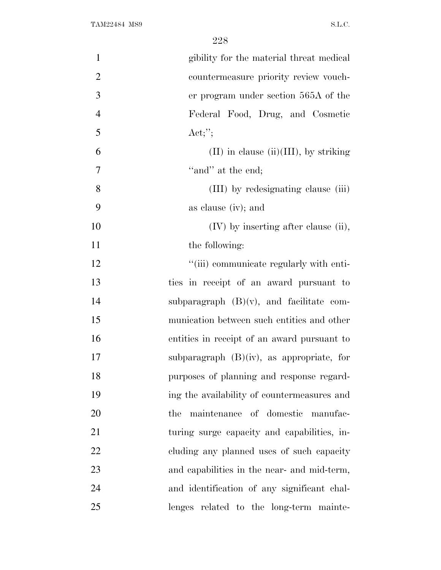| $\mathbf{1}$   | gibility for the material threat medical     |
|----------------|----------------------------------------------|
| $\overline{2}$ | countermeasure priority review vouch-        |
| 3              | er program under section 565A of the         |
| $\overline{4}$ | Federal Food, Drug, and Cosmetic             |
| 5              | $\text{Act};'';$                             |
| 6              | $(II)$ in clause $(ii)(III)$ , by striking   |
| $\overline{7}$ | "and" at the end;                            |
| 8              | (III) by redesignating clause (iii)          |
| 9              | as clause (iv); and                          |
| 10             | $(IV)$ by inserting after clause (ii),       |
| 11             | the following:                               |
| 12             | "(iii) communicate regularly with enti-      |
| 13             | ties in receipt of an award pursuant to      |
| 14             | subparagraph $(B)(v)$ , and facilitate com-  |
| 15             | munication between such entities and other   |
| 16             | entities in receipt of an award pursuant to  |
| 17             | subparagraph $(B)(iv)$ , as appropriate, for |
| 18             | purposes of planning and response regard-    |
| 19             | ing the availability of countermeasures and  |
| 20             | maintenance of domestic manufac-<br>the      |
| 21             | turing surge capacity and capabilities, in-  |
| 22             | cluding any planned uses of such capacity    |
| 23             | and capabilities in the near- and mid-term,  |
| 24             | and identification of any significant chal-  |
| 25             | lenges related to the long-term mainte-      |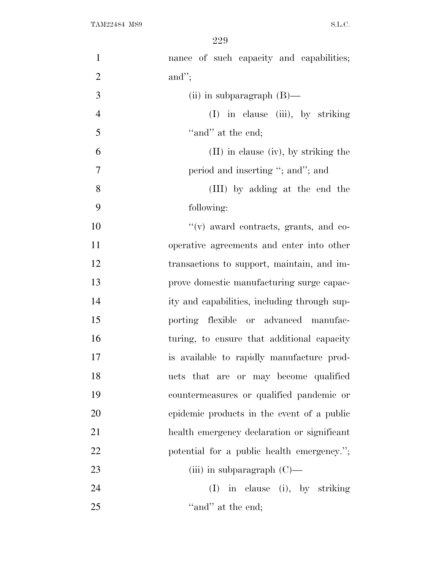| $\mathbf{1}$   | nance of such capacity and capabilities;     |
|----------------|----------------------------------------------|
| $\overline{2}$ | and";                                        |
| 3              | (ii) in subparagraph $(B)$ —                 |
| $\overline{4}$ | (I) in clause (iii), by striking             |
| 5              | "and" at the end;                            |
| 6              | $(II)$ in clause (iv), by striking the       |
| $\tau$         | period and inserting "; and"; and            |
| 8              | (III) by adding at the end the               |
| 9              | following:                                   |
| 10             | "(v) award contracts, grants, and co-        |
| 11             | operative agreements and enter into other    |
| 12             | transactions to support, maintain, and im-   |
| 13             | prove domestic manufacturing surge capac-    |
| 14             | ity and capabilities, including through sup- |
| 15             | porting flexible or advanced manufac-        |
| 16             | turing, to ensure that additional capacity   |
| 17             | is available to rapidly manufacture prod-    |
| 18             | ucts that are or may become qualified        |
| 19             | countermeasures or qualified pandemic or     |
| 20             | epidemic products in the event of a public   |
| 21             | health emergency declaration or significant  |
| 22             | potential for a public health emergency.";   |
| 23             | (iii) in subparagraph $(C)$ —                |
| 24             | in clause (i), by striking<br>(I)            |
| 25             | "and" at the end;                            |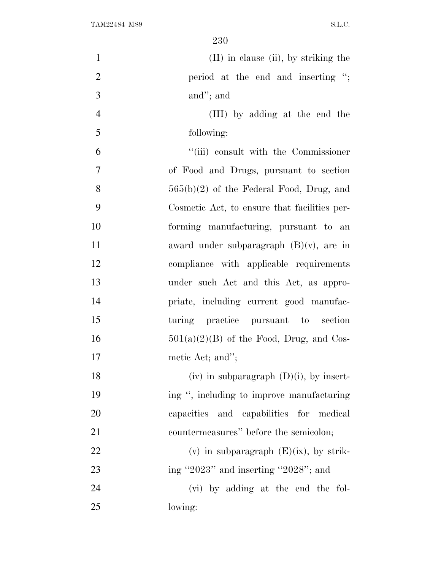| $\mathbf{1}$   | $(II)$ in clause $(ii)$ , by striking the    |
|----------------|----------------------------------------------|
| $\overline{2}$ | period at the end and inserting ";           |
| 3              | and"; and                                    |
| $\overline{4}$ | (III) by adding at the end the               |
| 5              | following:                                   |
| 6              | "(iii) consult with the Commissioner         |
| 7              | of Food and Drugs, pursuant to section       |
| 8              | $565(b)(2)$ of the Federal Food, Drug, and   |
| 9              | Cosmetic Act, to ensure that facilities per- |
| 10             | forming manufacturing, pursuant to an        |
| 11             | award under subparagraph $(B)(v)$ , are in   |
| 12             | compliance with applicable requirements      |
| 13             | under such Act and this Act, as appro-       |
| 14             | priate, including current good manufac-      |
| 15             | turing practice pursuant to section          |
| 16             | $501(a)(2)(B)$ of the Food, Drug, and Cos-   |
| 17             | metic Act; and";                             |
| 18             | (iv) in subparagraph $(D)(i)$ , by insert-   |
| 19             | ing ", including to improve manufacturing    |
| 20             | capacities and capabilities for medical      |
| 21             | countermeasures" before the semicolon;       |
| 22             | (v) in subparagraph $(E)(ix)$ , by strik-    |
| 23             | ing "2023" and inserting "2028"; and         |
| 24             | (vi) by adding at the end the fol-           |
| 25             | lowing:                                      |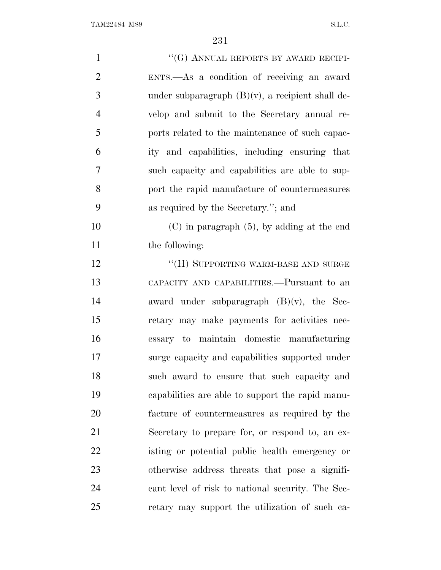| $\mathbf{1}$   | "(G) ANNUAL REPORTS BY AWARD RECIPI-                |
|----------------|-----------------------------------------------------|
| $\overline{2}$ | ENTS.—As a condition of receiving an award          |
| 3              | under subparagraph $(B)(v)$ , a recipient shall de- |
| $\overline{4}$ | velop and submit to the Secretary annual re-        |
| 5              | ports related to the maintenance of such capac-     |
| 6              | ity and capabilities, including ensuring that       |
| 7              | such capacity and capabilities are able to sup-     |
| 8              | port the rapid manufacture of countermeasures       |
| 9              | as required by the Secretary."; and                 |
| 10             | $(C)$ in paragraph $(5)$ , by adding at the end     |
| 11             | the following:                                      |
| 12             | "(H) SUPPORTING WARM-BASE AND SURGE                 |
| 13             | CAPACITY AND CAPABILITIES.—Pursuant to an           |
| 14             | award under subparagraph $(B)(v)$ , the Sec-        |
| 15             | retary may make payments for activities nec-        |
| 16             | essary to maintain domestic manufacturing           |
| 17             | surge capacity and capabilities supported under     |
| 18             | such award to ensure that such capacity and         |
| 19             | capabilities are able to support the rapid manu-    |
| 20             | facture of countermeasures as required by the       |
| 21             | Secretary to prepare for, or respond to, an ex-     |
| 22             | isting or potential public health emergency or      |
| 23             | otherwise address threats that pose a signifi-      |
| 24             | cant level of risk to national security. The Sec-   |
| 25             | retary may support the utilization of such ca-      |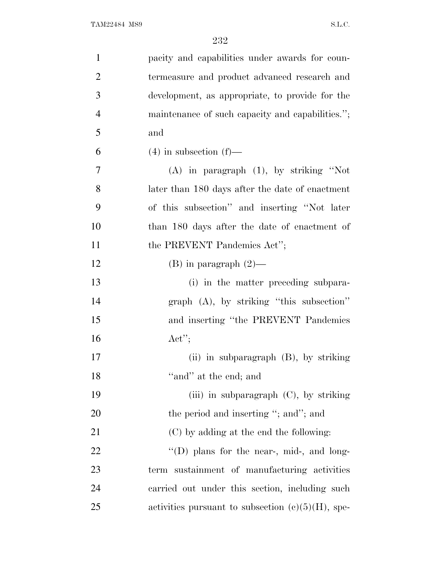| $\mathbf{1}$   | pacity and capabilities under awards for coun-       |
|----------------|------------------------------------------------------|
| $\overline{2}$ | termeasure and product advanced research and         |
| 3              | development, as appropriate, to provide for the      |
| $\overline{4}$ | maintenance of such capacity and capabilities.";     |
| 5              | and                                                  |
| 6              | $(4)$ in subsection $(f)$ —                          |
| 7              | $(A)$ in paragraph $(1)$ , by striking "Not          |
| 8              | later than 180 days after the date of enactment      |
| 9              | of this subsection" and inserting "Not later         |
| 10             | than 180 days after the date of enactment of         |
| 11             | the PREVENT Pandemics Act";                          |
| 12             | $(B)$ in paragraph $(2)$ —                           |
| 13             | (i) in the matter preceding subpara-                 |
| 14             | $graph$ (A), by striking "this subsection"           |
| 15             | and inserting "the PREVENT Pandemics"                |
| 16             | $\text{Act}''$                                       |
| 17             | (ii) in subparagraph $(B)$ , by striking             |
| 18             | "and" at the end; and                                |
| 19             | (iii) in subparagraph $(C)$ , by striking            |
| 20             | the period and inserting "; and"; and                |
| 21             | (C) by adding at the end the following:              |
| 22             | "(D) plans for the near-, mid-, and long-            |
| 23             | term sustainment of manufacturing activities         |
| 24             | carried out under this section, including such       |
| 25             | activities pursuant to subsection $(e)(5)(H)$ , spe- |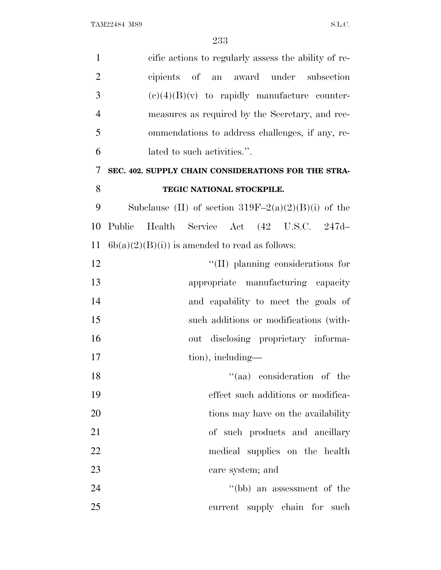| $\mathbf{1}$   | cific actions to regularly assess the ability of re-  |
|----------------|-------------------------------------------------------|
| $\overline{2}$ | cipients of an award under subsection                 |
| 3              | $(e)(4)(B)(v)$ to rapidly manufacture counter-        |
| $\overline{4}$ | measures as required by the Secretary, and rec-       |
| 5              | ommendations to address challenges, if any, re-       |
| 6              | lated to such activities.".                           |
| 7              | SEC. 402. SUPPLY CHAIN CONSIDERATIONS FOR THE STRA-   |
| 8              | TEGIC NATIONAL STOCKPILE.                             |
| 9              | Subclause (II) of section $319F-2(a)(2)(B)(i)$ of the |
| 10             | Public<br>Health Service Act (42 U.S.C. 247d-         |
| 11             | $6b(a)(2)(B(i))$ is amended to read as follows:       |
| 12             | $\lq\lq$ (II) planning considerations for             |
| 13             | appropriate manufacturing capacity                    |
| 14             | and capability to meet the goals of                   |
| 15             | such additions or modifications (with-                |
| 16             | out disclosing proprietary informa-                   |
| 17             | tion), including—                                     |
| 18             | "(aa) consideration of the                            |
| 19             | effect such additions or modifica-                    |
| 20             | tions may have on the availability                    |
| 21             | of such products and ancillary                        |
| 22             | medical supplies on the health                        |
| 23             | care system; and                                      |
| 24             | $\lq\lq(bb)$ an assessment of the                     |
| 25             | current supply chain for such                         |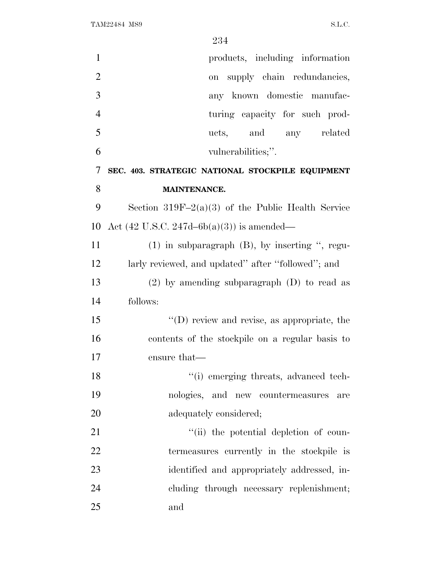| $\mathbf{1}$   | products, including information                        |
|----------------|--------------------------------------------------------|
| $\overline{2}$ | on supply chain redundancies,                          |
| 3              | any known domestic manufac-                            |
| $\overline{4}$ | turing capacity for such prod-                         |
| 5              | and any related<br>ucts.                               |
| 6              | vulnerabilities;".                                     |
| 7              | SEC. 403. STRATEGIC NATIONAL STOCKPILE EQUIPMENT       |
| 8              | <b>MAINTENANCE.</b>                                    |
| 9              | Section $319F-2(a)(3)$ of the Public Health Service    |
| 10             | Act $(42 \text{ U.S.C. } 247d - 6b(a)(3))$ is amended— |
| 11             | $(1)$ in subparagraph $(B)$ , by inserting ", regu-    |
| 12             | larly reviewed, and updated" after "followed"; and     |
| 13             | $(2)$ by amending subparagraph $(D)$ to read as        |
| 14             | follows:                                               |
| 15             | $\lq\lq$ (D) review and revise, as appropriate, the    |
| 16             | contents of the stockpile on a regular basis to        |
| 17             | ensure that—                                           |
| 18             | "(i) emerging threats, advanced tech-                  |
| 19             | nologies, and new countermeasures<br>are               |
| 20             | adequately considered;                                 |
| 21             | "(ii) the potential depletion of coun-                 |
| 22             | termeasures currently in the stockpile is              |
| 23             | identified and appropriately addressed, in-            |
| 24             | cluding through necessary replenishment;               |
| 25             | and                                                    |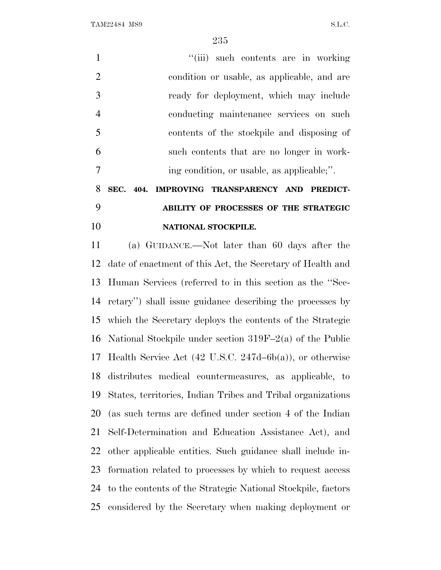TAM22484 MS9 S.L.C.

1 ''(iii) such contents are in working condition or usable, as applicable, and are ready for deployment, which may include conducting maintenance services on such contents of the stockpile and disposing of such contents that are no longer in work-ing condition, or usable, as applicable;''.

# **SEC. 404. IMPROVING TRANSPARENCY AND PREDICT- ABILITY OF PROCESSES OF THE STRATEGIC NATIONAL STOCKPILE.**

 (a) GUIDANCE.—Not later than 60 days after the date of enactment of this Act, the Secretary of Health and Human Services (referred to in this section as the ''Sec- retary'') shall issue guidance describing the processes by which the Secretary deploys the contents of the Strategic National Stockpile under section 319F–2(a) of the Public Health Service Act (42 U.S.C. 247d–6b(a)), or otherwise distributes medical countermeasures, as applicable, to States, territories, Indian Tribes and Tribal organizations (as such terms are defined under section 4 of the Indian Self-Determination and Education Assistance Act), and other applicable entities. Such guidance shall include in- formation related to processes by which to request access to the contents of the Strategic National Stockpile, factors considered by the Secretary when making deployment or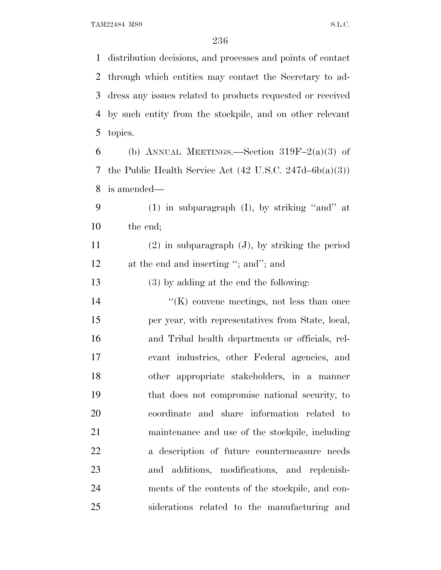distribution decisions, and processes and points of contact through which entities may contact the Secretary to ad- dress any issues related to products requested or received by such entity from the stockpile, and on other relevant topics.

6 (b) ANNUAL MEETINGS.—Section  $319F-2(a)(3)$  of the Public Health Service Act (42 U.S.C. 247d–6b(a)(3)) is amended—

 (1) in subparagraph (I), by striking ''and'' at the end;

 (2) in subparagraph (J), by striking the period 12 at the end and inserting "; and"; and

(3) by adding at the end the following:

 ''(K) convene meetings, not less than once per year, with representatives from State, local, and Tribal health departments or officials, rel- evant industries, other Federal agencies, and other appropriate stakeholders, in a manner that does not compromise national security, to coordinate and share information related to maintenance and use of the stockpile, including a description of future countermeasure needs and additions, modifications, and replenish- ments of the contents of the stockpile, and con-siderations related to the manufacturing and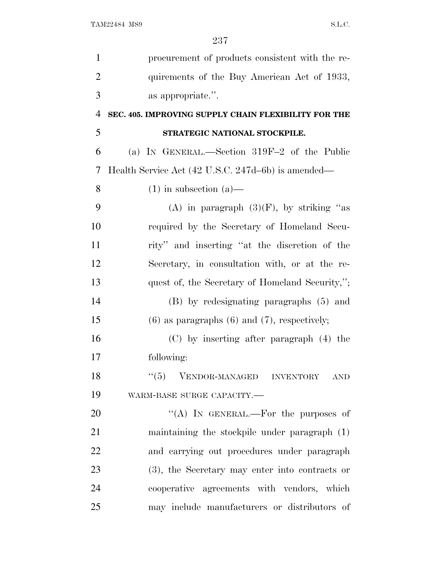| $\mathbf{1}$   | procurement of products consistent with the re-      |
|----------------|------------------------------------------------------|
| $\overline{2}$ | quirements of the Buy American Act of 1933,          |
| 3              | as appropriate.".                                    |
| $\overline{4}$ | SEC. 405. IMPROVING SUPPLY CHAIN FLEXIBILITY FOR THE |
| 5              | STRATEGIC NATIONAL STOCKPILE.                        |
| 6              | (a) IN GENERAL.—Section 319F-2 of the Public         |
| 7              | Health Service Act (42 U.S.C. 247d–6b) is amended—   |
| 8              | $(1)$ in subsection $(a)$ —                          |
| 9              | (A) in paragraph $(3)(F)$ , by striking "as          |
| 10             | required by the Secretary of Homeland Secu-          |
| 11             | rity" and inserting "at the discretion of the        |
| 12             | Secretary, in consultation with, or at the re-       |
| 13             | quest of, the Secretary of Homeland Security,";      |
| 14             | (B) by redesignating paragraphs (5) and              |
| 15             | $(6)$ as paragraphs $(6)$ and $(7)$ , respectively;  |
| 16             | (C) by inserting after paragraph (4) the             |
| 17             | following:                                           |
| 18             | VENDOR-MANAGED INVENTORY<br>``(5)<br><b>AND</b>      |
| 19             | WARM-BASE SURGE CAPACITY.-                           |
| 20             | "(A) IN GENERAL.—For the purposes of                 |
| 21             | maintaining the stockpile under paragraph $(1)$      |
| 22             | and carrying out procedures under paragraph          |
| 23             | (3), the Secretary may enter into contracts or       |
| 24             | cooperative agreements with vendors, which           |
| 25             | may include manufacturers or distributors of         |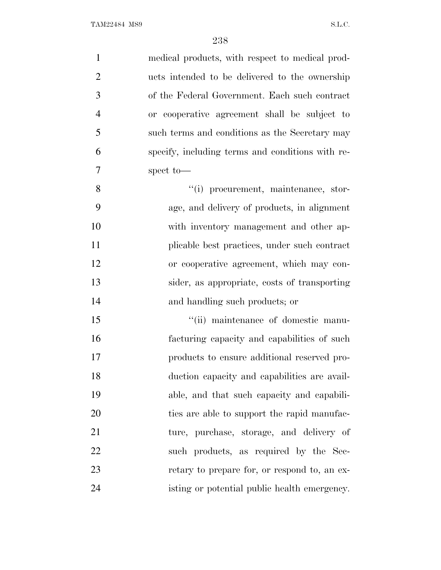| $\mathbf{1}$   | medical products, with respect to medical prod-  |
|----------------|--------------------------------------------------|
| $\overline{2}$ | ucts intended to be delivered to the ownership   |
| 3              | of the Federal Government. Each such contract    |
| $\overline{4}$ | or cooperative agreement shall be subject to     |
| 5              | such terms and conditions as the Secretary may   |
| 6              | specify, including terms and conditions with re- |
| $\overline{7}$ | spect to-                                        |
| 8              | "(i) procurement, maintenance, stor-             |
| 9              | age, and delivery of products, in alignment      |
| 10             | with inventory management and other ap-          |
| 11             | plicable best practices, under such contract     |
| 12             | or cooperative agreement, which may con-         |
| 13             | sider, as appropriate, costs of transporting     |
| 14             | and handling such products; or                   |
| 15             | "(ii) maintenance of domestic manu-              |
| 16             | facturing capacity and capabilities of such      |
| 17             | products to ensure additional reserved pro-      |
| 18             | duction capacity and capabilities are avail-     |
| 19             | able, and that such capacity and capabili-       |
| <b>20</b>      | ties are able to support the rapid manufac-      |
| 21             | ture, purchase, storage, and delivery of         |
| 22             | such products, as required by the Sec-           |
| 23             | retary to prepare for, or respond to, an ex-     |
| 24             | isting or potential public health emergency.     |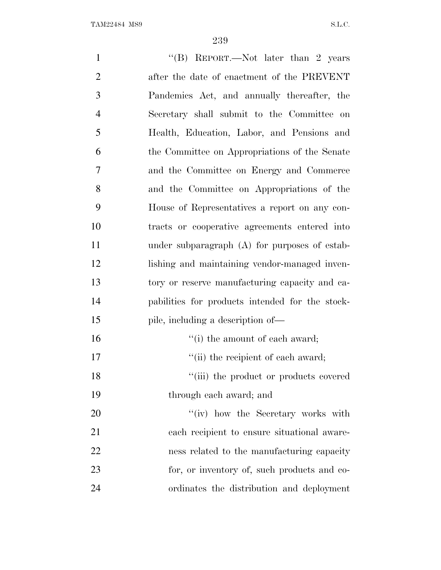| $\mathbf{1}$   | "(B) REPORT.—Not later than 2 years             |
|----------------|-------------------------------------------------|
| $\overline{2}$ | after the date of enactment of the PREVENT      |
| 3              | Pandemics Act, and annually thereafter, the     |
| $\overline{4}$ | Secretary shall submit to the Committee on      |
| 5              | Health, Education, Labor, and Pensions and      |
| 6              | the Committee on Appropriations of the Senate   |
| 7              | and the Committee on Energy and Commerce        |
| 8              | and the Committee on Appropriations of the      |
| 9              | House of Representatives a report on any con-   |
| 10             | tracts or cooperative agreements entered into   |
| 11             | under subparagraph (A) for purposes of estab-   |
| 12             | lishing and maintaining vendor-managed inven-   |
| 13             | tory or reserve manufacturing capacity and ca-  |
| 14             | pabilities for products intended for the stock- |
| 15             | pile, including a description of—               |
| 16             | "(i) the amount of each award;                  |
| 17             | "(ii) the recipient of each award;              |
| 18             | "(iii) the product or products covered          |
| 19             | through each award; and                         |
| <b>20</b>      | "(iv) how the Secretary works with              |
| 21             | each recipient to ensure situational aware-     |
| 22             | ness related to the manufacturing capacity      |
| 23             | for, or inventory of, such products and co-     |
| 24             | ordinates the distribution and deployment       |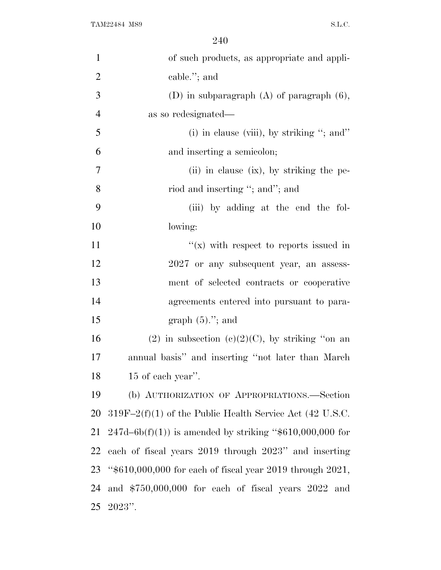| $\mathbf{1}$   | of such products, as appropriate and appli-                 |
|----------------|-------------------------------------------------------------|
| $\overline{2}$ | cable."; and                                                |
| 3              | (D) in subparagraph $(A)$ of paragraph $(6)$ ,              |
| $\overline{4}$ | as so redesignated—                                         |
| 5              | (i) in clause (viii), by striking "; and"                   |
| 6              | and inserting a semicolon;                                  |
| 7              | (ii) in clause (ix), by striking the pe-                    |
| 8              | riod and inserting "; and"; and                             |
| 9              | (iii) by adding at the end the fol-                         |
| 10             | lowing:                                                     |
| 11             | " $(x)$ with respect to reports issued in                   |
| 12             | 2027 or any subsequent year, an assess-                     |
| 13             | ment of selected contracts or cooperative                   |
| 14             | agreements entered into pursuant to para-                   |
| 15             | graph $(5)$ ."; and                                         |
| 16             | (2) in subsection (c)(2)(C), by striking "on an             |
| 17             | annual basis" and inserting "not later than March"          |
| 18             | 15 of each year".                                           |
| 19             | (b) AUTHORIZATION OF APPROPRIATIONS.—Section                |
| 20             | $319F-2(f)(1)$ of the Public Health Service Act (42 U.S.C.  |
| 21             | $247d - 6b(f)(1)$ is amended by striking "\$610,000,000 for |
| 22             | each of fiscal years 2019 through 2023" and inserting       |
| 23             | "\$610,000,000 for each of fiscal year 2019 through 2021,   |
| 24             | and $$750,000,000$ for each of fiscal years $2022$ and      |
| 25             | $2023"$ .                                                   |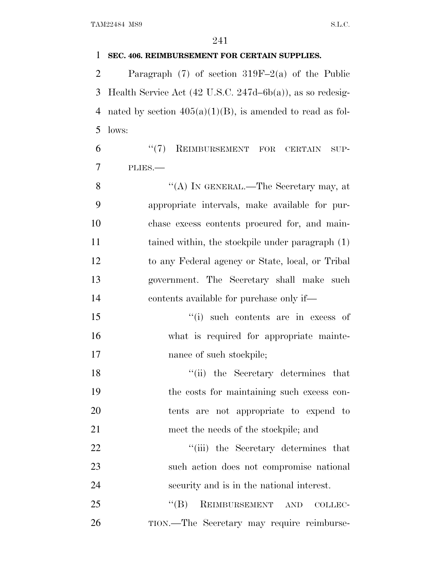### **SEC. 406. REIMBURSEMENT FOR CERTAIN SUPPLIES.**

 Paragraph (7) of section 319F–2(a) of the Public Health Service Act (42 U.S.C. 247d–6b(a)), as so redesig-4 nated by section  $405(a)(1)(B)$ , is amended to read as fol-lows:

6 "(7) REIMBURSEMENT FOR CERTAIN SUP-PLIES.—

8 "(A) IN GENERAL.—The Secretary may, at appropriate intervals, make available for pur- chase excess contents procured for, and main-11 tained within, the stockpile under paragraph (1) to any Federal agency or State, local, or Tribal government. The Secretary shall make such contents available for purchase only if—

 ''(i) such contents are in excess of what is required for appropriate mainte-17 nance of such stockpile;

18 ''(ii) the Secretary determines that the costs for maintaining such excess con- tents are not appropriate to expend to meet the needs of the stockpile; and

22 ''(iii) the Secretary determines that such action does not compromise national security and is in the national interest.

25 "(B) REIMBURSEMENT AND COLLEC-TION.—The Secretary may require reimburse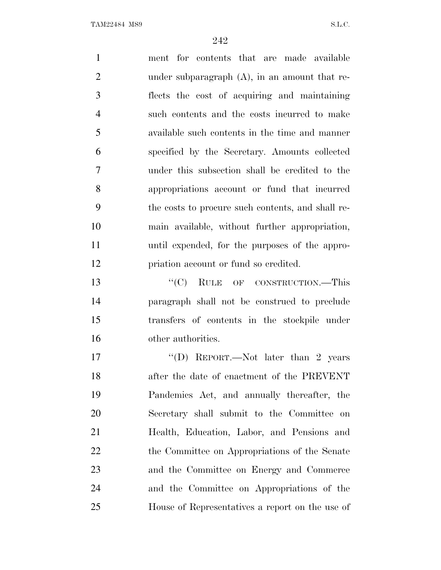TAM22484 MS9 S.L.C.

 ment for contents that are made available under subparagraph (A), in an amount that re- flects the cost of acquiring and maintaining such contents and the costs incurred to make available such contents in the time and manner specified by the Secretary. Amounts collected under this subsection shall be credited to the appropriations account or fund that incurred the costs to procure such contents, and shall re- main available, without further appropriation, until expended, for the purposes of the appro- priation account or fund so credited. 13 "'(C) RULE OF CONSTRUCTION.—This paragraph shall not be construed to preclude transfers of contents in the stockpile under other authorities. 17 "'(D) REPORT.—Not later than 2 years after the date of enactment of the PREVENT Pandemics Act, and annually thereafter, the Secretary shall submit to the Committee on Health, Education, Labor, and Pensions and 22 the Committee on Appropriations of the Senate

 and the Committee on Energy and Commerce and the Committee on Appropriations of the House of Representatives a report on the use of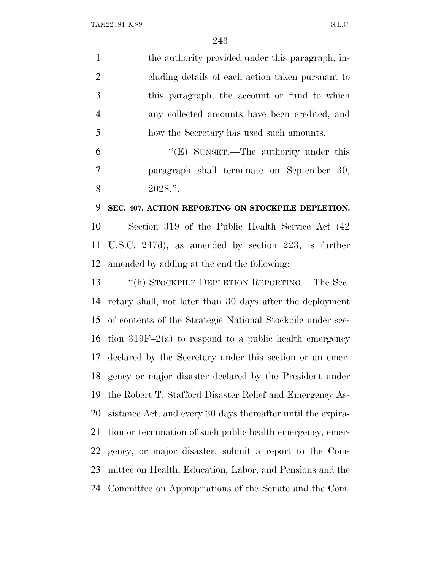|            | the authority provided under this paragraph, in- |
|------------|--------------------------------------------------|
| 2          | eluding details of each action taken pursuant to |
| -3         | this paragraph, the account or fund to which     |
|            | any collected amounts have been credited, and    |
| -5         | how the Secretary has used such amounts.         |
| $\epsilon$ | The orthonity under this<br>$U(N)$ Crysoph       |

 ''(E) SUNSET.—The authority under this paragraph shall terminate on September 30, 8 2028."

#### **SEC. 407. ACTION REPORTING ON STOCKPILE DEPLETION.**

 Section 319 of the Public Health Service Act (42 U.S.C. 247d), as amended by section 223, is further amended by adding at the end the following:

 ''(h) STOCKPILE DEPLETION REPORTING.—The Sec- retary shall, not later than 30 days after the deployment of contents of the Strategic National Stockpile under sec-16 tion 319F–2(a) to respond to a public health emergency declared by the Secretary under this section or an emer- gency or major disaster declared by the President under the Robert T. Stafford Disaster Relief and Emergency As- sistance Act, and every 30 days thereafter until the expira- tion or termination of such public health emergency, emer- gency, or major disaster, submit a report to the Com- mittee on Health, Education, Labor, and Pensions and the Committee on Appropriations of the Senate and the Com-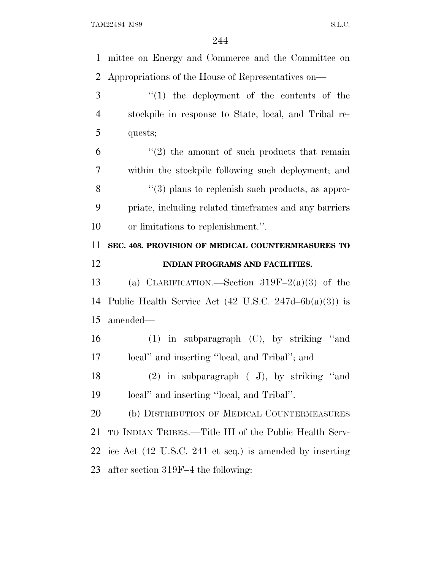mittee on Energy and Commerce and the Committee on Appropriations of the House of Representatives on— ''(1) the deployment of the contents of the stockpile in response to State, local, and Tribal re- quests;  $(6)$  " $(2)$  the amount of such products that remain within the stockpile following such deployment; and 8 "(3) plans to replenish such products, as appro- priate, including related timeframes and any barriers or limitations to replenishment.''. **SEC. 408. PROVISION OF MEDICAL COUNTERMEASURES TO INDIAN PROGRAMS AND FACILITIES.** (a) CLARIFICATION.—Section 319F–2(a)(3) of the Public Health Service Act (42 U.S.C. 247d–6b(a)(3)) is amended— (1) in subparagraph (C), by striking ''and local'' and inserting ''local, and Tribal''; and (2) in subparagraph ( J), by striking ''and local'' and inserting ''local, and Tribal''.

 (b) DISTRIBUTION OF MEDICAL COUNTERMEASURES TO INDIAN TRIBES.—Title III of the Public Health Serv- ice Act (42 U.S.C. 241 et seq.) is amended by inserting after section 319F–4 the following: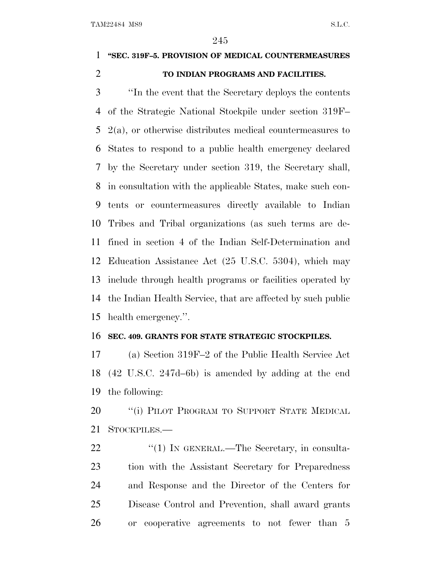## **''SEC. 319F–5. PROVISION OF MEDICAL COUNTERMEASURES TO INDIAN PROGRAMS AND FACILITIES.**

 ''In the event that the Secretary deploys the contents of the Strategic National Stockpile under section 319F–  $5\,$  2(a), or otherwise distributes medical countermeasures to States to respond to a public health emergency declared by the Secretary under section 319, the Secretary shall, in consultation with the applicable States, make such con- tents or countermeasures directly available to Indian Tribes and Tribal organizations (as such terms are de- fined in section 4 of the Indian Self-Determination and Education Assistance Act (25 U.S.C. 5304), which may include through health programs or facilities operated by the Indian Health Service, that are affected by such public health emergency.''.

#### **SEC. 409. GRANTS FOR STATE STRATEGIC STOCKPILES.**

 (a) Section 319F–2 of the Public Health Service Act (42 U.S.C. 247d–6b) is amended by adding at the end the following:

20 <sup>''</sup>(i) PILOT PROGRAM TO SUPPORT STATE MEDICAL STOCKPILES.—

22 "(1) IN GENERAL.—The Secretary, in consulta- tion with the Assistant Secretary for Preparedness and Response and the Director of the Centers for Disease Control and Prevention, shall award grants or cooperative agreements to not fewer than 5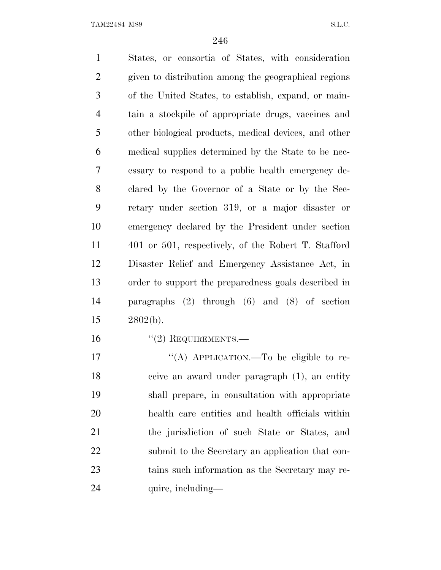TAM22484 MS9 S.L.C.

 States, or consortia of States, with consideration given to distribution among the geographical regions of the United States, to establish, expand, or main- tain a stockpile of appropriate drugs, vaccines and other biological products, medical devices, and other medical supplies determined by the State to be nec- essary to respond to a public health emergency de- clared by the Governor of a State or by the Sec- retary under section 319, or a major disaster or emergency declared by the President under section 401 or 501, respectively, of the Robert T. Stafford Disaster Relief and Emergency Assistance Act, in order to support the preparedness goals described in paragraphs (2) through (6) and (8) of section 2802(b). 16 "(2) REQUIREMENTS. 17 "(A) APPLICATION.—To be eligible to re-ceive an award under paragraph (1), an entity

 shall prepare, in consultation with appropriate health care entities and health officials within the jurisdiction of such State or States, and submit to the Secretary an application that con- tains such information as the Secretary may re-24 quire, including—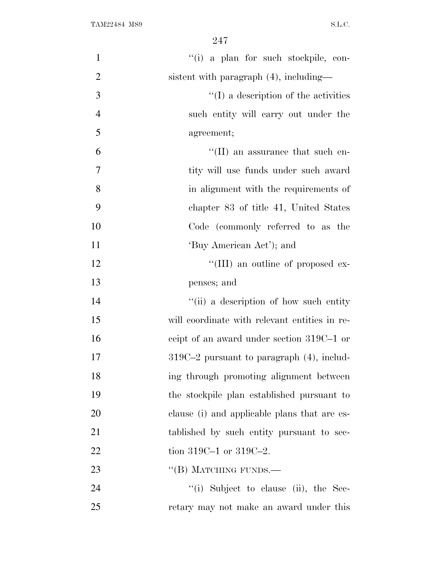| $\mathbf{1}$   | "(i) a plan for such stockpile, con-           |
|----------------|------------------------------------------------|
| $\overline{2}$ | sistent with paragraph (4), including—         |
| 3              | $\lq\lq$ (I) a description of the activities   |
| $\overline{4}$ | such entity will carry out under the           |
| 5              | agreement;                                     |
| 6              | $\lq\lq$ (II) an assurance that such en-       |
| 7              | tity will use funds under such award           |
| 8              | in alignment with the requirements of          |
| 9              | chapter 83 of title 41, United States          |
| 10             | Code (commonly referred to as the              |
| 11             | 'Buy American Act'); and                       |
| 12             | "(III) an outline of proposed ex-              |
| 13             | penses; and                                    |
| 14             | "(ii) a description of how such entity         |
| 15             | will coordinate with relevant entities in re-  |
| 16             | ceipt of an award under section 319C-1 or      |
| 17             | $319C-2$ pursuant to paragraph $(4)$ , includ- |
| 18             | ing through promoting alignment between        |
| 19             | the stockpile plan established pursuant to     |
| 20             | clause (i) and applicable plans that are es-   |
| 21             | tablished by such entity pursuant to sec-      |
| 22             | tion 319C-1 or 319C-2.                         |
| 23             | $\lq\lq (B)$ MATCHING FUNDS.—                  |
| 24             | "(i) Subject to clause (ii), the Sec-          |
| 25             | retary may not make an award under this        |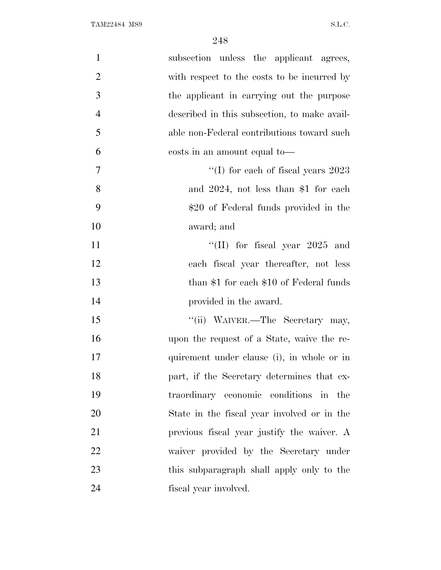| $\mathbf{1}$   | subsection unless the applicant agrees,      |
|----------------|----------------------------------------------|
| $\overline{2}$ | with respect to the costs to be incurred by  |
| 3              | the applicant in carrying out the purpose    |
| $\overline{4}$ | described in this subsection, to make avail- |
| 5              | able non-Federal contributions toward such   |
| 6              | costs in an amount equal to—                 |
| 7              | "(I) for each of fiscal years $2023$         |
| 8              | and $2024$ , not less than \$1 for each      |
| 9              | \$20 of Federal funds provided in the        |
| 10             | award; and                                   |
| 11             | "(II) for fiscal year $2025$ and             |
| 12             | each fiscal year thereafter, not less        |
| 13             | than $$1$ for each $$10$ of Federal funds    |
| 14             | provided in the award.                       |
| 15             | "(ii) WAIVER.—The Secretary may,             |
| 16             | upon the request of a State, waive the re-   |
| 17             | quirement under clause (i), in whole or in   |
| 18             | part, if the Secretary determines that ex-   |
| 19             | traordinary economic conditions in the       |
| 20             | State in the fiscal year involved or in the  |
| 21             | previous fiscal year justify the waiver. A   |
| 22             | waiver provided by the Secretary under       |
| 23             | this subparagraph shall apply only to the    |
| 24             | fiscal year involved.                        |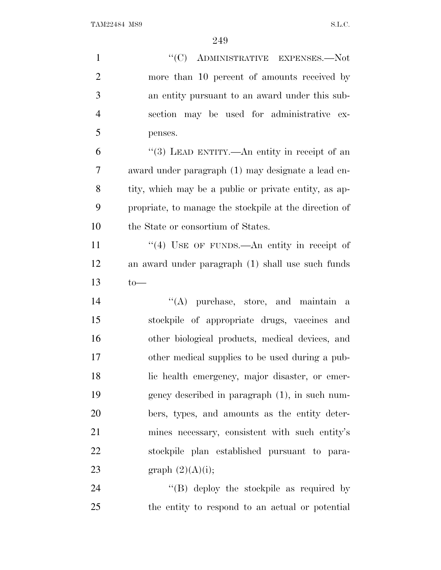| $\mathbf{1}$   | "(C) ADMINISTRATIVE EXPENSES.—Not                      |
|----------------|--------------------------------------------------------|
| $\mathfrak{2}$ | more than 10 percent of amounts received by            |
| 3              | an entity pursuant to an award under this sub-         |
| $\overline{4}$ | section may be used for administrative ex-             |
| 5              | penses.                                                |
| 6              | "(3) LEAD ENTITY.—An entity in receipt of an           |
| $\overline{7}$ | award under paragraph (1) may designate a lead en-     |
| 8              | tity, which may be a public or private entity, as ap-  |
| 9              | propriate, to manage the stockpile at the direction of |
| 10             | the State or consortium of States.                     |
| 11             | "(4) USE OF FUNDS.—An entity in receipt of             |
| 12             | an award under paragraph (1) shall use such funds      |
| 13             | $to-$                                                  |
| 14             | $\lq\lq$ purchase, store, and maintain a               |
| 15             | stockpile of appropriate drugs, vaccines and           |
| 16             | other biological products, medical devices, and        |
| 17             | other medical supplies to be used during a pub-        |
| 18             | lic health emergency, major disaster, or emer-         |
| 19             | gency described in paragraph (1), in such num-         |
| 20             | bers, types, and amounts as the entity deter-          |
| 21             | mines necessary, consistent with such entity's         |
| 22             | stockpile plan established pursuant to para-           |
| 23             | graph $(2)(A)(i);$                                     |
| 24             | $\lq\lq$ deploy the stockpile as required by           |

- 
- the entity to respond to an actual or potential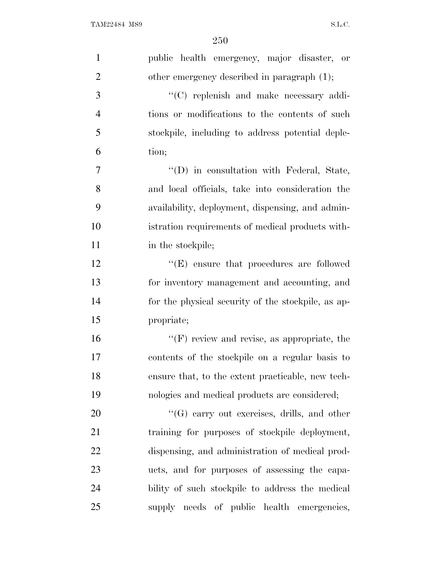| $\mathbf{1}$   | public health emergency, major disaster, or        |
|----------------|----------------------------------------------------|
| $\overline{2}$ | other emergency described in paragraph $(1)$ ;     |
| 3              | "(C) replenish and make necessary addi-            |
| $\overline{4}$ | tions or modifications to the contents of such     |
| 5              | stockpile, including to address potential deple-   |
| 6              | tion;                                              |
| 7              | "(D) in consultation with Federal, State,          |
| 8              | and local officials, take into consideration the   |
| 9              | availability, deployment, dispensing, and admin-   |
| 10             | istration requirements of medical products with-   |
| 11             | in the stockpile;                                  |
| 12             | $\lq\lq(E)$ ensure that procedures are followed    |
| 13             | for inventory management and accounting, and       |
| 14             | for the physical security of the stockpile, as ap- |
| 15             | propriate;                                         |
| 16             | $"$ (F) review and revise, as appropriate, the     |
| 17             | contents of the stockpile on a regular basis to    |
| 18             | ensure that, to the extent practicable, new tech-  |
| 19             | nologies and medical products are considered;      |
| 20             | $\lq\lq(G)$ carry out exercises, drills, and other |
| 21             | training for purposes of stockpile deployment,     |
| 22             | dispensing, and administration of medical prod-    |
| 23             | ucts, and for purposes of assessing the capa-      |
| 24             | bility of such stockpile to address the medical    |
| 25             | supply needs of public health emergencies,         |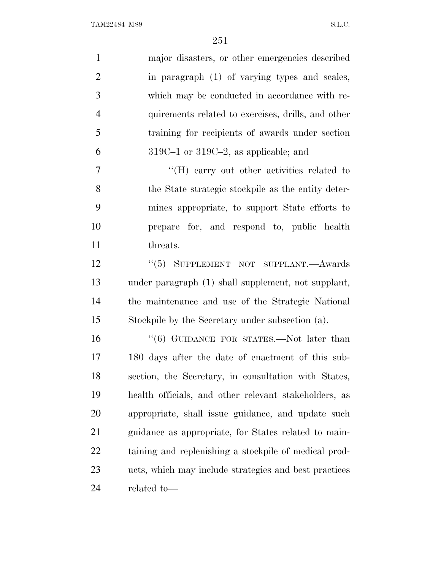| $\mathbf{1}$   | major disasters, or other emergencies described       |
|----------------|-------------------------------------------------------|
| $\overline{2}$ | in paragraph (1) of varying types and scales,         |
| 3              | which may be conducted in accordance with re-         |
| $\overline{4}$ | quirements related to exercises, drills, and other    |
| 5              | training for recipients of awards under section       |
| 6              | $319C-1$ or $319C-2$ , as applicable; and             |
| $\tau$         | $\rm{``(H)}$ carry out other activities related to    |
| 8              | the State strategic stockpile as the entity deter-    |
| 9              | mines appropriate, to support State efforts to        |
| 10             | prepare for, and respond to, public health            |
| 11             | threats.                                              |
| 12             | "(5) SUPPLEMENT NOT SUPPLANT.—Awards                  |
| 13             | under paragraph (1) shall supplement, not supplant,   |
| 14             | the maintenance and use of the Strategic National     |
| 15             | Stockpile by the Secretary under subsection (a).      |
| 16             | "(6) GUIDANCE FOR STATES.—Not later than              |
| 17             | 180 days after the date of enactment of this sub-     |
| 18             | section, the Secretary, in consultation with States,  |
| 19             | health officials, and other relevant stakeholders, as |
| 20             | appropriate, shall issue guidance, and update such    |
| 21             | guidance as appropriate, for States related to main-  |
| 22             | taining and replenishing a stockpile of medical prod- |
| 23             | ucts, which may include strategies and best practices |
| 24             | related to-                                           |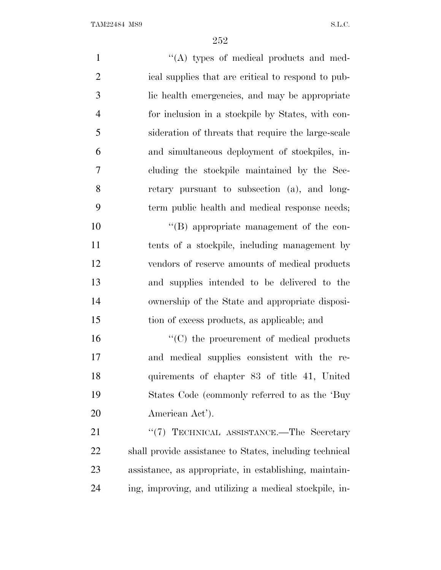1 ''(A) types of medical products and med- ical supplies that are critical to respond to pub- lic health emergencies, and may be appropriate for inclusion in a stockpile by States, with con- sideration of threats that require the large-scale and simultaneous deployment of stockpiles, in- cluding the stockpile maintained by the Sec- retary pursuant to subsection (a), and long- term public health and medical response needs;  $\langle$  (B) appropriate management of the con- tents of a stockpile, including management by vendors of reserve amounts of medical products

 and supplies intended to be delivered to the ownership of the State and appropriate disposi-tion of excess products, as applicable; and

 $\frac{16}{16}$  The procurement of medical products and medical supplies consistent with the re- quirements of chapter 83 of title 41, United States Code (commonly referred to as the 'Buy American Act').

21 "'(7) TECHNICAL ASSISTANCE.—The Secretary shall provide assistance to States, including technical assistance, as appropriate, in establishing, maintain-ing, improving, and utilizing a medical stockpile, in-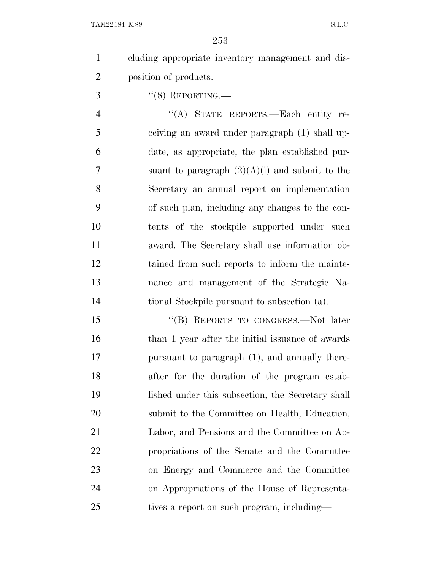cluding appropriate inventory management and dis-position of products.

"(8) REPORTING.—

4 "(A) STATE REPORTS.—Each entity re- ceiving an award under paragraph (1) shall up- date, as appropriate, the plan established pur-7 suant to paragraph  $(2)(A)(i)$  and submit to the Secretary an annual report on implementation of such plan, including any changes to the con- tents of the stockpile supported under such award. The Secretary shall use information ob- tained from such reports to inform the mainte- nance and management of the Strategic Na-tional Stockpile pursuant to subsection (a).

15 "(B) REPORTS TO CONGRESS.—Not later 16 than 1 year after the initial issuance of awards pursuant to paragraph (1), and annually there- after for the duration of the program estab- lished under this subsection, the Secretary shall submit to the Committee on Health, Education, Labor, and Pensions and the Committee on Ap- propriations of the Senate and the Committee on Energy and Commerce and the Committee on Appropriations of the House of Representa-25 tives a report on such program, including—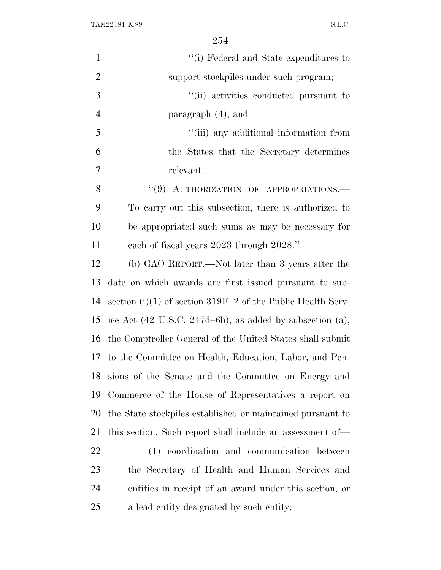| $\mathbf{1}$   | "(i) Federal and State expenditures to                                  |
|----------------|-------------------------------------------------------------------------|
| $\overline{2}$ | support stockpiles under such program;                                  |
| 3              | "(ii) activities conducted pursuant to                                  |
| $\overline{4}$ | paragraph $(4)$ ; and                                                   |
| 5              | "(iii) any additional information from                                  |
| 6              | the States that the Secretary determines                                |
| 7              | relevant.                                                               |
| 8              | "(9) AUTHORIZATION OF APPROPRIATIONS.-                                  |
| 9              | To carry out this subsection, there is authorized to                    |
| 10             | be appropriated such sums as may be necessary for                       |
| 11             | each of fiscal years 2023 through 2028.".                               |
| 12             | (b) GAO REPORT.—Not later than 3 years after the                        |
| 13             | date on which awards are first issued pursuant to sub-                  |
| 14             | section (i)(1) of section $319F-2$ of the Public Health Serv-           |
| 15             | ice Act $(42 \text{ U.S.C. } 247d-6b)$ , as added by subsection $(a)$ , |
| 16             | the Comptroller General of the United States shall submit               |
|                | 17 to the Committee on Health, Education, Labor, and Pen-               |
| 18             | sions of the Senate and the Committee on Energy and                     |
| 19             | Commerce of the House of Representatives a report on                    |
| 20             | the State stockpiles established or maintained pursuant to              |
| 21             | this section. Such report shall include an assessment of—               |
| 22             | (1) coordination and communication between                              |
| 23             | the Secretary of Health and Human Services and                          |
| 24             | entities in receipt of an award under this section, or                  |
| 25             | a lead entity designated by such entity;                                |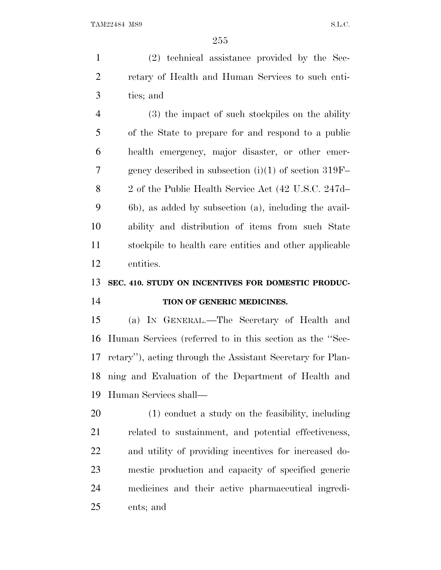(2) technical assistance provided by the Sec- retary of Health and Human Services to such enti-ties; and

 (3) the impact of such stockpiles on the ability of the State to prepare for and respond to a public health emergency, major disaster, or other emer- gency described in subsection (i)(1) of section 319F– 2 of the Public Health Service Act (42 U.S.C. 247d– 6b), as added by subsection (a), including the avail- ability and distribution of items from such State stockpile to health care entities and other applicable entities.

# **SEC. 410. STUDY ON INCENTIVES FOR DOMESTIC PRODUC-**

#### **TION OF GENERIC MEDICINES.**

 (a) I<sup>N</sup> GENERAL.—The Secretary of Health and Human Services (referred to in this section as the ''Sec- retary''), acting through the Assistant Secretary for Plan- ning and Evaluation of the Department of Health and Human Services shall—

 (1) conduct a study on the feasibility, including related to sustainment, and potential effectiveness, and utility of providing incentives for increased do- mestic production and capacity of specified generic medicines and their active pharmaceutical ingredi-ents; and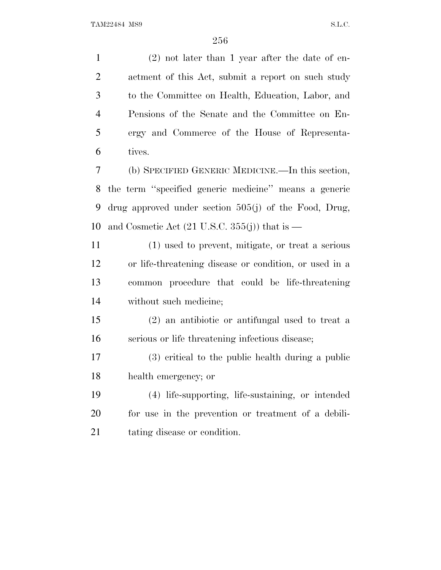(2) not later than 1 year after the date of en- actment of this Act, submit a report on such study to the Committee on Health, Education, Labor, and Pensions of the Senate and the Committee on En- ergy and Commerce of the House of Representa- tives. (b) SPECIFIED GENERIC MEDICINE.—In this section,

 the term ''specified generic medicine'' means a generic drug approved under section 505(j) of the Food, Drug, 10 and Cosmetic Act  $(21 \text{ U.S.C. } 355(j))$  that is —

 (1) used to prevent, mitigate, or treat a serious or life-threatening disease or condition, or used in a common procedure that could be life-threatening without such medicine;

 (2) an antibiotic or antifungal used to treat a serious or life threatening infectious disease;

 (3) critical to the public health during a public health emergency; or

 (4) life-supporting, life-sustaining, or intended for use in the prevention or treatment of a debili-tating disease or condition.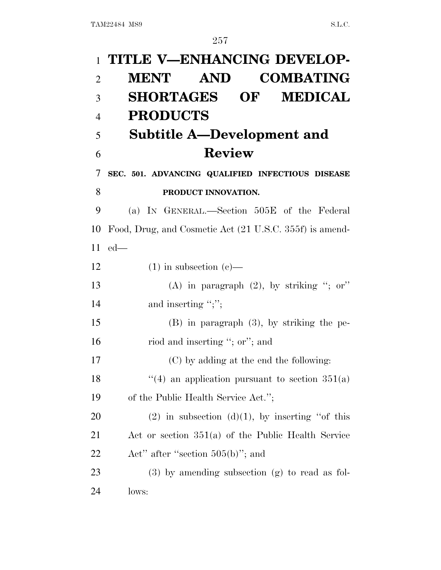| $\mathbf{1}$   | TITLE V-ENHANCING DEVELOP-                              |
|----------------|---------------------------------------------------------|
| $\overline{2}$ | AND<br><b>COMBATING</b><br><b>MENT</b>                  |
| 3              | <b>SHORTAGES OF</b><br><b>MEDICAL</b>                   |
| $\overline{4}$ | <b>PRODUCTS</b>                                         |
| 5              | <b>Subtitle A—Development and</b>                       |
| 6              | <b>Review</b>                                           |
| 7              | SEC. 501. ADVANCING QUALIFIED INFECTIOUS DISEASE        |
| 8              | PRODUCT INNOVATION.                                     |
| 9              | (a) IN GENERAL.—Section 505E of the Federal             |
| 10             | Food, Drug, and Cosmetic Act (21 U.S.C. 355f) is amend- |
| 11             | $ed$ —                                                  |
| 12             | $(1)$ in subsection $(e)$ —                             |
| 13             | (A) in paragraph $(2)$ , by striking "; or"             |
| 14             | and inserting ";";                                      |
| 15             | $(B)$ in paragraph $(3)$ , by striking the pe-          |
| 16             | riod and inserting "; or"; and                          |
| 17             | (C) by adding at the end the following:                 |
| 18             | "(4) an application pursuant to section $351(a)$        |
| 19             | of the Public Health Service Act.";                     |
| 20             | $(2)$ in subsection $(d)(1)$ , by inserting "of this    |
| 21             | Act or section $351(a)$ of the Public Health Service    |
| 22             | Act" after "section $505(b)$ "; and                     |
| 23             | $(3)$ by amending subsection $(g)$ to read as fol-      |
| 24             | lows:                                                   |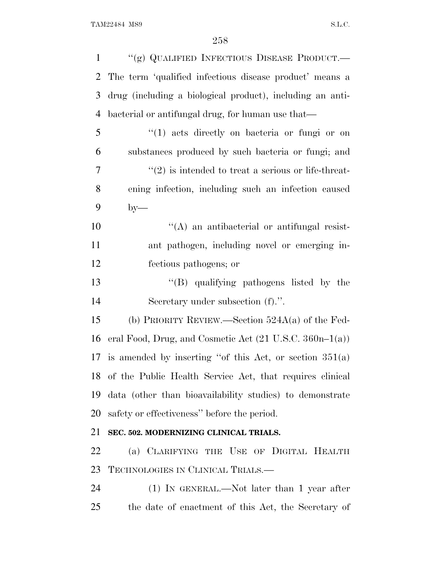| $\mathbf{1}$   | "(g) QUALIFIED INFECTIOUS DISEASE PRODUCT.-                        |
|----------------|--------------------------------------------------------------------|
| 2              | The term 'qualified infectious disease product' means a            |
| 3              | drug (including a biological product), including an anti-          |
| $\overline{4}$ | bacterial or antifungal drug, for human use that—                  |
| 5              | "(1) acts directly on bacteria or fungi or on                      |
| 6              | substances produced by such bacteria or fungi; and                 |
| 7              | $\cdot\cdot(2)$ is intended to treat a serious or life-threat-     |
| 8              | ening infection, including such an infection caused                |
| 9              | $by-$                                                              |
| 10             | $\lq\lq$ and antibacterial or antifungal resist-                   |
| 11             | ant pathogen, including novel or emerging in-                      |
| 12             | fectious pathogens; or                                             |
| 13             | "(B) qualifying pathogens listed by the                            |
| 14             | Secretary under subsection (f).".                                  |
| 15             | (b) PRIORITY REVIEW.—Section $524A(a)$ of the Fed-                 |
| 16             | eral Food, Drug, and Cosmetic Act $(21 \text{ U.S.C. } 360n-1(a))$ |
| 17             | is amended by inserting "of this Act, or section $351(a)$          |
|                | 18 of the Public Health Service Act, that requires clinical        |
| 19             | data (other than bioavailability studies) to demonstrate           |
| 20             | safety or effectiveness" before the period.                        |
| 21             | SEC. 502. MODERNIZING CLINICAL TRIALS.                             |
| 22             | (a) CLARIFYING THE USE OF DIGITAL HEALTH                           |
| 23             | TECHNOLOGIES IN CLINICAL TRIALS.—                                  |
| 24             | (1) IN GENERAL.—Not later than 1 year after                        |
| 25             | the date of enactment of this Act, the Secretary of                |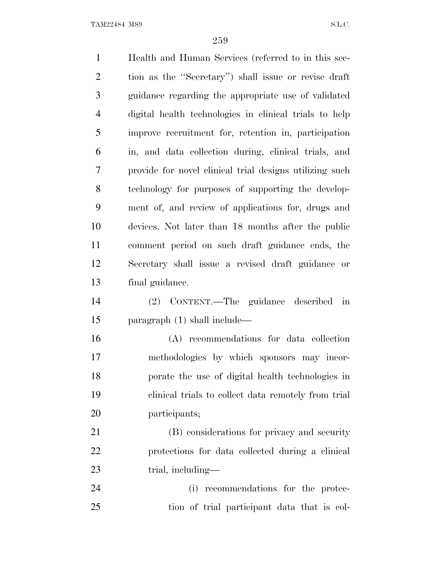Health and Human Services (referred to in this sec- tion as the ''Secretary'') shall issue or revise draft guidance regarding the appropriate use of validated digital health technologies in clinical trials to help improve recruitment for, retention in, participation in, and data collection during, clinical trials, and provide for novel clinical trial designs utilizing such technology for purposes of supporting the develop- ment of, and review of applications for, drugs and devices. Not later than 18 months after the public comment period on such draft guidance ends, the Secretary shall issue a revised draft guidance or final guidance. (2) CONTENT.—The guidance described in paragraph (1) shall include— (A) recommendations for data collection methodologies by which sponsors may incor- porate the use of digital health technologies in clinical trials to collect data remotely from trial participants; (B) considerations for privacy and security protections for data collected during a clinical 23 trial, including— (i) recommendations for the protec-tion of trial participant data that is col-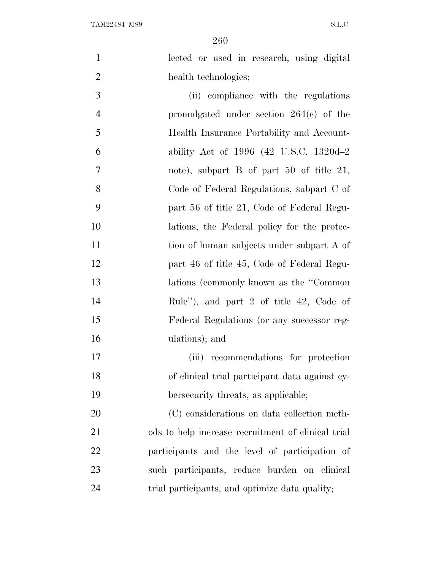lected or used in research, using digital 2 health technologies;

 (ii) compliance with the regulations promulgated under section 264(c) of the Health Insurance Portability and Account- ability Act of 1996 (42 U.S.C. 1320d–2 note), subpart B of part 50 of title 21, Code of Federal Regulations, subpart C of part 56 of title 21, Code of Federal Regu- lations, the Federal policy for the protec-11 tion of human subjects under subpart A of part 46 of title 45, Code of Federal Regu- lations (commonly known as the ''Common Rule''), and part 2 of title 42, Code of Federal Regulations (or any successor reg-ulations); and

 (iii) recommendations for protection of clinical trial participant data against cy-bersecurity threats, as applicable;

 (C) considerations on data collection meth- ods to help increase recruitment of clinical trial participants and the level of participation of such participants, reduce burden on clinical 24 trial participants, and optimize data quality;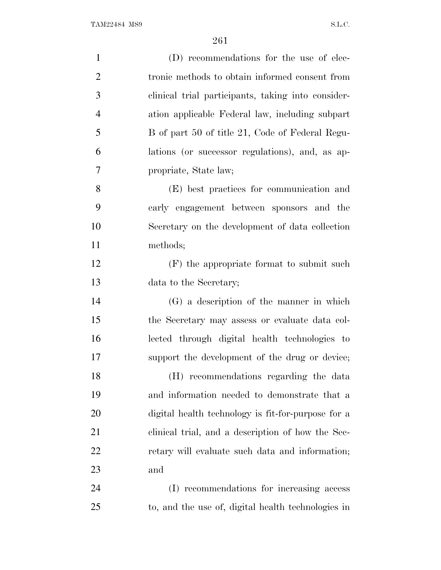| $\mathbf{1}$   | (D) recommendations for the use of elec-           |
|----------------|----------------------------------------------------|
| $\overline{2}$ | tronic methods to obtain informed consent from     |
| 3              | clinical trial participants, taking into consider- |
| $\overline{4}$ | ation applicable Federal law, including subpart    |
| 5              | B of part 50 of title 21, Code of Federal Regu-    |
| 6              | lations (or successor regulations), and, as ap-    |
| 7              | propriate, State law;                              |
| 8              | (E) best practices for communication and           |
| 9              | early engagement between sponsors and the          |
| 10             | Secretary on the development of data collection    |
| 11             | methods;                                           |
| 12             | (F) the appropriate format to submit such          |
| 13             | data to the Secretary;                             |
| 14             | (G) a description of the manner in which           |
| 15             | the Secretary may assess or evaluate data col-     |
| 16             | lected through digital health technologies to      |
| 17             | support the development of the drug or device;     |
| 18             | (H) recommendations regarding the data             |
| 19             | and information needed to demonstrate that a       |
| 20             | digital health technology is fit-for-purpose for a |
| 21             | clinical trial, and a description of how the Sec-  |
| <u>22</u>      | retary will evaluate such data and information;    |
| 23             | and                                                |
| 24             | (I) recommendations for increasing access          |
| 25             | to, and the use of, digital health technologies in |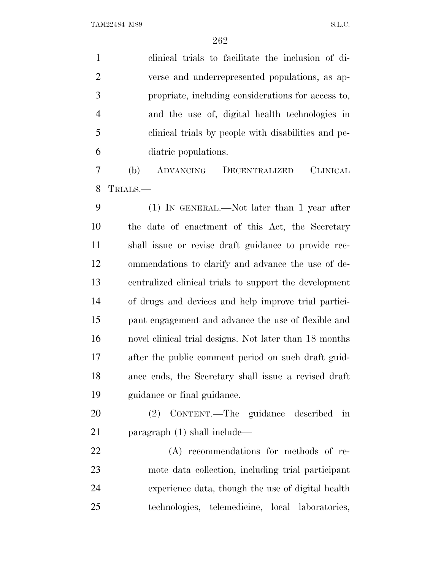clinical trials to facilitate the inclusion of di- verse and underrepresented populations, as ap- propriate, including considerations for access to, and the use of, digital health technologies in clinical trials by people with disabilities and pe-diatric populations.

 (b) ADVANCING DECENTRALIZED CLINICAL TRIALS.—

 (1) IN GENERAL.—Not later than 1 year after the date of enactment of this Act, the Secretary shall issue or revise draft guidance to provide rec- ommendations to clarify and advance the use of de- centralized clinical trials to support the development of drugs and devices and help improve trial partici- pant engagement and advance the use of flexible and novel clinical trial designs. Not later than 18 months after the public comment period on such draft guid- ance ends, the Secretary shall issue a revised draft guidance or final guidance.

 (2) CONTENT.—The guidance described in paragraph (1) shall include—

 (A) recommendations for methods of re- mote data collection, including trial participant experience data, though the use of digital health technologies, telemedicine, local laboratories,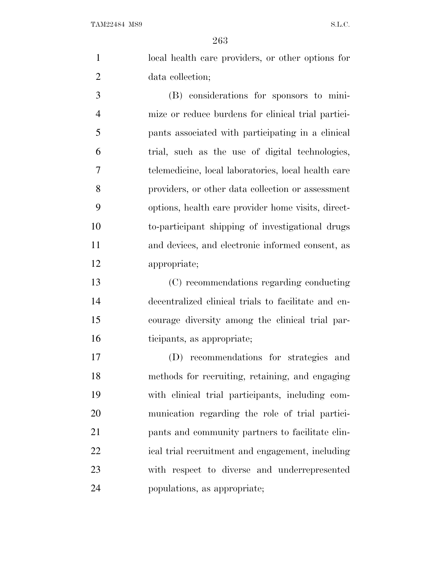local health care providers, or other options for data collection;

 (B) considerations for sponsors to mini- mize or reduce burdens for clinical trial partici- pants associated with participating in a clinical trial, such as the use of digital technologies, telemedicine, local laboratories, local health care providers, or other data collection or assessment options, health care provider home visits, direct- to-participant shipping of investigational drugs and devices, and electronic informed consent, as appropriate;

 (C) recommendations regarding conducting decentralized clinical trials to facilitate and en- courage diversity among the clinical trial par-ticipants, as appropriate;

 (D) recommendations for strategies and methods for recruiting, retaining, and engaging with clinical trial participants, including com- munication regarding the role of trial partici- pants and community partners to facilitate clin- ical trial recruitment and engagement, including with respect to diverse and underrepresented populations, as appropriate;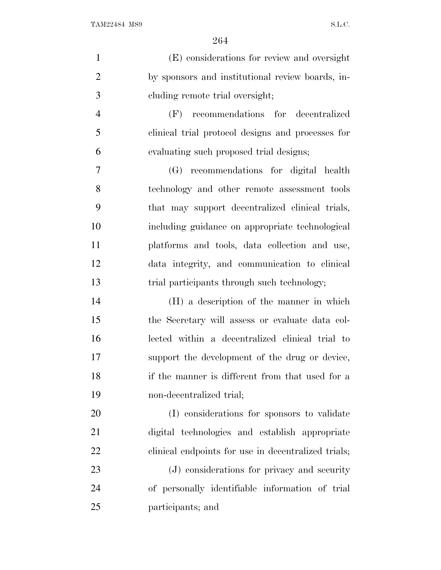| $\mathbf{1}$   | (E) considerations for review and oversight         |
|----------------|-----------------------------------------------------|
| $\overline{2}$ | by sponsors and institutional review boards, in-    |
| 3              | cluding remote trial oversight;                     |
| $\overline{4}$ | recommendations for decentralized<br>(F)            |
| 5              | clinical trial protocol designs and processes for   |
| 6              | evaluating such proposed trial designs;             |
| 7              | recommendations for digital health<br>(G)           |
| 8              | technology and other remote assessment tools        |
| 9              | that may support decentralized clinical trials,     |
| 10             | including guidance on appropriate technological     |
| 11             | platforms and tools, data collection and use,       |
| 12             | data integrity, and communication to clinical       |
| 13             | trial participants through such technology;         |
| 14             | (H) a description of the manner in which            |
| 15             | the Secretary will assess or evaluate data col-     |
| 16             | lected within a decentralized clinical trial to     |
| 17             | support the development of the drug or device,      |
| 18             | if the manner is different from that used for a     |
| 19             | non-decentralized trial;                            |
| 20             | (I) considerations for sponsors to validate         |
| 21             | digital technologies and establish appropriate      |
| 22             | clinical endpoints for use in decentralized trials; |
| 23             | (J) considerations for privacy and security         |
| 24             | of personally identifiable information of trial     |
| 25             | participants; and                                   |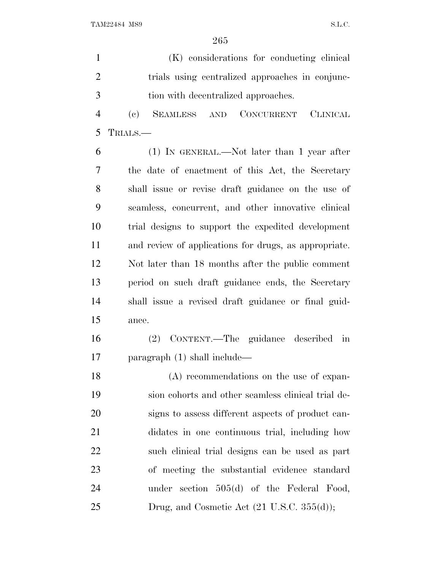|               | (K) considerations for conducting clinical      |
|---------------|-------------------------------------------------|
|               | trials using centralized approaches in conjunc- |
| $\mathcal{R}$ | tion with decentralized approaches.             |

 (c) SEAMLESS AND CONCURRENT CLINICAL TRIALS.—

 (1) IN GENERAL.—Not later than 1 year after the date of enactment of this Act, the Secretary shall issue or revise draft guidance on the use of seamless, concurrent, and other innovative clinical trial designs to support the expedited development and review of applications for drugs, as appropriate. Not later than 18 months after the public comment period on such draft guidance ends, the Secretary shall issue a revised draft guidance or final guid-ance.

 (2) CONTENT.—The guidance described in paragraph (1) shall include—

 (A) recommendations on the use of expan- sion cohorts and other seamless clinical trial de- signs to assess different aspects of product can- didates in one continuous trial, including how such clinical trial designs can be used as part of meeting the substantial evidence standard under section 505(d) of the Federal Food, Drug, and Cosmetic Act  $(21 \text{ U.S.C. } 355(d));$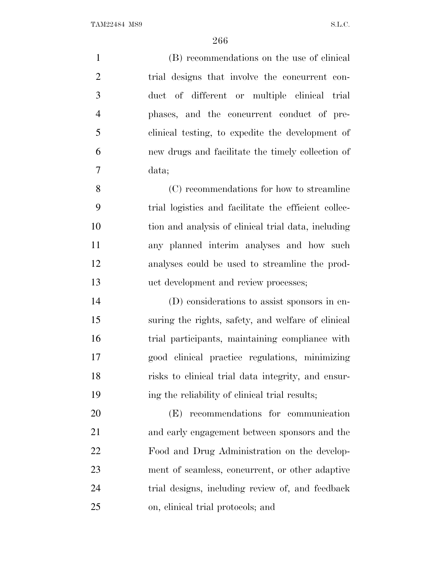(B) recommendations on the use of clinical trial designs that involve the concurrent con- duct of different or multiple clinical trial phases, and the concurrent conduct of pre- clinical testing, to expedite the development of new drugs and facilitate the timely collection of data; (C) recommendations for how to streamline trial logistics and facilitate the efficient collec- tion and analysis of clinical trial data, including any planned interim analyses and how such analyses could be used to streamline the prod-

 (D) considerations to assist sponsors in en- suring the rights, safety, and welfare of clinical trial participants, maintaining compliance with good clinical practice regulations, minimizing risks to clinical trial data integrity, and ensur-ing the reliability of clinical trial results;

uct development and review processes;

 (E) recommendations for communication and early engagement between sponsors and the Food and Drug Administration on the develop- ment of seamless, concurrent, or other adaptive trial designs, including review of, and feedback on, clinical trial protocols; and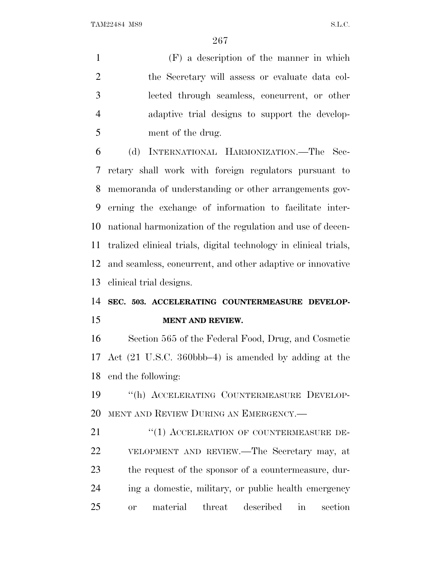(F) a description of the manner in which the Secretary will assess or evaluate data col- lected through seamless, concurrent, or other adaptive trial designs to support the develop-ment of the drug.

 (d) INTERNATIONAL HARMONIZATION.—The Sec- retary shall work with foreign regulators pursuant to memoranda of understanding or other arrangements gov- erning the exchange of information to facilitate inter- national harmonization of the regulation and use of decen- tralized clinical trials, digital technology in clinical trials, and seamless, concurrent, and other adaptive or innovative clinical trial designs.

## **SEC. 503. ACCELERATING COUNTERMEASURE DEVELOP-MENT AND REVIEW.**

 Section 565 of the Federal Food, Drug, and Cosmetic Act (21 U.S.C. 360bbb–4) is amended by adding at the end the following:

 ''(h) ACCELERATING COUNTERMEASURE DEVELOP-MENT AND REVIEW DURING AN EMERGENCY.—

21 "(1) ACCELERATION OF COUNTERMEASURE DE- VELOPMENT AND REVIEW.—The Secretary may, at the request of the sponsor of a countermeasure, dur- ing a domestic, military, or public health emergency or material threat described in section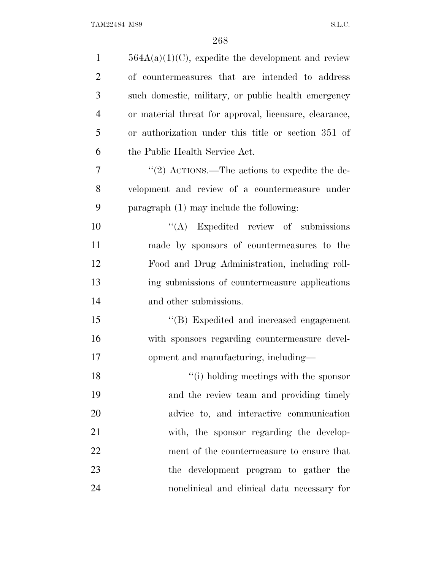| $\mathbf{1}$   | $564A(a)(1)(C)$ , expedite the development and review  |
|----------------|--------------------------------------------------------|
| $\overline{2}$ | of countermeasures that are intended to address        |
| 3              | such domestic, military, or public health emergency    |
| $\overline{4}$ | or material threat for approval, licensure, clearance, |
| 5              | or authorization under this title or section 351 of    |
| 6              | the Public Health Service Act.                         |
| $\overline{7}$ | "(2) ACTIONS.—The actions to expedite the de-          |
| 8              | velopment and review of a countermeasure under         |
| 9              | paragraph $(1)$ may include the following:             |
| 10             | $\lq\lq$ Expedited review of submissions               |
| 11             | made by sponsors of countermeasures to the             |
| 12             | Food and Drug Administration, including roll-          |
| 13             | ing submissions of countermeasure applications         |
| 14             | and other submissions.                                 |
| 15             | "(B) Expedited and increased engagement                |
| 16             | with sponsors regarding countermeasure devel-          |
| 17             | opment and manufacturing, including-                   |
| 18             | $"$ (i) holding meetings with the sponsor              |
| 19             | and the review team and providing timely               |
| 20             | advice to, and interactive communication               |
| 21             | with, the sponsor regarding the develop-               |
| 22             | ment of the countermeasure to ensure that              |
| 23             | the development program to gather the                  |
| 24             | nonclinical and clinical data necessary for            |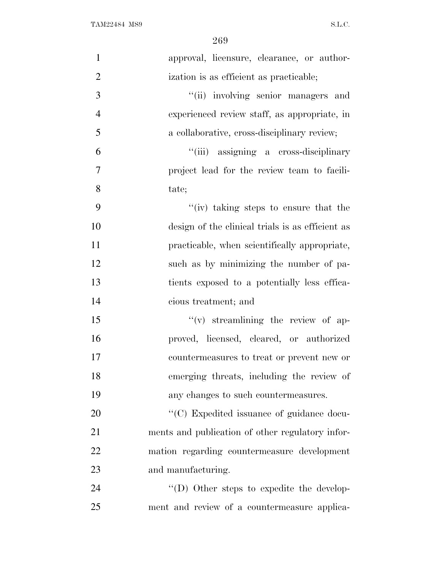| $\mathbf{1}$   | approval, licensure, clearance, or author-        |
|----------------|---------------------------------------------------|
| $\overline{2}$ | ization is as efficient as practicable;           |
| 3              | "(ii) involving senior managers and               |
| $\overline{4}$ | experienced review staff, as appropriate, in      |
| 5              | a collaborative, cross-disciplinary review;       |
| 6              | "(iii) assigning a cross-disciplinary             |
| 7              | project lead for the review team to facili-       |
| 8              | tate;                                             |
| 9              | "(iv) taking steps to ensure that the             |
| 10             | design of the clinical trials is as efficient as  |
| 11             | practicable, when scientifically appropriate,     |
| 12             | such as by minimizing the number of pa-           |
| 13             | tients exposed to a potentially less effica-      |
| 14             | cious treatment; and                              |
| 15             | $f'(v)$ streamlining the review of ap-            |
| 16             | proved, licensed, cleared, or authorized          |
| 17             | countermeasures to treat or prevent new or        |
| 18             | emerging threats, including the review of         |
| 19             | any changes to such countermeasures.              |
| 20             | "(C) Expedited issuance of guidance docu-         |
| 21             | ments and publication of other regulatory infor-  |
| 22             | mation regarding countermeasure development       |
| 23             | and manufacturing.                                |
| 24             | $\lq\lq$ (D) Other steps to expedite the develop- |
| 25             | ment and review of a countermeasure applica-      |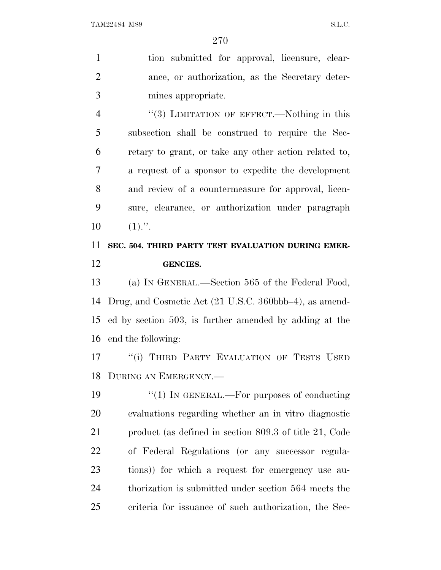tion submitted for approval, licensure, clear- ance, or authorization, as the Secretary deter-mines appropriate.

4 "(3) LIMITATION OF EFFECT.—Nothing in this subsection shall be construed to require the Sec- retary to grant, or take any other action related to, a request of a sponsor to expedite the development and review of a countermeasure for approval, licen- sure, clearance, or authorization under paragraph  $10 \t(1)."$ .

### **SEC. 504. THIRD PARTY TEST EVALUATION DURING EMER-GENCIES.**

 (a) I<sup>N</sup> GENERAL.—Section 565 of the Federal Food, Drug, and Cosmetic Act (21 U.S.C. 360bbb–4), as amend- ed by section 503, is further amended by adding at the end the following:

17 "(i) THIRD PARTY EVALUATION OF TESTS USED DURING AN EMERGENCY.—

 $\frac{1}{2}$  (1) In GENERAL.—For purposes of conducting evaluations regarding whether an in vitro diagnostic product (as defined in section 809.3 of title 21, Code of Federal Regulations (or any successor regula- tions)) for which a request for emergency use au- thorization is submitted under section 564 meets the criteria for issuance of such authorization, the Sec-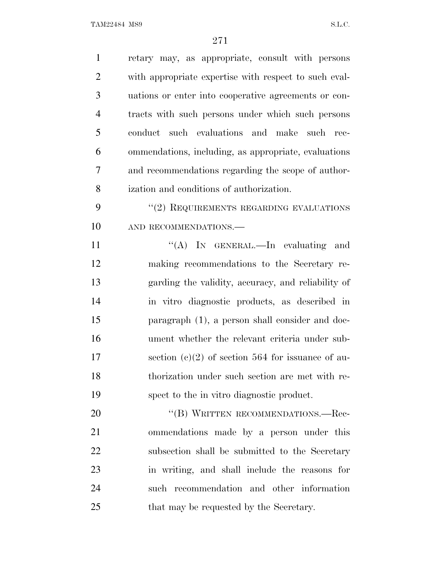| $\mathbf{1}$   | retary may, as appropriate, consult with persons      |
|----------------|-------------------------------------------------------|
| $\overline{2}$ | with appropriate expertise with respect to such eval- |
| 3              | uations or enter into cooperative agreements or con-  |
| $\overline{4}$ | tracts with such persons under which such persons     |
| 5              | conduct such evaluations and make such<br>rec-        |
| 6              | ommendations, including, as appropriate, evaluations  |
| $\overline{7}$ | and recommendations regarding the scope of author-    |
| 8              | ization and conditions of authorization.              |
| 9              | $``(2)$ REQUIREMENTS REGARDING EVALUATIONS            |
| 10             | AND RECOMMENDATIONS.                                  |
| 11             | "(A) IN GENERAL.—In evaluating and                    |
| 12             | making recommendations to the Secretary re-           |
| 13             | garding the validity, accuracy, and reliability of    |
| 14             | in vitro diagnostic products, as described in         |
| 15             | paragraph (1), a person shall consider and doc-       |
| 16             | ument whether the relevant criteria under sub-        |
| 17             | section (c)(2) of section 564 for issuance of au-     |
| 18             | thorization under such section are met with re-       |
| 19             | spect to the in vitro diagnostic product.             |
| 20             | "(B) WRITTEN RECOMMENDATIONS.—Rec-                    |
| 21             | ommendations made by a person under this              |
| 22             | subsection shall be submitted to the Secretary        |
| 23             | in writing, and shall include the reasons for         |
| 24             | such recommendation and other information             |
| 25             | that may be requested by the Secretary.               |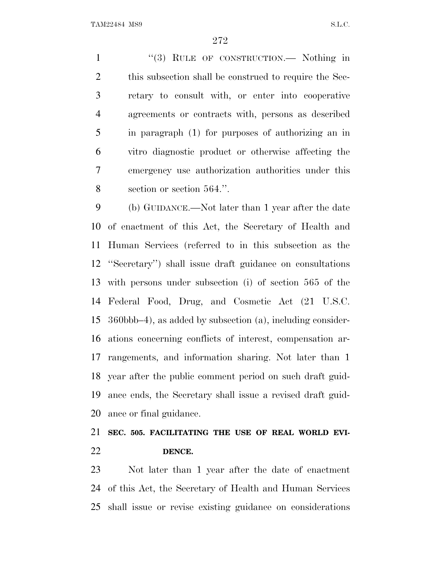1 "(3) RULE OF CONSTRUCTION.— Nothing in 2 this subsection shall be construed to require the Sec- retary to consult with, or enter into cooperative agreements or contracts with, persons as described in paragraph (1) for purposes of authorizing an in vitro diagnostic product or otherwise affecting the emergency use authorization authorities under this section or section 564.''.

 (b) GUIDANCE.—Not later than 1 year after the date of enactment of this Act, the Secretary of Health and Human Services (referred to in this subsection as the ''Secretary'') shall issue draft guidance on consultations with persons under subsection (i) of section 565 of the Federal Food, Drug, and Cosmetic Act (21 U.S.C. 360bbb–4), as added by subsection (a), including consider- ations concerning conflicts of interest, compensation ar- rangements, and information sharing. Not later than 1 year after the public comment period on such draft guid- ance ends, the Secretary shall issue a revised draft guid-ance or final guidance.

#### **SEC. 505. FACILITATING THE USE OF REAL WORLD EVI-DENCE.**

 Not later than 1 year after the date of enactment of this Act, the Secretary of Health and Human Services shall issue or revise existing guidance on considerations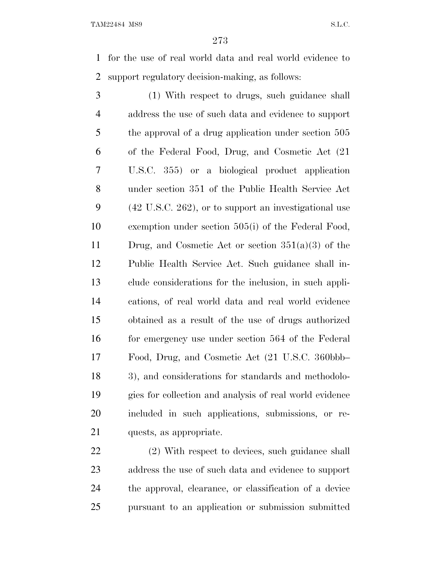for the use of real world data and real world evidence to support regulatory decision-making, as follows:

 (1) With respect to drugs, such guidance shall address the use of such data and evidence to support the approval of a drug application under section 505 of the Federal Food, Drug, and Cosmetic Act (21 U.S.C. 355) or a biological product application under section 351 of the Public Health Service Act (42 U.S.C. 262), or to support an investigational use exemption under section 505(i) of the Federal Food, Drug, and Cosmetic Act or section 351(a)(3) of the Public Health Service Act. Such guidance shall in- clude considerations for the inclusion, in such appli- cations, of real world data and real world evidence obtained as a result of the use of drugs authorized 16 for emergency use under section 564 of the Federal Food, Drug, and Cosmetic Act (21 U.S.C. 360bbb– 3), and considerations for standards and methodolo- gies for collection and analysis of real world evidence included in such applications, submissions, or re-quests, as appropriate.

 (2) With respect to devices, such guidance shall address the use of such data and evidence to support the approval, clearance, or classification of a device pursuant to an application or submission submitted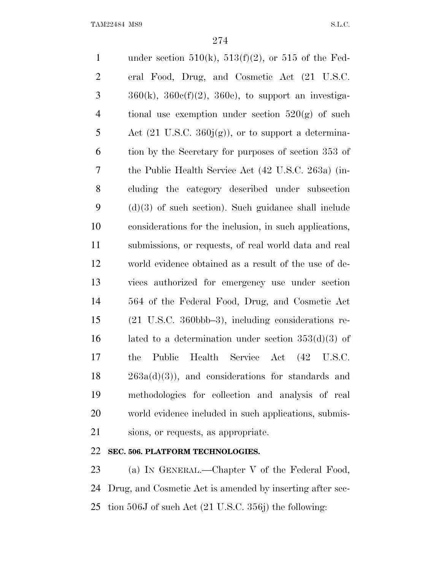1 under section  $510(k)$ ,  $513(f)(2)$ , or  $515$  of the Fed- eral Food, Drug, and Cosmetic Act (21 U.S.C.  $3 \qquad \qquad 360(k), \qquad 360e(f)(2), \qquad 360e, \qquad \text{to support an investing-}$ 4 tional use exemption under section  $520(g)$  of such 5 Act  $(21 \text{ U.S.C. } 360j(g))$ , or to support a determina- tion by the Secretary for purposes of section 353 of the Public Health Service Act (42 U.S.C. 263a) (in- cluding the category described under subsection (d)(3) of such section). Such guidance shall include considerations for the inclusion, in such applications, submissions, or requests, of real world data and real world evidence obtained as a result of the use of de- vices authorized for emergency use under section 564 of the Federal Food, Drug, and Cosmetic Act (21 U.S.C. 360bbb–3), including considerations re-16 lated to a determination under section  $353(d)(3)$  of the Public Health Service Act (42 U.S.C. 263a(d)(3)), and considerations for standards and methodologies for collection and analysis of real world evidence included in such applications, submis-sions, or requests, as appropriate.

#### **SEC. 506. PLATFORM TECHNOLOGIES.**

23 (a) IN GENERAL.—Chapter V of the Federal Food, Drug, and Cosmetic Act is amended by inserting after sec-tion 506J of such Act (21 U.S.C. 356j) the following: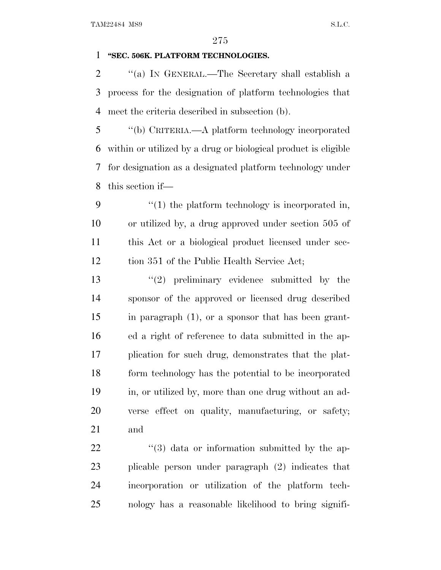#### **''SEC. 506K. PLATFORM TECHNOLOGIES.**

 ''(a) I<sup>N</sup> GENERAL.—The Secretary shall establish a process for the designation of platform technologies that meet the criteria described in subsection (b).

 ''(b) CRITERIA.—A platform technology incorporated within or utilized by a drug or biological product is eligible for designation as a designated platform technology under this section if—

 $\frac{4}{1}$  the platform technology is incorporated in, or utilized by, a drug approved under section 505 of this Act or a biological product licensed under sec-12 tion 351 of the Public Health Service Act;

 $(2)$  preliminary evidence submitted by the sponsor of the approved or licensed drug described in paragraph (1), or a sponsor that has been grant- ed a right of reference to data submitted in the ap- plication for such drug, demonstrates that the plat- form technology has the potential to be incorporated in, or utilized by, more than one drug without an ad- verse effect on quality, manufacturing, or safety; and

 $\frac{1}{3}$  data or information submitted by the ap- plicable person under paragraph (2) indicates that incorporation or utilization of the platform tech-nology has a reasonable likelihood to bring signifi-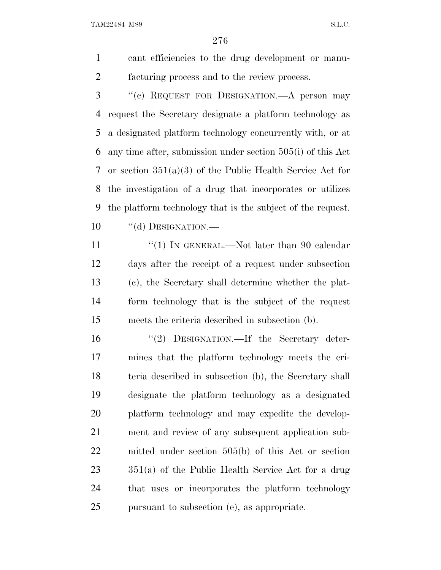cant efficiencies to the drug development or manu-facturing process and to the review process.

 ''(c) REQUEST FOR DESIGNATION.—A person may request the Secretary designate a platform technology as a designated platform technology concurrently with, or at any time after, submission under section 505(i) of this Act or section 351(a)(3) of the Public Health Service Act for the investigation of a drug that incorporates or utilizes the platform technology that is the subject of the request. 10 "(d) DESIGNATION.—

11 ''(1) IN GENERAL.—Not later than 90 calendar days after the receipt of a request under subsection (c), the Secretary shall determine whether the plat- form technology that is the subject of the request meets the criteria described in subsection (b).

16 "(2) DESIGNATION.—If the Secretary deter- mines that the platform technology meets the cri- teria described in subsection (b), the Secretary shall designate the platform technology as a designated platform technology and may expedite the develop- ment and review of any subsequent application sub- mitted under section 505(b) of this Act or section 351(a) of the Public Health Service Act for a drug that uses or incorporates the platform technology pursuant to subsection (e), as appropriate.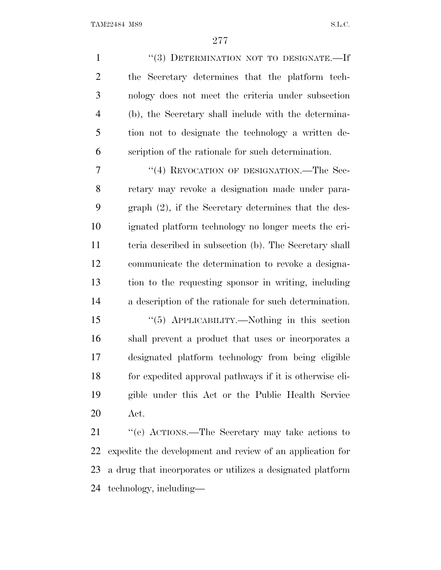| $\mathbf{1}$   | "(3) DETERMINATION NOT TO DESIGNATE.-If                 |
|----------------|---------------------------------------------------------|
| $\overline{2}$ | the Secretary determines that the platform tech-        |
| 3              | nology does not meet the criteria under subsection      |
| $\overline{4}$ | (b), the Secretary shall include with the determina-    |
| 5              | tion not to designate the technology a written de-      |
| 6              | scription of the rationale for such determination.      |
| 7              | "(4) REVOCATION OF DESIGNATION.—The Sec-                |
| 8              | retary may revoke a designation made under para-        |
| 9              | graph $(2)$ , if the Secretary determines that the des- |
| 10             | ignated platform technology no longer meets the cri-    |
| 11             | teria described in subsection (b). The Secretary shall  |
| 12             | communicate the determination to revoke a designa-      |
| 13             | tion to the requesting sponsor in writing, including    |
| 14             | a description of the rationale for such determination.  |
| 15             | "(5) APPLICABILITY.—Nothing in this section             |
| 16             | shall prevent a product that uses or incorporates a     |
| 17             | designated platform technology from being eligible      |
| 18             | for expedited approval pathways if it is otherwise eli- |
| 19             | gible under this Act or the Public Health Service       |
| 20             | Act.                                                    |
|                |                                                         |

21 ''(e) ACTIONS.—The Secretary may take actions to expedite the development and review of an application for a drug that incorporates or utilizes a designated platform technology, including—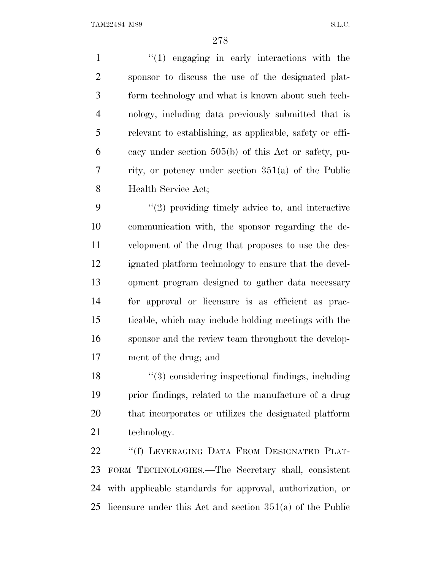1 ''(1) engaging in early interactions with the sponsor to discuss the use of the designated plat- form technology and what is known about such tech- nology, including data previously submitted that is relevant to establishing, as applicable, safety or effi- cacy under section 505(b) of this Act or safety, pu- rity, or potency under section 351(a) of the Public Health Service Act;

 ''(2) providing timely advice to, and interactive communication with, the sponsor regarding the de- velopment of the drug that proposes to use the des- ignated platform technology to ensure that the devel- opment program designed to gather data necessary for approval or licensure is as efficient as prac- ticable, which may include holding meetings with the sponsor and the review team throughout the develop-ment of the drug; and

18 ''(3) considering inspectional findings, including prior findings, related to the manufacture of a drug that incorporates or utilizes the designated platform technology.

 ''(f) LEVERAGING DATA FROM DESIGNATED PLAT- FORM TECHNOLOGIES.—The Secretary shall, consistent with applicable standards for approval, authorization, or licensure under this Act and section 351(a) of the Public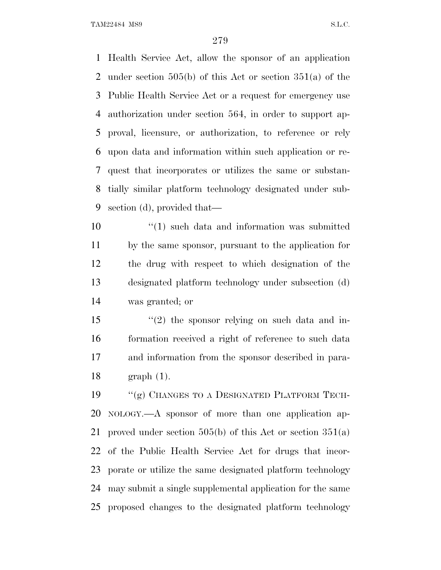Health Service Act, allow the sponsor of an application under section 505(b) of this Act or section 351(a) of the Public Health Service Act or a request for emergency use authorization under section 564, in order to support ap- proval, licensure, or authorization, to reference or rely upon data and information within such application or re- quest that incorporates or utilizes the same or substan- tially similar platform technology designated under sub-section (d), provided that—

 $\mathbf{10}$   $\mathbf{u}(1)$  such data and information was submitted by the same sponsor, pursuant to the application for the drug with respect to which designation of the designated platform technology under subsection (d) was granted; or

15 "(2) the sponsor relying on such data and in- formation received a right of reference to such data and information from the sponsor described in para-graph (1).

19 "(g) CHANGES TO A DESIGNATED PLATFORM TECH- NOLOGY.—A sponsor of more than one application ap- proved under section 505(b) of this Act or section 351(a) of the Public Health Service Act for drugs that incor- porate or utilize the same designated platform technology may submit a single supplemental application for the same proposed changes to the designated platform technology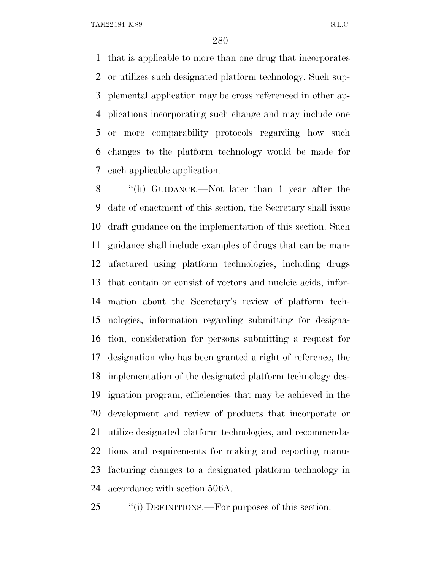that is applicable to more than one drug that incorporates or utilizes such designated platform technology. Such sup- plemental application may be cross referenced in other ap- plications incorporating such change and may include one or more comparability protocols regarding how such changes to the platform technology would be made for each applicable application.

 ''(h) GUIDANCE.—Not later than 1 year after the date of enactment of this section, the Secretary shall issue draft guidance on the implementation of this section. Such guidance shall include examples of drugs that can be man- ufactured using platform technologies, including drugs that contain or consist of vectors and nucleic acids, infor- mation about the Secretary's review of platform tech- nologies, information regarding submitting for designa- tion, consideration for persons submitting a request for designation who has been granted a right of reference, the implementation of the designated platform technology des- ignation program, efficiencies that may be achieved in the development and review of products that incorporate or utilize designated platform technologies, and recommenda- tions and requirements for making and reporting manu- facturing changes to a designated platform technology in accordance with section 506A.

25 "(i) DEFINITIONS.—For purposes of this section: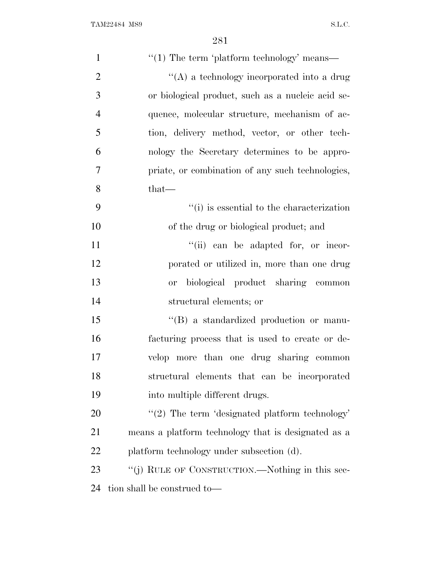| $\mathbf{1}$   | "(1) The term 'platform technology' means—          |
|----------------|-----------------------------------------------------|
| $\overline{2}$ | "(A) a technology incorporated into a drug          |
| 3              | or biological product, such as a nucleic acid se-   |
| $\overline{4}$ | quence, molecular structure, mechanism of ac-       |
| 5              | tion, delivery method, vector, or other tech-       |
| 6              | nology the Secretary determines to be appro-        |
| 7              | priate, or combination of any such technologies,    |
| 8              | $that-$                                             |
| 9              | $f'(i)$ is essential to the characterization        |
| 10             | of the drug or biological product; and              |
| 11             | "(ii) can be adapted for, or incor-                 |
| 12             | porated or utilized in, more than one drug          |
| 13             | biological product sharing common<br><b>or</b>      |
| 14             | structural elements; or                             |
| 15             | "(B) a standardized production or manu-             |
| 16             | facturing process that is used to create or de-     |
| 17             | velop more than one drug sharing common             |
| 18             | structural elements that can be incorporated        |
| 19             | into multiple different drugs.                      |
| 20             | $\lq(2)$ The term 'designated platform technology'  |
| 21             | means a platform technology that is designated as a |
| 22             | platform technology under subsection (d).           |
| 23             | "(j) RULE OF CONSTRUCTION.—Nothing in this sec-     |
| 24             | tion shall be construed to—                         |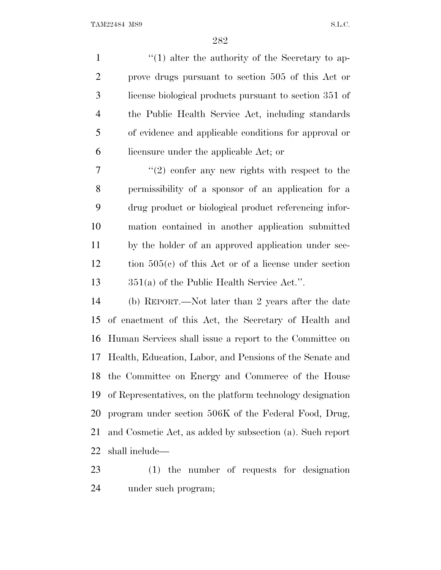1 ''(1) alter the authority of the Secretary to ap- prove drugs pursuant to section 505 of this Act or license biological products pursuant to section 351 of the Public Health Service Act, including standards of evidence and applicable conditions for approval or licensure under the applicable Act; or

 $7 \t$  ''(2) confer any new rights with respect to the permissibility of a sponsor of an application for a drug product or biological product referencing infor- mation contained in another application submitted by the holder of an approved application under sec- tion 505(c) of this Act or of a license under section 351(a) of the Public Health Service Act.''.

 (b) REPORT.—Not later than 2 years after the date of enactment of this Act, the Secretary of Health and Human Services shall issue a report to the Committee on Health, Education, Labor, and Pensions of the Senate and the Committee on Energy and Commerce of the House of Representatives, on the platform technology designation program under section 506K of the Federal Food, Drug, and Cosmetic Act, as added by subsection (a). Such report shall include—

 (1) the number of requests for designation under such program;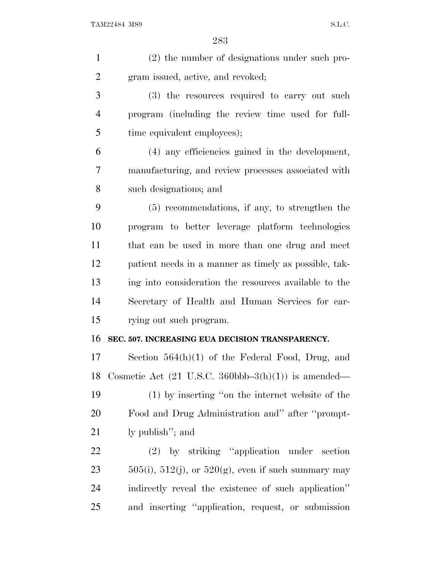| $\mathbf{1}$   | (2) the number of designations under such pro-                           |
|----------------|--------------------------------------------------------------------------|
| $\overline{2}$ | gram issued, active, and revoked;                                        |
| 3              | (3) the resources required to carry out such                             |
| $\overline{4}$ | program (including the review time used for full-                        |
| 5              | time equivalent employees);                                              |
| 6              | (4) any efficiencies gained in the development,                          |
| 7              | manufacturing, and review processes associated with                      |
| 8              | such designations; and                                                   |
| 9              | $(5)$ recommendations, if any, to strengthen the                         |
| 10             | program to better leverage platform technologies                         |
| 11             | that can be used in more than one drug and meet                          |
| 12             | patient needs in a manner as timely as possible, tak-                    |
| 13             | ing into consideration the resources available to the                    |
| 14             | Secretary of Health and Human Services for car-                          |
| 15             | rying out such program.                                                  |
| 16             | SEC. 507. INCREASING EUA DECISION TRANSPARENCY.                          |
| 17             | Section $564(h)(1)$ of the Federal Food, Drug, and                       |
| 18             | Cosmetic Act $(21 \text{ U.S.C. } 360 \text{bbb} - 3(h)(1))$ is amended— |
| 19             | (1) by inserting "on the internet website of the                         |
| 20             | Food and Drug Administration and" after "prompt-                         |
| 21             | ly publish"; and                                                         |
| 22             | (2) by striking "application under section                               |
| 23             | $505(i)$ , $512(j)$ , or $520(g)$ , even if such summary may             |
| 24             | indirectly reveal the existence of such application"                     |
| 25             | and inserting "application, request, or submission                       |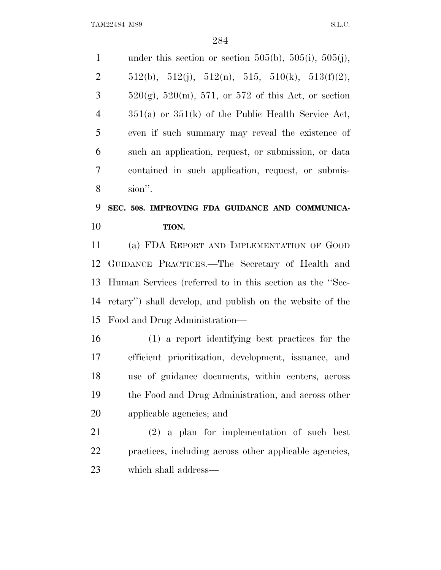1 under this section or section 505(b), 505(i), 505(j), 2 512(b), 512(j), 512(n), 515, 510(k), 513(f)(2),  $3 = 520(g), 520(m), 571, or 572$  of this Act, or section 351(a) or 351(k) of the Public Health Service Act, even if such summary may reveal the existence of such an application, request, or submission, or data contained in such application, request, or submis-sion''.

### **SEC. 508. IMPROVING FDA GUIDANCE AND COMMUNICA-TION.**

 (a) FDA REPORT AND IMPLEMENTATION OF GOOD GUIDANCE PRACTICES.—The Secretary of Health and Human Services (referred to in this section as the ''Sec- retary'') shall develop, and publish on the website of the Food and Drug Administration—

 (1) a report identifying best practices for the efficient prioritization, development, issuance, and use of guidance documents, within centers, across the Food and Drug Administration, and across other applicable agencies; and

 (2) a plan for implementation of such best practices, including across other applicable agencies, which shall address—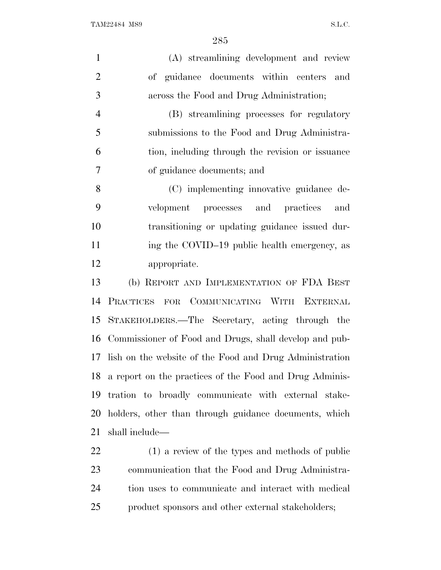| $\mathbf{1}$   | (A) streamlining development and review                    |
|----------------|------------------------------------------------------------|
| $\overline{2}$ | of guidance documents within centers<br>and                |
| 3              | across the Food and Drug Administration;                   |
| $\overline{4}$ | (B) streamlining processes for regulatory                  |
| 5              | submissions to the Food and Drug Administra-               |
| 6              | tion, including through the revision or issuance           |
| 7              | of guidance documents; and                                 |
| 8              | (C) implementing innovative guidance de-                   |
| 9              | velopment processes and practices<br>and                   |
| 10             | transitioning or updating guidance issued dur-             |
| 11             | ing the COVID-19 public health emergency, as               |
| 12             | appropriate.                                               |
| 13             | (b) REPORT AND IMPLEMENTATION OF FDA BEST                  |
| 14             | PRACTICES FOR COMMUNICATING WITH EXTERNAL                  |
| 15             | STAKEHOLDERS.—The Secretary, acting through the            |
| 16             | Commissioner of Food and Drugs, shall develop and pub-     |
| 17             | lish on the website of the Food and Drug Administration    |
|                | 18 a report on the practices of the Food and Drug Adminis- |
| 19             | tration to broadly communicate with external stake-        |
|                | 20 holders, other than through guidance documents, which   |
| 21             | shall include—                                             |

 (1) a review of the types and methods of public communication that the Food and Drug Administra- tion uses to communicate and interact with medical product sponsors and other external stakeholders;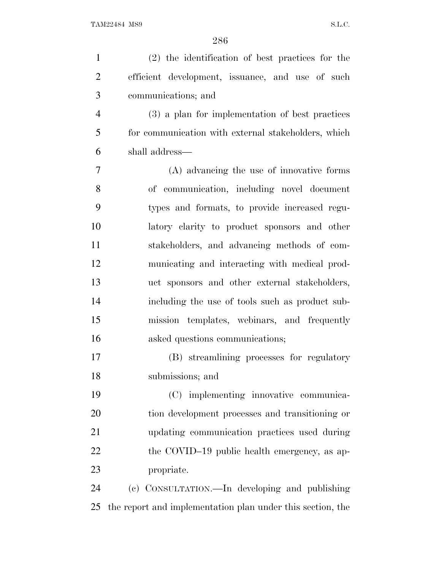| $\mathbf{1}$   | (2) the identification of best practices for the           |
|----------------|------------------------------------------------------------|
| $\overline{2}$ | efficient development, issuance, and use of such           |
| 3              | communications; and                                        |
| $\overline{4}$ | (3) a plan for implementation of best practices            |
| 5              | for communication with external stakeholders, which        |
| 6              | shall address—                                             |
| 7              | (A) advancing the use of innovative forms                  |
| 8              | of communication, including novel document                 |
| 9              | types and formats, to provide increased regu-              |
| 10             | latory clarity to product sponsors and other               |
| 11             | stakeholders, and advancing methods of com-                |
| 12             | municating and interacting with medical prod-              |
| 13             | uct sponsors and other external stakeholders,              |
| 14             | including the use of tools such as product sub-            |
| 15             | mission templates, webinars, and frequently                |
| 16             | asked questions communications;                            |
| 17             | (B) streamlining processes for regulatory                  |
| 18             | submissions; and                                           |
| 19             | (C) implementing innovative communica-                     |
| 20             | tion development processes and transitioning or            |
| 21             | updating communication practices used during               |
| 22             | the COVID-19 public health emergency, as ap-               |
| 23             | propriate.                                                 |
| 24             | (c) CONSULTATION.—In developing and publishing             |
| 25             | the report and implementation plan under this section, the |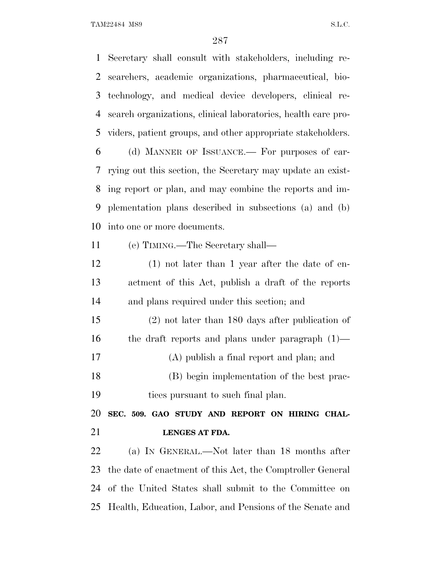Secretary shall consult with stakeholders, including re- searchers, academic organizations, pharmaceutical, bio- technology, and medical device developers, clinical re- search organizations, clinical laboratories, health care pro- viders, patient groups, and other appropriate stakeholders. (d) MANNER OF ISSUANCE.— For purposes of car- rying out this section, the Secretary may update an exist- ing report or plan, and may combine the reports and im- plementation plans described in subsections (a) and (b) into one or more documents. (e) TIMING.—The Secretary shall— (1) not later than 1 year after the date of en- actment of this Act, publish a draft of the reports and plans required under this section; and (2) not later than 180 days after publication of the draft reports and plans under paragraph (1)— (A) publish a final report and plan; and (B) begin implementation of the best prac- tices pursuant to such final plan. **SEC. 509. GAO STUDY AND REPORT ON HIRING CHAL- LENGES AT FDA.** (a) I<sup>N</sup> GENERAL.—Not later than 18 months after the date of enactment of this Act, the Comptroller General of the United States shall submit to the Committee on Health, Education, Labor, and Pensions of the Senate and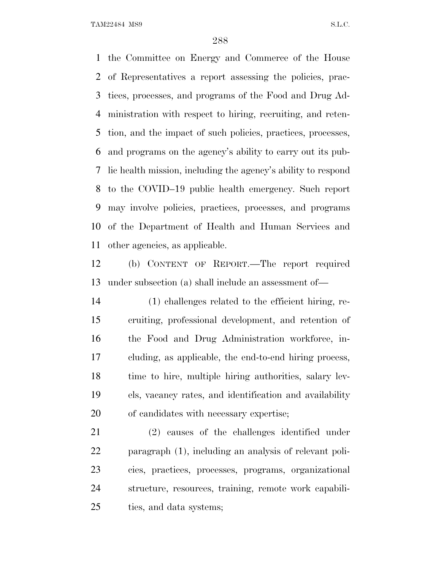the Committee on Energy and Commerce of the House of Representatives a report assessing the policies, prac- tices, processes, and programs of the Food and Drug Ad- ministration with respect to hiring, recruiting, and reten- tion, and the impact of such policies, practices, processes, and programs on the agency's ability to carry out its pub- lic health mission, including the agency's ability to respond to the COVID–19 public health emergency. Such report may involve policies, practices, processes, and programs of the Department of Health and Human Services and other agencies, as applicable.

 (b) CONTENT OF REPORT.—The report required under subsection (a) shall include an assessment of—

 (1) challenges related to the efficient hiring, re- cruiting, professional development, and retention of the Food and Drug Administration workforce, in- cluding, as applicable, the end-to-end hiring process, time to hire, multiple hiring authorities, salary lev- els, vacancy rates, and identification and availability of candidates with necessary expertise;

 (2) causes of the challenges identified under paragraph (1), including an analysis of relevant poli- cies, practices, processes, programs, organizational structure, resources, training, remote work capabili-ties, and data systems;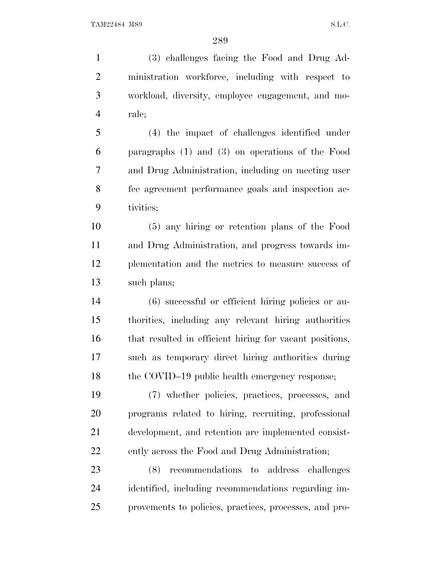(3) challenges facing the Food and Drug Ad- ministration workforce, including with respect to workload, diversity, employee engagement, and mo- rale; (4) the impact of challenges identified under paragraphs (1) and (3) on operations of the Food and Drug Administration, including on meeting user fee agreement performance goals and inspection ac- tivities; (5) any hiring or retention plans of the Food and Drug Administration, and progress towards im- plementation and the metrics to measure success of such plans; (6) successful or efficient hiring policies or au- thorities, including any relevant hiring authorities that resulted in efficient hiring for vacant positions, such as temporary direct hiring authorities during 18 the COVID–19 public health emergency response; (7) whether policies, practices, processes, and

 programs related to hiring, recruiting, professional development, and retention are implemented consist-ently across the Food and Drug Administration;

 (8) recommendations to address challenges identified, including recommendations regarding im-provements to policies, practices, processes, and pro-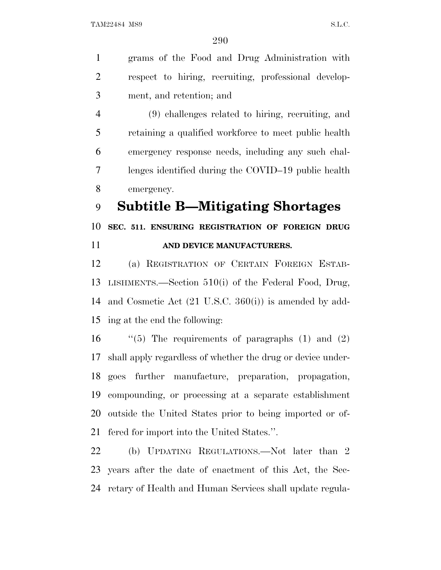grams of the Food and Drug Administration with respect to hiring, recruiting, professional develop-ment, and retention; and

 (9) challenges related to hiring, recruiting, and retaining a qualified workforce to meet public health emergency response needs, including any such chal- lenges identified during the COVID–19 public health emergency.

**Subtitle B—Mitigating Shortages**

 **SEC. 511. ENSURING REGISTRATION OF FOREIGN DRUG AND DEVICE MANUFACTURERS.**

 (a) REGISTRATION OF CERTAIN FOREIGN ESTAB- LISHMENTS.—Section 510(i) of the Federal Food, Drug, and Cosmetic Act (21 U.S.C. 360(i)) is amended by add-ing at the end the following:

 $\qquad$  "(5) The requirements of paragraphs (1) and (2) shall apply regardless of whether the drug or device under- goes further manufacture, preparation, propagation, compounding, or processing at a separate establishment outside the United States prior to being imported or of-fered for import into the United States.''.

 (b) UPDATING REGULATIONS.—Not later than 2 years after the date of enactment of this Act, the Sec-retary of Health and Human Services shall update regula-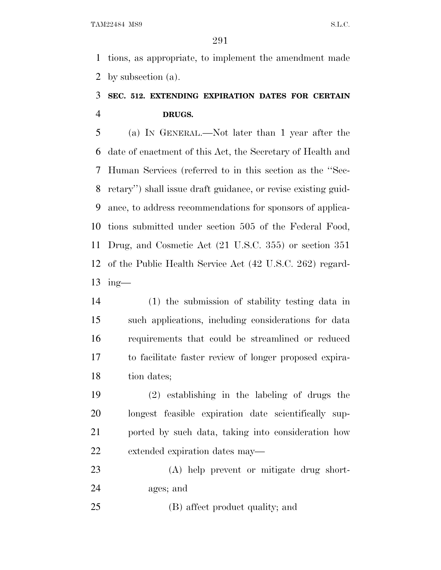tions, as appropriate, to implement the amendment made by subsection (a).

## **SEC. 512. EXTENDING EXPIRATION DATES FOR CERTAIN DRUGS.**

 (a) I<sup>N</sup> GENERAL.—Not later than 1 year after the date of enactment of this Act, the Secretary of Health and Human Services (referred to in this section as the ''Sec- retary'') shall issue draft guidance, or revise existing guid- ance, to address recommendations for sponsors of applica- tions submitted under section 505 of the Federal Food, Drug, and Cosmetic Act (21 U.S.C. 355) or section 351 of the Public Health Service Act (42 U.S.C. 262) regard-ing—

 (1) the submission of stability testing data in such applications, including considerations for data requirements that could be streamlined or reduced to facilitate faster review of longer proposed expira-18 tion dates;

 (2) establishing in the labeling of drugs the longest feasible expiration date scientifically sup- ported by such data, taking into consideration how extended expiration dates may—

 (A) help prevent or mitigate drug short-ages; and

(B) affect product quality; and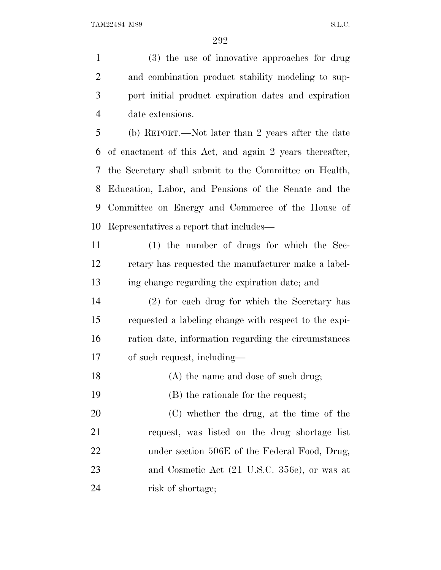(3) the use of innovative approaches for drug and combination product stability modeling to sup- port initial product expiration dates and expiration date extensions. (b) REPORT.—Not later than 2 years after the date of enactment of this Act, and again 2 years thereafter, the Secretary shall submit to the Committee on Health,

 Education, Labor, and Pensions of the Senate and the Committee on Energy and Commerce of the House of Representatives a report that includes—

 (1) the number of drugs for which the Sec- retary has requested the manufacturer make a label-ing change regarding the expiration date; and

 (2) for each drug for which the Secretary has requested a labeling change with respect to the expi- ration date, information regarding the circumstances of such request, including—

18 (A) the name and dose of such drug;

(B) the rationale for the request;

 (C) whether the drug, at the time of the request, was listed on the drug shortage list 22 under section 506E of the Federal Food, Drug, and Cosmetic Act (21 U.S.C. 356e), or was at risk of shortage;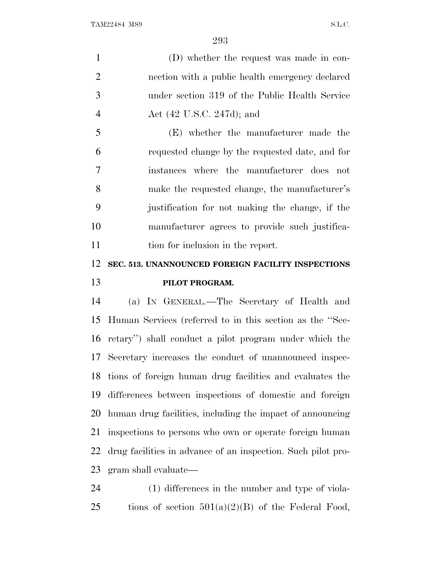(D) whether the request was made in con- nection with a public health emergency declared under section 319 of the Public Health Service Act (42 U.S.C. 247d); and

 (E) whether the manufacturer made the requested change by the requested date, and for instances where the manufacturer does not make the requested change, the manufacturer's justification for not making the change, if the manufacturer agrees to provide such justifica-11 tion for inclusion in the report.

### **SEC. 513. UNANNOUNCED FOREIGN FACILITY INSPECTIONS PILOT PROGRAM.**

 (a) I<sup>N</sup> GENERAL.—The Secretary of Health and Human Services (referred to in this section as the ''Sec- retary'') shall conduct a pilot program under which the Secretary increases the conduct of unannounced inspec- tions of foreign human drug facilities and evaluates the differences between inspections of domestic and foreign human drug facilities, including the impact of announcing inspections to persons who own or operate foreign human drug facilities in advance of an inspection. Such pilot pro-gram shall evaluate—

 (1) differences in the number and type of viola-25 tions of section  $501(a)(2)(B)$  of the Federal Food,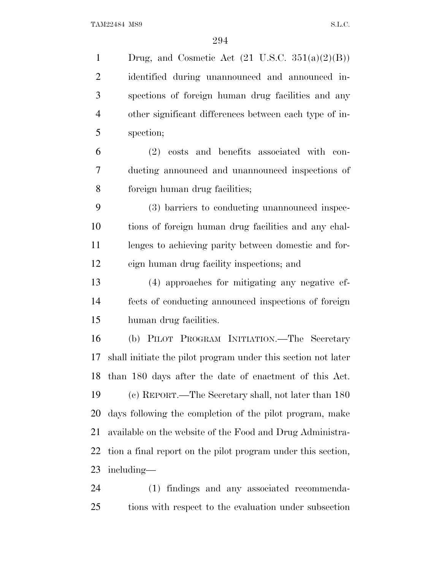1 Drug, and Cosmetic Act  $(21 \text{ U.S.C. } 351(a)(2)(B))$  identified during unannounced and announced in- spections of foreign human drug facilities and any other significant differences between each type of in- spection; (2) costs and benefits associated with con- ducting announced and unannounced inspections of foreign human drug facilities; (3) barriers to conducting unannounced inspec- tions of foreign human drug facilities and any chal- lenges to achieving parity between domestic and for- eign human drug facility inspections; and (4) approaches for mitigating any negative ef- fects of conducting announced inspections of foreign human drug facilities. (b) PILOT PROGRAM INITIATION.—The Secretary shall initiate the pilot program under this section not later than 180 days after the date of enactment of this Act. (c) REPORT.—The Secretary shall, not later than 180 days following the completion of the pilot program, make available on the website of the Food and Drug Administra- tion a final report on the pilot program under this section, including—

 (1) findings and any associated recommenda-tions with respect to the evaluation under subsection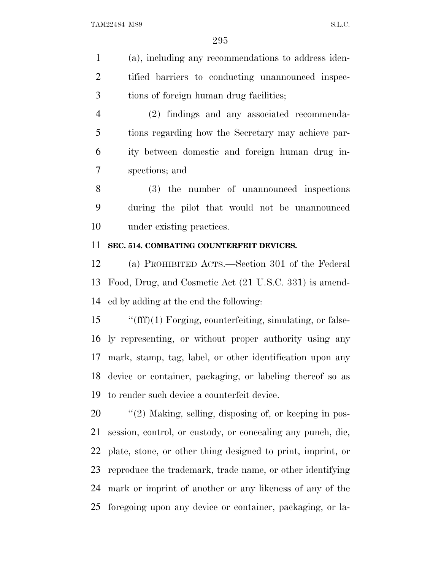(a), including any recommendations to address iden- tified barriers to conducting unannounced inspec-tions of foreign human drug facilities;

 (2) findings and any associated recommenda- tions regarding how the Secretary may achieve par- ity between domestic and foreign human drug in-spections; and

 (3) the number of unannounced inspections during the pilot that would not be unannounced under existing practices.

### **SEC. 514. COMBATING COUNTERFEIT DEVICES.**

 (a) PROHIBITED ACTS.—Section 301 of the Federal Food, Drug, and Cosmetic Act (21 U.S.C. 331) is amend-ed by adding at the end the following:

 ''(fff)(1) Forging, counterfeiting, simulating, or false- ly representing, or without proper authority using any mark, stamp, tag, label, or other identification upon any device or container, packaging, or labeling thereof so as to render such device a counterfeit device.

 $\frac{1}{2}$  (2) Making, selling, disposing of, or keeping in pos- session, control, or custody, or concealing any punch, die, plate, stone, or other thing designed to print, imprint, or reproduce the trademark, trade name, or other identifying mark or imprint of another or any likeness of any of the foregoing upon any device or container, packaging, or la-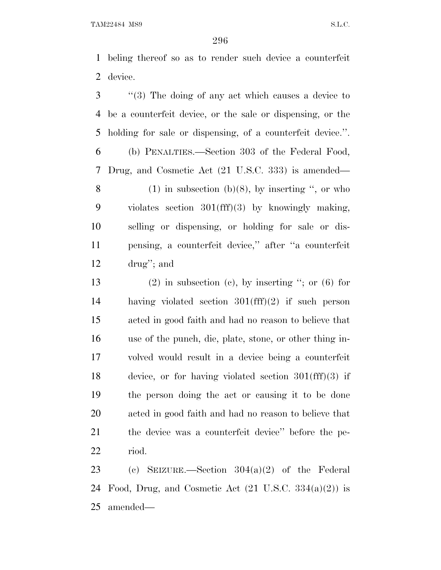beling thereof so as to render such device a counterfeit device.

 ''(3) The doing of any act which causes a device to be a counterfeit device, or the sale or dispensing, or the holding for sale or dispensing, of a counterfeit device.''.

 (b) PENALTIES.—Section 303 of the Federal Food, Drug, and Cosmetic Act (21 U.S.C. 333) is amended— 8 (1) in subsection (b)(8), by inserting  $\degree$ , or who

 violates section 301(fff)(3) by knowingly making, selling or dispensing, or holding for sale or dis- pensing, a counterfeit device,'' after ''a counterfeit drug''; and

13 (2) in subsection (c), by inserting  $\degree$ ; or (6) for having violated section 301(fff)(2) if such person acted in good faith and had no reason to believe that use of the punch, die, plate, stone, or other thing in- volved would result in a device being a counterfeit device, or for having violated section 301(fff)(3) if the person doing the act or causing it to be done acted in good faith and had no reason to believe that the device was a counterfeit device'' before the pe-riod.

 (c) SEIZURE.—Section 304(a)(2) of the Federal 24 Food, Drug, and Cosmetic Act  $(21 \text{ U.S.C. } 334(a)(2))$  is amended—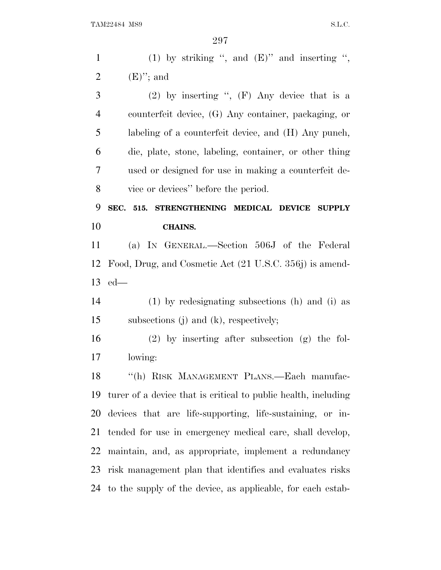| $\mathbf{1}$                           | (1) by striking ", and $(E)$ " and inserting ",                |
|----------------------------------------|----------------------------------------------------------------|
| $\overline{2}$                         | $(E)$ "; and                                                   |
| 3                                      | (2) by inserting ", $(F)$ Any device that is a                 |
| $\overline{4}$                         | counterfeit device, (G) Any container, packaging, or           |
| 5                                      | labeling of a counterfeit device, and (H) Any punch,           |
| 6                                      | die, plate, stone, labeling, container, or other thing         |
| 7                                      | used or designed for use in making a counterfeit de-           |
| 8                                      | vice or devices" before the period.                            |
| 9                                      | SEC. 515.<br>STRENGTHENING MEDICAL DEVICE SUPPLY               |
| 10                                     | <b>CHAINS.</b>                                                 |
| 11                                     | (a) IN GENERAL.—Section 506J of the Federal                    |
| 12                                     | Food, Drug, and Cosmetic Act (21 U.S.C. 356j) is amend-        |
|                                        |                                                                |
|                                        | $ed$ —                                                         |
|                                        | $(1)$ by redesignating subsections $(h)$ and $(i)$ as          |
|                                        | subsections $(j)$ and $(k)$ , respectively;                    |
|                                        | $(2)$ by inserting after subsection $(g)$ the fol-             |
|                                        | lowing:                                                        |
| 18                                     | "(h) RISK MANAGEMENT PLANS.—Each manufac-                      |
|                                        | turer of a device that is critical to public health, including |
| 13<br>14<br>15<br>16<br>17<br>19<br>20 | devices that are life-supporting, life-sustaining, or in-      |
|                                        | tended for use in emergency medical care, shall develop,       |
| 21<br>22                               | maintain, and, as appropriate, implement a redundancy          |
| 23                                     | risk management plan that identifies and evaluates risks       |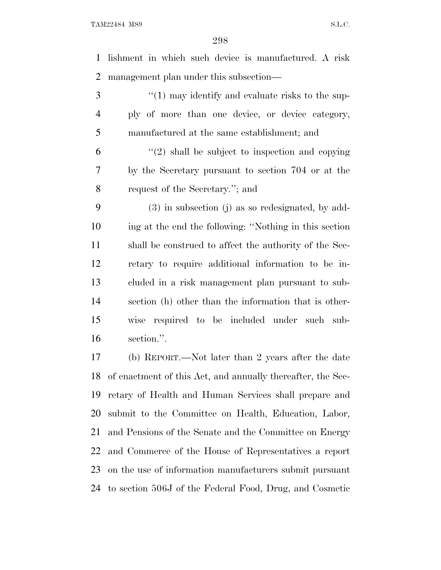lishment in which such device is manufactured. A risk management plan under this subsection—

3 ''(1) may identify and evaluate risks to the sup- ply of more than one device, or device category, manufactured at the same establishment; and

 $(2)$  shall be subject to inspection and copying by the Secretary pursuant to section 704 or at the request of the Secretary.''; and

 (3) in subsection (j) as so redesignated, by add- ing at the end the following: ''Nothing in this section shall be construed to affect the authority of the Sec- retary to require additional information to be in- cluded in a risk management plan pursuant to sub- section (h) other than the information that is other- wise required to be included under such sub-section.''.

 (b) REPORT.—Not later than 2 years after the date of enactment of this Act, and annually thereafter, the Sec- retary of Health and Human Services shall prepare and submit to the Committee on Health, Education, Labor, and Pensions of the Senate and the Committee on Energy and Commerce of the House of Representatives a report on the use of information manufacturers submit pursuant to section 506J of the Federal Food, Drug, and Cosmetic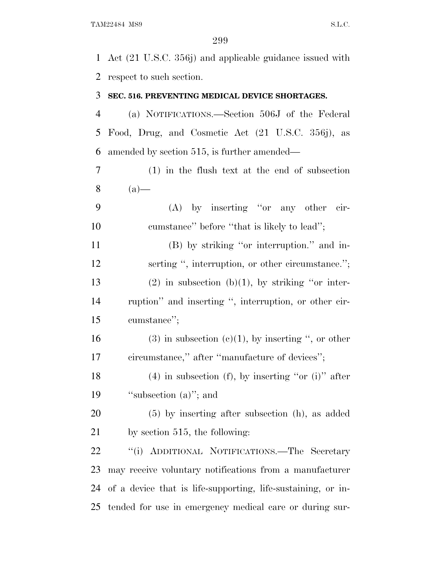Act (21 U.S.C. 356j) and applicable guidance issued with respect to such section.

#### **SEC. 516. PREVENTING MEDICAL DEVICE SHORTAGES.**

 (a) NOTIFICATIONS.—Section 506J of the Federal Food, Drug, and Cosmetic Act (21 U.S.C. 356j), as amended by section 515, is further amended—

- (1) in the flush text at the end of subsection (a)—
- (A) by inserting ''or any other cir-10 cumstance" before "that is likely to lead";

 (B) by striking ''or interruption.'' and in-12 serting ", interruption, or other circumstance."; 13 (2) in subsection (b)(1), by striking "or inter- ruption'' and inserting '', interruption, or other cir-cumstance'';

16 (3) in subsection (c)(1), by inserting ", or other circumstance,'' after ''manufacture of devices'';

18 (4) in subsection (f), by inserting "or (i)" after 19 "subsection (a)"; and

 (5) by inserting after subsection (h), as added by section 515, the following:

 ''(i) ADDITIONAL NOTIFICATIONS.—The Secretary may receive voluntary notifications from a manufacturer of a device that is life-supporting, life-sustaining, or in-tended for use in emergency medical care or during sur-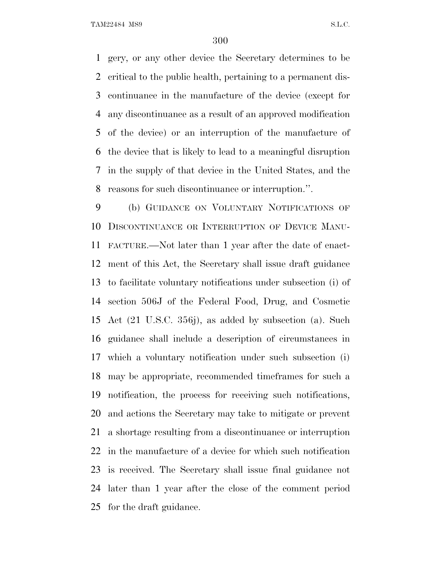gery, or any other device the Secretary determines to be critical to the public health, pertaining to a permanent dis- continuance in the manufacture of the device (except for any discontinuance as a result of an approved modification of the device) or an interruption of the manufacture of the device that is likely to lead to a meaningful disruption in the supply of that device in the United States, and the reasons for such discontinuance or interruption.''.

 (b) GUIDANCE ON VOLUNTARY NOTIFICATIONS OF DISCONTINUANCE OR INTERRUPTION OF DEVICE MANU- FACTURE.—Not later than 1 year after the date of enact- ment of this Act, the Secretary shall issue draft guidance to facilitate voluntary notifications under subsection (i) of section 506J of the Federal Food, Drug, and Cosmetic Act (21 U.S.C. 356j), as added by subsection (a). Such guidance shall include a description of circumstances in which a voluntary notification under such subsection (i) may be appropriate, recommended timeframes for such a notification, the process for receiving such notifications, and actions the Secretary may take to mitigate or prevent a shortage resulting from a discontinuance or interruption in the manufacture of a device for which such notification is received. The Secretary shall issue final guidance not later than 1 year after the close of the comment period for the draft guidance.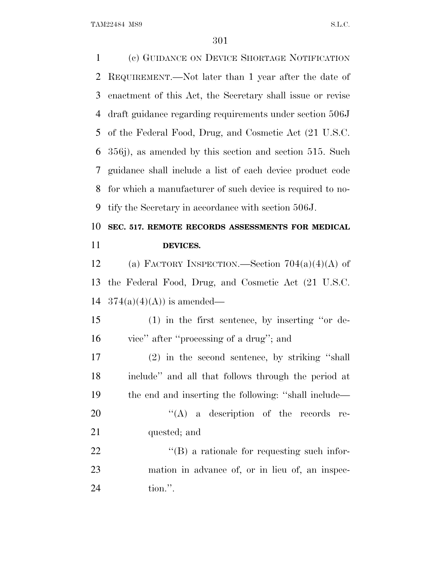(c) GUIDANCE ON DEVICE SHORTAGE NOTIFICATION REQUIREMENT.—Not later than 1 year after the date of enactment of this Act, the Secretary shall issue or revise draft guidance regarding requirements under section 506J of the Federal Food, Drug, and Cosmetic Act (21 U.S.C. 356j), as amended by this section and section 515. Such guidance shall include a list of each device product code for which a manufacturer of such device is required to no- tify the Secretary in accordance with section 506J. **SEC. 517. REMOTE RECORDS ASSESSMENTS FOR MEDICAL DEVICES.** 12 (a) FACTORY INSPECTION.—Section  $704(a)(4)(A)$  of the Federal Food, Drug, and Cosmetic Act (21 U.S.C.  $374(a)(4)(A)$  is amended— (1) in the first sentence, by inserting ''or de- vice'' after ''processing of a drug''; and (2) in the second sentence, by striking ''shall include'' and all that follows through the period at the end and inserting the following: ''shall include—  $((A)$  a description of the records re- quested; and  $(18)$  a rationale for requesting such infor- mation in advance of, or in lieu of, an inspec-tion.''.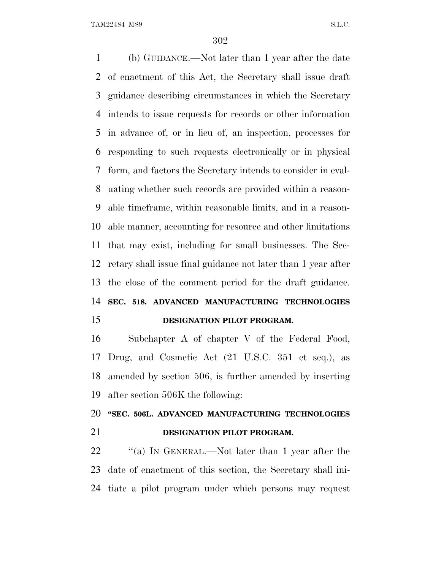(b) GUIDANCE.—Not later than 1 year after the date of enactment of this Act, the Secretary shall issue draft guidance describing circumstances in which the Secretary intends to issue requests for records or other information in advance of, or in lieu of, an inspection, processes for responding to such requests electronically or in physical form, and factors the Secretary intends to consider in eval- uating whether such records are provided within a reason- able timeframe, within reasonable limits, and in a reason- able manner, accounting for resource and other limitations that may exist, including for small businesses. The Sec- retary shall issue final guidance not later than 1 year after the close of the comment period for the draft guidance. **SEC. 518. ADVANCED MANUFACTURING TECHNOLOGIES DESIGNATION PILOT PROGRAM.**

 Subchapter A of chapter V of the Federal Food, Drug, and Cosmetic Act (21 U.S.C. 351 et seq.), as amended by section 506, is further amended by inserting after section 506K the following:

# **''SEC. 506L. ADVANCED MANUFACTURING TECHNOLOGIES DESIGNATION PILOT PROGRAM.**

22 "(a) In GENERAL.—Not later than 1 year after the date of enactment of this section, the Secretary shall ini-tiate a pilot program under which persons may request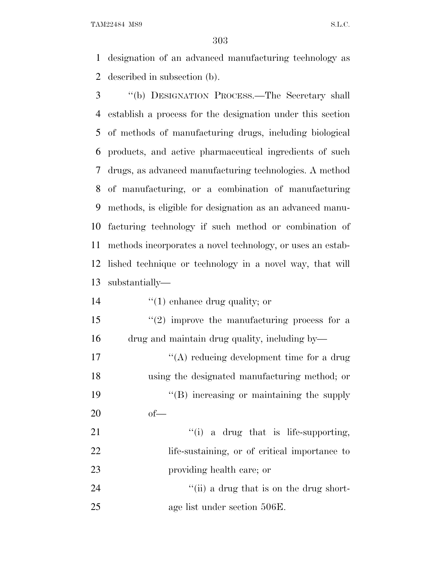designation of an advanced manufacturing technology as described in subsection (b).

 ''(b) DESIGNATION PROCESS.—The Secretary shall establish a process for the designation under this section of methods of manufacturing drugs, including biological products, and active pharmaceutical ingredients of such drugs, as advanced manufacturing technologies. A method of manufacturing, or a combination of manufacturing methods, is eligible for designation as an advanced manu- facturing technology if such method or combination of methods incorporates a novel technology, or uses an estab- lished technique or technology in a novel way, that will substantially—

14  $\frac{1}{2}$  (1) enhance drug quality; or

15  $\frac{1}{2}$  improve the manufacturing process for a drug and maintain drug quality, including by—

17 ''(A) reducing development time for a drug using the designated manufacturing method; or 19 ''(B) increasing or maintaining the supply of—

21  $\frac{1}{2}$  a drug that is life-supporting, 22 life-sustaining, or of critical importance to providing health care; or

24 ''(ii) a drug that is on the drug short-age list under section 506E.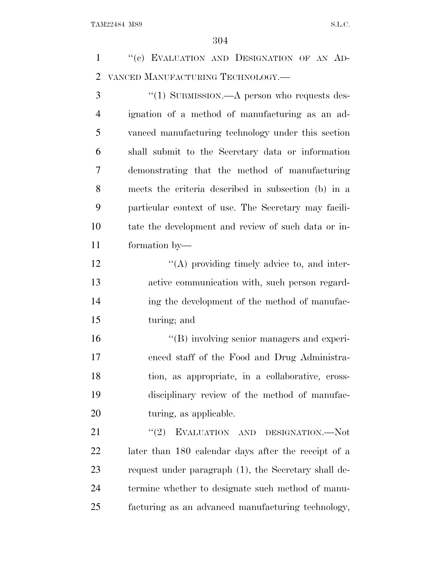1 "(c) EVALUATION AND DESIGNATION OF AN AD-VANCED MANUFACTURING TECHNOLOGY.—

3 "(1) SUBMISSION.—A person who requests des- ignation of a method of manufacturing as an ad- vanced manufacturing technology under this section shall submit to the Secretary data or information demonstrating that the method of manufacturing meets the criteria described in subsection (b) in a particular context of use. The Secretary may facili- tate the development and review of such data or in-formation by—

 $\langle (A)$  providing timely advice to, and inter- active communication with, such person regard- ing the development of the method of manufac-turing; and

 $"$ (B) involving senior managers and experi- enced staff of the Food and Drug Administra- tion, as appropriate, in a collaborative, cross- disciplinary review of the method of manufac-20 turing, as applicable.

21 "(2) EVALUATION AND DESIGNATION.—Not later than 180 calendar days after the receipt of a request under paragraph (1), the Secretary shall de- termine whether to designate such method of manu-facturing as an advanced manufacturing technology,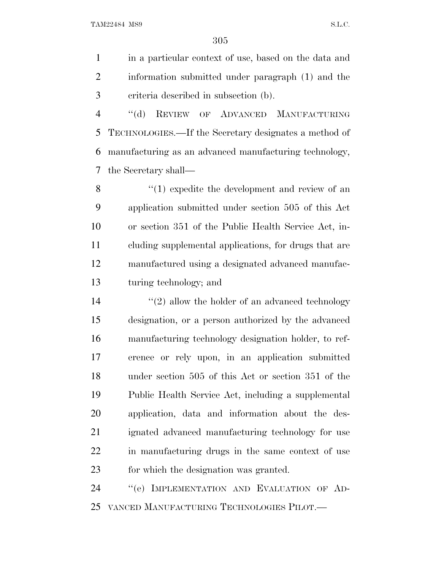in a particular context of use, based on the data and information submitted under paragraph (1) and the criteria described in subsection (b).

 ''(d) REVIEW OF ADVANCED MANUFACTURING TECHNOLOGIES.—If the Secretary designates a method of manufacturing as an advanced manufacturing technology, the Secretary shall—

8 ''(1) expedite the development and review of an application submitted under section 505 of this Act or section 351 of the Public Health Service Act, in- cluding supplemental applications, for drugs that are manufactured using a designated advanced manufac-turing technology; and

 $(2)$  allow the holder of an advanced technology designation, or a person authorized by the advanced manufacturing technology designation holder, to ref- erence or rely upon, in an application submitted under section 505 of this Act or section 351 of the Public Health Service Act, including a supplemental application, data and information about the des- ignated advanced manufacturing technology for use in manufacturing drugs in the same context of use for which the designation was granted.

24 "(e) IMPLEMENTATION AND EVALUATION OF AD-VANCED MANUFACTURING TECHNOLOGIES PILOT.—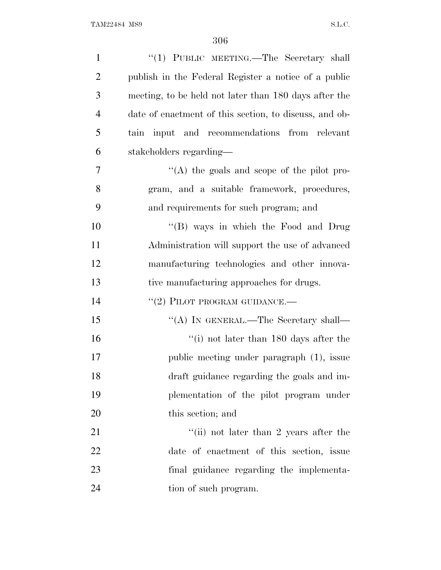| $\mathbf{1}$   | "(1) PUBLIC MEETING.—The Secretary shall               |
|----------------|--------------------------------------------------------|
| $\overline{2}$ | publish in the Federal Register a notice of a public   |
| 3              | meeting, to be held not later than 180 days after the  |
| $\overline{4}$ | date of enactment of this section, to discuss, and ob- |
| 5              | input and recommendations from relevant<br>tain        |
| 6              | stakeholders regarding—                                |
| 7              | "(A) the goals and scope of the pilot pro-             |
| 8              | gram, and a suitable framework, procedures,            |
| 9              | and requirements for such program; and                 |
| 10             | "(B) ways in which the Food and Drug                   |
| 11             | Administration will support the use of advanced        |
| 12             | manufacturing technologies and other innova-           |
| 13             | tive manufacturing approaches for drugs.               |
| 14             | $``(2)$ PILOT PROGRAM GUIDANCE.—                       |
| 15             | "(A) IN GENERAL.—The Secretary shall—                  |
| 16             | "(i) not later than $180$ days after the               |
| 17             | public meeting under paragraph (1), issue              |
| 18             | draft guidance regarding the goals and im-             |
| 19             | plementation of the pilot program under                |
| 20             | this section; and                                      |
| 21             | "(ii) not later than 2 years after the                 |
| 22             | date of enactment of this section, issue               |
| 23             | final guidance regarding the implementa-               |
| 24             | tion of such program.                                  |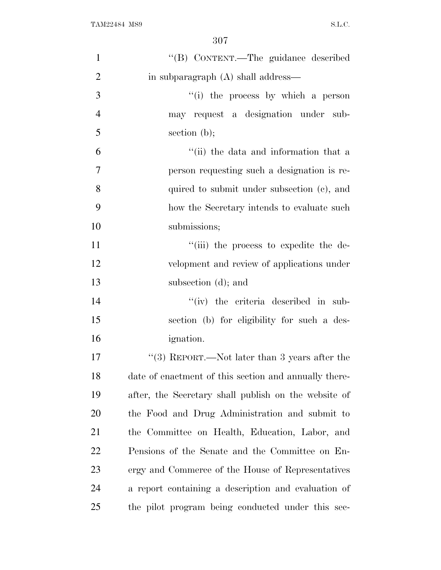| $\mathbf{1}$   | "(B) CONTENT.-The guidance described                  |
|----------------|-------------------------------------------------------|
| $\overline{2}$ | in subparagraph (A) shall address—                    |
| 3              | "(i) the process by which a person                    |
| $\overline{4}$ | may request a designation under sub-                  |
| 5              | section $(b)$ ;                                       |
| 6              | "(ii) the data and information that a                 |
| $\overline{7}$ | person requesting such a designation is re-           |
| 8              | quired to submit under subsection (c), and            |
| 9              | how the Secretary intends to evaluate such            |
| 10             | submissions;                                          |
| 11             | "(iii) the process to expedite the de-                |
| 12             | velopment and review of applications under            |
| 13             | subsection (d); and                                   |
| 14             | "(iv) the criteria described in sub-                  |
| 15             | section (b) for eligibility for such a des-           |
| 16             | <i>ignation.</i>                                      |
| 17             | "(3) REPORT.—Not later than 3 years after the         |
| 18             | date of enactment of this section and annually there- |
| 19             | after, the Secretary shall publish on the website of  |
| 20             | the Food and Drug Administration and submit to        |
| 21             | the Committee on Health, Education, Labor, and        |
| 22             | Pensions of the Senate and the Committee on En-       |
| 23             | ergy and Commerce of the House of Representatives     |
| 24             | a report containing a description and evaluation of   |
| 25             | the pilot program being conducted under this sec-     |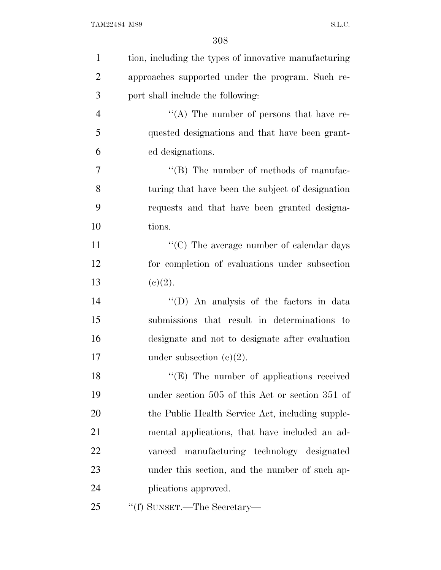| $\mathbf{1}$   | tion, including the types of innovative manufacturing |
|----------------|-------------------------------------------------------|
| $\overline{2}$ | approaches supported under the program. Such re-      |
| 3              | port shall include the following:                     |
| $\overline{4}$ | "(A) The number of persons that have re-              |
| 5              | quested designations and that have been grant-        |
| 6              | ed designations.                                      |
| $\tau$         | $\lq\lq (B)$ The number of methods of manufac-        |
| 8              | turing that have been the subject of designation      |
| 9              | requests and that have been granted designa-          |
| 10             | tions.                                                |
| 11             | $\lq\lq$ (C) The average number of calendar days      |
| 12             | for completion of evaluations under subsection        |
| 13             | (c)(2).                                               |
| 14             | "(D) An analysis of the factors in data               |
| 15             | submissions that result in determinations to          |
| 16             | designate and not to designate after evaluation       |
| 17             | under subsection $(e)(2)$ .                           |
| 18             | "(E) The number of applications received              |
| 19             | under section 505 of this Act or section 351 of       |
| 20             | the Public Health Service Act, including supple-      |
| 21             | mental applications, that have included an ad-        |
| 22             | vanced manufacturing technology designated            |
| 23             | under this section, and the number of such ap-        |
| 24             | plications approved.                                  |
| 25             | "(f) SUNSET.—The Secretary—                           |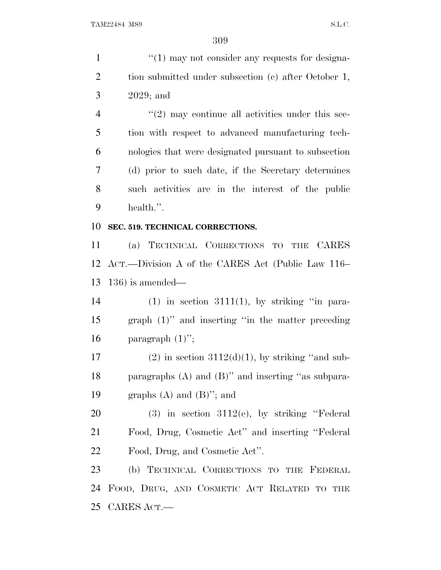1 ''(1) may not consider any requests for designa-2 tion submitted under subsection (c) after October 1, 2029; and  $\frac{4}{2}$  ''(2) may continue all activities under this sec- tion with respect to advanced manufacturing tech- nologies that were designated pursuant to subsection (d) prior to such date, if the Secretary determines such activities are in the interest of the public health.''. **SEC. 519. TECHNICAL CORRECTIONS.** (a) TECHNICAL CORRECTIONS TO THE CARES ACT.—Division A of the CARES Act (Public Law 116– 136) is amended— 14 (1) in section  $3111(1)$ , by striking "in para- graph (1)'' and inserting ''in the matter preceding 16 paragraph  $(1)$ "; 17 (2) in section  $3112(d)(1)$ , by striking "and sub- paragraphs (A) and (B)'' and inserting ''as subpara-19 graphs  $(A)$  and  $(B)$ "; and (3) in section 3112(e), by striking ''Federal Food, Drug, Cosmetic Act'' and inserting ''Federal Food, Drug, and Cosmetic Act''. (b) TECHNICAL CORRECTIONS TO THE FEDERAL FOOD, DRUG, AND COSMETIC ACT RELATED TO THE CARES ACT.—